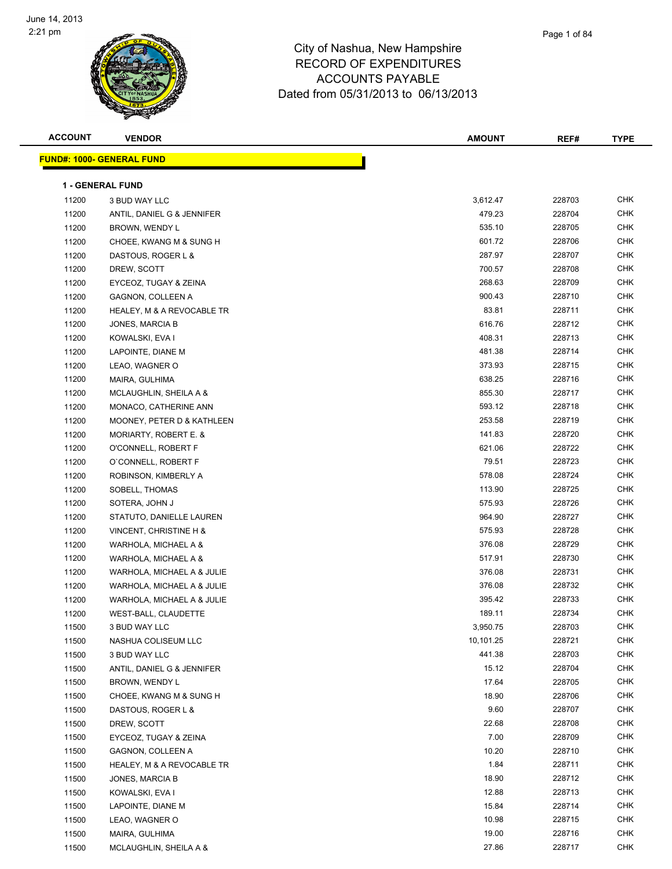

| Page 1 of 84 |
|--------------|
|              |

| <b>ACCOUNT</b> | <b>VENDOR</b>                    | <b>AMOUNT</b> | REF#   | <b>TYPE</b> |
|----------------|----------------------------------|---------------|--------|-------------|
|                | <b>FUND#: 1000- GENERAL FUND</b> |               |        |             |
|                |                                  |               |        |             |
|                | <b>1 - GENERAL FUND</b>          |               |        |             |
| 11200          | 3 BUD WAY LLC                    | 3,612.47      | 228703 | <b>CHK</b>  |
| 11200          | ANTIL, DANIEL G & JENNIFER       | 479.23        | 228704 | <b>CHK</b>  |
| 11200          | BROWN, WENDY L                   | 535.10        | 228705 | <b>CHK</b>  |
| 11200          | CHOEE, KWANG M & SUNG H          | 601.72        | 228706 | CHK         |
| 11200          | DASTOUS, ROGER L &               | 287.97        | 228707 | <b>CHK</b>  |
| 11200          | DREW, SCOTT                      | 700.57        | 228708 | <b>CHK</b>  |
| 11200          | EYCEOZ, TUGAY & ZEINA            | 268.63        | 228709 | <b>CHK</b>  |
| 11200          | GAGNON, COLLEEN A                | 900.43        | 228710 | <b>CHK</b>  |
| 11200          | HEALEY, M & A REVOCABLE TR       | 83.81         | 228711 | <b>CHK</b>  |
| 11200          | JONES, MARCIA B                  | 616.76        | 228712 | <b>CHK</b>  |
| 11200          | KOWALSKI, EVA I                  | 408.31        | 228713 | <b>CHK</b>  |
| 11200          | LAPOINTE, DIANE M                | 481.38        | 228714 | <b>CHK</b>  |
| 11200          | LEAO, WAGNER O                   | 373.93        | 228715 | <b>CHK</b>  |
| 11200          | MAIRA, GULHIMA                   | 638.25        | 228716 | <b>CHK</b>  |
| 11200          | MCLAUGHLIN, SHEILA A &           | 855.30        | 228717 | <b>CHK</b>  |
| 11200          | MONACO, CATHERINE ANN            | 593.12        | 228718 | <b>CHK</b>  |
| 11200          | MOONEY, PETER D & KATHLEEN       | 253.58        | 228719 | <b>CHK</b>  |
| 11200          | MORIARTY, ROBERT E. &            | 141.83        | 228720 | <b>CHK</b>  |
| 11200          | O'CONNELL, ROBERT F              | 621.06        | 228722 | <b>CHK</b>  |
| 11200          | O'CONNELL, ROBERT F              | 79.51         | 228723 | <b>CHK</b>  |
| 11200          | ROBINSON, KIMBERLY A             | 578.08        | 228724 | <b>CHK</b>  |
| 11200          | SOBELL, THOMAS                   | 113.90        | 228725 | <b>CHK</b>  |
| 11200          | SOTERA, JOHN J                   | 575.93        | 228726 | <b>CHK</b>  |
| 11200          | STATUTO, DANIELLE LAUREN         | 964.90        | 228727 | <b>CHK</b>  |
| 11200          | VINCENT, CHRISTINE H &           | 575.93        | 228728 | <b>CHK</b>  |
| 11200          | WARHOLA, MICHAEL A &             | 376.08        | 228729 | <b>CHK</b>  |
| 11200          | WARHOLA, MICHAEL A &             | 517.91        | 228730 | <b>CHK</b>  |
| 11200          | WARHOLA, MICHAEL A & JULIE       | 376.08        | 228731 | <b>CHK</b>  |
| 11200          | WARHOLA, MICHAEL A & JULIE       | 376.08        | 228732 | <b>CHK</b>  |
| 11200          | WARHOLA, MICHAEL A & JULIE       | 395.42        | 228733 | <b>CHK</b>  |
| 11200          | WEST-BALL, CLAUDETTE             | 189.11        | 228734 | <b>CHK</b>  |
| 11500          | 3 BUD WAY LLC                    | 3,950.75      | 228703 | <b>CHK</b>  |
| 11500          | NASHUA COLISEUM LLC              | 10,101.25     | 228721 | <b>CHK</b>  |
| 11500          | 3 BUD WAY LLC                    | 441.38        | 228703 | <b>CHK</b>  |
| 11500          | ANTIL, DANIEL G & JENNIFER       | 15.12         | 228704 | <b>CHK</b>  |
| 11500          | BROWN, WENDY L                   | 17.64         | 228705 | CHK         |
| 11500          | CHOEE, KWANG M & SUNG H          | 18.90         | 228706 | <b>CHK</b>  |
| 11500          | DASTOUS, ROGER L &               | 9.60          | 228707 | <b>CHK</b>  |
| 11500          | DREW, SCOTT                      | 22.68         | 228708 | <b>CHK</b>  |
| 11500          | EYCEOZ, TUGAY & ZEINA            | 7.00          | 228709 | <b>CHK</b>  |
| 11500          | <b>GAGNON, COLLEEN A</b>         | 10.20         | 228710 | CHK         |
| 11500          | HEALEY, M & A REVOCABLE TR       | 1.84          | 228711 | CHK         |
| 11500          | JONES, MARCIA B                  | 18.90         | 228712 | CHK         |
| 11500          | KOWALSKI, EVA I                  | 12.88         | 228713 | <b>CHK</b>  |
| 11500          | LAPOINTE, DIANE M                | 15.84         | 228714 | CHK         |
| 11500          | LEAO, WAGNER O                   | 10.98         | 228715 | <b>CHK</b>  |
| 11500          | MAIRA, GULHIMA                   | 19.00         | 228716 | CHK         |
| 11500          | MCLAUGHLIN, SHEILA A &           | 27.86         | 228717 | <b>CHK</b>  |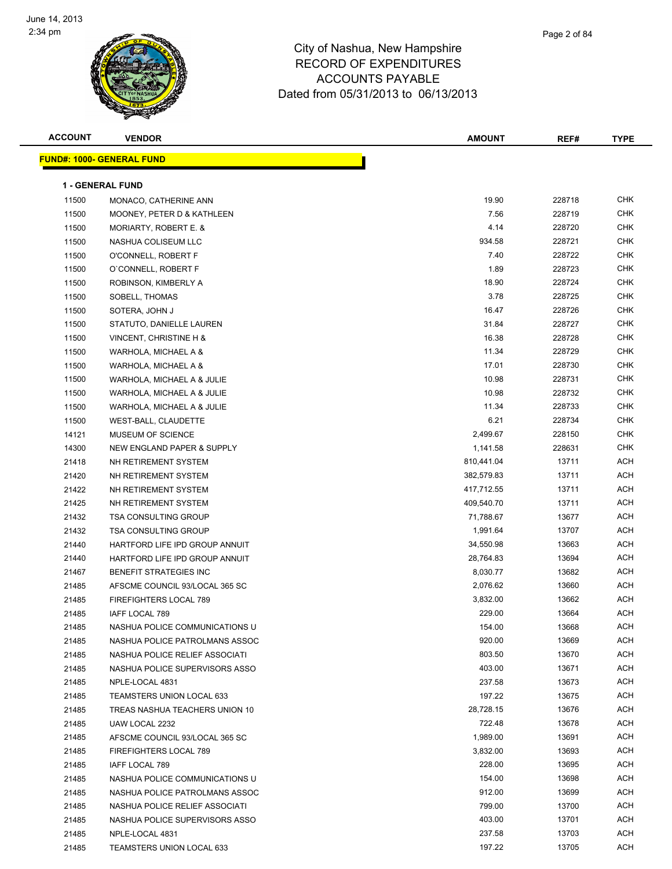

| Page 2 of 84 |
|--------------|
|              |

| <b>ACCOUNT</b> | <b>VENDOR</b>                    | <b>AMOUNT</b> | REF#   | <b>TYPE</b> |
|----------------|----------------------------------|---------------|--------|-------------|
|                | <b>FUND#: 1000- GENERAL FUND</b> |               |        |             |
|                |                                  |               |        |             |
|                | 1 - GENERAL FUND                 |               |        |             |
| 11500          | MONACO, CATHERINE ANN            | 19.90         | 228718 | <b>CHK</b>  |
| 11500          | MOONEY, PETER D & KATHLEEN       | 7.56          | 228719 | <b>CHK</b>  |
| 11500          | MORIARTY, ROBERT E. &            | 4.14          | 228720 | <b>CHK</b>  |
| 11500          | NASHUA COLISEUM LLC              | 934.58        | 228721 | <b>CHK</b>  |
| 11500          | O'CONNELL, ROBERT F              | 7.40          | 228722 | <b>CHK</b>  |
| 11500          | O'CONNELL, ROBERT F              | 1.89          | 228723 | <b>CHK</b>  |
| 11500          | ROBINSON, KIMBERLY A             | 18.90         | 228724 | <b>CHK</b>  |
| 11500          | SOBELL, THOMAS                   | 3.78          | 228725 | <b>CHK</b>  |
| 11500          | SOTERA, JOHN J                   | 16.47         | 228726 | <b>CHK</b>  |
| 11500          | STATUTO, DANIELLE LAUREN         | 31.84         | 228727 | <b>CHK</b>  |
| 11500          | VINCENT, CHRISTINE H &           | 16.38         | 228728 | <b>CHK</b>  |
| 11500          | WARHOLA, MICHAEL A &             | 11.34         | 228729 | <b>CHK</b>  |
| 11500          | WARHOLA, MICHAEL A &             | 17.01         | 228730 | <b>CHK</b>  |
| 11500          | WARHOLA, MICHAEL A & JULIE       | 10.98         | 228731 | <b>CHK</b>  |
| 11500          | WARHOLA, MICHAEL A & JULIE       | 10.98         | 228732 | <b>CHK</b>  |
| 11500          | WARHOLA, MICHAEL A & JULIE       | 11.34         | 228733 | <b>CHK</b>  |
| 11500          | WEST-BALL, CLAUDETTE             | 6.21          | 228734 | <b>CHK</b>  |
| 14121          | MUSEUM OF SCIENCE                | 2,499.67      | 228150 | <b>CHK</b>  |
| 14300          | NEW ENGLAND PAPER & SUPPLY       | 1,141.58      | 228631 | <b>CHK</b>  |
| 21418          | NH RETIREMENT SYSTEM             | 810,441.04    | 13711  | <b>ACH</b>  |
| 21420          | NH RETIREMENT SYSTEM             | 382,579.83    | 13711  | <b>ACH</b>  |
| 21422          | NH RETIREMENT SYSTEM             | 417,712.55    | 13711  | <b>ACH</b>  |
| 21425          | NH RETIREMENT SYSTEM             | 409,540.70    | 13711  | <b>ACH</b>  |
| 21432          | <b>TSA CONSULTING GROUP</b>      | 71,788.67     | 13677  | <b>ACH</b>  |
| 21432          | <b>TSA CONSULTING GROUP</b>      | 1,991.64      | 13707  | <b>ACH</b>  |
| 21440          | HARTFORD LIFE IPD GROUP ANNUIT   | 34,550.98     | 13663  | <b>ACH</b>  |
| 21440          | HARTFORD LIFE IPD GROUP ANNUIT   | 28,764.83     | 13694  | <b>ACH</b>  |
| 21467          | <b>BENEFIT STRATEGIES INC</b>    | 8,030.77      | 13682  | <b>ACH</b>  |
| 21485          | AFSCME COUNCIL 93/LOCAL 365 SC   | 2,076.62      | 13660  | <b>ACH</b>  |
| 21485          | <b>FIREFIGHTERS LOCAL 789</b>    | 3,832.00      | 13662  | <b>ACH</b>  |
| 21485          | IAFF LOCAL 789                   | 229.00        | 13664  | <b>ACH</b>  |
| 21485          | NASHUA POLICE COMMUNICATIONS U   | 154.00        | 13668  | ACH         |
| 21485          | NASHUA POLICE PATROLMANS ASSOC   | 920.00        | 13669  | <b>ACH</b>  |
| 21485          | NASHUA POLICE RELIEF ASSOCIATI   | 803.50        | 13670  | <b>ACH</b>  |
| 21485          | NASHUA POLICE SUPERVISORS ASSO   | 403.00        | 13671  | <b>ACH</b>  |
| 21485          | NPLE-LOCAL 4831                  | 237.58        | 13673  | <b>ACH</b>  |
| 21485          | TEAMSTERS UNION LOCAL 633        | 197.22        | 13675  | <b>ACH</b>  |
| 21485          | TREAS NASHUA TEACHERS UNION 10   | 28,728.15     | 13676  | <b>ACH</b>  |
| 21485          | UAW LOCAL 2232                   | 722.48        | 13678  | <b>ACH</b>  |
| 21485          | AFSCME COUNCIL 93/LOCAL 365 SC   | 1,989.00      | 13691  | <b>ACH</b>  |
| 21485          | FIREFIGHTERS LOCAL 789           | 3,832.00      | 13693  | <b>ACH</b>  |
| 21485          | IAFF LOCAL 789                   | 228.00        | 13695  | <b>ACH</b>  |
| 21485          | NASHUA POLICE COMMUNICATIONS U   | 154.00        | 13698  | <b>ACH</b>  |
| 21485          | NASHUA POLICE PATROLMANS ASSOC   | 912.00        | 13699  | <b>ACH</b>  |
| 21485          | NASHUA POLICE RELIEF ASSOCIATI   | 799.00        | 13700  | <b>ACH</b>  |
| 21485          | NASHUA POLICE SUPERVISORS ASSO   | 403.00        | 13701  | <b>ACH</b>  |
| 21485          | NPLE-LOCAL 4831                  | 237.58        | 13703  | <b>ACH</b>  |
| 21485          | TEAMSTERS UNION LOCAL 633        | 197.22        | 13705  | <b>ACH</b>  |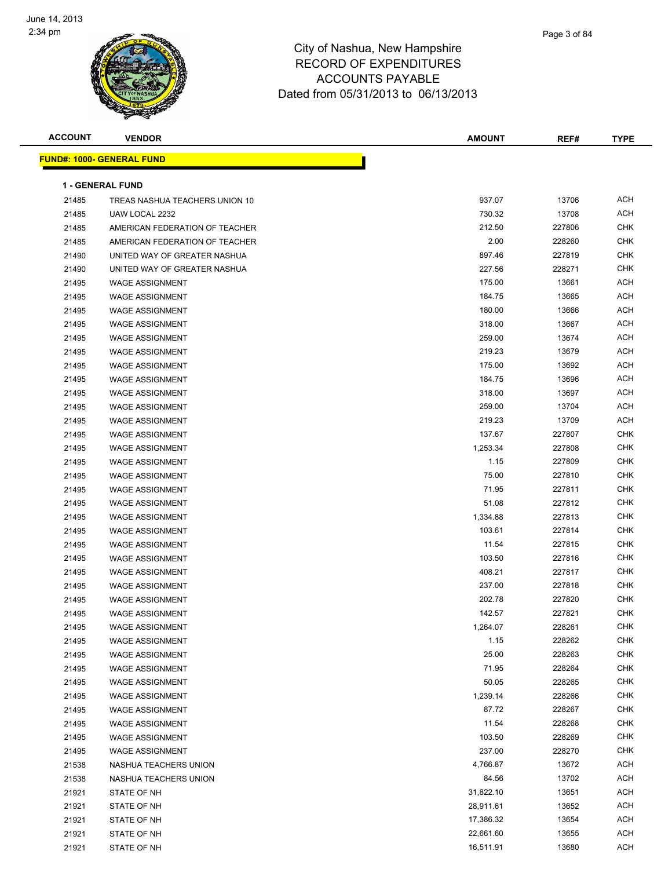

| Page 3 of 84 |
|--------------|
|              |

| <b>ACCOUNT</b> | <b>VENDOR</b>                    | <b>AMOUNT</b> | REF#   | <b>TYPE</b> |
|----------------|----------------------------------|---------------|--------|-------------|
|                | <b>FUND#: 1000- GENERAL FUND</b> |               |        |             |
|                |                                  |               |        |             |
|                | 1 - GENERAL FUND                 |               |        |             |
| 21485          | TREAS NASHUA TEACHERS UNION 10   | 937.07        | 13706  | ACH         |
| 21485          | UAW LOCAL 2232                   | 730.32        | 13708  | <b>ACH</b>  |
| 21485          | AMERICAN FEDERATION OF TEACHER   | 212.50        | 227806 | <b>CHK</b>  |
| 21485          | AMERICAN FEDERATION OF TEACHER   | 2.00          | 228260 | <b>CHK</b>  |
| 21490          | UNITED WAY OF GREATER NASHUA     | 897.46        | 227819 | <b>CHK</b>  |
| 21490          | UNITED WAY OF GREATER NASHUA     | 227.56        | 228271 | <b>CHK</b>  |
| 21495          | <b>WAGE ASSIGNMENT</b>           | 175.00        | 13661  | ACH         |
| 21495          | <b>WAGE ASSIGNMENT</b>           | 184.75        | 13665  | <b>ACH</b>  |
| 21495          | <b>WAGE ASSIGNMENT</b>           | 180.00        | 13666  | <b>ACH</b>  |
| 21495          | <b>WAGE ASSIGNMENT</b>           | 318.00        | 13667  | <b>ACH</b>  |
| 21495          | <b>WAGE ASSIGNMENT</b>           | 259.00        | 13674  | <b>ACH</b>  |
| 21495          | <b>WAGE ASSIGNMENT</b>           | 219.23        | 13679  | <b>ACH</b>  |
| 21495          | <b>WAGE ASSIGNMENT</b>           | 175.00        | 13692  | ACH         |
| 21495          | <b>WAGE ASSIGNMENT</b>           | 184.75        | 13696  | <b>ACH</b>  |
| 21495          | <b>WAGE ASSIGNMENT</b>           | 318.00        | 13697  | <b>ACH</b>  |
| 21495          | <b>WAGE ASSIGNMENT</b>           | 259.00        | 13704  | ACH         |
| 21495          | <b>WAGE ASSIGNMENT</b>           | 219.23        | 13709  | ACH         |
| 21495          | <b>WAGE ASSIGNMENT</b>           | 137.67        | 227807 | <b>CHK</b>  |
| 21495          | <b>WAGE ASSIGNMENT</b>           | 1,253.34      | 227808 | <b>CHK</b>  |
| 21495          | <b>WAGE ASSIGNMENT</b>           | 1.15          | 227809 | <b>CHK</b>  |
| 21495          | <b>WAGE ASSIGNMENT</b>           | 75.00         | 227810 | <b>CHK</b>  |
| 21495          | <b>WAGE ASSIGNMENT</b>           | 71.95         | 227811 | <b>CHK</b>  |
| 21495          | <b>WAGE ASSIGNMENT</b>           | 51.08         | 227812 | <b>CHK</b>  |
| 21495          | <b>WAGE ASSIGNMENT</b>           | 1,334.88      | 227813 | <b>CHK</b>  |
| 21495          | <b>WAGE ASSIGNMENT</b>           | 103.61        | 227814 | <b>CHK</b>  |
| 21495          | <b>WAGE ASSIGNMENT</b>           | 11.54         | 227815 | <b>CHK</b>  |
| 21495          | <b>WAGE ASSIGNMENT</b>           | 103.50        | 227816 | <b>CHK</b>  |
| 21495          | <b>WAGE ASSIGNMENT</b>           | 408.21        | 227817 | <b>CHK</b>  |
| 21495          | <b>WAGE ASSIGNMENT</b>           | 237.00        | 227818 | <b>CHK</b>  |
| 21495          | <b>WAGE ASSIGNMENT</b>           | 202.78        | 227820 | <b>CHK</b>  |
| 21495          | <b>WAGE ASSIGNMENT</b>           | 142.57        | 227821 | <b>CHK</b>  |
| 21495          | <b>WAGE ASSIGNMENT</b>           | 1,264.07      | 228261 | <b>CHK</b>  |
| 21495          | <b>WAGE ASSIGNMENT</b>           | 1.15          | 228262 | <b>CHK</b>  |
| 21495          | WAGE ASSIGNMENT                  | 25.00         | 228263 | <b>CHK</b>  |
| 21495          | <b>WAGE ASSIGNMENT</b>           | 71.95         | 228264 | <b>CHK</b>  |
| 21495          | <b>WAGE ASSIGNMENT</b>           | 50.05         | 228265 | CHK         |
| 21495          | <b>WAGE ASSIGNMENT</b>           | 1,239.14      | 228266 | <b>CHK</b>  |
| 21495          | WAGE ASSIGNMENT                  | 87.72         | 228267 | <b>CHK</b>  |
| 21495          | <b>WAGE ASSIGNMENT</b>           | 11.54         | 228268 | <b>CHK</b>  |
| 21495          | <b>WAGE ASSIGNMENT</b>           | 103.50        | 228269 | <b>CHK</b>  |
| 21495          | <b>WAGE ASSIGNMENT</b>           | 237.00        | 228270 | CHK         |
| 21538          | NASHUA TEACHERS UNION            | 4,766.87      | 13672  | ACH         |
| 21538          | NASHUA TEACHERS UNION            | 84.56         | 13702  | ACH         |
| 21921          | STATE OF NH                      | 31,822.10     | 13651  | ACH         |
| 21921          | STATE OF NH                      | 28,911.61     | 13652  | ACH         |
| 21921          | STATE OF NH                      | 17,386.32     | 13654  | ACH         |
| 21921          | STATE OF NH                      | 22,661.60     | 13655  | ACH         |
| 21921          | STATE OF NH                      | 16,511.91     | 13680  | <b>ACH</b>  |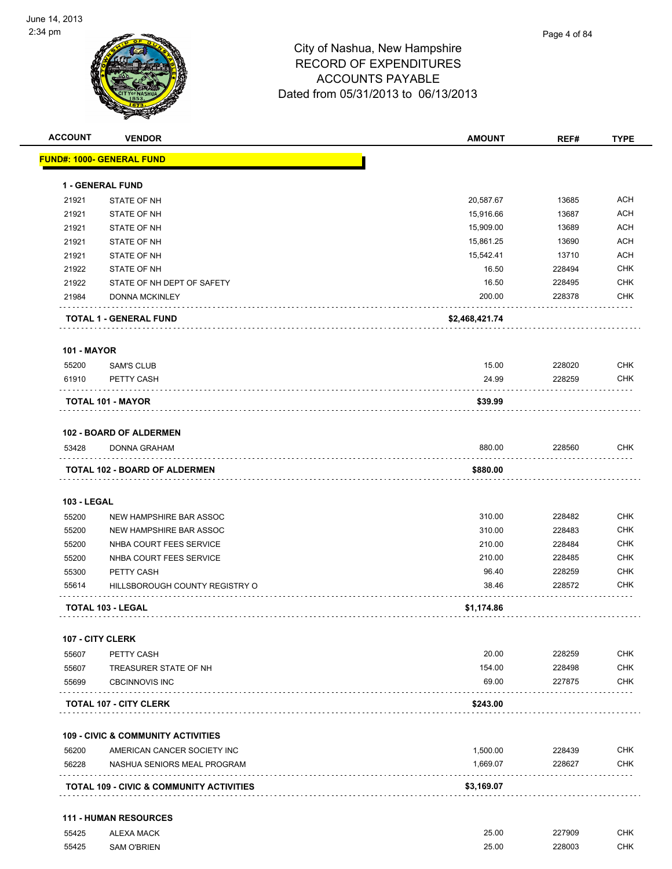

| <b>ACCOUNT</b>          | <b>VENDOR</b>                                       | <b>AMOUNT</b>  | REF#   | <b>TYPE</b> |
|-------------------------|-----------------------------------------------------|----------------|--------|-------------|
|                         | <u> FUND#: 1000- GENERAL FUND</u>                   |                |        |             |
|                         | <b>1 - GENERAL FUND</b>                             |                |        |             |
| 21921                   | STATE OF NH                                         | 20,587.67      | 13685  | <b>ACH</b>  |
| 21921                   | STATE OF NH                                         | 15,916.66      | 13687  | <b>ACH</b>  |
| 21921                   | STATE OF NH                                         | 15,909.00      | 13689  | <b>ACH</b>  |
| 21921                   | STATE OF NH                                         | 15,861.25      | 13690  | <b>ACH</b>  |
| 21921                   | STATE OF NH                                         | 15,542.41      | 13710  | <b>ACH</b>  |
| 21922                   | <b>STATE OF NH</b>                                  | 16.50          | 228494 | <b>CHK</b>  |
| 21922                   | STATE OF NH DEPT OF SAFETY                          | 16.50          | 228495 | <b>CHK</b>  |
| 21984                   | <b>DONNA MCKINLEY</b>                               | 200.00         | 228378 | <b>CHK</b>  |
|                         | <b>TOTAL 1 - GENERAL FUND</b>                       | \$2,468,421.74 |        |             |
| <b>101 - MAYOR</b>      |                                                     |                |        |             |
| 55200                   | <b>SAM'S CLUB</b>                                   | 15.00          | 228020 | <b>CHK</b>  |
| 61910                   | PETTY CASH                                          | 24.99          | 228259 | <b>CHK</b>  |
|                         | <b>TOTAL 101 - MAYOR</b>                            | \$39.99        |        |             |
|                         | <b>102 - BOARD OF ALDERMEN</b>                      |                |        |             |
| 53428                   | DONNA GRAHAM                                        | 880.00         | 228560 | <b>CHK</b>  |
|                         | TOTAL 102 - BOARD OF ALDERMEN                       | \$880.00       |        |             |
| <b>103 - LEGAL</b>      |                                                     |                |        |             |
| 55200                   | NEW HAMPSHIRE BAR ASSOC                             | 310.00         | 228482 | <b>CHK</b>  |
| 55200                   | NEW HAMPSHIRE BAR ASSOC                             | 310.00         | 228483 | <b>CHK</b>  |
| 55200                   | NHBA COURT FEES SERVICE                             | 210.00         | 228484 | <b>CHK</b>  |
| 55200                   | NHBA COURT FEES SERVICE                             | 210.00         | 228485 | <b>CHK</b>  |
| 55300                   | PETTY CASH                                          | 96.40          | 228259 | <b>CHK</b>  |
| 55614                   | HILLSBOROUGH COUNTY REGISTRY O                      | 38.46          | 228572 | <b>CHK</b>  |
|                         | <b>TOTAL 103 - LEGAL</b>                            | \$1,174.86     |        |             |
| <b>107 - CITY CLERK</b> |                                                     |                |        |             |
| 55607                   | PETTY CASH                                          | 20.00          | 228259 | CHK         |
| 55607                   | TREASURER STATE OF NH                               | 154.00         | 228498 | <b>CHK</b>  |
| 55699                   | <b>CBCINNOVIS INC</b>                               | 69.00          | 227875 | <b>CHK</b>  |
|                         | <b>TOTAL 107 - CITY CLERK</b>                       | \$243.00       |        |             |
|                         | <b>109 - CIVIC &amp; COMMUNITY ACTIVITIES</b>       |                |        |             |
| 56200                   | AMERICAN CANCER SOCIETY INC                         | 1,500.00       | 228439 | CHK         |
| 56228                   | NASHUA SENIORS MEAL PROGRAM                         | 1,669.07       | 228627 | <b>CHK</b>  |
|                         | <b>TOTAL 109 - CIVIC &amp; COMMUNITY ACTIVITIES</b> | \$3,169.07     |        |             |
|                         | <b>111 - HUMAN RESOURCES</b>                        |                |        |             |
| 55425                   | <b>ALEXA MACK</b>                                   | 25.00          | 227909 | <b>CHK</b>  |

55425 SAM O'BRIEN 25.00 228003 CHK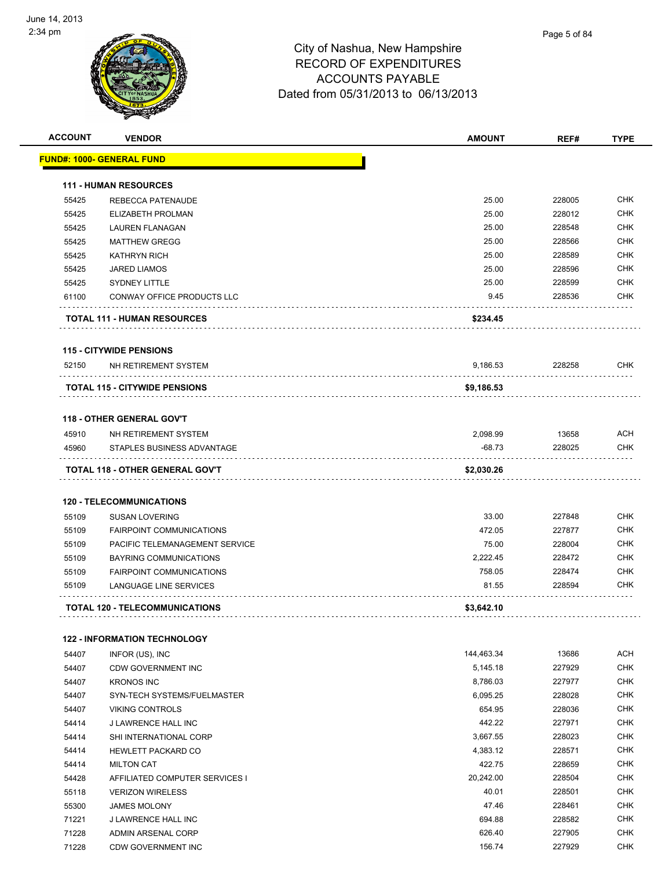

| <b>ACCOUNT</b> | <b>VENDOR</b>                         | <b>AMOUNT</b>      | REF#             | <b>TYPE</b> |
|----------------|---------------------------------------|--------------------|------------------|-------------|
|                | <u> FUND#: 1000- GENERAL FUND</u>     |                    |                  |             |
|                | <b>111 - HUMAN RESOURCES</b>          |                    |                  |             |
| 55425          | <b>REBECCA PATENAUDE</b>              | 25.00              | 228005           | <b>CHK</b>  |
| 55425          | ELIZABETH PROLMAN                     | 25.00              | 228012           | <b>CHK</b>  |
| 55425          | <b>LAUREN FLANAGAN</b>                | 25.00              | 228548           | <b>CHK</b>  |
| 55425          | <b>MATTHEW GREGG</b>                  | 25.00              | 228566           | <b>CHK</b>  |
| 55425          | <b>KATHRYN RICH</b>                   | 25.00              | 228589           | <b>CHK</b>  |
| 55425          | <b>JARED LIAMOS</b>                   | 25.00              | 228596           | <b>CHK</b>  |
| 55425          | <b>SYDNEY LITTLE</b>                  | 25.00              | 228599           | <b>CHK</b>  |
| 61100          | CONWAY OFFICE PRODUCTS LLC            | 9.45               | 228536           | <b>CHK</b>  |
|                | <b>TOTAL 111 - HUMAN RESOURCES</b>    | \$234.45           |                  |             |
|                | <b>115 - CITYWIDE PENSIONS</b>        |                    |                  |             |
| 52150          | NH RETIREMENT SYSTEM                  | 9,186.53           | 228258           | <b>CHK</b>  |
|                | <b>TOTAL 115 - CITYWIDE PENSIONS</b>  | \$9,186.53         |                  |             |
|                |                                       |                    |                  |             |
|                | <b>118 - OTHER GENERAL GOV'T</b>      |                    |                  |             |
| 45910          | NH RETIREMENT SYSTEM                  | 2,098.99           | 13658            | <b>ACH</b>  |
| 45960          | STAPLES BUSINESS ADVANTAGE            | $-68.73$           | 228025           | <b>CHK</b>  |
|                | TOTAL 118 - OTHER GENERAL GOV'T       | \$2,030.26         |                  |             |
|                | <b>120 - TELECOMMUNICATIONS</b>       |                    |                  |             |
| 55109          |                                       | 33.00              | 227848           | <b>CHK</b>  |
|                | <b>SUSAN LOVERING</b>                 | 472.05             |                  | <b>CHK</b>  |
| 55109          | <b>FAIRPOINT COMMUNICATIONS</b>       |                    | 227877           | <b>CHK</b>  |
| 55109<br>55109 | PACIFIC TELEMANAGEMENT SERVICE        | 75.00              | 228004<br>228472 | CHK         |
|                | <b>BAYRING COMMUNICATIONS</b>         | 2,222.45<br>758.05 |                  | <b>CHK</b>  |
| 55109          | <b>FAIRPOINT COMMUNICATIONS</b>       |                    | 228474           |             |
| 55109          | <b>LANGUAGE LINE SERVICES</b>         | 81.55              | 228594           | CHK         |
|                | <b>TOTAL 120 - TELECOMMUNICATIONS</b> | \$3,642.10         |                  |             |
|                | <b>122 - INFORMATION TECHNOLOGY</b>   |                    |                  |             |
| 54407          | INFOR (US), INC                       | 144,463.34         | 13686            | <b>ACH</b>  |
| 54407          | CDW GOVERNMENT INC                    | 5,145.18           | 227929           | <b>CHK</b>  |
| 54407          | <b>KRONOS INC</b>                     | 8,786.03           | 227977           | <b>CHK</b>  |
| 54407          | SYN-TECH SYSTEMS/FUELMASTER           | 6,095.25           | 228028           | <b>CHK</b>  |
| 54407          | <b>VIKING CONTROLS</b>                | 654.95             | 228036           | <b>CHK</b>  |
| 54414          | J LAWRENCE HALL INC                   | 442.22             | 227971           | <b>CHK</b>  |
| 54414          | SHI INTERNATIONAL CORP                | 3,667.55           | 228023           | <b>CHK</b>  |
| 54414          | HEWLETT PACKARD CO                    | 4,383.12           | 228571           | <b>CHK</b>  |
| 54414          | <b>MILTON CAT</b>                     | 422.75             | 228659           | <b>CHK</b>  |
| 54428          | AFFILIATED COMPUTER SERVICES I        | 20,242.00          | 228504           | <b>CHK</b>  |
| 55118          | <b>VERIZON WIRELESS</b>               | 40.01              | 228501           | <b>CHK</b>  |
| 55300          | <b>JAMES MOLONY</b>                   | 47.46              | 228461           | <b>CHK</b>  |
| 71221          | J LAWRENCE HALL INC                   | 694.88             | 228582           | <b>CHK</b>  |
| 71228          | ADMIN ARSENAL CORP                    | 626.40             | 227905           | <b>CHK</b>  |
| 71228          | <b>CDW GOVERNMENT INC</b>             | 156.74             | 227929           | <b>CHK</b>  |
|                |                                       |                    |                  |             |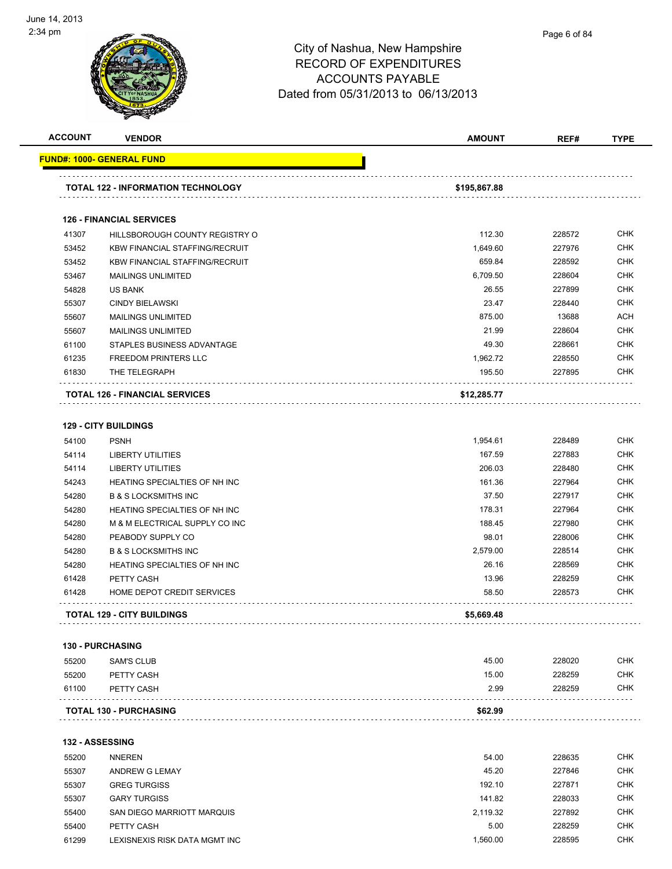

| <b>ACCOUNT</b> | <b>VENDOR</b>                             | <b>AMOUNT</b> | REF#   | <b>TYPE</b> |
|----------------|-------------------------------------------|---------------|--------|-------------|
|                | <u> FUND#: 1000- GENERAL FUND</u>         |               |        |             |
|                | <b>TOTAL 122 - INFORMATION TECHNOLOGY</b> | \$195,867.88  |        |             |
|                | <b>126 - FINANCIAL SERVICES</b>           |               |        |             |
| 41307          | HILLSBOROUGH COUNTY REGISTRY O            | 112.30        | 228572 | <b>CHK</b>  |
| 53452          | <b>KBW FINANCIAL STAFFING/RECRUIT</b>     | 1,649.60      | 227976 | <b>CHK</b>  |
| 53452          | <b>KBW FINANCIAL STAFFING/RECRUIT</b>     | 659.84        | 228592 | <b>CHK</b>  |
| 53467          | <b>MAILINGS UNLIMITED</b>                 | 6,709.50      | 228604 | <b>CHK</b>  |
| 54828          | <b>US BANK</b>                            | 26.55         | 227899 | <b>CHK</b>  |
| 55307          | <b>CINDY BIELAWSKI</b>                    | 23.47         | 228440 | <b>CHK</b>  |
| 55607          | <b>MAILINGS UNLIMITED</b>                 | 875.00        | 13688  | <b>ACH</b>  |
| 55607          | <b>MAILINGS UNLIMITED</b>                 | 21.99         | 228604 | <b>CHK</b>  |
| 61100          | STAPLES BUSINESS ADVANTAGE                | 49.30         | 228661 | <b>CHK</b>  |
| 61235          | <b>FREEDOM PRINTERS LLC</b>               | 1,962.72      | 228550 | <b>CHK</b>  |
| 61830          | THE TELEGRAPH                             | 195.50        | 227895 | <b>CHK</b>  |
|                | <b>TOTAL 126 - FINANCIAL SERVICES</b>     | \$12,285.77   |        |             |
|                | <b>129 - CITY BUILDINGS</b>               |               |        |             |
| 54100          | <b>PSNH</b>                               | 1,954.61      | 228489 | <b>CHK</b>  |
| 54114          | <b>LIBERTY UTILITIES</b>                  | 167.59        | 227883 | <b>CHK</b>  |
| 54114          | <b>LIBERTY UTILITIES</b>                  | 206.03        | 228480 | <b>CHK</b>  |
| 54243          | HEATING SPECIALTIES OF NH INC             | 161.36        | 227964 | <b>CHK</b>  |
| 54280          | <b>B &amp; S LOCKSMITHS INC</b>           | 37.50         | 227917 | <b>CHK</b>  |
| 54280          | <b>HEATING SPECIALTIES OF NH INC</b>      | 178.31        | 227964 | <b>CHK</b>  |
| 54280          | M & M ELECTRICAL SUPPLY CO INC            | 188.45        | 227980 | <b>CHK</b>  |
| 54280          | PEABODY SUPPLY CO                         | 98.01         | 228006 | <b>CHK</b>  |
| 54280          | <b>B &amp; S LOCKSMITHS INC</b>           | 2,579.00      | 228514 | <b>CHK</b>  |
| 54280          | <b>HEATING SPECIALTIES OF NH INC</b>      | 26.16         | 228569 | <b>CHK</b>  |

**TOTAL 129 - CITY BUILDINGS \$5,669.48** . . . . . . . . . . . . . . . . . . .

#### **130 - PURCHASING**

 $\sim$   $\sim$   $\sim$ 

| 55200 | SAM'S CLUB                    | 45.00   | 228020 | <b>CHK</b> |
|-------|-------------------------------|---------|--------|------------|
| 55200 | PETTY CASH                    | 15.00   | 228259 | CHK        |
| 61100 | PETTY CASH                    | 2.99    | 228259 | CHK        |
|       | <b>TOTAL 130 - PURCHASING</b> | \$62.99 |        |            |

 PETTY CASH 13.96 228259 CHK etia and the Miller Services of the Services of the Services of the Services of the Services of the Services of the Services of the Services of the Services of the Services of the Services of the Services of the Services o

#### **132 - ASSESSING**

| 55200 | <b>NNEREN</b>                 | 54.00    | 228635 | <b>CHK</b> |
|-------|-------------------------------|----------|--------|------------|
| 55307 | ANDREW G LEMAY                | 45.20    | 227846 | <b>CHK</b> |
| 55307 | <b>GREG TURGISS</b>           | 192.10   | 227871 | <b>CHK</b> |
| 55307 | <b>GARY TURGISS</b>           | 141.82   | 228033 | <b>CHK</b> |
| 55400 | SAN DIEGO MARRIOTT MARQUIS    | 2.119.32 | 227892 | <b>CHK</b> |
| 55400 | PETTY CASH                    | 5.00     | 228259 | <b>CHK</b> |
| 61299 | LEXISNEXIS RISK DATA MGMT INC | .560.00  | 228595 | <b>CHK</b> |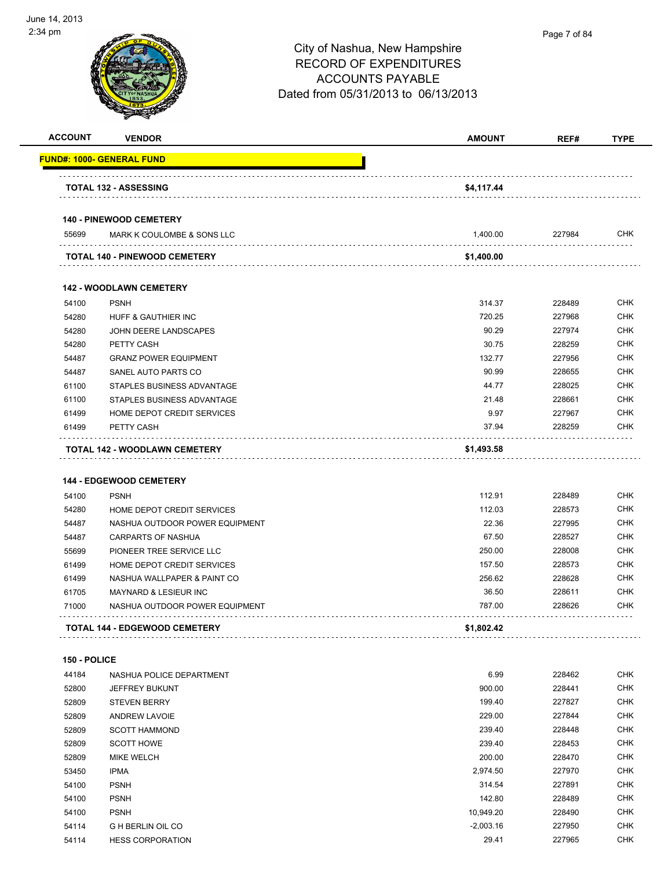

| <b>ACCOUNT</b> | <b>VENDOR</b>                        | <b>AMOUNT</b> | REF#   | <b>TYPE</b> |
|----------------|--------------------------------------|---------------|--------|-------------|
|                | <u> FUND#: 1000- GENERAL FUND</u>    |               |        |             |
|                | <b>TOTAL 132 - ASSESSING</b>         | \$4,117.44    |        |             |
|                | <b>140 - PINEWOOD CEMETERY</b>       |               |        |             |
| 55699          | MARK K COULOMBE & SONS LLC           | 1,400.00      | 227984 | <b>CHK</b>  |
|                | <b>TOTAL 140 - PINEWOOD CEMETERY</b> | \$1,400.00    |        |             |
|                |                                      |               |        |             |
|                | <b>142 - WOODLAWN CEMETERY</b>       |               |        |             |
| 54100          | <b>PSNH</b>                          | 314.37        | 228489 | <b>CHK</b>  |
| 54280          | HUFF & GAUTHIER INC                  | 720.25        | 227968 | <b>CHK</b>  |
| 54280          | JOHN DEERE LANDSCAPES                | 90.29         | 227974 | CHK         |
| 54280          | PETTY CASH                           | 30.75         | 228259 | <b>CHK</b>  |
| 54487          | <b>GRANZ POWER EQUIPMENT</b>         | 132.77        | 227956 | <b>CHK</b>  |
| 54487          | SANEL AUTO PARTS CO                  | 90.99         | 228655 | <b>CHK</b>  |
| 61100          | STAPLES BUSINESS ADVANTAGE           | 44.77         | 228025 | <b>CHK</b>  |
| 61100          | STAPLES BUSINESS ADVANTAGE           | 21.48         | 228661 | <b>CHK</b>  |
| 61499          | HOME DEPOT CREDIT SERVICES           | 9.97          | 227967 | <b>CHK</b>  |
| 61499          | PETTY CASH                           | 37.94         | 228259 | CHK         |
|                | TOTAL 142 - WOODLAWN CEMETERY        | \$1,493.58    |        |             |
|                |                                      |               |        |             |
|                | <b>144 - EDGEWOOD CEMETERY</b>       |               |        |             |
| 54100          | <b>PSNH</b>                          | 112.91        | 228489 | <b>CHK</b>  |
| 54280          | HOME DEPOT CREDIT SERVICES           | 112.03        | 228573 | <b>CHK</b>  |
| 54487          | NASHUA OUTDOOR POWER EQUIPMENT       | 22.36         | 227995 | <b>CHK</b>  |
| 54487          | CARPARTS OF NASHUA                   | 67.50         | 228527 | <b>CHK</b>  |
| 55699          | PIONEER TREE SERVICE LLC             | 250.00        | 228008 | CHK         |
| 61499          | HOME DEPOT CREDIT SERVICES           | 157.50        | 228573 | <b>CHK</b>  |
| 61499          | NASHUA WALLPAPER & PAINT CO          | 256.62        | 228628 | CHK         |
| 61705          | <b>MAYNARD &amp; LESIEUR INC</b>     | 36.50         | 228611 | CHK         |
| 71000          | NASHUA OUTDOOR POWER EQUIPMENT       | 787.00        | 228626 | CHK         |
|                | <b>TOTAL 144 - EDGEWOOD CEMETERY</b> | \$1,802.42    |        |             |
|                |                                      |               |        |             |
| 150 - POLICE   |                                      |               |        | <b>CHK</b>  |
| 44184          | NASHUA POLICE DEPARTMENT             | 6.99          | 228462 |             |
| 52800          | JEFFREY BUKUNT                       | 900.00        | 228441 | <b>CHK</b>  |
| 52809          | <b>STEVEN BERRY</b>                  | 199.40        | 227827 | <b>CHK</b>  |
| 52809          | <b>ANDREW LAVOIE</b>                 | 229.00        | 227844 | <b>CHK</b>  |
| 52809          | <b>SCOTT HAMMOND</b>                 | 239.40        | 228448 | <b>CHK</b>  |
| 52809          | <b>SCOTT HOWE</b>                    | 239.40        | 228453 | <b>CHK</b>  |
| 52809          | MIKE WELCH                           | 200.00        | 228470 | <b>CHK</b>  |
| 53450          | <b>IPMA</b>                          | 2,974.50      | 227970 | <b>CHK</b>  |
| 54100          | <b>PSNH</b>                          | 314.54        | 227891 | <b>CHK</b>  |
| 54100          | <b>PSNH</b>                          | 142.80        | 228489 | CHK         |
| 54100          | <b>PSNH</b>                          | 10,949.20     | 228490 | <b>CHK</b>  |
| 54114          | <b>G H BERLIN OIL CO</b>             | $-2,003.16$   | 227950 | <b>CHK</b>  |

HESS CORPORATION 29.41 227965 CHK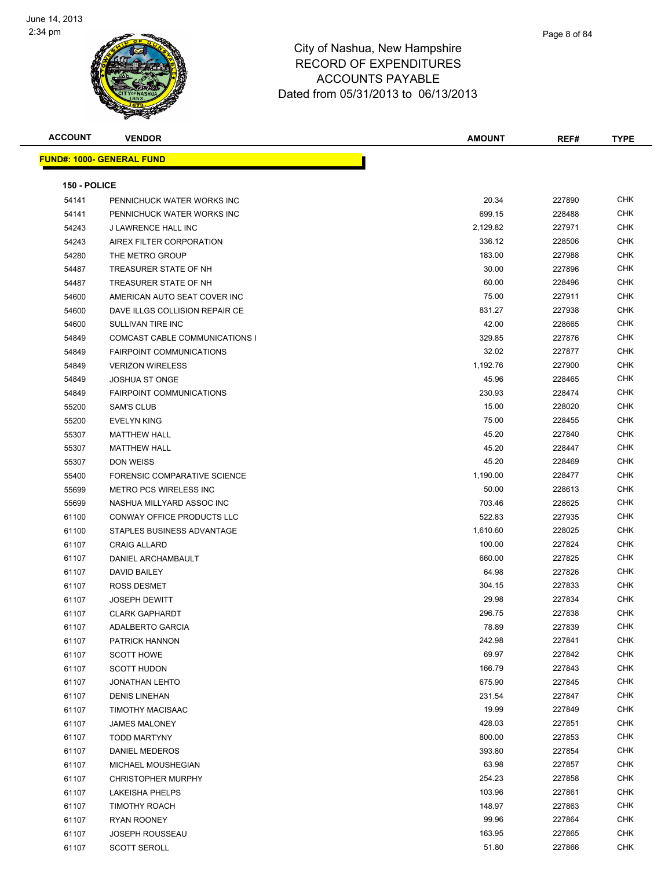

| <b>ACCOUNT</b> | <b>VENDOR</b>                    | <b>AMOUNT</b> | REF#   | <b>TYPE</b> |
|----------------|----------------------------------|---------------|--------|-------------|
|                | <b>FUND#: 1000- GENERAL FUND</b> |               |        |             |
|                |                                  |               |        |             |
| 150 - POLICE   |                                  |               |        |             |
| 54141          | PENNICHUCK WATER WORKS INC       | 20.34         | 227890 | <b>CHK</b>  |
| 54141          | PENNICHUCK WATER WORKS INC       | 699.15        | 228488 | <b>CHK</b>  |
| 54243          | J LAWRENCE HALL INC              | 2,129.82      | 227971 | <b>CHK</b>  |
| 54243          | AIREX FILTER CORPORATION         | 336.12        | 228506 | <b>CHK</b>  |
| 54280          | THE METRO GROUP                  | 183.00        | 227988 | <b>CHK</b>  |
| 54487          | TREASURER STATE OF NH            | 30.00         | 227896 | <b>CHK</b>  |
| 54487          | TREASURER STATE OF NH            | 60.00         | 228496 | <b>CHK</b>  |
| 54600          | AMERICAN AUTO SEAT COVER INC     | 75.00         | 227911 | <b>CHK</b>  |
| 54600          | DAVE ILLGS COLLISION REPAIR CE   | 831.27        | 227938 | <b>CHK</b>  |
| 54600          | SULLIVAN TIRE INC                | 42.00         | 228665 | <b>CHK</b>  |
| 54849          | COMCAST CABLE COMMUNICATIONS I   | 329.85        | 227876 | <b>CHK</b>  |
| 54849          | <b>FAIRPOINT COMMUNICATIONS</b>  | 32.02         | 227877 | <b>CHK</b>  |
| 54849          | <b>VERIZON WIRELESS</b>          | 1,192.76      | 227900 | <b>CHK</b>  |
| 54849          | <b>JOSHUA ST ONGE</b>            | 45.96         | 228465 | <b>CHK</b>  |
| 54849          | <b>FAIRPOINT COMMUNICATIONS</b>  | 230.93        | 228474 | CHK         |
| 55200          | <b>SAM'S CLUB</b>                | 15.00         | 228020 | <b>CHK</b>  |
| 55200          | <b>EVELYN KING</b>               | 75.00         | 228455 | <b>CHK</b>  |
| 55307          | <b>MATTHEW HALL</b>              | 45.20         | 227840 | CHK         |
| 55307          | <b>MATTHEW HALL</b>              | 45.20         | 228447 | <b>CHK</b>  |
| 55307          | <b>DON WEISS</b>                 | 45.20         | 228469 | CHK         |
| 55400          | FORENSIC COMPARATIVE SCIENCE     | 1,190.00      | 228477 | <b>CHK</b>  |
| 55699          | <b>METRO PCS WIRELESS INC</b>    | 50.00         | 228613 | CHK         |
| 55699          | NASHUA MILLYARD ASSOC INC        | 703.46        | 228625 | CHK         |
| 61100          | CONWAY OFFICE PRODUCTS LLC       | 522.83        | 227935 | <b>CHK</b>  |
| 61100          | STAPLES BUSINESS ADVANTAGE       | 1,610.60      | 228025 | CHK         |
| 61107          | <b>CRAIG ALLARD</b>              | 100.00        | 227824 | CHK         |
| 61107          | DANIEL ARCHAMBAULT               | 660.00        | 227825 | <b>CHK</b>  |
| 61107          | DAVID BAILEY                     | 64.98         | 227826 | <b>CHK</b>  |
| 61107          | ROSS DESMET                      | 304.15        | 227833 | CHK         |
| 61107          | <b>JOSEPH DEWITT</b>             | 29.98         | 227834 | <b>CHK</b>  |
| 61107          | <b>CLARK GAPHARDT</b>            | 296.75        | 227838 | <b>CHK</b>  |
| 61107          | <b>ADALBERTO GARCIA</b>          | 78.89         | 227839 | <b>CHK</b>  |
| 61107          | PATRICK HANNON                   | 242.98        | 227841 | <b>CHK</b>  |
| 61107          | <b>SCOTT HOWE</b>                | 69.97         | 227842 | <b>CHK</b>  |
| 61107          | <b>SCOTT HUDON</b>               | 166.79        | 227843 | <b>CHK</b>  |
| 61107          | <b>JONATHAN LEHTO</b>            | 675.90        | 227845 | <b>CHK</b>  |
| 61107          | <b>DENIS LINEHAN</b>             | 231.54        | 227847 | <b>CHK</b>  |
| 61107          | <b>TIMOTHY MACISAAC</b>          | 19.99         | 227849 | <b>CHK</b>  |
| 61107          | <b>JAMES MALONEY</b>             | 428.03        | 227851 | <b>CHK</b>  |
| 61107          | TODD MARTYNY                     | 800.00        | 227853 | <b>CHK</b>  |
| 61107          | <b>DANIEL MEDEROS</b>            | 393.80        | 227854 | <b>CHK</b>  |
| 61107          | MICHAEL MOUSHEGIAN               | 63.98         | 227857 | <b>CHK</b>  |
| 61107          | <b>CHRISTOPHER MURPHY</b>        | 254.23        | 227858 | <b>CHK</b>  |
| 61107          | LAKEISHA PHELPS                  | 103.96        | 227861 | <b>CHK</b>  |
| 61107          | TIMOTHY ROACH                    | 148.97        | 227863 | <b>CHK</b>  |
| 61107          | RYAN ROONEY                      | 99.96         | 227864 | <b>CHK</b>  |
| 61107          | <b>JOSEPH ROUSSEAU</b>           | 163.95        | 227865 | <b>CHK</b>  |
| 61107          | <b>SCOTT SEROLL</b>              | 51.80         | 227866 | <b>CHK</b>  |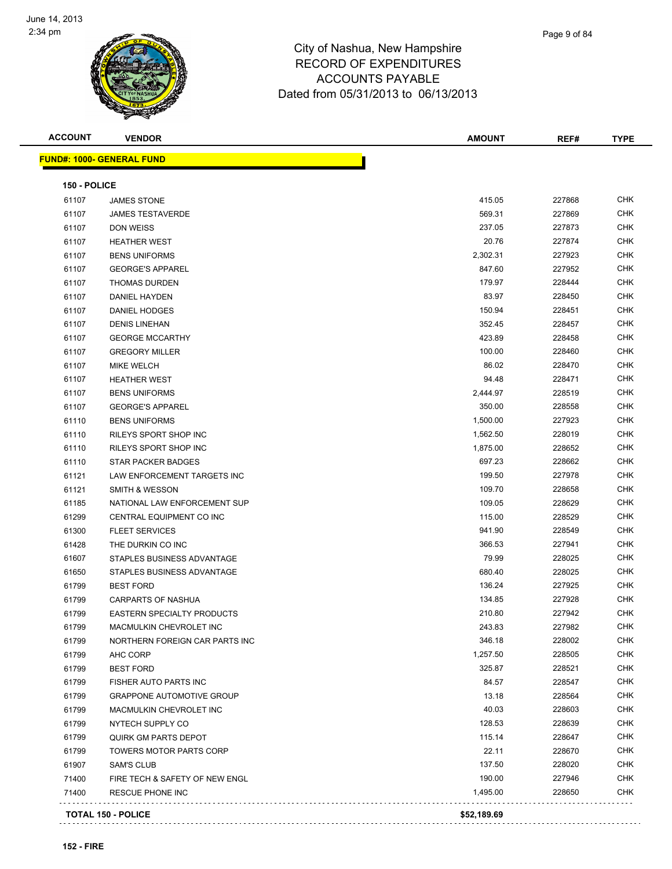

Т

| Page 9 of 84 |
|--------------|
|              |

**ACCOUNT VENDOR AMOUNT REF# TYPE**

|  | <b>FUND#: 1000- GENERAL FUND</b> |  |
|--|----------------------------------|--|

| <b>150 - POLICE</b> |                                   |          |        |            |
|---------------------|-----------------------------------|----------|--------|------------|
| 61107               | <b>JAMES STONE</b>                | 415.05   | 227868 | CHK        |
| 61107               | <b>JAMES TESTAVERDE</b>           | 569.31   | 227869 | CHK        |
| 61107               | DON WEISS                         | 237.05   | 227873 | CHK        |
| 61107               | <b>HEATHER WEST</b>               | 20.76    | 227874 | CHK        |
| 61107               | <b>BENS UNIFORMS</b>              | 2,302.31 | 227923 | CHK        |
| 61107               | <b>GEORGE'S APPAREL</b>           | 847.60   | 227952 | CHK        |
| 61107               | <b>THOMAS DURDEN</b>              | 179.97   | 228444 | CHK        |
| 61107               | DANIEL HAYDEN                     | 83.97    | 228450 | CHK        |
| 61107               | <b>DANIEL HODGES</b>              | 150.94   | 228451 | CHK        |
| 61107               | <b>DENIS LINEHAN</b>              | 352.45   | 228457 | CHK        |
| 61107               | <b>GEORGE MCCARTHY</b>            | 423.89   | 228458 | CHK        |
| 61107               | <b>GREGORY MILLER</b>             | 100.00   | 228460 | CHK        |
| 61107               | MIKE WELCH                        | 86.02    | 228470 | CHK        |
| 61107               | <b>HEATHER WEST</b>               | 94.48    | 228471 | CHK        |
| 61107               | <b>BENS UNIFORMS</b>              | 2,444.97 | 228519 | CHK        |
| 61107               | <b>GEORGE'S APPAREL</b>           | 350.00   | 228558 | CHK        |
| 61110               | <b>BENS UNIFORMS</b>              | 1,500.00 | 227923 | CHK        |
| 61110               | RILEYS SPORT SHOP INC             | 1,562.50 | 228019 | CHK        |
| 61110               | RILEYS SPORT SHOP INC             | 1,875.00 | 228652 | CHK        |
| 61110               | STAR PACKER BADGES                | 697.23   | 228662 | CHK        |
| 61121               | LAW ENFORCEMENT TARGETS INC       | 199.50   | 227978 | CHK        |
| 61121               | <b>SMITH &amp; WESSON</b>         | 109.70   | 228658 | CHK        |
| 61185               | NATIONAL LAW ENFORCEMENT SUP      | 109.05   | 228629 | CHK        |
| 61299               | CENTRAL EQUIPMENT CO INC          | 115.00   | 228529 | CHK        |
| 61300               | <b>FLEET SERVICES</b>             | 941.90   | 228549 | CHK        |
| 61428               | THE DURKIN CO INC                 | 366.53   | 227941 | CHK        |
| 61607               | STAPLES BUSINESS ADVANTAGE        | 79.99    | 228025 | CHK        |
| 61650               | STAPLES BUSINESS ADVANTAGE        | 680.40   | 228025 | CHK        |
| 61799               | <b>BEST FORD</b>                  | 136.24   | 227925 | CHK        |
| 61799               | <b>CARPARTS OF NASHUA</b>         | 134.85   | 227928 | CHK        |
| 61799               | <b>EASTERN SPECIALTY PRODUCTS</b> | 210.80   | 227942 | CHK        |
| 61799               | MACMULKIN CHEVROLET INC           | 243.83   | 227982 | CHK        |
| 61799               | NORTHERN FOREIGN CAR PARTS INC    | 346.18   | 228002 | CHK        |
| 61799               | AHC CORP                          | 1,257.50 | 228505 | CHK        |
| 61799               | <b>BEST FORD</b>                  | 325.87   | 228521 | CHK        |
| 61799               | FISHER AUTO PARTS INC             | 84.57    | 228547 | <b>CHK</b> |
| 61799               | <b>GRAPPONE AUTOMOTIVE GROUP</b>  | 13.18    | 228564 | <b>CHK</b> |
| 61799               | MACMULKIN CHEVROLET INC           | 40.03    | 228603 | <b>CHK</b> |
| 61799               | NYTECH SUPPLY CO                  | 128.53   | 228639 | <b>CHK</b> |
| 61799               | QUIRK GM PARTS DEPOT              | 115.14   | 228647 | <b>CHK</b> |
| 61799               | <b>TOWERS MOTOR PARTS CORP</b>    | 22.11    | 228670 | CHK        |
| 61907               | <b>SAM'S CLUB</b>                 | 137.50   | 228020 | <b>CHK</b> |
| 71400               | FIRE TECH & SAFETY OF NEW ENGL    | 190.00   | 227946 | CHK        |
|                     | RESCUE PHONE INC                  | 1,495.00 | 228650 | CHK        |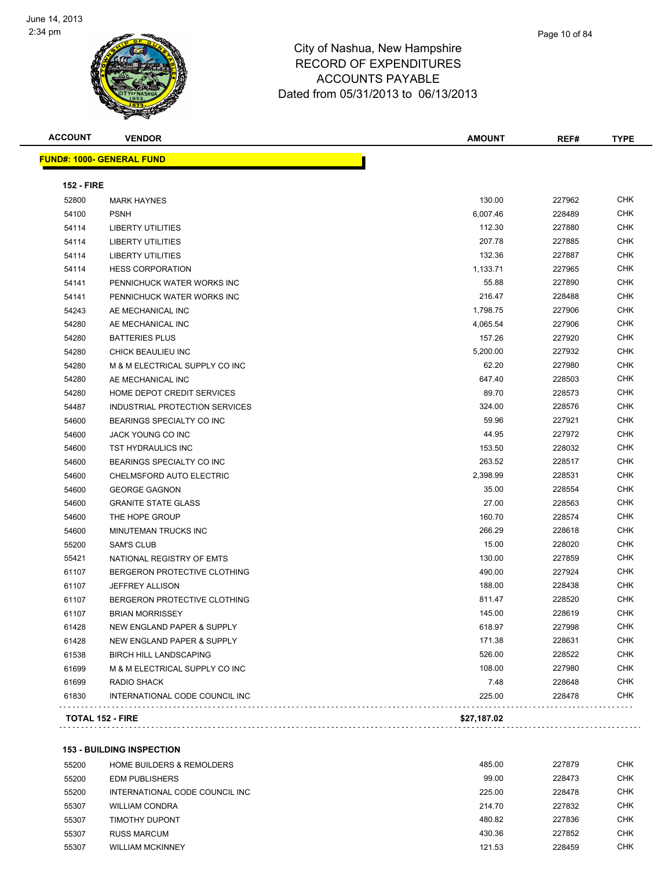

**ACCOUNT VENDOR AMOUNT REF# TYPE FUND#: 1000- GENERAL FUND 152 - FIRE** MARK HAYNES 130.00 227962 CHK PSNH 6,007.46 228489 CHK LIBERTY UTILITIES 112.30 227880 CHK LIBERTY UTILITIES 207.78 227885 CHK LIBERTY UTILITIES 132.36 227887 CHK HESS CORPORATION 1,133.71 227965 CHK 54141 PENNICHUCK WATER WORKS INC **1.2.27890 CHK** 55.88 227890 CHK PENNICHUCK WATER WORKS INC 216.47 228488 CHK AE MECHANICAL INC 1,798.75 227906 CHK AE MECHANICAL INC 4,065.54 227906 CHK BATTERIES PLUS 157.26 227920 CHK CHICK BEAULIEU INC 5,200.00 227932 CHK M & M ELECTRICAL SUPPLY CO INC 62.20 227980 CHK AE MECHANICAL INC 647.40 228503 CHK HOME DEPOT CREDIT SERVICES 89.70 228573 CHK INDUSTRIAL PROTECTION SERVICES 324.00 228576 CHK 54600 BEARINGS SPECIALTY CO INC 59.96 227921 CHK JACK YOUNG CO INC 44.95 227972 CHK TST HYDRAULICS INC 153.50 228032 CHK BEARINGS SPECIALTY CO INC 263.52 228517 CHK CHELMSFORD AUTO ELECTRIC 2,398.99 228531 CHK GEORGE GAGNON 35.00 228554 CHK GRANITE STATE GLASS 27.00 228563 CHK 54600 THE HOPE GROUP 228574 CHK MINUTEMAN TRUCKS INC 266.29 228618 CHK SAM'S CLUB 15.00 228020 CHK NATIONAL REGISTRY OF EMTS 130.00 227859 CHK BERGERON PROTECTIVE CLOTHING 490.00 227924 CHK JEFFREY ALLISON 188.00 228438 CHK 61107 BERGERON PROTECTIVE CLOTHING **811.47** 228520 CHK BRIAN MORRISSEY 145.00 228619 CHK NEW ENGLAND PAPER & SUPPLY 618.97 227998 CHK NEW ENGLAND PAPER & SUPPLY 171.38 228631 CHK BIRCH HILL LANDSCAPING 526.00 228522 CHK M & M ELECTRICAL SUPPLY CO INC 108.00 227980 CHK RADIO SHACK 7.48 228648 CHK INTERNATIONAL CODE COUNCIL INC 225.00 228478 CHK **TOTAL 152 - FIRE \$27,187.02**

**153 - BUILDING INSPECTION**

| 55200 | <b>HOME BUILDERS &amp; REMOLDERS</b> | 485.00 | 227879 | <b>CHK</b> |
|-------|--------------------------------------|--------|--------|------------|
| 55200 | <b>EDM PUBLISHERS</b>                | 99.00  | 228473 | <b>CHK</b> |
| 55200 | INTERNATIONAL CODE COUNCIL INC       | 225.00 | 228478 | <b>CHK</b> |
| 55307 | <b>WILLIAM CONDRA</b>                | 214.70 | 227832 | <b>CHK</b> |
| 55307 | TIMOTHY DUPONT                       | 480.82 | 227836 | <b>CHK</b> |
| 55307 | RUSS MARCUM                          | 430.36 | 227852 | <b>CHK</b> |
| 55307 | <b>WILLIAM MCKINNEY</b>              | 121.53 | 228459 | <b>CHK</b> |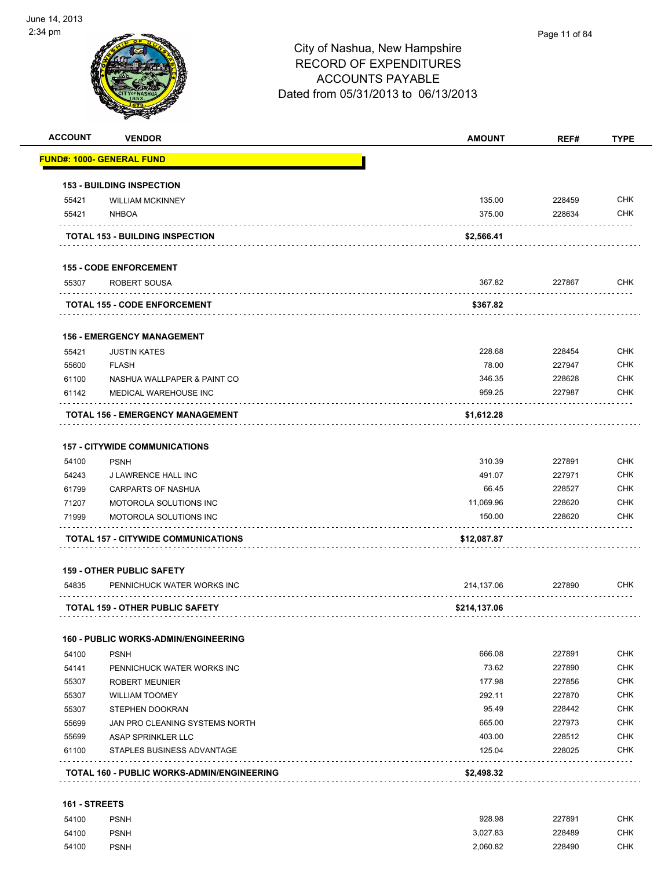

| <b>ACCOUNT</b> | <b>VENDOR</b>                               | <b>AMOUNT</b> | REF#   | <b>TYPE</b> |
|----------------|---------------------------------------------|---------------|--------|-------------|
|                | <u> FUND#: 1000- GENERAL FUND</u>           |               |        |             |
|                | <b>153 - BUILDING INSPECTION</b>            |               |        |             |
| 55421          | <b>WILLIAM MCKINNEY</b>                     | 135.00        | 228459 | <b>CHK</b>  |
| 55421          | <b>NHBOA</b>                                | 375.00        | 228634 | <b>CHK</b>  |
|                | <b>TOTAL 153 - BUILDING INSPECTION</b>      | \$2,566.41    |        |             |
|                | <b>155 - CODE ENFORCEMENT</b>               |               |        |             |
| 55307          | ROBERT SOUSA                                | 367.82        | 227867 | <b>CHK</b>  |
|                | <b>TOTAL 155 - CODE ENFORCEMENT</b>         | \$367.82      |        |             |
|                | <b>156 - EMERGENCY MANAGEMENT</b>           |               |        |             |
| 55421          | <b>JUSTIN KATES</b>                         | 228.68        | 228454 | <b>CHK</b>  |
| 55600          | <b>FLASH</b>                                | 78.00         | 227947 | <b>CHK</b>  |
| 61100          | NASHUA WALLPAPER & PAINT CO                 | 346.35        | 228628 | <b>CHK</b>  |
| 61142          | MEDICAL WAREHOUSE INC                       | 959.25        | 227987 | <b>CHK</b>  |
|                | <b>TOTAL 156 - EMERGENCY MANAGEMENT</b>     | \$1,612.28    |        |             |
|                | <b>157 - CITYWIDE COMMUNICATIONS</b>        |               |        |             |
| 54100          | <b>PSNH</b>                                 | 310.39        | 227891 | <b>CHK</b>  |
| 54243          | J LAWRENCE HALL INC                         | 491.07        | 227971 | <b>CHK</b>  |
| 61799          | <b>CARPARTS OF NASHUA</b>                   | 66.45         | 228527 | <b>CHK</b>  |
| 71207          | MOTOROLA SOLUTIONS INC                      | 11,069.96     | 228620 | <b>CHK</b>  |
| 71999          | <b>MOTOROLA SOLUTIONS INC</b>               | 150.00        | 228620 | <b>CHK</b>  |
|                | TOTAL 157 - CITYWIDE COMMUNICATIONS         | \$12,087.87   |        |             |
|                | <b>159 - OTHER PUBLIC SAFETY</b>            |               |        |             |
| 54835          | PENNICHUCK WATER WORKS INC                  | 214,137.06    | 227890 | <b>CHK</b>  |
|                | <b>TOTAL 159 - OTHER PUBLIC SAFETY</b>      | \$214,137.06  |        |             |
|                | <b>160 - PUBLIC WORKS-ADMIN/ENGINEERING</b> |               |        |             |
| 54100          | <b>PSNH</b>                                 | 666.08        | 227891 | <b>CHK</b>  |
| 54141          | PENNICHUCK WATER WORKS INC                  | 73.62         | 227890 | <b>CHK</b>  |
| 55307          | <b>ROBERT MEUNIER</b>                       | 177.98        | 227856 | <b>CHK</b>  |
| 55307          | <b>WILLIAM TOOMEY</b>                       | 292.11        | 227870 | <b>CHK</b>  |
| 55307          | <b>STEPHEN DOOKRAN</b>                      | 95.49         | 228442 | <b>CHK</b>  |
| 55699          | JAN PRO CLEANING SYSTEMS NORTH              | 665.00        | 227973 | <b>CHK</b>  |
| 55699          | ASAP SPRINKLER LLC                          | 403.00        | 228512 | <b>CHK</b>  |
| 61100          | STAPLES BUSINESS ADVANTAGE                  | 125.04        | 228025 | <b>CHK</b>  |
|                | TOTAL 160 - PUBLIC WORKS-ADMIN/ENGINEERING  | \$2,498.32    |        |             |
|                |                                             |               |        |             |

#### **161 - STREETS**

| 54100 | <b>PSNH</b> | 928.98   | 227891 | СНК        |
|-------|-------------|----------|--------|------------|
| 54100 | <b>PSNH</b> | 3.027.83 | 228489 | СНК        |
| 54100 | <b>PSNH</b> | 2.060.82 | 228490 | <b>CHK</b> |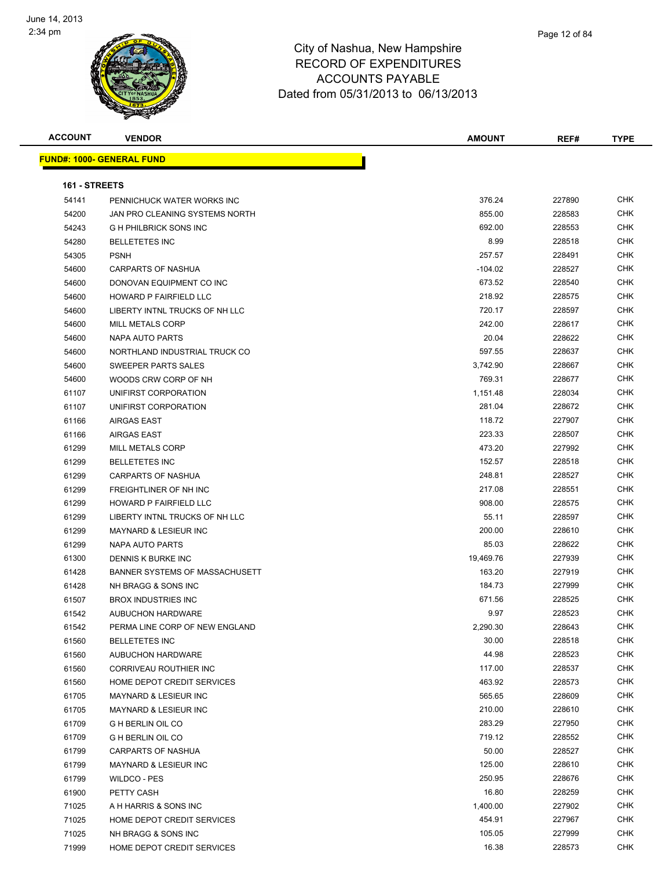

| <b>ACCOUNT</b> | <b>VENDOR</b>                         | <b>AMOUNT</b> | REF#   | <b>TYPE</b> |
|----------------|---------------------------------------|---------------|--------|-------------|
|                | <b>FUND#: 1000- GENERAL FUND</b>      |               |        |             |
|                |                                       |               |        |             |
| 161 - STREETS  |                                       |               |        |             |
| 54141          | PENNICHUCK WATER WORKS INC            | 376.24        | 227890 | CHK         |
| 54200          | JAN PRO CLEANING SYSTEMS NORTH        | 855.00        | 228583 | <b>CHK</b>  |
| 54243          | <b>G H PHILBRICK SONS INC</b>         | 692.00        | 228553 | <b>CHK</b>  |
| 54280          | <b>BELLETETES INC</b>                 | 8.99          | 228518 | CHK         |
| 54305          | <b>PSNH</b>                           | 257.57        | 228491 | <b>CHK</b>  |
| 54600          | <b>CARPARTS OF NASHUA</b>             | $-104.02$     | 228527 | <b>CHK</b>  |
| 54600          | DONOVAN EQUIPMENT CO INC              | 673.52        | 228540 | CHK         |
| 54600          | HOWARD P FAIRFIELD LLC                | 218.92        | 228575 | CHK         |
| 54600          | LIBERTY INTNL TRUCKS OF NH LLC        | 720.17        | 228597 | CHK         |
| 54600          | MILL METALS CORP                      | 242.00        | 228617 | CHK         |
| 54600          | NAPA AUTO PARTS                       | 20.04         | 228622 | CHK         |
| 54600          | NORTHLAND INDUSTRIAL TRUCK CO         | 597.55        | 228637 | <b>CHK</b>  |
| 54600          | SWEEPER PARTS SALES                   | 3,742.90      | 228667 | <b>CHK</b>  |
| 54600          | WOODS CRW CORP OF NH                  | 769.31        | 228677 | <b>CHK</b>  |
| 61107          | UNIFIRST CORPORATION                  | 1,151.48      | 228034 | CHK         |
| 61107          | UNIFIRST CORPORATION                  | 281.04        | 228672 | CHK         |
| 61166          | <b>AIRGAS EAST</b>                    | 118.72        | 227907 | CHK         |
| 61166          | <b>AIRGAS EAST</b>                    | 223.33        | 228507 | CHK         |
| 61299          | MILL METALS CORP                      | 473.20        | 227992 | CHK         |
| 61299          | <b>BELLETETES INC</b>                 | 152.57        | 228518 | <b>CHK</b>  |
| 61299          | <b>CARPARTS OF NASHUA</b>             | 248.81        | 228527 | <b>CHK</b>  |
| 61299          | FREIGHTLINER OF NH INC                | 217.08        | 228551 | CHK         |
| 61299          | HOWARD P FAIRFIELD LLC                | 908.00        | 228575 | <b>CHK</b>  |
| 61299          | LIBERTY INTNL TRUCKS OF NH LLC        | 55.11         | 228597 | <b>CHK</b>  |
| 61299          | <b>MAYNARD &amp; LESIEUR INC</b>      | 200.00        | 228610 | <b>CHK</b>  |
| 61299          | NAPA AUTO PARTS                       | 85.03         | 228622 | <b>CHK</b>  |
| 61300          | DENNIS K BURKE INC                    | 19,469.76     | 227939 | <b>CHK</b>  |
| 61428          | <b>BANNER SYSTEMS OF MASSACHUSETT</b> | 163.20        | 227919 | <b>CHK</b>  |
| 61428          | NH BRAGG & SONS INC                   | 184.73        | 227999 | CHK         |
| 61507          | <b>BROX INDUSTRIES INC</b>            | 671.56        | 228525 | <b>CHK</b>  |
| 61542          | AUBUCHON HARDWARE                     | 9.97          | 228523 | <b>CHK</b>  |
| 61542          | PERMA LINE CORP OF NEW ENGLAND        | 2,290.30      | 228643 | <b>CHK</b>  |
| 61560          | <b>BELLETETES INC</b>                 | 30.00         | 228518 | CHK         |
| 61560          | AUBUCHON HARDWARE                     | 44.98         | 228523 | CHK         |
| 61560          | CORRIVEAU ROUTHIER INC                | 117.00        | 228537 | <b>CHK</b>  |
| 61560          | HOME DEPOT CREDIT SERVICES            | 463.92        | 228573 | <b>CHK</b>  |
| 61705          | <b>MAYNARD &amp; LESIEUR INC</b>      | 565.65        | 228609 | CHK         |
| 61705          | MAYNARD & LESIEUR INC                 | 210.00        | 228610 | <b>CHK</b>  |
| 61709          | G H BERLIN OIL CO                     | 283.29        | 227950 | CHK         |
| 61709          | G H BERLIN OIL CO                     | 719.12        | 228552 | CHK         |
| 61799          | <b>CARPARTS OF NASHUA</b>             | 50.00         | 228527 | <b>CHK</b>  |
| 61799          | MAYNARD & LESIEUR INC                 | 125.00        | 228610 | <b>CHK</b>  |
| 61799          | WILDCO - PES                          | 250.95        | 228676 | <b>CHK</b>  |
| 61900          | PETTY CASH                            | 16.80         | 228259 | CHK         |
| 71025          | A H HARRIS & SONS INC                 | 1,400.00      | 227902 | CHK         |
| 71025          | HOME DEPOT CREDIT SERVICES            | 454.91        | 227967 | <b>CHK</b>  |
| 71025          | NH BRAGG & SONS INC                   | 105.05        | 227999 | <b>CHK</b>  |
| 71999          | HOME DEPOT CREDIT SERVICES            | 16.38         | 228573 | CHK         |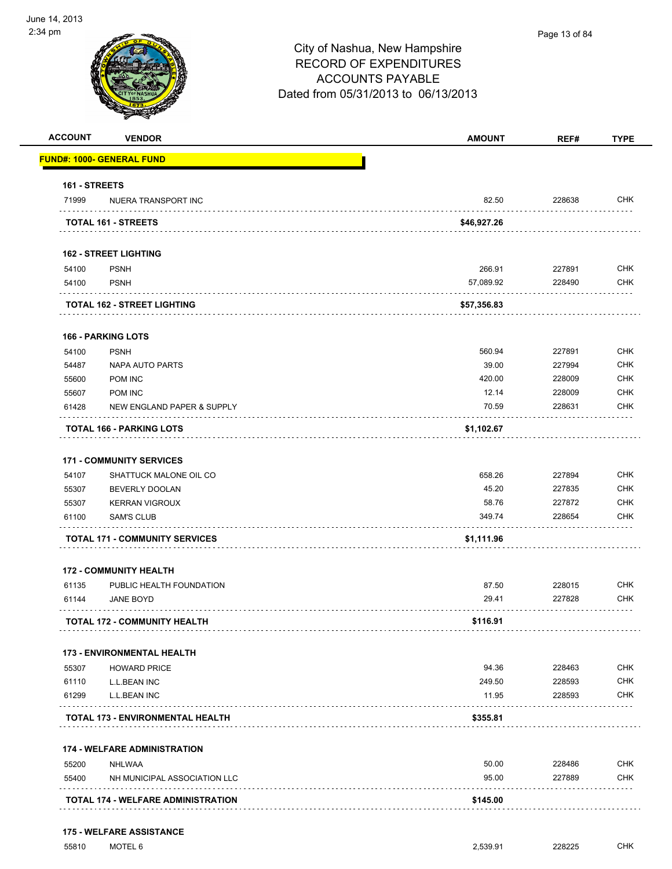

| <b>ACCOUNT</b> | <b>VENDOR</b>                                            | <b>AMOUNT</b> | REF#             | <b>TYPE</b> |
|----------------|----------------------------------------------------------|---------------|------------------|-------------|
|                | <u> FUND#: 1000- GENERAL FUND</u>                        |               |                  |             |
| 161 - STREETS  |                                                          |               |                  |             |
| 71999          | NUERA TRANSPORT INC                                      | 82.50         | 228638           | <b>CHK</b>  |
|                | TOTAL 161 - STREETS                                      | \$46,927.26   |                  |             |
|                | <b>162 - STREET LIGHTING</b>                             |               |                  |             |
| 54100          | <b>PSNH</b>                                              | 266.91        | 227891           | <b>CHK</b>  |
| 54100          | <b>PSNH</b>                                              | 57,089.92     | 228490           | <b>CHK</b>  |
|                | <b>TOTAL 162 - STREET LIGHTING</b>                       | \$57,356.83   |                  |             |
|                | <b>166 - PARKING LOTS</b>                                |               |                  |             |
| 54100          | <b>PSNH</b>                                              | 560.94        | 227891           | <b>CHK</b>  |
| 54487          | <b>NAPA AUTO PARTS</b>                                   | 39.00         | 227994           | <b>CHK</b>  |
| 55600          | POM INC                                                  | 420.00        | 228009           | <b>CHK</b>  |
| 55607          | POM INC                                                  | 12.14         | 228009           | <b>CHK</b>  |
| 61428          | NEW ENGLAND PAPER & SUPPLY                               | 70.59         | 228631           | <b>CHK</b>  |
|                | TOTAL 166 - PARKING LOTS                                 | \$1,102.67    |                  |             |
|                | <b>171 - COMMUNITY SERVICES</b>                          |               |                  |             |
| 54107          | SHATTUCK MALONE OIL CO                                   | 658.26        | 227894           | <b>CHK</b>  |
| 55307          | <b>BEVERLY DOOLAN</b>                                    | 45.20         | 227835           | <b>CHK</b>  |
| 55307          | <b>KERRAN VIGROUX</b>                                    | 58.76         | 227872           | <b>CHK</b>  |
| 61100          | <b>SAM'S CLUB</b>                                        | 349.74        | 228654           | <b>CHK</b>  |
|                | <b>TOTAL 171 - COMMUNITY SERVICES</b>                    | \$1,111.96    |                  |             |
|                | <b>172 - COMMUNITY HEALTH</b>                            |               |                  |             |
| 61135          | PUBLIC HEALTH FOUNDATION                                 | 87.50         | 228015           | <b>CHK</b>  |
| 61144          | <b>JANE BOYD</b>                                         | 29.41         | 227828           | CHK         |
|                | <b>TOTAL 172 - COMMUNITY HEALTH</b>                      | \$116.91      |                  |             |
|                |                                                          |               |                  |             |
| 55307          | <b>173 - ENVIRONMENTAL HEALTH</b><br><b>HOWARD PRICE</b> | 94.36         | 228463           | <b>CHK</b>  |
| 61110          | L.L.BEAN INC                                             | 249.50        | 228593           | <b>CHK</b>  |
| 61299          | L.L.BEAN INC                                             | 11.95         | 228593           | <b>CHK</b>  |
|                | TOTAL 173 - ENVIRONMENTAL HEALTH                         | \$355.81      | .                |             |
|                |                                                          |               |                  |             |
|                | <b>174 - WELFARE ADMINISTRATION</b>                      | 50.00         |                  | <b>CHK</b>  |
| 55200<br>55400 | NHLWAA<br>NH MUNICIPAL ASSOCIATION LLC                   | 95.00         | 228486<br>227889 | <b>CHK</b>  |
|                |                                                          |               |                  |             |
|                |                                                          |               |                  |             |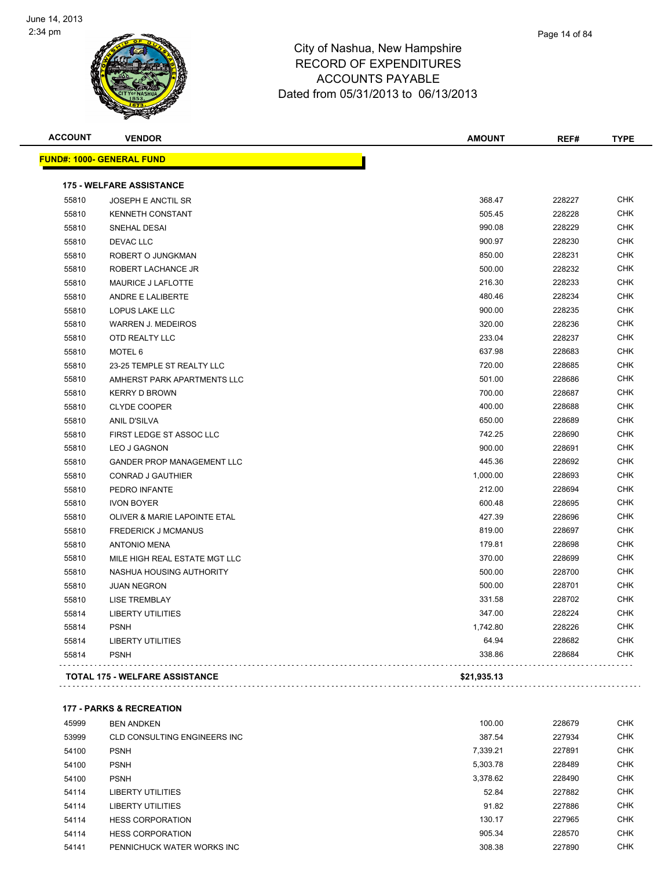

| Page 14 of 84 |
|---------------|
|               |

| <b>ACCOUNT</b> | <b>VENDOR</b>                         | <b>AMOUNT</b> | REF#   | <b>TYPE</b> |
|----------------|---------------------------------------|---------------|--------|-------------|
|                | <u> FUND#: 1000- GENERAL FUND</u>     |               |        |             |
|                | <b>175 - WELFARE ASSISTANCE</b>       |               |        |             |
| 55810          | <b>JOSEPH E ANCTIL SR</b>             | 368.47        | 228227 | <b>CHK</b>  |
| 55810          | <b>KENNETH CONSTANT</b>               | 505.45        | 228228 | <b>CHK</b>  |
| 55810          | SNEHAL DESAI                          | 990.08        | 228229 | <b>CHK</b>  |
| 55810          | <b>DEVAC LLC</b>                      | 900.97        | 228230 | <b>CHK</b>  |
| 55810          | ROBERT O JUNGKMAN                     | 850.00        | 228231 | <b>CHK</b>  |
| 55810          | ROBERT LACHANCE JR                    | 500.00        | 228232 | <b>CHK</b>  |
| 55810          | MAURICE J LAFLOTTE                    | 216.30        | 228233 | <b>CHK</b>  |
| 55810          | ANDRE E LALIBERTE                     | 480.46        | 228234 | <b>CHK</b>  |
| 55810          | LOPUS LAKE LLC                        | 900.00        | 228235 | <b>CHK</b>  |
| 55810          | <b>WARREN J. MEDEIROS</b>             | 320.00        | 228236 | <b>CHK</b>  |
| 55810          | OTD REALTY LLC                        | 233.04        | 228237 | <b>CHK</b>  |
| 55810          | MOTEL 6                               | 637.98        | 228683 | <b>CHK</b>  |
| 55810          | 23-25 TEMPLE ST REALTY LLC            | 720.00        | 228685 | <b>CHK</b>  |
| 55810          | AMHERST PARK APARTMENTS LLC           | 501.00        | 228686 | <b>CHK</b>  |
| 55810          | <b>KERRY D BROWN</b>                  | 700.00        | 228687 | <b>CHK</b>  |
| 55810          | <b>CLYDE COOPER</b>                   | 400.00        | 228688 | <b>CHK</b>  |
| 55810          | <b>ANIL D'SILVA</b>                   | 650.00        | 228689 | <b>CHK</b>  |
| 55810          | FIRST LEDGE ST ASSOC LLC              | 742.25        | 228690 | <b>CHK</b>  |
| 55810          | <b>LEO J GAGNON</b>                   | 900.00        | 228691 | <b>CHK</b>  |
| 55810          | <b>GANDER PROP MANAGEMENT LLC</b>     | 445.36        | 228692 | <b>CHK</b>  |
| 55810          | <b>CONRAD J GAUTHIER</b>              | 1,000.00      | 228693 | <b>CHK</b>  |
| 55810          | PEDRO INFANTE                         | 212.00        | 228694 | <b>CHK</b>  |
| 55810          | <b>IVON BOYER</b>                     | 600.48        | 228695 | <b>CHK</b>  |
| 55810          | OLIVER & MARIE LAPOINTE ETAL          | 427.39        | 228696 | <b>CHK</b>  |
| 55810          | <b>FREDERICK J MCMANUS</b>            | 819.00        | 228697 | <b>CHK</b>  |
| 55810          | <b>ANTONIO MENA</b>                   | 179.81        | 228698 | <b>CHK</b>  |
| 55810          | MILE HIGH REAL ESTATE MGT LLC         | 370.00        | 228699 | <b>CHK</b>  |
| 55810          | NASHUA HOUSING AUTHORITY              | 500.00        | 228700 | <b>CHK</b>  |
| 55810          | <b>JUAN NEGRON</b>                    | 500.00        | 228701 | <b>CHK</b>  |
| 55810          | <b>LISE TREMBLAY</b>                  | 331.58        | 228702 | <b>CHK</b>  |
| 55814          | <b>LIBERTY UTILITIES</b>              | 347.00        | 228224 | <b>CHK</b>  |
| 55814          | <b>PSNH</b>                           | 1,742.80      | 228226 | <b>CHK</b>  |
| 55814          | <b>LIBERTY UTILITIES</b>              | 64.94         | 228682 | <b>CHK</b>  |
| 55814          | <b>PSNH</b>                           | 338.86        | 228684 | <b>CHK</b>  |
|                | <b>TOTAL 175 - WELFARE ASSISTANCE</b> | \$21,935.13   |        |             |
|                |                                       |               |        |             |

**177 - PARKS & RECREATION**

| 45999 | <b>BEN ANDKEN</b>            | 100.00   | 228679 | <b>CHK</b> |
|-------|------------------------------|----------|--------|------------|
| 53999 | CLD CONSULTING ENGINEERS INC | 387.54   | 227934 | <b>CHK</b> |
| 54100 | <b>PSNH</b>                  | 7.339.21 | 227891 | <b>CHK</b> |
| 54100 | <b>PSNH</b>                  | 5.303.78 | 228489 | <b>CHK</b> |
| 54100 | <b>PSNH</b>                  | 3.378.62 | 228490 | <b>CHK</b> |
| 54114 | LIBERTY UTILITIES            | 52.84    | 227882 | <b>CHK</b> |
| 54114 | LIBERTY UTILITIES            | 91.82    | 227886 | <b>CHK</b> |
| 54114 | <b>HESS CORPORATION</b>      | 130.17   | 227965 | <b>CHK</b> |
| 54114 | <b>HESS CORPORATION</b>      | 905.34   | 228570 | <b>CHK</b> |
| 54141 | PENNICHUCK WATER WORKS INC   | 308.38   | 227890 | <b>CHK</b> |
|       |                              |          |        |            |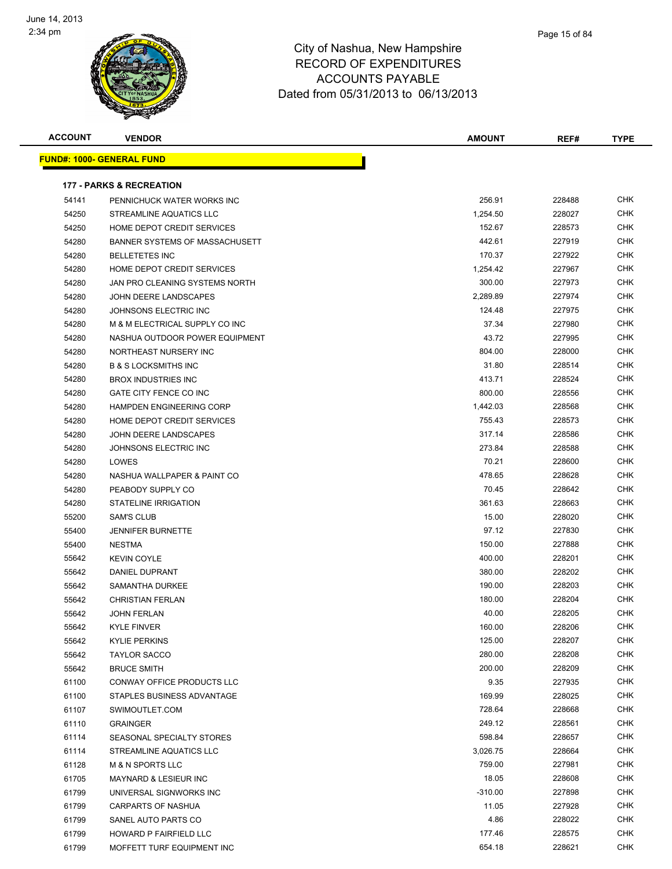

| Page 15 of 84 |
|---------------|
|               |

| <b>ACCOUNT</b> | <b>VENDOR</b>                       | <b>AMOUNT</b> | REF#   | <b>TYPE</b> |
|----------------|-------------------------------------|---------------|--------|-------------|
|                | <b>FUND#: 1000- GENERAL FUND</b>    |               |        |             |
|                |                                     |               |        |             |
|                | <b>177 - PARKS &amp; RECREATION</b> |               |        |             |
| 54141          | PENNICHUCK WATER WORKS INC          | 256.91        | 228488 | <b>CHK</b>  |
| 54250          | STREAMLINE AQUATICS LLC             | 1,254.50      | 228027 | <b>CHK</b>  |
| 54250          | HOME DEPOT CREDIT SERVICES          | 152.67        | 228573 | <b>CHK</b>  |
| 54280          | BANNER SYSTEMS OF MASSACHUSETT      | 442.61        | 227919 | <b>CHK</b>  |
| 54280          | <b>BELLETETES INC</b>               | 170.37        | 227922 | <b>CHK</b>  |
| 54280          | HOME DEPOT CREDIT SERVICES          | 1,254.42      | 227967 | <b>CHK</b>  |
| 54280          | JAN PRO CLEANING SYSTEMS NORTH      | 300.00        | 227973 | <b>CHK</b>  |
| 54280          | JOHN DEERE LANDSCAPES               | 2,289.89      | 227974 | <b>CHK</b>  |
| 54280          | JOHNSONS ELECTRIC INC               | 124.48        | 227975 | <b>CHK</b>  |
| 54280          | M & M ELECTRICAL SUPPLY CO INC      | 37.34         | 227980 | <b>CHK</b>  |
| 54280          | NASHUA OUTDOOR POWER EQUIPMENT      | 43.72         | 227995 | <b>CHK</b>  |
| 54280          | NORTHEAST NURSERY INC               | 804.00        | 228000 | <b>CHK</b>  |
| 54280          | <b>B &amp; S LOCKSMITHS INC</b>     | 31.80         | 228514 | <b>CHK</b>  |
| 54280          | <b>BROX INDUSTRIES INC</b>          | 413.71        | 228524 | <b>CHK</b>  |
| 54280          | GATE CITY FENCE CO INC              | 800.00        | 228556 | <b>CHK</b>  |
| 54280          | <b>HAMPDEN ENGINEERING CORP</b>     | 1,442.03      | 228568 | <b>CHK</b>  |
| 54280          | HOME DEPOT CREDIT SERVICES          | 755.43        | 228573 | <b>CHK</b>  |
| 54280          | JOHN DEERE LANDSCAPES               | 317.14        | 228586 | <b>CHK</b>  |
| 54280          | JOHNSONS ELECTRIC INC               | 273.84        | 228588 | <b>CHK</b>  |
| 54280          | LOWES                               | 70.21         | 228600 | CHK         |
| 54280          | NASHUA WALLPAPER & PAINT CO         | 478.65        | 228628 | <b>CHK</b>  |
| 54280          | PEABODY SUPPLY CO                   | 70.45         | 228642 | CHK         |
| 54280          | STATELINE IRRIGATION                | 361.63        | 228663 | <b>CHK</b>  |
| 55200          | <b>SAM'S CLUB</b>                   | 15.00         | 228020 | CHK         |
| 55400          | <b>JENNIFER BURNETTE</b>            | 97.12         | 227830 | CHK         |
| 55400          | <b>NESTMA</b>                       | 150.00        | 227888 | CHK         |
| 55642          | <b>KEVIN COYLE</b>                  | 400.00        | 228201 | CHK         |
| 55642          | DANIEL DUPRANT                      | 380.00        | 228202 | CHK         |
| 55642          | SAMANTHA DURKEE                     | 190.00        | 228203 | <b>CHK</b>  |
| 55642          | <b>CHRISTIAN FERLAN</b>             | 180.00        | 228204 | <b>CHK</b>  |
| 55642          | <b>JOHN FERLAN</b>                  | 40.00         | 228205 | <b>CHK</b>  |
| 55642          | <b>KYLE FINVER</b>                  | 160.00        | 228206 | <b>CHK</b>  |
| 55642          | <b>KYLIE PERKINS</b>                | 125.00        | 228207 | <b>CHK</b>  |
| 55642          | <b>TAYLOR SACCO</b>                 | 280.00        | 228208 | <b>CHK</b>  |
| 55642          | <b>BRUCE SMITH</b>                  | 200.00        | 228209 | <b>CHK</b>  |
| 61100          | <b>CONWAY OFFICE PRODUCTS LLC</b>   | 9.35          | 227935 | <b>CHK</b>  |
| 61100          | STAPLES BUSINESS ADVANTAGE          | 169.99        | 228025 | <b>CHK</b>  |
| 61107          | SWIMOUTLET.COM                      | 728.64        | 228668 | <b>CHK</b>  |
| 61110          | <b>GRAINGER</b>                     | 249.12        | 228561 | <b>CHK</b>  |
| 61114          | SEASONAL SPECIALTY STORES           | 598.84        | 228657 | <b>CHK</b>  |
| 61114          | STREAMLINE AQUATICS LLC             | 3,026.75      | 228664 | <b>CHK</b>  |
| 61128          | <b>M &amp; N SPORTS LLC</b>         | 759.00        | 227981 | <b>CHK</b>  |
| 61705          | MAYNARD & LESIEUR INC               | 18.05         | 228608 | <b>CHK</b>  |
| 61799          | UNIVERSAL SIGNWORKS INC             | $-310.00$     | 227898 | <b>CHK</b>  |
| 61799          | CARPARTS OF NASHUA                  | 11.05         | 227928 | <b>CHK</b>  |
| 61799          | SANEL AUTO PARTS CO                 | 4.86          | 228022 | <b>CHK</b>  |
| 61799          | HOWARD P FAIRFIELD LLC              | 177.46        | 228575 | <b>CHK</b>  |
| 61799          | MOFFETT TURF EQUIPMENT INC          | 654.18        | 228621 | <b>CHK</b>  |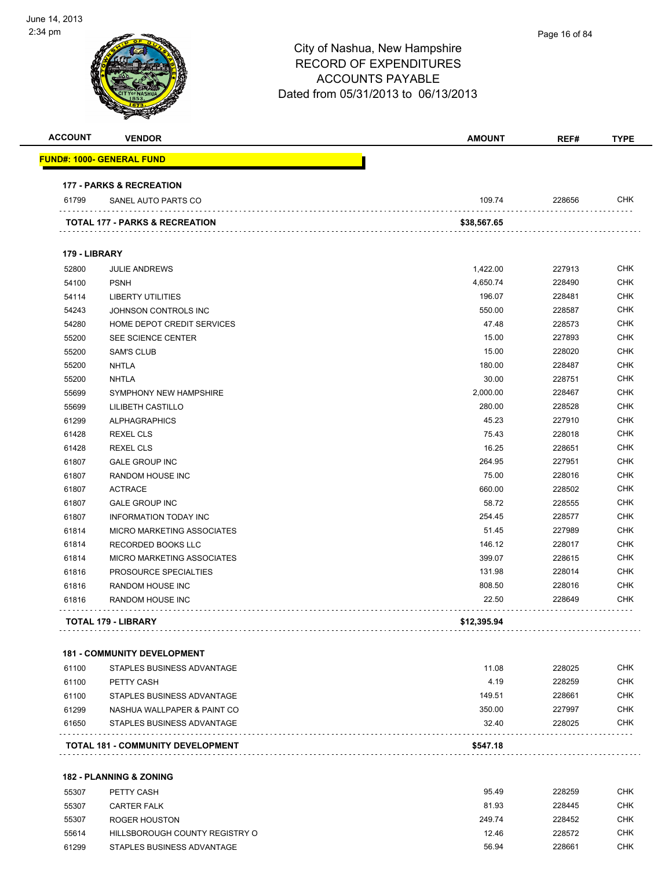

| <b>ACCOUNT</b> | <b>VENDOR</b>                       | <b>AMOUNT</b> | REF#   | <b>TYPE</b>  |
|----------------|-------------------------------------|---------------|--------|--------------|
|                | <b>FUND#: 1000- GENERAL FUND</b>    |               |        |              |
|                | <b>177 - PARKS &amp; RECREATION</b> |               |        |              |
| 61799          | SANEL AUTO PARTS CO                 | 109.74        | 228656 | <b>CHK</b>   |
|                | TOTAL 177 - PARKS & RECREATION      | \$38,567.65   |        |              |
| 179 - LIBRARY  |                                     |               |        |              |
| 52800          | <b>JULIE ANDREWS</b>                | 1,422.00      | 227913 | CHK          |
| 54100          | <b>PSNH</b>                         | 4,650.74      | 228490 | <b>CHK</b>   |
| 54114          | <b>LIBERTY UTILITIES</b>            | 196.07        | 228481 | <b>CHK</b>   |
| 54243          | JOHNSON CONTROLS INC                | 550.00        | 228587 | CHK          |
| 54280          | HOME DEPOT CREDIT SERVICES          | 47.48         | 228573 | <b>CHK</b>   |
| 55200          | SEE SCIENCE CENTER                  | 15.00         | 227893 | <b>CHK</b>   |
| 55200          | <b>SAM'S CLUB</b>                   | 15.00         | 228020 | <b>CHK</b>   |
| 55200          | <b>NHTLA</b>                        | 180.00        | 228487 | <b>CHK</b>   |
| 55200          | <b>NHTLA</b>                        | 30.00         | 228751 | CHK          |
| 55699          | SYMPHONY NEW HAMPSHIRE              | 2,000.00      | 228467 | <b>CHK</b>   |
| 55699          | LILIBETH CASTILLO                   | 280.00        | 228528 | CHK          |
| 61299          | <b>ALPHAGRAPHICS</b>                | 45.23         | 227910 | CHK          |
| 61428          | <b>REXEL CLS</b>                    | 75.43         | 228018 | CHK          |
| 61428          | <b>REXEL CLS</b>                    | 16.25         | 228651 | CHK          |
| 61807          | <b>GALE GROUP INC</b>               | 264.95        | 227951 | CHK          |
| 61807          | <b>RANDOM HOUSE INC</b>             | 75.00         | 228016 | <b>CHK</b>   |
| 61807          | <b>ACTRACE</b>                      | 660.00        | 228502 | <b>CHK</b>   |
| 61807          | <b>GALE GROUP INC</b>               | 58.72         | 228555 | <b>CHK</b>   |
| 61807          | INFORMATION TODAY INC               | 254.45        | 228577 | <b>CHK</b>   |
| 61814          | MICRO MARKETING ASSOCIATES          | 51.45         | 227989 | <b>CHK</b>   |
| 61814          | RECORDED BOOKS LLC                  | 146.12        | 228017 | <b>CHK</b>   |
| 61814          | MICRO MARKETING ASSOCIATES          | 399.07        | 228615 | CHK          |
| 61816          | PROSOURCE SPECIALTIES               | 131.98        | 228014 | CHK          |
| 61816          | <b>RANDOM HOUSE INC</b>             | 808.50        | 228016 | <b>CHK</b>   |
| 61816          | <b>RANDOM HOUSE INC</b>             | 22.50         | 228649 | <b>CHK</b>   |
|                | <b>TOTAL 179 - LIBRARY</b>          | \$12,395.94   |        |              |
|                | <b>181 - COMMUNITY DEVELOPMENT</b>  |               |        |              |
| 61100          | STAPLES BUSINESS ADVANTAGE          | 11.08         | 228025 | <b>CHK</b>   |
| 61100          | PETTY CASH                          | 4.19          | 228259 | <b>CHK</b>   |
|                |                                     |               | 00000  | $\sim$ $\mu$ |

|       | <b>TOTAL 181 - COMMUNITY DEVELOPMENT</b> | \$547.18 |        |            |
|-------|------------------------------------------|----------|--------|------------|
| 61650 | STAPLES BUSINESS ADVANTAGE               | 32.40    | 228025 | CHK        |
| 61299 | NASHUA WALLPAPER & PAINT CO              | 350.00   | 227997 | <b>CHK</b> |
| 61100 | STAPLES BUSINESS ADVANTAGE               | 149.51   | 228661 | <b>CHK</b> |

#### **182 - PLANNING & ZONING**

| 55307 | PETTY CASH                     | 95.49  | 228259 | CHK        |
|-------|--------------------------------|--------|--------|------------|
| 55307 | CARTER FALK                    | 81.93  | 228445 | <b>CHK</b> |
| 55307 | ROGER HOUSTON                  | 249.74 | 228452 | <b>CHK</b> |
| 55614 | HILLSBOROUGH COUNTY REGISTRY O | 12.46  | 228572 | <b>CHK</b> |
| 61299 | STAPLES BUSINESS ADVANTAGE     | 56.94  | 228661 | <b>CHK</b> |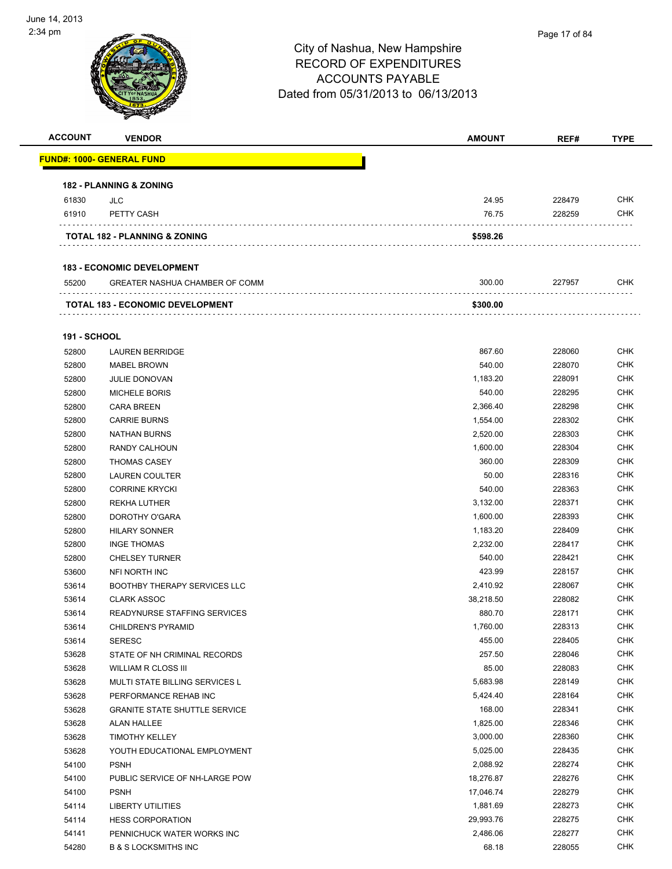

| <b>ACCOUNT</b> | <b>VENDOR</b>                            | <b>AMOUNT</b> | REF#   | <b>TYPE</b> |
|----------------|------------------------------------------|---------------|--------|-------------|
|                | <b>FUND#: 1000- GENERAL FUND</b>         |               |        |             |
|                | <b>182 - PLANNING &amp; ZONING</b>       |               |        |             |
| 61830          | JLC.                                     | 24.95         | 228479 | <b>CHK</b>  |
| 61910          | PETTY CASH                               | 76.75         | 228259 | <b>CHK</b>  |
|                | <b>TOTAL 182 - PLANNING &amp; ZONING</b> | \$598.26      |        |             |
|                | <b>183 - ECONOMIC DEVELOPMENT</b>        |               |        |             |
| 55200          | <b>GREATER NASHUA CHAMBER OF COMM</b>    | 300.00        | 227957 | <b>CHK</b>  |
|                | <b>TOTAL 183 - ECONOMIC DEVELOPMENT</b>  | \$300.00      |        |             |
|                |                                          |               |        |             |

#### **191 - SCHOOL**

| 52800 | <b>LAUREN BERRIDGE</b>                | 867.60    | 228060 | <b>CHK</b> |
|-------|---------------------------------------|-----------|--------|------------|
| 52800 | <b>MABEL BROWN</b>                    | 540.00    | 228070 | <b>CHK</b> |
| 52800 | JULIE DONOVAN                         | 1,183.20  | 228091 | <b>CHK</b> |
| 52800 | <b>MICHELE BORIS</b>                  | 540.00    | 228295 | <b>CHK</b> |
| 52800 | <b>CARA BREEN</b>                     | 2,366.40  | 228298 | <b>CHK</b> |
| 52800 | <b>CARRIE BURNS</b>                   | 1,554.00  | 228302 | <b>CHK</b> |
| 52800 | <b>NATHAN BURNS</b>                   | 2,520.00  | 228303 | <b>CHK</b> |
| 52800 | RANDY CALHOUN                         | 1,600.00  | 228304 | <b>CHK</b> |
| 52800 | <b>THOMAS CASEY</b>                   | 360.00    | 228309 | <b>CHK</b> |
| 52800 | <b>LAUREN COULTER</b>                 | 50.00     | 228316 | <b>CHK</b> |
| 52800 | <b>CORRINE KRYCKI</b>                 | 540.00    | 228363 | <b>CHK</b> |
| 52800 | <b>REKHA LUTHER</b>                   | 3,132.00  | 228371 | <b>CHK</b> |
| 52800 | DOROTHY O'GARA                        | 1,600.00  | 228393 | <b>CHK</b> |
| 52800 | <b>HILARY SONNER</b>                  | 1,183.20  | 228409 | <b>CHK</b> |
| 52800 | <b>INGE THOMAS</b>                    | 2,232.00  | 228417 | <b>CHK</b> |
| 52800 | <b>CHELSEY TURNER</b>                 | 540.00    | 228421 | <b>CHK</b> |
| 53600 | NFI NORTH INC                         | 423.99    | 228157 | <b>CHK</b> |
| 53614 | BOOTHBY THERAPY SERVICES LLC          | 2,410.92  | 228067 | <b>CHK</b> |
| 53614 | <b>CLARK ASSOC</b>                    | 38,218.50 | 228082 | <b>CHK</b> |
| 53614 | READYNURSE STAFFING SERVICES          | 880.70    | 228171 | <b>CHK</b> |
| 53614 | <b>CHILDREN'S PYRAMID</b>             | 1,760.00  | 228313 | <b>CHK</b> |
| 53614 | <b>SERESC</b>                         | 455.00    | 228405 | <b>CHK</b> |
| 53628 | STATE OF NH CRIMINAL RECORDS          | 257.50    | 228046 | <b>CHK</b> |
| 53628 | <b>WILLIAM R CLOSS III</b>            | 85.00     | 228083 | <b>CHK</b> |
| 53628 | <b>MULTI STATE BILLING SERVICES L</b> | 5,683.98  | 228149 | <b>CHK</b> |
| 53628 | PERFORMANCE REHAB INC                 | 5,424.40  | 228164 | <b>CHK</b> |
| 53628 | <b>GRANITE STATE SHUTTLE SERVICE</b>  | 168.00    | 228341 | <b>CHK</b> |
| 53628 | <b>ALAN HALLEE</b>                    | 1,825.00  | 228346 | <b>CHK</b> |
| 53628 | <b>TIMOTHY KELLEY</b>                 | 3,000.00  | 228360 | <b>CHK</b> |
| 53628 | YOUTH EDUCATIONAL EMPLOYMENT          | 5,025.00  | 228435 | <b>CHK</b> |
| 54100 | <b>PSNH</b>                           | 2,088.92  | 228274 | <b>CHK</b> |
| 54100 | PUBLIC SERVICE OF NH-LARGE POW        | 18,276.87 | 228276 | <b>CHK</b> |
| 54100 | <b>PSNH</b>                           | 17,046.74 | 228279 | <b>CHK</b> |
| 54114 | <b>LIBERTY UTILITIES</b>              | 1,881.69  | 228273 | <b>CHK</b> |
| 54114 | <b>HESS CORPORATION</b>               | 29,993.76 | 228275 | <b>CHK</b> |
| 54141 | PENNICHUCK WATER WORKS INC            | 2,486.06  | 228277 | <b>CHK</b> |
| 54280 | <b>B &amp; S LOCKSMITHS INC</b>       | 68.18     | 228055 | <b>CHK</b> |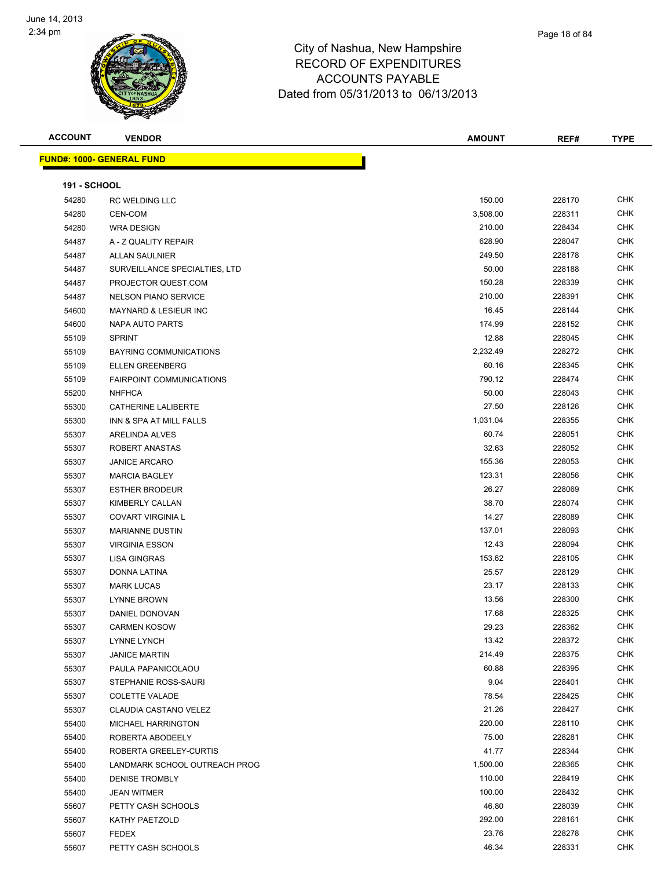

|                     | <b>REAL PROPERTY</b>              |               |        |             |
|---------------------|-----------------------------------|---------------|--------|-------------|
| <b>ACCOUNT</b>      | <b>VENDOR</b>                     | <b>AMOUNT</b> | REF#   | <b>TYPE</b> |
|                     | <u> FUND#: 1000- GENERAL FUND</u> |               |        |             |
| <b>191 - SCHOOL</b> |                                   |               |        |             |
| 54280               | <b>RC WELDING LLC</b>             | 150.00        | 228170 | <b>CHK</b>  |
| 54280               | CEN-COM                           | 3,508.00      | 228311 | <b>CHK</b>  |
| 54280               | <b>WRA DESIGN</b>                 | 210.00        | 228434 | <b>CHK</b>  |
| 54487               | A - Z QUALITY REPAIR              | 628.90        | 228047 | <b>CHK</b>  |
| 54487               | <b>ALLAN SAULNIER</b>             | 249.50        | 228178 | <b>CHK</b>  |
| 54487               | SURVEILLANCE SPECIALTIES, LTD     | 50.00         | 228188 | <b>CHK</b>  |
| 54487               | PROJECTOR QUEST.COM               | 150.28        | 228339 | <b>CHK</b>  |
| 54487               | <b>NELSON PIANO SERVICE</b>       | 210.00        | 228391 | <b>CHK</b>  |
| 54600               | <b>MAYNARD &amp; LESIEUR INC</b>  | 16.45         | 228144 | <b>CHK</b>  |
| 54600               | NAPA AUTO PARTS                   | 174.99        | 228152 | <b>CHK</b>  |
| 55109               | <b>SPRINT</b>                     | 12.88         | 228045 | <b>CHK</b>  |
| 55109               | BAYRING COMMUNICATIONS            | 2,232.49      | 228272 | <b>CHK</b>  |
| 55109               | <b>ELLEN GREENBERG</b>            | 60.16         | 228345 | <b>CHK</b>  |
| 55109               | <b>FAIRPOINT COMMUNICATIONS</b>   | 790.12        | 228474 | <b>CHK</b>  |
| 55200               | <b>NHFHCA</b>                     | 50.00         | 228043 | <b>CHK</b>  |
| 55300               | CATHERINE LALIBERTE               | 27.50         | 228126 | <b>CHK</b>  |
| 55300               | INN & SPA AT MILL FALLS           | 1,031.04      | 228355 | <b>CHK</b>  |
| 55307               | ARELINDA ALVES                    | 60.74         | 228051 | <b>CHK</b>  |
| 55307               | ROBERT ANASTAS                    | 32.63         | 228052 | <b>CHK</b>  |
| 55307               | <b>JANICE ARCARO</b>              | 155.36        | 228053 | <b>CHK</b>  |
| 55307               | <b>MARCIA BAGLEY</b>              | 123.31        | 228056 | <b>CHK</b>  |
| 55307               | <b>ESTHER BRODEUR</b>             | 26.27         | 228069 | <b>CHK</b>  |
| 55307               | KIMBERLY CALLAN                   | 38.70         | 228074 | <b>CHK</b>  |
| 55307               | COVART VIRGINIA L                 | 14.27         | 228089 | <b>CHK</b>  |
| 55307               | <b>MARIANNE DUSTIN</b>            | 137.01        | 228093 | <b>CHK</b>  |
| 55307               | <b>VIRGINIA ESSON</b>             | 12.43         | 228094 | <b>CHK</b>  |
| 55307               | <b>LISA GINGRAS</b>               | 153.62        | 228105 | <b>CHK</b>  |
| 55307               | DONNA LATINA                      | 25.57         | 228129 | <b>CHK</b>  |
| 55307               | <b>MARK LUCAS</b>                 | 23.17         | 228133 | <b>CHK</b>  |
| 55307               | <b>LYNNE BROWN</b>                | 13.56         | 228300 | <b>CHK</b>  |
| 55307               | DANIEL DONOVAN                    | 17.68         | 228325 | <b>CHK</b>  |
| 55307               | <b>CARMEN KOSOW</b>               | 29.23         | 228362 | <b>CHK</b>  |
| 55307               | LYNNE LYNCH                       | 13.42         | 228372 | <b>CHK</b>  |
| 55307               | <b>JANICE MARTIN</b>              | 214.49        | 228375 | <b>CHK</b>  |
| 55307               | PAULA PAPANICOLAOU                | 60.88         | 228395 | <b>CHK</b>  |
| 55307               | STEPHANIE ROSS-SAURI              | 9.04          | 228401 | <b>CHK</b>  |
| 55307               | <b>COLETTE VALADE</b>             | 78.54         | 228425 | <b>CHK</b>  |
| 55307               | CLAUDIA CASTANO VELEZ             | 21.26         | 228427 | CHK         |
| 55400               | MICHAEL HARRINGTON                | 220.00        | 228110 | <b>CHK</b>  |
| 55400               | ROBERTA ABODEELY                  | 75.00         | 228281 | <b>CHK</b>  |

 ROBERTA GREELEY-CURTIS 41.77 228344 CHK LANDMARK SCHOOL OUTREACH PROG 1,500.00 228365 CHK DENISE TROMBLY 110.00 228419 CHK JEAN WITMER 100.00 228432 CHK PETTY CASH SCHOOLS 46.80 228039 CHK KATHY PAETZOLD 292.00 228161 CHK FEDEX 23.76 228278 CHK PETTY CASH SCHOOLS 46.34 228331 CHK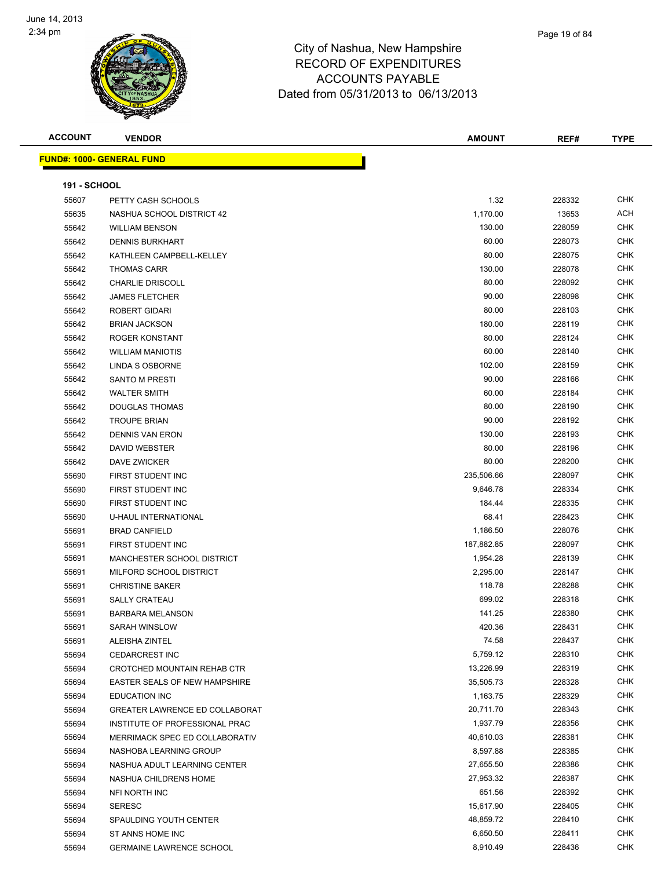

| <b>ACCOUNT</b>      | <b>VENDOR</b>                    | <b>AMOUNT</b> | REF#   | <b>TYPE</b> |
|---------------------|----------------------------------|---------------|--------|-------------|
|                     | <b>FUND#: 1000- GENERAL FUND</b> |               |        |             |
| <b>191 - SCHOOL</b> |                                  |               |        |             |
| 55607               | PETTY CASH SCHOOLS               | 1.32          | 228332 | <b>CHK</b>  |
| 55635               | NASHUA SCHOOL DISTRICT 42        | 1,170.00      | 13653  | ACH         |
| 55642               | <b>WILLIAM BENSON</b>            | 130.00        | 228059 | <b>CHK</b>  |
| 55642               | <b>DENNIS BURKHART</b>           | 60.00         | 228073 | CHK         |
| 55642               | KATHLEEN CAMPBELL-KELLEY         | 80.00         | 228075 | CHK         |
| 55642               | <b>THOMAS CARR</b>               | 130.00        | 228078 | <b>CHK</b>  |
| 55642               | <b>CHARLIE DRISCOLL</b>          | 80.00         | 228092 | CHK         |
| 55642               | <b>JAMES FLETCHER</b>            | 90.00         | 228098 | CHK         |
| 55642               | ROBERT GIDARI                    | 80.00         | 228103 | CHK         |
| 55642               | <b>BRIAN JACKSON</b>             | 180.00        | 228119 | CHK         |
| 55642               | ROGER KONSTANT                   | 80.00         | 228124 | CHK         |
| 55642               | <b>WILLIAM MANIOTIS</b>          | 60.00         | 228140 | CHK         |
| 55642               | LINDA S OSBORNE                  | 102.00        | 228159 | CHK         |
| 55642               | <b>SANTO M PRESTI</b>            | 90.00         | 228166 | <b>CHK</b>  |
| 55642               | <b>WALTER SMITH</b>              | 60.00         | 228184 | <b>CHK</b>  |
| 55642               | <b>DOUGLAS THOMAS</b>            | 80.00         | 228190 | <b>CHK</b>  |
| 55642               | <b>TROUPE BRIAN</b>              | 90.00         | 228192 | <b>CHK</b>  |
| 55642               | <b>DENNIS VAN ERON</b>           | 130.00        | 228193 | CHK         |
| 55642               | DAVID WEBSTER                    | 80.00         | 228196 | CHK         |
| 55642               | DAVE ZWICKER                     | 80.00         | 228200 | CHK         |
| 55690               | FIRST STUDENT INC                | 235,506.66    | 228097 | CHK         |
| 55690               | FIRST STUDENT INC                | 9,646.78      | 228334 | <b>CHK</b>  |
| 55690               | FIRST STUDENT INC                | 184.44        | 228335 | CHK         |
| 55690               | <b>U-HAUL INTERNATIONAL</b>      | 68.41         | 228423 | CHK         |
| 55691               | <b>BRAD CANFIELD</b>             | 1,186.50      | 228076 | <b>CHK</b>  |
| 55691               | FIRST STUDENT INC                | 187,882.85    | 228097 | <b>CHK</b>  |
| 55691               | MANCHESTER SCHOOL DISTRICT       | 1,954.28      | 228139 | CHK         |
| 55691               | MILFORD SCHOOL DISTRICT          | 2,295.00      | 228147 | CHK         |
| 55691               | <b>CHRISTINE BAKER</b>           | 118.78        | 228288 | CHK         |
| 55691               | <b>SALLY CRATEAU</b>             | 699.02        | 228318 | CHK         |
| 55691               | <b>BARBARA MELANSON</b>          | 141.25        | 228380 | CHK         |
| 55691               | <b>SARAH WINSLOW</b>             | 420.36        | 228431 | CHK         |
| 55691               | ALEISHA ZINTEL                   | 74.58         | 228437 | <b>CHK</b>  |
| 55694               | <b>CEDARCREST INC</b>            | 5,759.12      | 228310 | <b>CHK</b>  |
| 55694               | CROTCHED MOUNTAIN REHAB CTR      | 13,226.99     | 228319 | <b>CHK</b>  |
| 55694               | EASTER SEALS OF NEW HAMPSHIRE    | 35,505.73     | 228328 | <b>CHK</b>  |
| 55694               | <b>EDUCATION INC</b>             | 1,163.75      | 228329 | <b>CHK</b>  |
| 55694               | GREATER LAWRENCE ED COLLABORAT   | 20,711.70     | 228343 | CHK         |
| 55694               | INSTITUTE OF PROFESSIONAL PRAC   | 1,937.79      | 228356 | <b>CHK</b>  |
| 55694               | MERRIMACK SPEC ED COLLABORATIV   | 40,610.03     | 228381 | <b>CHK</b>  |
| 55694               | NASHOBA LEARNING GROUP           | 8,597.88      | 228385 | <b>CHK</b>  |
| 55694               | NASHUA ADULT LEARNING CENTER     | 27,655.50     | 228386 | <b>CHK</b>  |
| 55694               | NASHUA CHILDRENS HOME            | 27,953.32     | 228387 | CHK         |
| 55694               | NFI NORTH INC                    | 651.56        | 228392 | CHK         |
| 55694               | <b>SERESC</b>                    | 15,617.90     | 228405 | CHK         |
| 55694               | SPAULDING YOUTH CENTER           | 48,859.72     | 228410 | <b>CHK</b>  |
| 55694               | ST ANNS HOME INC                 | 6,650.50      | 228411 | <b>CHK</b>  |
| 55694               | <b>GERMAINE LAWRENCE SCHOOL</b>  | 8,910.49      | 228436 | <b>CHK</b>  |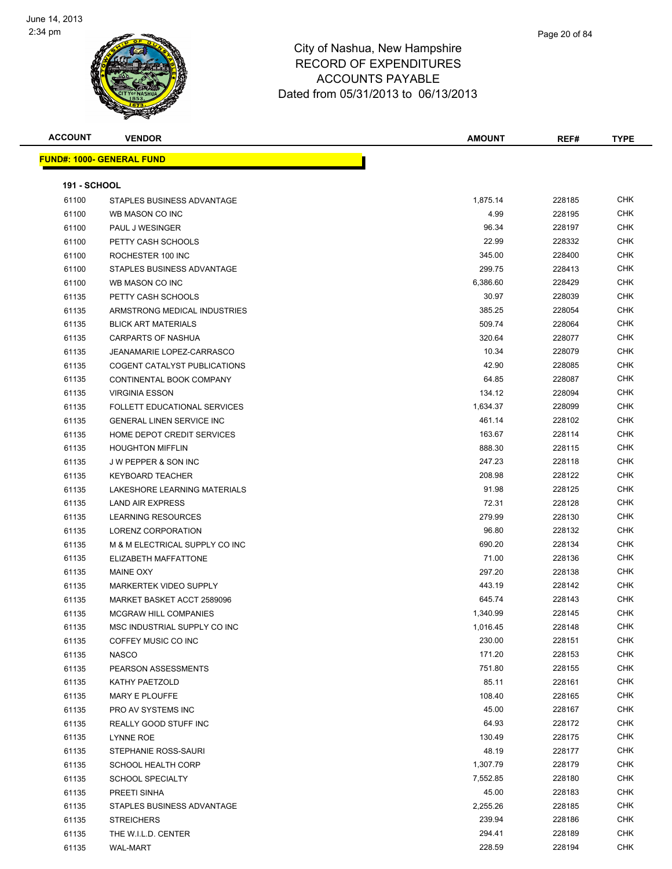

| <b>ACCOUNT</b>      | <b>VENDOR</b>                    | <b>AMOUNT</b> | REF#   | <b>TYPE</b> |
|---------------------|----------------------------------|---------------|--------|-------------|
|                     | <b>FUND#: 1000- GENERAL FUND</b> |               |        |             |
|                     |                                  |               |        |             |
| <b>191 - SCHOOL</b> |                                  |               |        |             |
| 61100               | STAPLES BUSINESS ADVANTAGE       | 1,875.14      | 228185 | <b>CHK</b>  |
| 61100               | WB MASON CO INC                  | 4.99          | 228195 | <b>CHK</b>  |
| 61100               | PAUL J WESINGER                  | 96.34         | 228197 | <b>CHK</b>  |
| 61100               | PETTY CASH SCHOOLS               | 22.99         | 228332 | <b>CHK</b>  |
| 61100               | ROCHESTER 100 INC                | 345.00        | 228400 | <b>CHK</b>  |
| 61100               | STAPLES BUSINESS ADVANTAGE       | 299.75        | 228413 | CHK         |
| 61100               | WB MASON CO INC                  | 6,386.60      | 228429 | <b>CHK</b>  |
| 61135               | PETTY CASH SCHOOLS               | 30.97         | 228039 | <b>CHK</b>  |
| 61135               | ARMSTRONG MEDICAL INDUSTRIES     | 385.25        | 228054 | <b>CHK</b>  |
| 61135               | <b>BLICK ART MATERIALS</b>       | 509.74        | 228064 | <b>CHK</b>  |
| 61135               | CARPARTS OF NASHUA               | 320.64        | 228077 | <b>CHK</b>  |
| 61135               | JEANAMARIE LOPEZ-CARRASCO        | 10.34         | 228079 | <b>CHK</b>  |
| 61135               | COGENT CATALYST PUBLICATIONS     | 42.90         | 228085 | <b>CHK</b>  |
| 61135               | CONTINENTAL BOOK COMPANY         | 64.85         | 228087 | <b>CHK</b>  |
| 61135               | <b>VIRGINIA ESSON</b>            | 134.12        | 228094 | <b>CHK</b>  |
| 61135               | FOLLETT EDUCATIONAL SERVICES     | 1,634.37      | 228099 | <b>CHK</b>  |
| 61135               | <b>GENERAL LINEN SERVICE INC</b> | 461.14        | 228102 | <b>CHK</b>  |
| 61135               | HOME DEPOT CREDIT SERVICES       | 163.67        | 228114 | <b>CHK</b>  |
| 61135               | <b>HOUGHTON MIFFLIN</b>          | 888.30        | 228115 | <b>CHK</b>  |
| 61135               | <b>JW PEPPER &amp; SON INC</b>   | 247.23        | 228118 | <b>CHK</b>  |
| 61135               | <b>KEYBOARD TEACHER</b>          | 208.98        | 228122 | <b>CHK</b>  |
| 61135               | LAKESHORE LEARNING MATERIALS     | 91.98         | 228125 | <b>CHK</b>  |
| 61135               | <b>LAND AIR EXPRESS</b>          | 72.31         | 228128 | <b>CHK</b>  |
| 61135               | <b>LEARNING RESOURCES</b>        | 279.99        | 228130 | <b>CHK</b>  |
| 61135               | LORENZ CORPORATION               | 96.80         | 228132 | <b>CHK</b>  |
| 61135               | M & M ELECTRICAL SUPPLY CO INC   | 690.20        | 228134 | <b>CHK</b>  |
| 61135               | ELIZABETH MAFFATTONE             | 71.00         | 228136 | <b>CHK</b>  |
| 61135               | MAINE OXY                        | 297.20        | 228138 | CHK         |
| 61135               | MARKERTEK VIDEO SUPPLY           | 443.19        | 228142 | <b>CHK</b>  |
| 61135               | MARKET BASKET ACCT 2589096       | 645.74        | 228143 | <b>CHK</b>  |
| 61135               | <b>MCGRAW HILL COMPANIES</b>     | 1,340.99      | 228145 | <b>CHK</b>  |
| 61135               | MSC INDUSTRIAL SUPPLY CO INC     | 1,016.45      | 228148 | CHK         |
| 61135               | COFFEY MUSIC CO INC              | 230.00        | 228151 | <b>CHK</b>  |
| 61135               | <b>NASCO</b>                     | 171.20        | 228153 | <b>CHK</b>  |
| 61135               | PEARSON ASSESSMENTS              | 751.80        | 228155 | <b>CHK</b>  |
| 61135               | KATHY PAETZOLD                   | 85.11         | 228161 | <b>CHK</b>  |
| 61135               | MARY E PLOUFFE                   | 108.40        | 228165 | <b>CHK</b>  |
| 61135               | PRO AV SYSTEMS INC               | 45.00         | 228167 | CHK         |
| 61135               | REALLY GOOD STUFF INC            | 64.93         | 228172 | <b>CHK</b>  |
| 61135               | LYNNE ROE                        | 130.49        | 228175 | CHK         |
| 61135               | STEPHANIE ROSS-SAURI             | 48.19         | 228177 | CHK         |
| 61135               | <b>SCHOOL HEALTH CORP</b>        | 1,307.79      | 228179 | <b>CHK</b>  |
| 61135               | <b>SCHOOL SPECIALTY</b>          | 7,552.85      | 228180 | CHK         |
| 61135               | PREETI SINHA                     | 45.00         | 228183 | <b>CHK</b>  |
| 61135               | STAPLES BUSINESS ADVANTAGE       | 2,255.26      | 228185 | CHK         |
| 61135               | <b>STREICHERS</b>                | 239.94        | 228186 | CHK         |
| 61135               | THE W.I.L.D. CENTER              | 294.41        | 228189 | <b>CHK</b>  |

WAL-MART 228.59 228194 CHK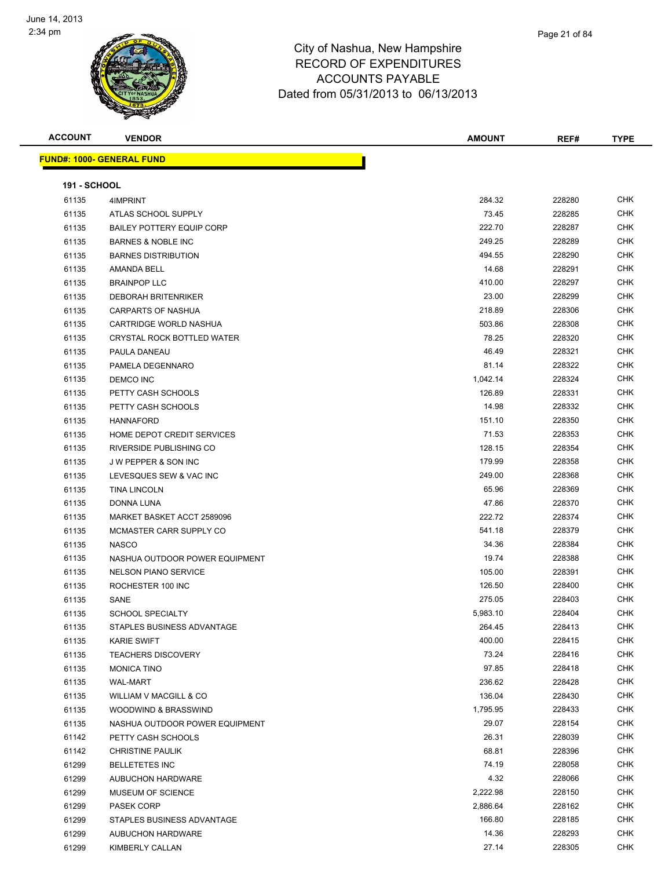

| <b>ACCOUNT</b>      | <b>VENDOR</b>                    | <b>AMOUNT</b> | REF#   | <b>TYPE</b> |
|---------------------|----------------------------------|---------------|--------|-------------|
|                     | <b>FUND#: 1000- GENERAL FUND</b> |               |        |             |
|                     |                                  |               |        |             |
| <b>191 - SCHOOL</b> |                                  |               |        |             |
| 61135               | 4IMPRINT                         | 284.32        | 228280 | <b>CHK</b>  |
| 61135               | ATLAS SCHOOL SUPPLY              | 73.45         | 228285 | <b>CHK</b>  |
| 61135               | <b>BAILEY POTTERY EQUIP CORP</b> | 222.70        | 228287 | <b>CHK</b>  |
| 61135               | <b>BARNES &amp; NOBLE INC</b>    | 249.25        | 228289 | <b>CHK</b>  |
| 61135               | <b>BARNES DISTRIBUTION</b>       | 494.55        | 228290 | <b>CHK</b>  |
| 61135               | AMANDA BELL                      | 14.68         | 228291 | CHK         |
| 61135               | <b>BRAINPOP LLC</b>              | 410.00        | 228297 | <b>CHK</b>  |
| 61135               | <b>DEBORAH BRITENRIKER</b>       | 23.00         | 228299 | <b>CHK</b>  |
| 61135               | CARPARTS OF NASHUA               | 218.89        | 228306 | CHK         |
| 61135               | CARTRIDGE WORLD NASHUA           | 503.86        | 228308 | <b>CHK</b>  |
| 61135               | CRYSTAL ROCK BOTTLED WATER       | 78.25         | 228320 | CHK         |
| 61135               | PAULA DANEAU                     | 46.49         | 228321 | CHK         |
| 61135               | PAMELA DEGENNARO                 | 81.14         | 228322 | <b>CHK</b>  |
| 61135               | <b>DEMCO INC</b>                 | 1,042.14      | 228324 | <b>CHK</b>  |
| 61135               | PETTY CASH SCHOOLS               | 126.89        | 228331 | CHK         |
| 61135               | PETTY CASH SCHOOLS               | 14.98         | 228332 | <b>CHK</b>  |
| 61135               | <b>HANNAFORD</b>                 | 151.10        | 228350 | <b>CHK</b>  |
| 61135               | HOME DEPOT CREDIT SERVICES       | 71.53         | 228353 | CHK         |
| 61135               | RIVERSIDE PUBLISHING CO          | 128.15        | 228354 | CHK         |
| 61135               | J W PEPPER & SON INC             | 179.99        | 228358 | <b>CHK</b>  |
| 61135               | LEVESQUES SEW & VAC INC          | 249.00        | 228368 | <b>CHK</b>  |
| 61135               | <b>TINA LINCOLN</b>              | 65.96         | 228369 | CHK         |
| 61135               | DONNA LUNA                       | 47.86         | 228370 | <b>CHK</b>  |
| 61135               | MARKET BASKET ACCT 2589096       | 222.72        | 228374 | <b>CHK</b>  |
| 61135               | MCMASTER CARR SUPPLY CO          | 541.18        | 228379 | <b>CHK</b>  |
| 61135               | <b>NASCO</b>                     | 34.36         | 228384 | <b>CHK</b>  |
| 61135               | NASHUA OUTDOOR POWER EQUIPMENT   | 19.74         | 228388 | <b>CHK</b>  |
| 61135               | <b>NELSON PIANO SERVICE</b>      | 105.00        | 228391 | <b>CHK</b>  |
| 61135               | ROCHESTER 100 INC                | 126.50        | 228400 | <b>CHK</b>  |
| 61135               | SANE                             | 275.05        | 228403 | CHK         |
| 61135               | <b>SCHOOL SPECIALTY</b>          | 5,983.10      | 228404 | <b>CHK</b>  |
| 61135               | STAPLES BUSINESS ADVANTAGE       | 264.45        | 228413 | CHK         |
| 61135               | <b>KARIE SWIFT</b>               | 400.00        | 228415 | <b>CHK</b>  |
| 61135               | <b>TEACHERS DISCOVERY</b>        | 73.24         | 228416 | <b>CHK</b>  |
| 61135               | <b>MONICA TINO</b>               | 97.85         | 228418 | CHK         |
| 61135               | <b>WAL-MART</b>                  | 236.62        | 228428 | CHK         |
| 61135               | WILLIAM V MACGILL & CO           | 136.04        | 228430 | CHK         |
| 61135               | WOODWIND & BRASSWIND             | 1,795.95      | 228433 | CHK         |
| 61135               | NASHUA OUTDOOR POWER EQUIPMENT   | 29.07         | 228154 | <b>CHK</b>  |
| 61142               | PETTY CASH SCHOOLS               | 26.31         | 228039 | CHK         |
| 61142               | <b>CHRISTINE PAULIK</b>          | 68.81         | 228396 | CHK         |
| 61299               | <b>BELLETETES INC</b>            | 74.19         | 228058 | <b>CHK</b>  |
| 61299               | AUBUCHON HARDWARE                | 4.32          | 228066 | CHK         |
| 61299               | MUSEUM OF SCIENCE                | 2,222.98      | 228150 | CHK         |
| 61299               | PASEK CORP                       | 2,886.64      | 228162 | CHK         |
| 61299               | STAPLES BUSINESS ADVANTAGE       | 166.80        | 228185 | CHK         |
| 61299               | AUBUCHON HARDWARE                | 14.36         | 228293 | CHK         |
| 61299               | KIMBERLY CALLAN                  | 27.14         | 228305 | <b>CHK</b>  |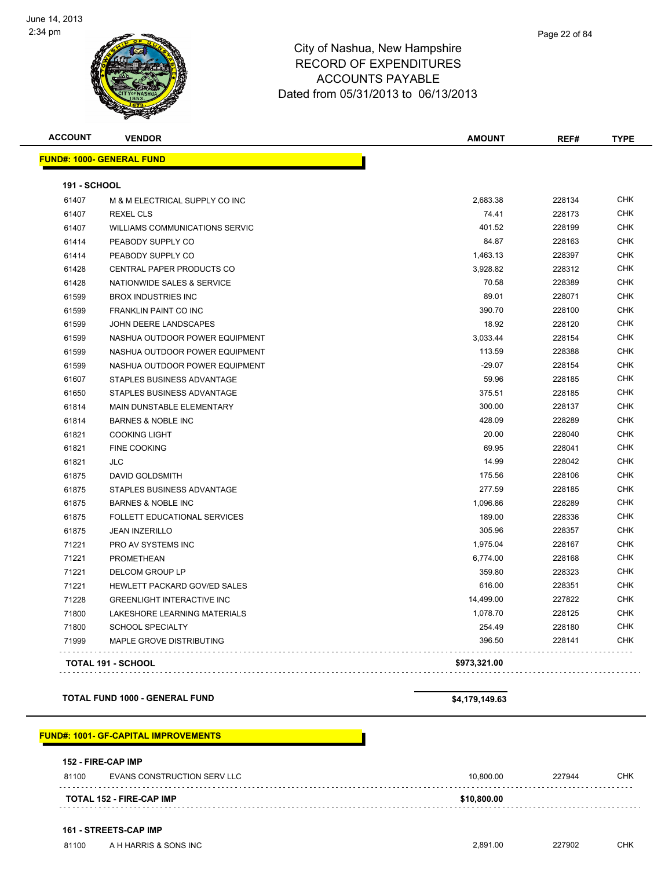

**ACCOUNT VENDOR AMOUNT REF# TYPE**

**FUND#: 1000- GENERAL FUND 191 - SCHOOL** M & M ELECTRICAL SUPPLY CO INC 2,683.38 228134 CHK REXEL CLS 74.41 228173 CHK WILLIAMS COMMUNICATIONS SERVIC 401.52 228199 CHK PEABODY SUPPLY CO 84.87 228163 CHK 61414 PEABODY SUPPLY CO 2008 1,463.13 228397 CHK CENTRAL PAPER PRODUCTS CO 3,928.82 228312 CHK NATIONWIDE SALES & SERVICE 70.58 228389 CHK BROX INDUSTRIES INC 89.01 228071 CHK FRANKLIN PAINT CO INC 390.70 228100 CHK JOHN DEERE LANDSCAPES 18.92 228120 CHK 61599 NASHUA OUTDOOR POWER EQUIPMENT CHANGER AND THE STATE STATE STATE STATE STATE STATE STATE OF STATE STATE STATE STATE STATE STATE STATE STATE STATE STATE STATE STATE STATE STATE STATE STATE STATE STATE STATE STATE STAT NASHUA OUTDOOR POWER EQUIPMENT 113.59 228388 CHK 61599 NASHUA OUTDOOR POWER EQUIPMENT CHARGE AND THE SERVICE RESERVE TO A 29.07 228154 CHK STAPLES BUSINESS ADVANTAGE 59.96 228185 CHK STAPLES BUSINESS ADVANTAGE 375.51 228185 CHK MAIN DUNSTABLE ELEMENTARY 300.00 228137 CHK BARNES & NOBLE INC 428.09 228289 CHK COOKING LIGHT 20.00 228040 CHK FINE COOKING 69.95 228041 CHK JLC 14.99 228042 CHK DAVID GOLDSMITH 175.56 228106 CHK STAPLES BUSINESS ADVANTAGE 277.59 228185 CHK BARNES & NOBLE INC 1,096.86 228289 CHK FOLLETT EDUCATIONAL SERVICES 189.00 228336 CHK JEAN INZERILLO 305.96 228357 CHK PRO AV SYSTEMS INC 1,975.04 228167 CHK PROMETHEAN 6,774.00 228168 CHK DELCOM GROUP LP 359.80 228323 CHK HEWLETT PACKARD GOV/ED SALES 616.00 228351 CHK GREENLIGHT INTERACTIVE INC 14,499.00 227822 CHK LAKESHORE LEARNING MATERIALS 1,078.70 228125 CHK SCHOOL SPECIALTY 254.49 228180 CHK MAPLE GROVE DISTRIBUTING 396.50 228141 CHK

**TOTAL FUND 1000 - GENERAL FUND \$4,179,149.63**

#### **FUND#: 1001- GF-CAPITAL IMPROVEMENTS**

#### **152 - FIRE-CAP IMP** 81100 EVANS CONSTRUCTION SERV LLC **10,800.00** 227944 CHK . . . . . . . . . . . . dia dia ara-dia a **TOTAL 152 - FIRE-CAP IMP \$10,800.00**

**TOTAL 191 - SCHOOL \$973,321.00**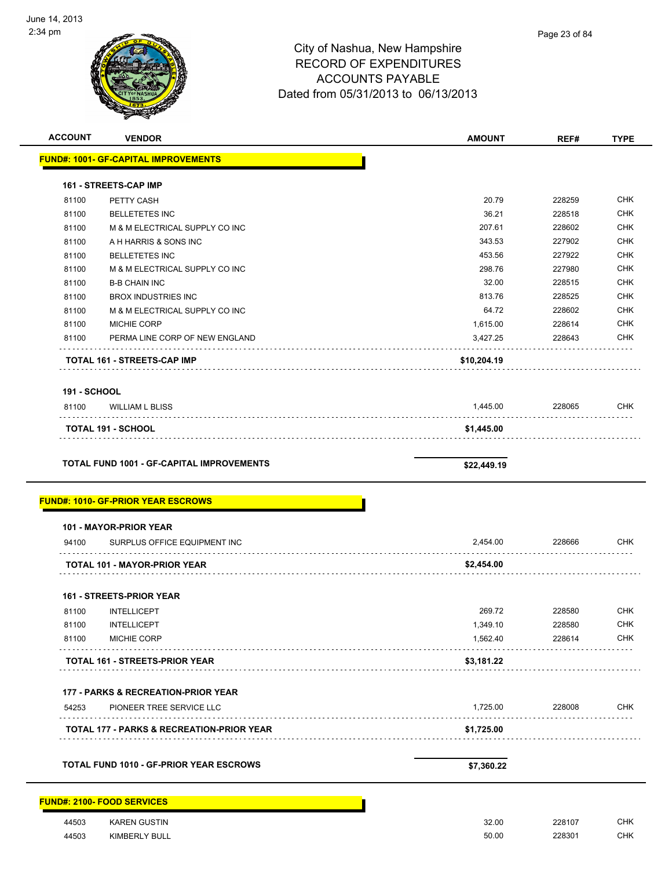

| <b>ACCOUNT</b>      | <b>VENDOR</b>                                        | <b>AMOUNT</b> | REF#   | <b>TYPE</b> |
|---------------------|------------------------------------------------------|---------------|--------|-------------|
|                     | <b>FUND#: 1001- GF-CAPITAL IMPROVEMENTS</b>          |               |        |             |
|                     | <b>161 - STREETS-CAP IMP</b>                         |               |        |             |
| 81100               | PETTY CASH                                           | 20.79         | 228259 | <b>CHK</b>  |
| 81100               | <b>BELLETETES INC</b>                                | 36.21         | 228518 | <b>CHK</b>  |
| 81100               | M & M ELECTRICAL SUPPLY CO INC                       | 207.61        | 228602 | <b>CHK</b>  |
| 81100               | A H HARRIS & SONS INC                                | 343.53        | 227902 | <b>CHK</b>  |
| 81100               | <b>BELLETETES INC</b>                                | 453.56        | 227922 | <b>CHK</b>  |
| 81100               | M & M ELECTRICAL SUPPLY CO INC                       | 298.76        | 227980 | <b>CHK</b>  |
| 81100               | <b>B-B CHAIN INC</b>                                 | 32.00         | 228515 | <b>CHK</b>  |
| 81100               | <b>BROX INDUSTRIES INC</b>                           | 813.76        | 228525 | <b>CHK</b>  |
| 81100               | M & M ELECTRICAL SUPPLY CO INC                       | 64.72         | 228602 | <b>CHK</b>  |
| 81100               | MICHIE CORP                                          | 1,615.00      | 228614 | <b>CHK</b>  |
| 81100               | PERMA LINE CORP OF NEW ENGLAND                       | 3,427.25      | 228643 | <b>CHK</b>  |
|                     | TOTAL 161 - STREETS-CAP IMP                          | \$10,204.19   |        |             |
| <b>191 - SCHOOL</b> |                                                      |               |        |             |
| 81100               | <b>WILLIAM L BLISS</b>                               | 1,445.00      | 228065 | <b>CHK</b>  |
|                     | <b>TOTAL 191 - SCHOOL</b>                            | \$1,445.00    |        |             |
|                     |                                                      |               |        |             |
|                     | <b>TOTAL FUND 1001 - GF-CAPITAL IMPROVEMENTS</b>     | \$22,449.19   |        |             |
|                     |                                                      |               |        |             |
|                     | <b>FUND#: 1010- GF-PRIOR YEAR ESCROWS</b>            |               |        |             |
|                     | 101 - MAYOR-PRIOR YEAR                               |               |        |             |
| 94100               | SURPLUS OFFICE EQUIPMENT INC                         | 2,454.00      | 228666 | <b>CHK</b>  |
|                     | <b>TOTAL 101 - MAYOR-PRIOR YEAR</b>                  | \$2,454.00    |        |             |
|                     | 161 - STREETS-PRIOR YEAR                             |               |        |             |
| 81100               | <b>INTELLICEPT</b>                                   | 269.72        | 228580 | <b>CHK</b>  |
| 81100               | <b>INTELLICEPT</b>                                   | 1,349.10      | 228580 | <b>CHK</b>  |
| 81100               | MICHIE CORP                                          | 1,562.40      | 228614 | <b>CHK</b>  |
|                     | <b>TOTAL 161 - STREETS-PRIOR YEAR</b>                | \$3,181.22    |        |             |
|                     | <b>177 - PARKS &amp; RECREATION-PRIOR YEAR</b>       |               |        |             |
| 54253               | PIONEER TREE SERVICE LLC                             | 1,725.00      | 228008 | <b>CHK</b>  |
|                     | <b>TOTAL 177 - PARKS &amp; RECREATION-PRIOR YEAR</b> | \$1,725.00    |        |             |
|                     |                                                      |               |        |             |
|                     | TOTAL FUND 1010 - GF-PRIOR YEAR ESCROWS              | \$7,360.22    |        |             |
|                     | <b>FUND#: 2100- FOOD SERVICES</b>                    |               |        |             |
| 44503               | <b>KAREN GUSTIN</b>                                  | 32.00         | 228107 | <b>CHK</b>  |
| 44503               | KIMBERLY BULL                                        | 50.00         | 228301 | <b>CHK</b>  |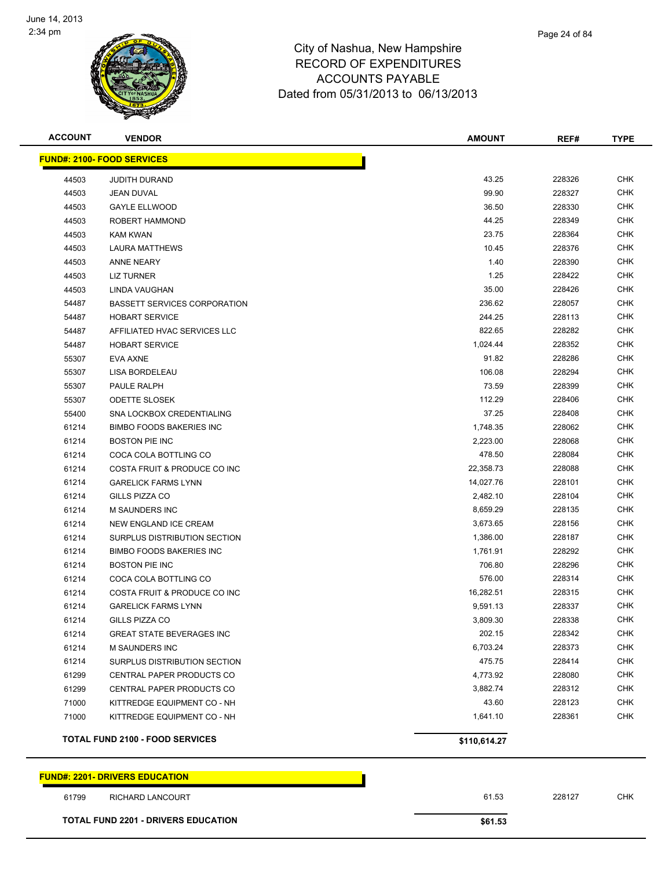

| <b>ACCOUNT</b> | <b>VENDOR</b>                          | <b>AMOUNT</b> | REF#   | <b>TYPE</b> |
|----------------|----------------------------------------|---------------|--------|-------------|
|                | <b>FUND#: 2100- FOOD SERVICES</b>      |               |        |             |
| 44503          | <b>JUDITH DURAND</b>                   | 43.25         | 228326 | <b>CHK</b>  |
| 44503          | JEAN DUVAL                             | 99.90         | 228327 | <b>CHK</b>  |
| 44503          | <b>GAYLE ELLWOOD</b>                   | 36.50         | 228330 | CHK         |
| 44503          | ROBERT HAMMOND                         | 44.25         | 228349 | CHK         |
| 44503          | KAM KWAN                               | 23.75         | 228364 | CHK         |
| 44503          | <b>LAURA MATTHEWS</b>                  | 10.45         | 228376 | CHK         |
| 44503          | <b>ANNE NEARY</b>                      | 1.40          | 228390 | CHK         |
| 44503          | LIZ TURNER                             | 1.25          | 228422 | CHK         |
| 44503          | LINDA VAUGHAN                          | 35.00         | 228426 | CHK         |
| 54487          | <b>BASSETT SERVICES CORPORATION</b>    | 236.62        | 228057 | <b>CHK</b>  |
| 54487          | <b>HOBART SERVICE</b>                  | 244.25        | 228113 | <b>CHK</b>  |
| 54487          | AFFILIATED HVAC SERVICES LLC           | 822.65        | 228282 | <b>CHK</b>  |
| 54487          | <b>HOBART SERVICE</b>                  | 1,024.44      | 228352 | <b>CHK</b>  |
| 55307          | EVA AXNE                               | 91.82         | 228286 | CHK         |
| 55307          | LISA BORDELEAU                         | 106.08        | 228294 | CHK         |
| 55307          | PAULE RALPH                            | 73.59         | 228399 | CHK         |
| 55307          | <b>ODETTE SLOSEK</b>                   | 112.29        | 228406 | CHK         |
| 55400          | SNA LOCKBOX CREDENTIALING              | 37.25         | 228408 | <b>CHK</b>  |
| 61214          | <b>BIMBO FOODS BAKERIES INC</b>        | 1,748.35      | 228062 | CHK         |
| 61214          | <b>BOSTON PIE INC</b>                  | 2,223.00      | 228068 | CHK         |
| 61214          | COCA COLA BOTTLING CO                  | 478.50        | 228084 | <b>CHK</b>  |
| 61214          | COSTA FRUIT & PRODUCE CO INC           | 22,358.73     | 228088 | <b>CHK</b>  |
| 61214          | <b>GARELICK FARMS LYNN</b>             | 14,027.76     | 228101 | <b>CHK</b>  |
| 61214          | GILLS PIZZA CO                         | 2,482.10      | 228104 | <b>CHK</b>  |
| 61214          | <b>M SAUNDERS INC</b>                  | 8,659.29      | 228135 | CHK         |
| 61214          | NEW ENGLAND ICE CREAM                  | 3,673.65      | 228156 | CHK         |
| 61214          | SURPLUS DISTRIBUTION SECTION           | 1,386.00      | 228187 | <b>CHK</b>  |
| 61214          | <b>BIMBO FOODS BAKERIES INC</b>        | 1,761.91      | 228292 | CHK         |
| 61214          | <b>BOSTON PIE INC</b>                  | 706.80        | 228296 | <b>CHK</b>  |
| 61214          | COCA COLA BOTTLING CO                  | 576.00        | 228314 | CHK         |
| 61214          | COSTA FRUIT & PRODUCE CO INC           | 16,282.51     | 228315 | CHK         |
| 61214          | <b>GARELICK FARMS LYNN</b>             | 9,591.13      | 228337 | CHK         |
| 61214          | GILLS PIZZA CO                         | 3,809.30      | 228338 | CHK         |
| 61214          | <b>GREAT STATE BEVERAGES INC</b>       | 202.15        | 228342 | <b>CHK</b>  |
| 61214          | <b>M SAUNDERS INC</b>                  | 6,703.24      | 228373 | <b>CHK</b>  |
| 61214          | SURPLUS DISTRIBUTION SECTION           | 475.75        | 228414 | <b>CHK</b>  |
| 61299          | CENTRAL PAPER PRODUCTS CO              | 4,773.92      | 228080 | <b>CHK</b>  |
| 61299          | CENTRAL PAPER PRODUCTS CO              | 3,882.74      | 228312 | <b>CHK</b>  |
| 71000          | KITTREDGE EQUIPMENT CO - NH            | 43.60         | 228123 | <b>CHK</b>  |
| 71000          | KITTREDGE EQUIPMENT CO - NH            | 1,641.10      | 228361 | <b>CHK</b>  |
|                | <b>TOTAL FUND 2100 - FOOD SERVICES</b> | \$110,614.27  |        |             |
|                |                                        |               |        |             |

#### **FUND#: 2201- DRIVERS EDUCATION**

RICHARD LANCOURT 61.53 228127 CHK

**TOTAL FUND 2201 - DRIVERS EDUCATION \$61.53** 

Page 24 of 84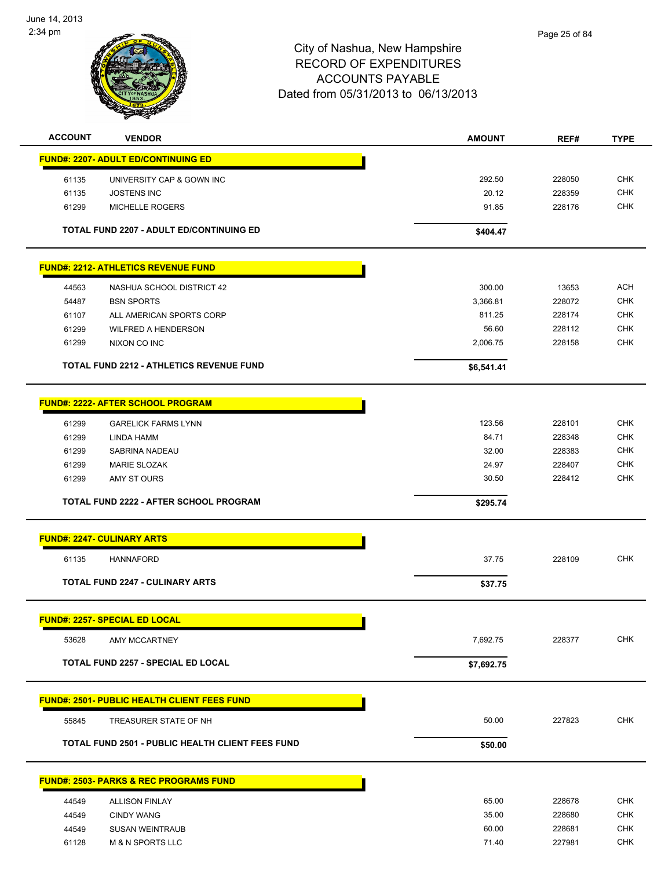

| <b>ACCOUNT</b> | <b>VENDOR</b>                                           | <b>AMOUNT</b> | REF#   | <b>TYPE</b> |
|----------------|---------------------------------------------------------|---------------|--------|-------------|
|                | <b>FUND#: 2207- ADULT ED/CONTINUING ED</b>              |               |        |             |
| 61135          | UNIVERSITY CAP & GOWN INC                               | 292.50        | 228050 | <b>CHK</b>  |
| 61135          | <b>JOSTENS INC</b>                                      | 20.12         | 228359 | <b>CHK</b>  |
| 61299          | <b>MICHELLE ROGERS</b>                                  | 91.85         | 228176 | <b>CHK</b>  |
|                |                                                         |               |        |             |
|                | <b>TOTAL FUND 2207 - ADULT ED/CONTINUING ED</b>         | \$404.47      |        |             |
|                | <b>FUND#: 2212- ATHLETICS REVENUE FUND</b>              |               |        |             |
| 44563          | NASHUA SCHOOL DISTRICT 42                               | 300.00        | 13653  | <b>ACH</b>  |
| 54487          | <b>BSN SPORTS</b>                                       | 3,366.81      | 228072 | <b>CHK</b>  |
| 61107          | ALL AMERICAN SPORTS CORP                                | 811.25        | 228174 | <b>CHK</b>  |
| 61299          | <b>WILFRED A HENDERSON</b>                              | 56.60         | 228112 | <b>CHK</b>  |
| 61299          | NIXON CO INC                                            | 2,006.75      | 228158 | <b>CHK</b>  |
|                | <b>TOTAL FUND 2212 - ATHLETICS REVENUE FUND</b>         | \$6,541.41    |        |             |
|                | <b>FUND#: 2222- AFTER SCHOOL PROGRAM</b>                |               |        |             |
| 61299          | <b>GARELICK FARMS LYNN</b>                              | 123.56        | 228101 | <b>CHK</b>  |
| 61299          | LINDA HAMM                                              | 84.71         | 228348 | <b>CHK</b>  |
| 61299          | SABRINA NADEAU                                          | 32.00         | 228383 | <b>CHK</b>  |
| 61299          | <b>MARIE SLOZAK</b>                                     | 24.97         | 228407 | <b>CHK</b>  |
| 61299          | AMY ST OURS                                             | 30.50         | 228412 | <b>CHK</b>  |
|                | TOTAL FUND 2222 - AFTER SCHOOL PROGRAM                  | \$295.74      |        |             |
|                | <b>FUND#: 2247- CULINARY ARTS</b>                       |               |        |             |
| 61135          | <b>HANNAFORD</b>                                        | 37.75         | 228109 | <b>CHK</b>  |
|                | <b>TOTAL FUND 2247 - CULINARY ARTS</b>                  | \$37.75       |        |             |
|                |                                                         |               |        |             |
|                | <b>FUND#: 2257- SPECIAL ED LOCAL</b>                    |               |        |             |
| 53628          | AMY MCCARTNEY                                           | 7,692.75      | 228377 | <b>CHK</b>  |
|                | <b>TOTAL FUND 2257 - SPECIAL ED LOCAL</b>               | \$7,692.75    |        |             |
|                | <b>FUND#: 2501- PUBLIC HEALTH CLIENT FEES FUND</b>      |               |        |             |
| 55845          | TREASURER STATE OF NH                                   | 50.00         | 227823 | <b>CHK</b>  |
|                | <b>TOTAL FUND 2501 - PUBLIC HEALTH CLIENT FEES FUND</b> | \$50.00       |        |             |
|                | <b>FUND#: 2503- PARKS &amp; REC PROGRAMS FUND</b>       |               |        |             |
| 44549          | <b>ALLISON FINLAY</b>                                   | 65.00         | 228678 | <b>CHK</b>  |
| 44549          | <b>CINDY WANG</b>                                       | 35.00         | 228680 | <b>CHK</b>  |
| 44549          | <b>SUSAN WEINTRAUB</b>                                  | 60.00         | 228681 | <b>CHK</b>  |
| 61128          | <b>M &amp; N SPORTS LLC</b>                             | 71.40         | 227981 | <b>CHK</b>  |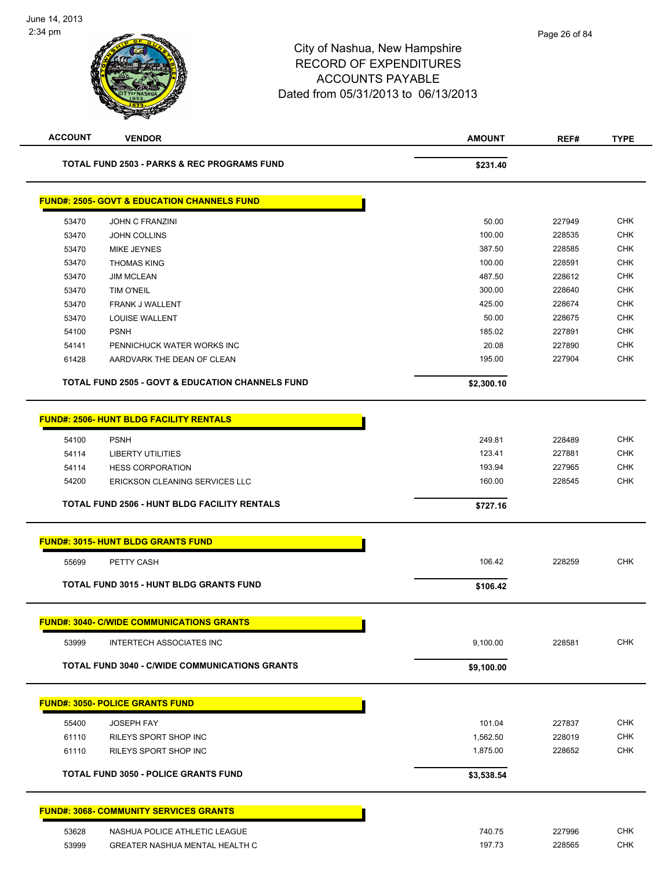| <b>ACCOUNT</b> | <b>VENDOR</b>                                               | <b>AMOUNT</b> | REF#   | <b>TYPE</b> |
|----------------|-------------------------------------------------------------|---------------|--------|-------------|
|                | <b>TOTAL FUND 2503 - PARKS &amp; REC PROGRAMS FUND</b>      | \$231.40      |        |             |
|                | <b>FUND#: 2505- GOVT &amp; EDUCATION CHANNELS FUND</b>      |               |        |             |
| 53470          | <b>JOHN C FRANZINI</b>                                      | 50.00         | 227949 | <b>CHK</b>  |
| 53470          | <b>JOHN COLLINS</b>                                         | 100.00        | 228535 | <b>CHK</b>  |
| 53470          | <b>MIKE JEYNES</b>                                          | 387.50        | 228585 | <b>CHK</b>  |
| 53470          | <b>THOMAS KING</b>                                          | 100.00        | 228591 | <b>CHK</b>  |
| 53470          | <b>JIM MCLEAN</b>                                           | 487.50        | 228612 | <b>CHK</b>  |
| 53470          | <b>TIM O'NEIL</b>                                           | 300.00        | 228640 | <b>CHK</b>  |
| 53470          | FRANK J WALLENT                                             | 425.00        | 228674 | <b>CHK</b>  |
| 53470          | <b>LOUISE WALLENT</b>                                       | 50.00         | 228675 | <b>CHK</b>  |
| 54100          | <b>PSNH</b>                                                 | 185.02        | 227891 | <b>CHK</b>  |
| 54141          | PENNICHUCK WATER WORKS INC                                  | 20.08         | 227890 | <b>CHK</b>  |
| 61428          | AARDVARK THE DEAN OF CLEAN                                  | 195.00        | 227904 | <b>CHK</b>  |
|                | <b>TOTAL FUND 2505 - GOVT &amp; EDUCATION CHANNELS FUND</b> | \$2,300.10    |        |             |
|                | <b>FUND#: 2506- HUNT BLDG FACILITY RENTALS</b>              |               |        |             |
|                | <b>PSNH</b>                                                 | 249.81        | 228489 | <b>CHK</b>  |
| 54100<br>54114 | <b>LIBERTY UTILITIES</b>                                    | 123.41        | 227881 | <b>CHK</b>  |
| 54114          | <b>HESS CORPORATION</b>                                     | 193.94        | 227965 | <b>CHK</b>  |
| 54200          | ERICKSON CLEANING SERVICES LLC                              | 160.00        | 228545 | <b>CHK</b>  |
|                |                                                             |               |        |             |
|                | <b>TOTAL FUND 2506 - HUNT BLDG FACILITY RENTALS</b>         | \$727.16      |        |             |
|                | <b>FUND#: 3015- HUNT BLDG GRANTS FUND</b>                   |               |        |             |
| 55699          | PETTY CASH                                                  | 106.42        | 228259 | <b>CHK</b>  |
|                | TOTAL FUND 3015 - HUNT BLDG GRANTS FUND                     | \$106.42      |        |             |
|                | <b>FUND#: 3040- C/WIDE COMMUNICATIONS GRANTS</b>            |               |        |             |
| 53999          | <b>INTERTECH ASSOCIATES INC</b>                             | 9,100.00      | 228581 | <b>CHK</b>  |
|                | <b>TOTAL FUND 3040 - C/WIDE COMMUNICATIONS GRANTS</b>       | \$9,100.00    |        |             |
|                | <b>FUND#: 3050- POLICE GRANTS FUND</b>                      |               |        |             |
| 55400          | <b>JOSEPH FAY</b>                                           | 101.04        | 227837 | <b>CHK</b>  |
| 61110          | RILEYS SPORT SHOP INC                                       | 1,562.50      | 228019 | CHK         |
| 61110          | RILEYS SPORT SHOP INC                                       | 1,875.00      | 228652 | <b>CHK</b>  |
|                | <b>TOTAL FUND 3050 - POLICE GRANTS FUND</b>                 | \$3,538.54    |        |             |
|                |                                                             |               |        |             |
|                | <b>FUND#: 3068- COMMUNITY SERVICES GRANTS</b>               |               |        |             |
| 53628          | NASHUA POLICE ATHLETIC LEAGUE                               | 740.75        | 227996 | CHK         |
| 53999          | GREATER NASHUA MENTAL HEALTH C                              | 197.73        | 228565 | <b>CHK</b>  |
|                |                                                             |               |        |             |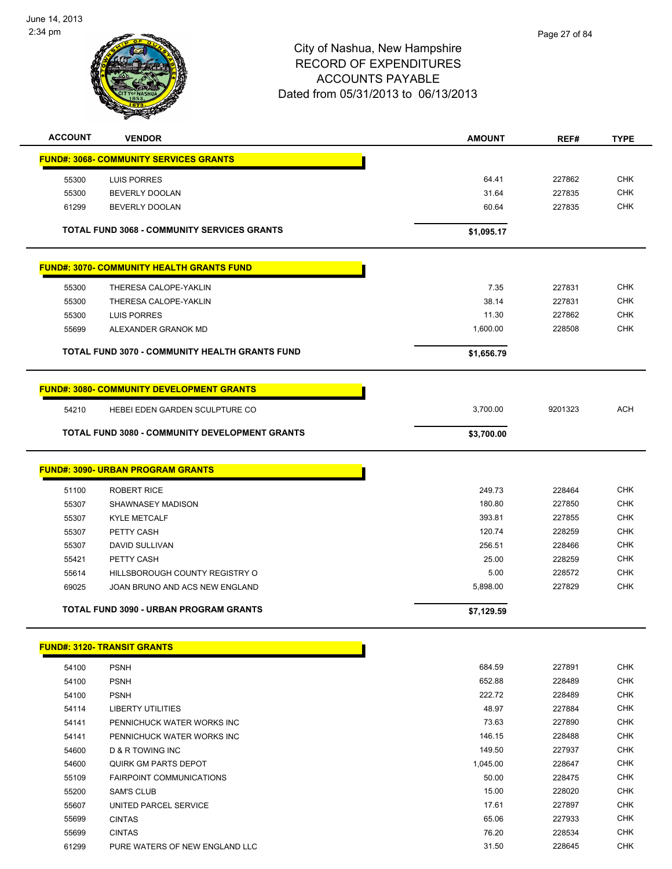

| <b>ACCOUNT</b> | <b>VENDOR</b>                                            | <b>AMOUNT</b>    | REF#             | <b>TYPE</b>              |
|----------------|----------------------------------------------------------|------------------|------------------|--------------------------|
|                | <b>FUND#: 3068- COMMUNITY SERVICES GRANTS</b>            |                  |                  |                          |
|                |                                                          | 64.41            | 227862           | <b>CHK</b>               |
| 55300<br>55300 | LUIS PORRES<br><b>BEVERLY DOOLAN</b>                     | 31.64            | 227835           | <b>CHK</b>               |
|                | <b>BEVERLY DOOLAN</b>                                    | 60.64            | 227835           | <b>CHK</b>               |
| 61299          |                                                          |                  |                  |                          |
|                | <b>TOTAL FUND 3068 - COMMUNITY SERVICES GRANTS</b>       | \$1,095.17       |                  |                          |
|                | <b>FUND#: 3070- COMMUNITY HEALTH GRANTS FUND</b>         |                  |                  |                          |
| 55300          | THERESA CALOPE-YAKLIN                                    | 7.35             | 227831           | <b>CHK</b>               |
| 55300          | THERESA CALOPE-YAKLIN                                    | 38.14            | 227831           | <b>CHK</b>               |
| 55300          | <b>LUIS PORRES</b>                                       | 11.30            | 227862           | <b>CHK</b>               |
| 55699          | ALEXANDER GRANOK MD                                      | 1,600.00         | 228508           | <b>CHK</b>               |
|                | <b>TOTAL FUND 3070 - COMMUNITY HEALTH GRANTS FUND</b>    | \$1,656.79       |                  |                          |
|                |                                                          |                  |                  |                          |
|                | <b>FUND#: 3080- COMMUNITY DEVELOPMENT GRANTS</b>         |                  |                  |                          |
| 54210          | HEBEI EDEN GARDEN SCULPTURE CO                           | 3,700.00         | 9201323          | <b>ACH</b>               |
|                | <b>TOTAL FUND 3080 - COMMUNITY DEVELOPMENT GRANTS</b>    | \$3,700.00       |                  |                          |
|                | <b>FUND#: 3090- URBAN PROGRAM GRANTS</b>                 |                  |                  |                          |
|                |                                                          |                  |                  |                          |
| 51100          | <b>ROBERT RICE</b>                                       | 249.73           | 228464           | <b>CHK</b>               |
| 55307          | SHAWNASEY MADISON                                        | 180.80           | 227850           | <b>CHK</b>               |
| 55307          | <b>KYLE METCALF</b>                                      | 393.81<br>120.74 | 227855           | <b>CHK</b><br><b>CHK</b> |
| 55307          | PETTY CASH                                               | 256.51           | 228259<br>228466 | <b>CHK</b>               |
| 55307          | DAVID SULLIVAN                                           | 25.00            | 228259           | <b>CHK</b>               |
| 55421<br>55614 | PETTY CASH<br>HILLSBOROUGH COUNTY REGISTRY O             | 5.00             | 228572           | <b>CHK</b>               |
| 69025          | JOAN BRUNO AND ACS NEW ENGLAND                           | 5,898.00         | 227829           | <b>CHK</b>               |
|                |                                                          |                  |                  |                          |
|                | <b>TOTAL FUND 3090 - URBAN PROGRAM GRANTS</b>            | \$7,129.59       |                  |                          |
|                | <b>FUND#: 3120- TRANSIT GRANTS</b>                       |                  |                  |                          |
|                |                                                          | 684.59           |                  | <b>CHK</b>               |
| 54100<br>54100 | <b>PSNH</b><br><b>PSNH</b>                               | 652.88           | 227891<br>228489 | <b>CHK</b>               |
| 54100          | <b>PSNH</b>                                              | 222.72           | 228489           | <b>CHK</b>               |
| 54114          | <b>LIBERTY UTILITIES</b>                                 | 48.97            | 227884           | <b>CHK</b>               |
|                |                                                          | 73.63            | 227890           | <b>CHK</b>               |
| 54141<br>54141 | PENNICHUCK WATER WORKS INC<br>PENNICHUCK WATER WORKS INC | 146.15           | 228488           | <b>CHK</b>               |
| 54600          | D & R TOWING INC                                         | 149.50           | 227937           | <b>CHK</b>               |
| 54600          | <b>QUIRK GM PARTS DEPOT</b>                              | 1,045.00         | 228647           | <b>CHK</b>               |
| 55109          | <b>FAIRPOINT COMMUNICATIONS</b>                          | 50.00            | 228475           | CHK                      |
| 55200          | <b>SAM'S CLUB</b>                                        | 15.00            | 228020           | <b>CHK</b>               |
| 55607          | UNITED PARCEL SERVICE                                    | 17.61            | 227897           | <b>CHK</b>               |
| 55699          | <b>CINTAS</b>                                            | 65.06            | 227933           | <b>CHK</b>               |
| 55699          | <b>CINTAS</b>                                            | 76.20            | 228534           | <b>CHK</b>               |
|                |                                                          |                  |                  |                          |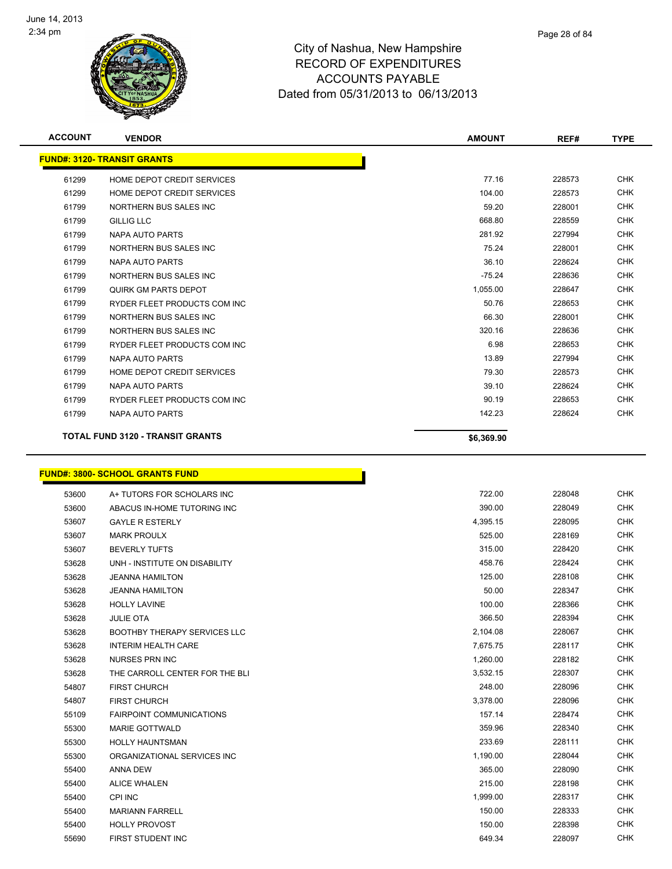

| <b>ACCOUNT</b> | <b>VENDOR</b>                           | <b>AMOUNT</b> | REF#   | <b>TYPE</b> |
|----------------|-----------------------------------------|---------------|--------|-------------|
|                | <b>FUND#: 3120- TRANSIT GRANTS</b>      |               |        |             |
| 61299          | HOME DEPOT CREDIT SERVICES              | 77.16         | 228573 | <b>CHK</b>  |
| 61299          | HOME DEPOT CREDIT SERVICES              | 104.00        | 228573 | <b>CHK</b>  |
| 61799          | NORTHERN BUS SALES INC                  | 59.20         | 228001 | <b>CHK</b>  |
| 61799          | <b>GILLIG LLC</b>                       | 668.80        | 228559 | <b>CHK</b>  |
| 61799          | NAPA AUTO PARTS                         | 281.92        | 227994 | <b>CHK</b>  |
| 61799          | NORTHERN BUS SALES INC                  | 75.24         | 228001 | <b>CHK</b>  |
| 61799          | NAPA AUTO PARTS                         | 36.10         | 228624 | <b>CHK</b>  |
| 61799          | NORTHERN BUS SALES INC                  | $-75.24$      | 228636 | <b>CHK</b>  |
| 61799          | QUIRK GM PARTS DEPOT                    | 1,055.00      | 228647 | <b>CHK</b>  |
| 61799          | RYDER FLEET PRODUCTS COM INC            | 50.76         | 228653 | <b>CHK</b>  |
| 61799          | NORTHERN BUS SALES INC                  | 66.30         | 228001 | <b>CHK</b>  |
| 61799          | NORTHERN BUS SALES INC                  | 320.16        | 228636 | <b>CHK</b>  |
| 61799          | RYDER FLEET PRODUCTS COM INC            | 6.98          | 228653 | <b>CHK</b>  |
| 61799          | NAPA AUTO PARTS                         | 13.89         | 227994 | <b>CHK</b>  |
| 61799          | HOME DEPOT CREDIT SERVICES              | 79.30         | 228573 | <b>CHK</b>  |
| 61799          | <b>NAPA AUTO PARTS</b>                  | 39.10         | 228624 | <b>CHK</b>  |
| 61799          | RYDER FLEET PRODUCTS COM INC            | 90.19         | 228653 | <b>CHK</b>  |
| 61799          | <b>NAPA AUTO PARTS</b>                  | 142.23        | 228624 | <b>CHK</b>  |
|                | <b>TOTAL FUND 3120 - TRANSIT GRANTS</b> | \$6,369.90    |        |             |

# **FUND#: 3800- SCHOOL GRANTS FUND**

| 53600 | A+ TUTORS FOR SCHOLARS INC          | 722.00   | 228048 | <b>CHK</b> |
|-------|-------------------------------------|----------|--------|------------|
| 53600 | ABACUS IN-HOME TUTORING INC         | 390.00   | 228049 | <b>CHK</b> |
| 53607 | <b>GAYLE R ESTERLY</b>              | 4,395.15 | 228095 | <b>CHK</b> |
| 53607 | <b>MARK PROULX</b>                  | 525.00   | 228169 | <b>CHK</b> |
| 53607 | <b>BEVERLY TUFTS</b>                | 315.00   | 228420 | <b>CHK</b> |
| 53628 | UNH - INSTITUTE ON DISABILITY       | 458.76   | 228424 | <b>CHK</b> |
| 53628 | <b>JEANNA HAMILTON</b>              | 125.00   | 228108 | <b>CHK</b> |
| 53628 | <b>JEANNA HAMILTON</b>              | 50.00    | 228347 | <b>CHK</b> |
| 53628 | <b>HOLLY LAVINE</b>                 | 100.00   | 228366 | <b>CHK</b> |
| 53628 | <b>JULIE OTA</b>                    | 366.50   | 228394 | <b>CHK</b> |
| 53628 | <b>BOOTHBY THERAPY SERVICES LLC</b> | 2,104.08 | 228067 | <b>CHK</b> |
| 53628 | <b>INTERIM HEALTH CARE</b>          | 7,675.75 | 228117 | <b>CHK</b> |
| 53628 | NURSES PRN INC                      | 1,260.00 | 228182 | <b>CHK</b> |
| 53628 | THE CARROLL CENTER FOR THE BLI      | 3,532.15 | 228307 | <b>CHK</b> |
| 54807 | <b>FIRST CHURCH</b>                 | 248.00   | 228096 | <b>CHK</b> |
| 54807 | <b>FIRST CHURCH</b>                 | 3,378.00 | 228096 | <b>CHK</b> |
| 55109 | <b>FAIRPOINT COMMUNICATIONS</b>     | 157.14   | 228474 | <b>CHK</b> |
| 55300 | <b>MARIE GOTTWALD</b>               | 359.96   | 228340 | <b>CHK</b> |
| 55300 | <b>HOLLY HAUNTSMAN</b>              | 233.69   | 228111 | <b>CHK</b> |
| 55300 | ORGANIZATIONAL SERVICES INC         | 1,190.00 | 228044 | <b>CHK</b> |
| 55400 | <b>ANNA DEW</b>                     | 365.00   | 228090 | <b>CHK</b> |
| 55400 | <b>ALICE WHALEN</b>                 | 215.00   | 228198 | <b>CHK</b> |
| 55400 | <b>CPI INC</b>                      | 1,999.00 | 228317 | <b>CHK</b> |
| 55400 | <b>MARIANN FARRELL</b>              | 150.00   | 228333 | <b>CHK</b> |
| 55400 | <b>HOLLY PROVOST</b>                | 150.00   | 228398 | <b>CHK</b> |
| 55690 | FIRST STUDENT INC                   | 649.34   | 228097 | <b>CHK</b> |

n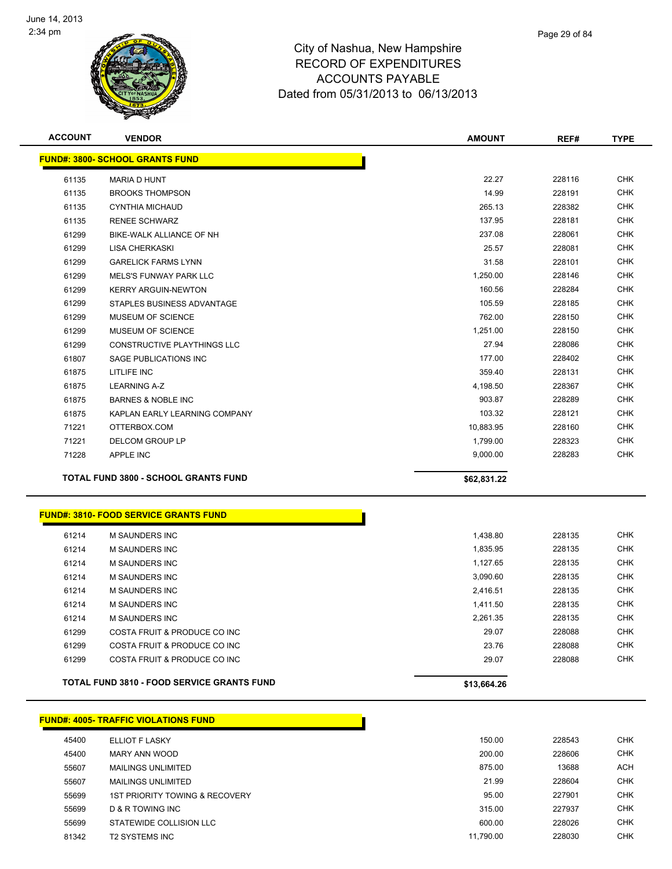

| <b>ACCOUNT</b> | <b>VENDOR</b>                                | <b>AMOUNT</b> | REF#   | <b>TYPE</b> |
|----------------|----------------------------------------------|---------------|--------|-------------|
|                | <b>FUND#: 3800- SCHOOL GRANTS FUND</b>       |               |        |             |
| 61135          | <b>MARIA D HUNT</b>                          | 22.27         | 228116 | <b>CHK</b>  |
| 61135          | <b>BROOKS THOMPSON</b>                       | 14.99         | 228191 | <b>CHK</b>  |
| 61135          | <b>CYNTHIA MICHAUD</b>                       | 265.13        | 228382 | <b>CHK</b>  |
| 61135          | <b>RENEE SCHWARZ</b>                         | 137.95        | 228181 | CHK         |
| 61299          | BIKE-WALK ALLIANCE OF NH                     | 237.08        | 228061 | CHK         |
| 61299          | LISA CHERKASKI                               | 25.57         | 228081 | <b>CHK</b>  |
| 61299          | <b>GARELICK FARMS LYNN</b>                   | 31.58         | 228101 | CHK         |
| 61299          | <b>MELS'S FUNWAY PARK LLC</b>                | 1,250.00      | 228146 | <b>CHK</b>  |
| 61299          | <b>KERRY ARGUIN-NEWTON</b>                   | 160.56        | 228284 | <b>CHK</b>  |
| 61299          | STAPLES BUSINESS ADVANTAGE                   | 105.59        | 228185 | <b>CHK</b>  |
| 61299          | MUSEUM OF SCIENCE                            | 762.00        | 228150 | <b>CHK</b>  |
| 61299          | MUSEUM OF SCIENCE                            | 1,251.00      | 228150 | <b>CHK</b>  |
| 61299          | CONSTRUCTIVE PLAYTHINGS LLC                  | 27.94         | 228086 | <b>CHK</b>  |
| 61807          | SAGE PUBLICATIONS INC                        | 177.00        | 228402 | <b>CHK</b>  |
| 61875          | LITLIFE INC                                  | 359.40        | 228131 | <b>CHK</b>  |
| 61875          | <b>LEARNING A-Z</b>                          | 4,198.50      | 228367 | <b>CHK</b>  |
| 61875          | <b>BARNES &amp; NOBLE INC</b>                | 903.87        | 228289 | <b>CHK</b>  |
| 61875          | KAPLAN EARLY LEARNING COMPANY                | 103.32        | 228121 | <b>CHK</b>  |
| 71221          | OTTERBOX.COM                                 | 10,883.95     | 228160 | <b>CHK</b>  |
| 71221          | <b>DELCOM GROUP LP</b>                       | 1,799.00      | 228323 | <b>CHK</b>  |
| 71228          | APPLE INC                                    | 9,000.00      | 228283 | <b>CHK</b>  |
|                | <b>TOTAL FUND 3800 - SCHOOL GRANTS FUND</b>  |               |        |             |
|                |                                              | \$62,831.22   |        |             |
|                | <b>FUND#: 3810- FOOD SERVICE GRANTS FUND</b> |               |        |             |
| 61214          | M SAUNDERS INC                               | 1,438.80      | 228135 | <b>CHK</b>  |
| 61214          | <b>M SAUNDERS INC</b>                        | 1,835.95      | 228135 | <b>CHK</b>  |
| 61214          | <b>M SAUNDERS INC</b>                        | 1,127.65      | 228135 | <b>CHK</b>  |
| 61214          | <b>M SAUNDERS INC</b>                        | 3,090.60      | 228135 | <b>CHK</b>  |
| 61214          | M SAUNDERS INC                               | 2,416.51      | 228135 | <b>CHK</b>  |
| 61214          | <b>M SAUNDERS INC</b>                        | 1,411.50      | 228135 | <b>CHK</b>  |
| 61214          | <b>M SAUNDERS INC</b>                        | 2,261.35      | 228135 | <b>CHK</b>  |
| 61299          | COSTA FRUIT & PRODUCE CO INC                 | 29.07         | 228088 | <b>CHK</b>  |
| 61299          | COSTA FRUIT & PRODUCE CO INC                 | 23.76         | 228088 | <b>CHK</b>  |
| 61299          | COSTA FRUIT & PRODUCE CO INC                 | 29.07         | 228088 | <b>CHK</b>  |
|                | TOTAL FUND 3810 - FOOD SERVICE GRANTS FUND   | \$13,664.26   |        |             |
|                |                                              |               |        |             |
|                | <b>FUND#: 4005- TRAFFIC VIOLATIONS FUND</b>  |               |        |             |
| 45400          | ELLIOT F LASKY                               | 150.00        | 228543 | <b>CHK</b>  |
| 45400          | MARY ANN WOOD                                | 200.00        | 228606 | <b>CHK</b>  |
| 55607          | <b>MAILINGS UNLIMITED</b>                    | 875.00        | 13688  | <b>ACH</b>  |
| 55607          | <b>MAILINGS UNLIMITED</b>                    | 21.99         | 228604 | <b>CHK</b>  |
| 55699          | <b>1ST PRIORITY TOWING &amp; RECOVERY</b>    | 95.00         | 227901 | <b>CHK</b>  |
| 55699          | D & R TOWING INC                             | 315.00        | 227937 | <b>CHK</b>  |

 STATEWIDE COLLISION LLC 600.00 228026 CHK T2 SYSTEMS INC 11,790.00 228030 CHK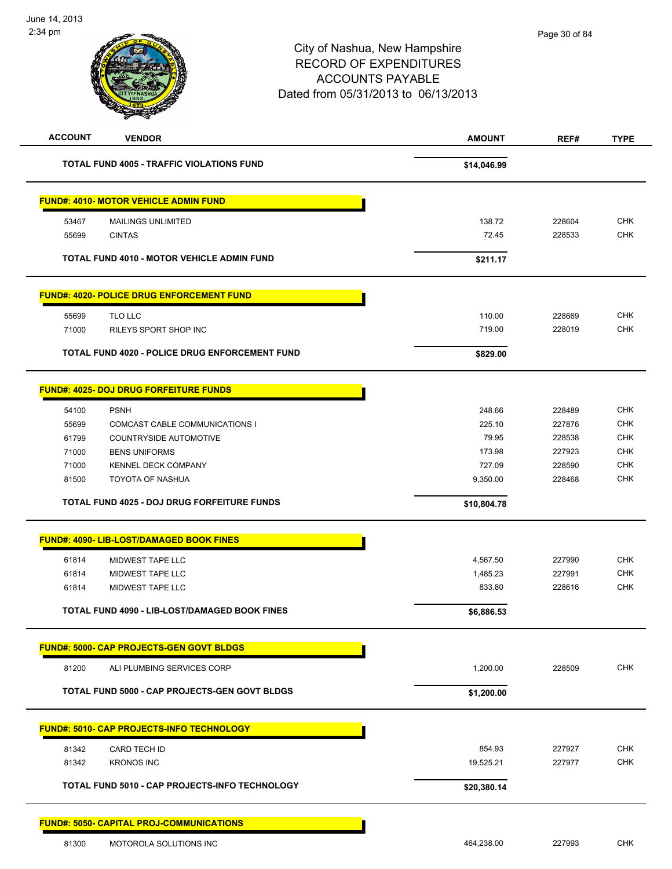| <b>ACCOUNT</b> | <b>VENDOR</b>                                         | <b>AMOUNT</b> | REF#   | <b>TYPE</b> |
|----------------|-------------------------------------------------------|---------------|--------|-------------|
|                | <b>TOTAL FUND 4005 - TRAFFIC VIOLATIONS FUND</b>      | \$14,046.99   |        |             |
|                | <b>FUND#: 4010- MOTOR VEHICLE ADMIN FUND</b>          |               |        |             |
| 53467          | <b>MAILINGS UNLIMITED</b>                             | 138.72        | 228604 | <b>CHK</b>  |
| 55699          | <b>CINTAS</b>                                         | 72.45         | 228533 | <b>CHK</b>  |
|                | <b>TOTAL FUND 4010 - MOTOR VEHICLE ADMIN FUND</b>     | \$211.17      |        |             |
|                | <b>FUND#: 4020- POLICE DRUG ENFORCEMENT FUND</b>      |               |        |             |
| 55699          | TLO LLC                                               | 110.00        | 228669 | <b>CHK</b>  |
| 71000          | RILEYS SPORT SHOP INC                                 | 719.00        | 228019 | <b>CHK</b>  |
|                | <b>TOTAL FUND 4020 - POLICE DRUG ENFORCEMENT FUND</b> | \$829.00      |        |             |
|                | <b>FUND#: 4025- DOJ DRUG FORFEITURE FUNDS</b>         |               |        |             |
| 54100          | <b>PSNH</b>                                           | 248.66        | 228489 | <b>CHK</b>  |
| 55699          | COMCAST CABLE COMMUNICATIONS I                        | 225.10        | 227876 | <b>CHK</b>  |
| 61799          | COUNTRYSIDE AUTOMOTIVE                                | 79.95         | 228538 | <b>CHK</b>  |
| 71000          | <b>BENS UNIFORMS</b>                                  | 173.98        | 227923 | <b>CHK</b>  |
| 71000          | <b>KENNEL DECK COMPANY</b>                            | 727.09        | 228590 | <b>CHK</b>  |
| 81500          | <b>TOYOTA OF NASHUA</b>                               | 9,350.00      | 228468 | <b>CHK</b>  |
|                | <b>TOTAL FUND 4025 - DOJ DRUG FORFEITURE FUNDS</b>    | \$10,804.78   |        |             |
|                | <b>FUND#: 4090- LIB-LOST/DAMAGED BOOK FINES</b>       |               |        |             |
| 61814          | MIDWEST TAPE LLC                                      | 4,567.50      | 227990 | <b>CHK</b>  |
| 61814          | MIDWEST TAPE LLC                                      | 1,485.23      | 227991 | <b>CHK</b>  |
| 61814          | MIDWEST TAPE LLC                                      | 833.80        | 228616 | <b>CHK</b>  |
|                | <b>TOTAL FUND 4090 - LIB-LOST/DAMAGED BOOK FINES</b>  | \$6,886.53    |        |             |
|                | <b>FUND#: 5000- CAP PROJECTS-GEN GOVT BLDGS</b>       |               |        |             |
| 81200          | ALI PLUMBING SERVICES CORP                            | 1,200.00      | 228509 | <b>CHK</b>  |
|                | <b>TOTAL FUND 5000 - CAP PROJECTS-GEN GOVT BLDGS</b>  | \$1,200.00    |        |             |
|                | <b>FUND#: 5010- CAP PROJECTS-INFO TECHNOLOGY</b>      |               |        |             |
| 81342          | CARD TECH ID                                          | 854.93        | 227927 | <b>CHK</b>  |
| 81342          | <b>KRONOS INC</b>                                     | 19,525.21     | 227977 | <b>CHK</b>  |
|                | TOTAL FUND 5010 - CAP PROJECTS-INFO TECHNOLOGY        | \$20,380.14   |        |             |
|                | <b>FUND#: 5050- CAPITAL PROJ-COMMUNICATIONS</b>       |               |        |             |
| 81300          | MOTOROLA SOLUTIONS INC                                | 464,238.00    | 227993 | <b>CHK</b>  |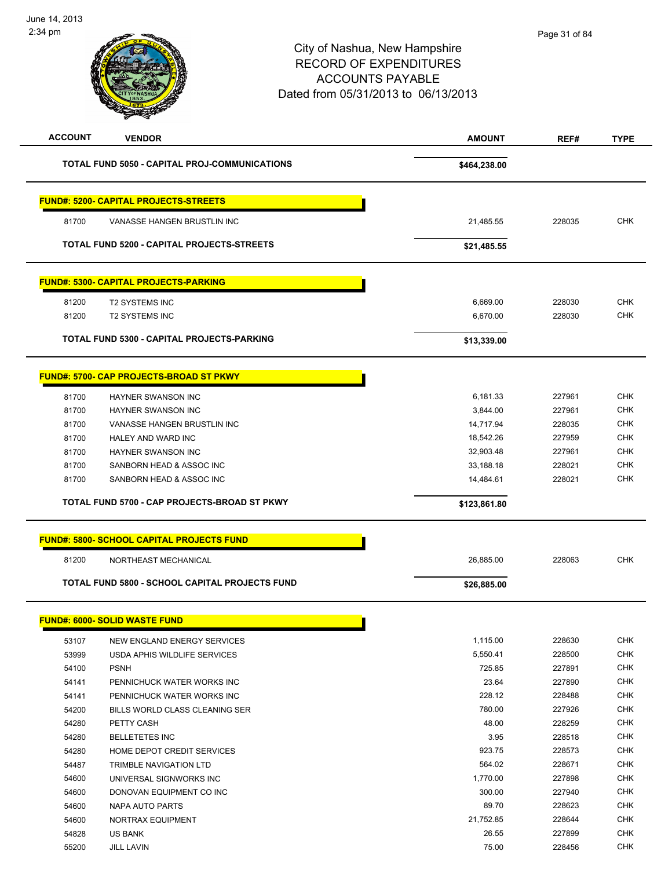| <b>ACCOUNT</b> | <b>VENDOR</b>                                        | <b>AMOUNT</b> | REF#   | <b>TYPE</b>              |
|----------------|------------------------------------------------------|---------------|--------|--------------------------|
|                | <b>TOTAL FUND 5050 - CAPITAL PROJ-COMMUNICATIONS</b> | \$464,238.00  |        |                          |
|                | <b>FUND#: 5200- CAPITAL PROJECTS-STREETS</b>         |               |        |                          |
| 81700          | VANASSE HANGEN BRUSTLIN INC                          | 21,485.55     | 228035 | <b>CHK</b>               |
|                | TOTAL FUND 5200 - CAPITAL PROJECTS-STREETS           | \$21,485.55   |        |                          |
|                | <b>FUND#: 5300- CAPITAL PROJECTS-PARKING</b>         |               |        |                          |
| 81200          | <b>T2 SYSTEMS INC</b>                                | 6,669.00      | 228030 | <b>CHK</b>               |
| 81200          | <b>T2 SYSTEMS INC</b>                                | 6,670.00      | 228030 | <b>CHK</b>               |
|                | TOTAL FUND 5300 - CAPITAL PROJECTS-PARKING           | \$13,339.00   |        |                          |
|                | <b>FUND#: 5700- CAP PROJECTS-BROAD ST PKWY</b>       |               |        |                          |
| 81700          | <b>HAYNER SWANSON INC</b>                            | 6,181.33      | 227961 | <b>CHK</b>               |
| 81700          | HAYNER SWANSON INC                                   | 3,844.00      | 227961 | <b>CHK</b>               |
| 81700          | VANASSE HANGEN BRUSTLIN INC                          | 14,717.94     | 228035 | <b>CHK</b>               |
| 81700          | HALEY AND WARD INC                                   | 18,542.26     | 227959 | <b>CHK</b>               |
| 81700          | <b>HAYNER SWANSON INC</b>                            | 32,903.48     | 227961 | <b>CHK</b>               |
| 81700          | SANBORN HEAD & ASSOC INC                             | 33,188.18     | 228021 | <b>CHK</b>               |
| 81700          | SANBORN HEAD & ASSOC INC                             | 14,484.61     | 228021 | <b>CHK</b>               |
|                | TOTAL FUND 5700 - CAP PROJECTS-BROAD ST PKWY         | \$123,861.80  |        |                          |
|                | <b>FUND#: 5800- SCHOOL CAPITAL PROJECTS FUND</b>     |               |        |                          |
| 81200          | NORTHEAST MECHANICAL                                 | 26,885.00     | 228063 | <b>CHK</b>               |
|                | TOTAL FUND 5800 - SCHOOL CAPITAL PROJECTS FUND       | \$26,885.00   |        |                          |
|                | <b>FUND#: 6000- SOLID WASTE FUND</b>                 |               |        |                          |
| 53107          | NEW ENGLAND ENERGY SERVICES                          | 1,115.00      | 228630 | <b>CHK</b>               |
| 53999          | USDA APHIS WILDLIFE SERVICES                         | 5,550.41      | 228500 | <b>CHK</b>               |
| 54100          | <b>PSNH</b>                                          | 725.85        | 227891 | <b>CHK</b>               |
| 54141          | PENNICHUCK WATER WORKS INC                           | 23.64         | 227890 | <b>CHK</b>               |
| 54141          | PENNICHUCK WATER WORKS INC                           | 228.12        | 228488 | <b>CHK</b>               |
| 54200          | BILLS WORLD CLASS CLEANING SER                       | 780.00        | 227926 | <b>CHK</b>               |
| 54280          | PETTY CASH                                           | 48.00         | 228259 | <b>CHK</b>               |
| 54280          | <b>BELLETETES INC</b>                                | 3.95          | 228518 | <b>CHK</b>               |
| 54280          | HOME DEPOT CREDIT SERVICES                           | 923.75        | 228573 | <b>CHK</b>               |
| 54487          | TRIMBLE NAVIGATION LTD                               | 564.02        | 228671 | <b>CHK</b>               |
| 54600          | UNIVERSAL SIGNWORKS INC                              | 1,770.00      | 227898 | <b>CHK</b>               |
| 54600          | DONOVAN EQUIPMENT CO INC                             | 300.00        | 227940 | <b>CHK</b>               |
| 54600          | NAPA AUTO PARTS                                      | 89.70         | 228623 | <b>CHK</b>               |
| 54600          | NORTRAX EQUIPMENT                                    | 21,752.85     | 228644 | <b>CHK</b>               |
| 54828          | US BANK                                              | 26.55         | 227899 | <b>CHK</b><br><b>CHK</b> |
| 55200          | <b>JILL LAVIN</b>                                    | 75.00         | 228456 |                          |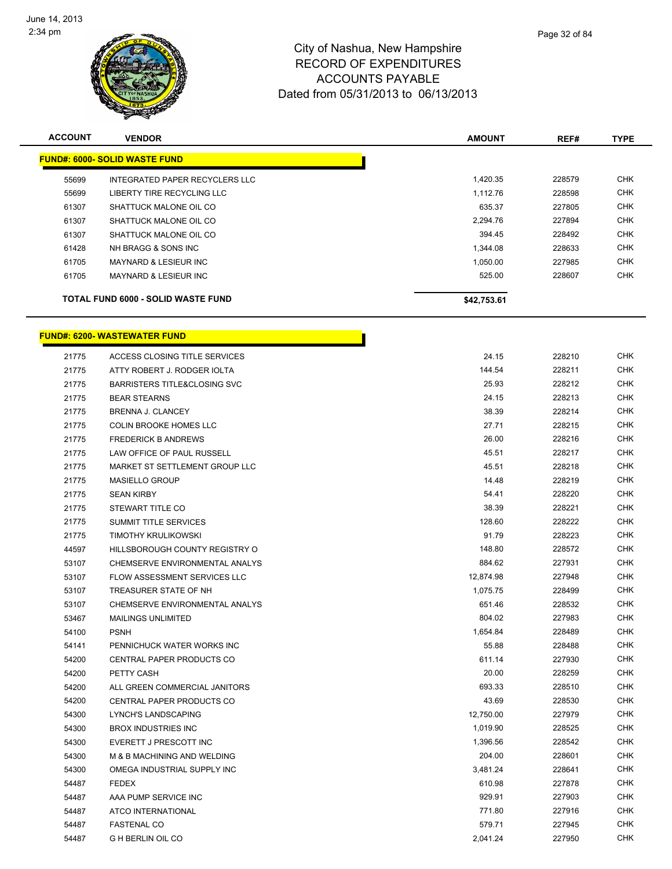

| <b>ACCOUNT</b> | <b>VENDOR</b>                             | <b>AMOUNT</b> | REF#   | <b>TYPE</b> |
|----------------|-------------------------------------------|---------------|--------|-------------|
|                | <b>FUND#: 6000- SOLID WASTE FUND</b>      |               |        |             |
| 55699          | INTEGRATED PAPER RECYCLERS LLC            | 1,420.35      | 228579 | <b>CHK</b>  |
| 55699          | LIBERTY TIRE RECYCLING LLC                | 1.112.76      | 228598 | <b>CHK</b>  |
| 61307          | SHATTUCK MALONE OIL CO                    | 635.37        | 227805 | <b>CHK</b>  |
| 61307          | SHATTUCK MALONE OIL CO                    | 2,294.76      | 227894 | <b>CHK</b>  |
| 61307          | SHATTUCK MALONE OIL CO                    | 394.45        | 228492 | <b>CHK</b>  |
| 61428          | NH BRAGG & SONS INC                       | 1.344.08      | 228633 | <b>CHK</b>  |
| 61705          | MAYNARD & LESIEUR INC                     | 1.050.00      | 227985 | <b>CHK</b>  |
| 61705          | <b>MAYNARD &amp; LESIEUR INC.</b>         | 525.00        | 228607 | <b>CHK</b>  |
|                | <b>TOTAL FUND 6000 - SOLID WASTE FUND</b> | \$42,753.61   |        |             |

|       | <b>FUND#: 6200- WASTEWATER FUND</b>     |           |        |  |
|-------|-----------------------------------------|-----------|--------|--|
| 21775 | ACCESS CLOSING TITLE SERVICES           | 24.15     | 228210 |  |
| 21775 | ATTY ROBERT J. RODGER IOLTA             | 144.54    | 228211 |  |
| 21775 | <b>BARRISTERS TITLE&amp;CLOSING SVC</b> | 25.93     | 228212 |  |
| 21775 | <b>BEAR STEARNS</b>                     | 24.15     | 228213 |  |
| 21775 | BRENNA J. CLANCEY                       | 38.39     | 228214 |  |
| 21775 | COLIN BROOKE HOMES LLC                  | 27.71     | 228215 |  |
| 21775 | <b>FREDERICK B ANDREWS</b>              | 26.00     | 228216 |  |
| 21775 | LAW OFFICE OF PAUL RUSSELL              | 45.51     | 228217 |  |
| 21775 | MARKET ST SETTLEMENT GROUP LLC          | 45.51     | 228218 |  |
| 21775 | <b>MASIELLO GROUP</b>                   | 14.48     | 228219 |  |
| 21775 | <b>SEAN KIRBY</b>                       | 54.41     | 228220 |  |
| 21775 | STEWART TITLE CO                        | 38.39     | 228221 |  |
| 21775 | SUMMIT TITLE SERVICES                   | 128.60    | 228222 |  |
| 21775 | TIMOTHY KRULIKOWSKI                     | 91.79     | 228223 |  |
| 44597 | HILLSBOROUGH COUNTY REGISTRY O          | 148.80    | 228572 |  |
| 53107 | CHEMSERVE ENVIRONMENTAL ANALYS          | 884.62    | 227931 |  |
| 53107 | FLOW ASSESSMENT SERVICES LLC            | 12,874.98 | 227948 |  |
| 53107 | TREASURER STATE OF NH                   | 1,075.75  | 228499 |  |
| 53107 | CHEMSERVE ENVIRONMENTAL ANALYS          | 651.46    | 228532 |  |
| 53467 | <b>MAILINGS UNLIMITED</b>               | 804.02    | 227983 |  |
| 54100 | <b>PSNH</b>                             | 1,654.84  | 228489 |  |
| 54141 | PENNICHUCK WATER WORKS INC              | 55.88     | 228488 |  |
| 54200 | CENTRAL PAPER PRODUCTS CO               | 611.14    | 227930 |  |
| 54200 | PETTY CASH                              | 20.00     | 228259 |  |
| 54200 | ALL GREEN COMMERCIAL JANITORS           | 693.33    | 228510 |  |
| 54200 | CENTRAL PAPER PRODUCTS CO               | 43.69     | 228530 |  |
| 54300 | LYNCH'S LANDSCAPING                     | 12,750.00 | 227979 |  |
| 54300 | <b>BROX INDUSTRIES INC</b>              | 1,019.90  | 228525 |  |
| 54300 | EVERETT J PRESCOTT INC                  | 1,396.56  | 228542 |  |
| 54300 | M & B MACHINING AND WELDING             | 204.00    | 228601 |  |
| 54300 | OMEGA INDUSTRIAL SUPPLY INC             | 3,481.24  | 228641 |  |
| 54487 | <b>FEDEX</b>                            | 610.98    | 227878 |  |
| 54487 | AAA PUMP SERVICE INC                    | 929.91    | 227903 |  |
| 54487 | ATCO INTERNATIONAL                      | 771.80    | 227916 |  |
| 54487 | <b>FASTENAL CO</b>                      | 579.71    | 227945 |  |
| 54487 | <b>G H BERLIN OIL CO</b>                | 2,041.24  | 227950 |  |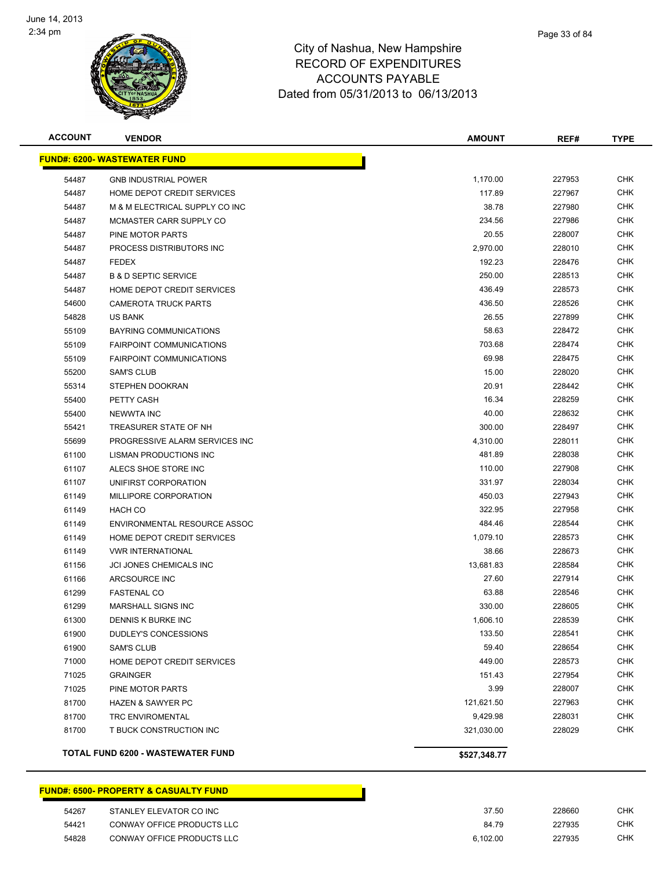

| Page 33 of 84 |
|---------------|
|               |

| <b>ACCOUNT</b> | <b>VENDOR</b>                            | <b>AMOUNT</b> | REF#   | <b>TYPE</b> |
|----------------|------------------------------------------|---------------|--------|-------------|
|                | <b>FUND#: 6200- WASTEWATER FUND</b>      |               |        |             |
| 54487          | <b>GNB INDUSTRIAL POWER</b>              | 1,170.00      | 227953 | <b>CHK</b>  |
| 54487          | HOME DEPOT CREDIT SERVICES               | 117.89        | 227967 | <b>CHK</b>  |
| 54487          | M & M ELECTRICAL SUPPLY CO INC           | 38.78         | 227980 | <b>CHK</b>  |
| 54487          | MCMASTER CARR SUPPLY CO                  | 234.56        | 227986 | <b>CHK</b>  |
| 54487          | PINE MOTOR PARTS                         | 20.55         | 228007 | <b>CHK</b>  |
| 54487          | PROCESS DISTRIBUTORS INC                 | 2,970.00      | 228010 | <b>CHK</b>  |
| 54487          | <b>FEDEX</b>                             | 192.23        | 228476 | <b>CHK</b>  |
| 54487          | <b>B &amp; D SEPTIC SERVICE</b>          | 250.00        | 228513 | <b>CHK</b>  |
| 54487          | HOME DEPOT CREDIT SERVICES               | 436.49        | 228573 | <b>CHK</b>  |
| 54600          | <b>CAMEROTA TRUCK PARTS</b>              | 436.50        | 228526 | <b>CHK</b>  |
| 54828          | <b>US BANK</b>                           | 26.55         | 227899 | <b>CHK</b>  |
| 55109          | BAYRING COMMUNICATIONS                   | 58.63         | 228472 | <b>CHK</b>  |
| 55109          | <b>FAIRPOINT COMMUNICATIONS</b>          | 703.68        | 228474 | <b>CHK</b>  |
| 55109          | <b>FAIRPOINT COMMUNICATIONS</b>          | 69.98         | 228475 | <b>CHK</b>  |
| 55200          | <b>SAM'S CLUB</b>                        | 15.00         | 228020 | <b>CHK</b>  |
| 55314          | STEPHEN DOOKRAN                          | 20.91         | 228442 | <b>CHK</b>  |
| 55400          | PETTY CASH                               | 16.34         | 228259 | <b>CHK</b>  |
| 55400          | <b>NEWWTA INC</b>                        | 40.00         | 228632 | <b>CHK</b>  |
| 55421          | TREASURER STATE OF NH                    | 300.00        | 228497 | <b>CHK</b>  |
| 55699          | PROGRESSIVE ALARM SERVICES INC           | 4,310.00      | 228011 | <b>CHK</b>  |
| 61100          | LISMAN PRODUCTIONS INC                   | 481.89        | 228038 | <b>CHK</b>  |
| 61107          | ALECS SHOE STORE INC                     | 110.00        | 227908 | <b>CHK</b>  |
| 61107          | UNIFIRST CORPORATION                     | 331.97        | 228034 | <b>CHK</b>  |
| 61149          | MILLIPORE CORPORATION                    | 450.03        | 227943 | <b>CHK</b>  |
| 61149          | <b>HACH CO</b>                           | 322.95        | 227958 | <b>CHK</b>  |
| 61149          | ENVIRONMENTAL RESOURCE ASSOC             | 484.46        | 228544 | <b>CHK</b>  |
| 61149          | HOME DEPOT CREDIT SERVICES               | 1,079.10      | 228573 | <b>CHK</b>  |
| 61149          | <b><i>VWR INTERNATIONAL</i></b>          | 38.66         | 228673 | <b>CHK</b>  |
| 61156          | JCI JONES CHEMICALS INC                  | 13,681.83     | 228584 | <b>CHK</b>  |
| 61166          | ARCSOURCE INC                            | 27.60         | 227914 | <b>CHK</b>  |
| 61299          | <b>FASTENAL CO</b>                       | 63.88         | 228546 | <b>CHK</b>  |
| 61299          | <b>MARSHALL SIGNS INC</b>                | 330.00        | 228605 | <b>CHK</b>  |
| 61300          | DENNIS K BURKE INC                       | 1,606.10      | 228539 | <b>CHK</b>  |
| 61900          | DUDLEY'S CONCESSIONS                     | 133.50        | 228541 | <b>CHK</b>  |
| 61900          | <b>SAM'S CLUB</b>                        | 59.40         | 228654 | <b>CHK</b>  |
| 71000          | HOME DEPOT CREDIT SERVICES               | 449.00        | 228573 | <b>CHK</b>  |
| 71025          | <b>GRAINGER</b>                          | 151.43        | 227954 | <b>CHK</b>  |
| 71025          | PINE MOTOR PARTS                         | 3.99          | 228007 | <b>CHK</b>  |
| 81700          | <b>HAZEN &amp; SAWYER PC</b>             | 121,621.50    | 227963 | <b>CHK</b>  |
| 81700          | <b>TRC ENVIROMENTAL</b>                  | 9,429.98      | 228031 | <b>CHK</b>  |
| 81700          | T BUCK CONSTRUCTION INC                  | 321,030.00    | 228029 | <b>CHK</b>  |
|                | <b>TOTAL FUND 6200 - WASTEWATER FUND</b> | \$527,348.77  |        |             |

#### **FUND#: 6500- PROPERTY & CASUALTY FUND**

| 54267 | STANLEY ELEVATOR CO INC    | 37.50    | 228660 | CHK        |
|-------|----------------------------|----------|--------|------------|
| 54421 | CONWAY OFFICE PRODUCTS LLC | 84.79    | 227935 | <b>CHK</b> |
| 54828 | CONWAY OFFICE PRODUCTS LLC | 6.102.00 | 227935 | <b>CHK</b> |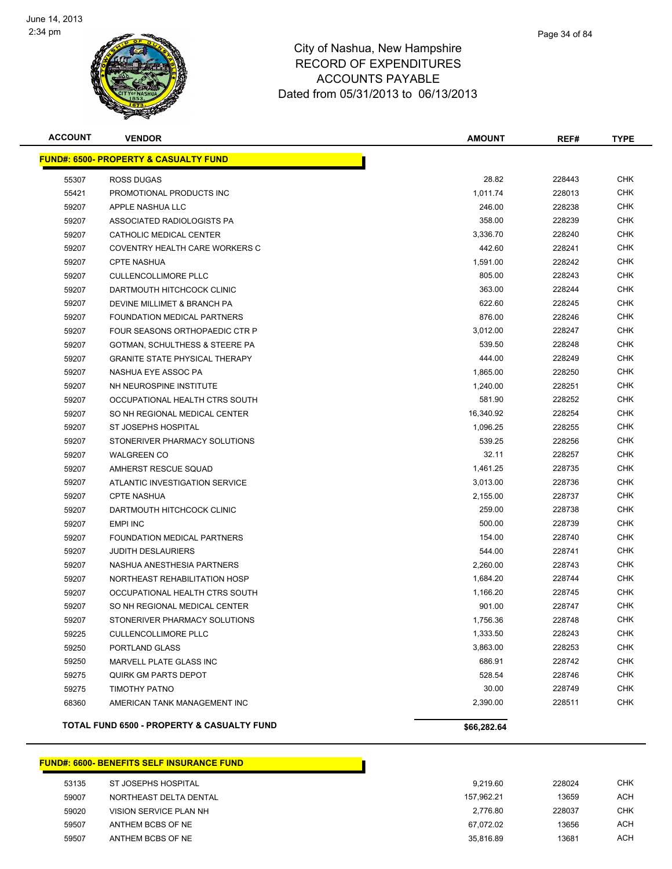

| <b>ACCOUNT</b> | <b>VENDOR</b>                                    | <b>AMOUNT</b> | REF#   | <b>TYPE</b> |
|----------------|--------------------------------------------------|---------------|--------|-------------|
|                | <b>FUND#: 6500- PROPERTY &amp; CASUALTY FUND</b> |               |        |             |
| 55307          | ROSS DUGAS                                       | 28.82         | 228443 | <b>CHK</b>  |
| 55421          | PROMOTIONAL PRODUCTS INC                         | 1,011.74      | 228013 | CHK         |
| 59207          | APPLE NASHUA LLC                                 | 246.00        | 228238 | CHK         |
| 59207          | ASSOCIATED RADIOLOGISTS PA                       | 358.00        | 228239 | CHK         |
| 59207          | CATHOLIC MEDICAL CENTER                          | 3,336.70      | 228240 | <b>CHK</b>  |
| 59207          | COVENTRY HEALTH CARE WORKERS C                   | 442.60        | 228241 | <b>CHK</b>  |
| 59207          | <b>CPTE NASHUA</b>                               | 1,591.00      | 228242 | CHK         |
| 59207          | <b>CULLENCOLLIMORE PLLC</b>                      | 805.00        | 228243 | <b>CHK</b>  |
| 59207          | DARTMOUTH HITCHCOCK CLINIC                       | 363.00        | 228244 | <b>CHK</b>  |
| 59207          | DEVINE MILLIMET & BRANCH PA                      | 622.60        | 228245 | CHK         |
| 59207          | FOUNDATION MEDICAL PARTNERS                      | 876.00        | 228246 | CHK         |
| 59207          | FOUR SEASONS ORTHOPAEDIC CTR P                   | 3,012.00      | 228247 | CHK         |
| 59207          | GOTMAN, SCHULTHESS & STEERE PA                   | 539.50        | 228248 | CHK         |
| 59207          | <b>GRANITE STATE PHYSICAL THERAPY</b>            | 444.00        | 228249 | CHK         |
| 59207          | NASHUA EYE ASSOC PA                              | 1,865.00      | 228250 | CHK         |
| 59207          | NH NEUROSPINE INSTITUTE                          | 1,240.00      | 228251 | CHK         |
| 59207          | OCCUPATIONAL HEALTH CTRS SOUTH                   | 581.90        | 228252 | <b>CHK</b>  |
| 59207          | SO NH REGIONAL MEDICAL CENTER                    | 16,340.92     | 228254 | CHK         |
| 59207          | ST JOSEPHS HOSPITAL                              | 1,096.25      | 228255 | CHK         |
| 59207          | STONERIVER PHARMACY SOLUTIONS                    | 539.25        | 228256 | CHK         |
| 59207          | <b>WALGREEN CO</b>                               | 32.11         | 228257 | CHK         |
| 59207          | AMHERST RESCUE SQUAD                             | 1,461.25      | 228735 | <b>CHK</b>  |
| 59207          | ATLANTIC INVESTIGATION SERVICE                   | 3,013.00      | 228736 | CHK         |
| 59207          | <b>CPTE NASHUA</b>                               | 2,155.00      | 228737 | CHK         |
| 59207          | DARTMOUTH HITCHCOCK CLINIC                       | 259.00        | 228738 | <b>CHK</b>  |
| 59207          | <b>EMPI INC</b>                                  | 500.00        | 228739 | CHK         |
| 59207          | FOUNDATION MEDICAL PARTNERS                      | 154.00        | 228740 | <b>CHK</b>  |
| 59207          | <b>JUDITH DESLAURIERS</b>                        | 544.00        | 228741 | <b>CHK</b>  |
| 59207          | NASHUA ANESTHESIA PARTNERS                       | 2,260.00      | 228743 | CHK         |
| 59207          | NORTHEAST REHABILITATION HOSP                    | 1,684.20      | 228744 | <b>CHK</b>  |
| 59207          | OCCUPATIONAL HEALTH CTRS SOUTH                   | 1,166.20      | 228745 | CHK         |
| 59207          | SO NH REGIONAL MEDICAL CENTER                    | 901.00        | 228747 | CHK         |
| 59207          | STONERIVER PHARMACY SOLUTIONS                    | 1,756.36      | 228748 | CHK         |
| 59225          | <b>CULLENCOLLIMORE PLLC</b>                      | 1,333.50      | 228243 | CHK         |
| 59250          | PORTLAND GLASS                                   | 3,863.00      | 228253 | <b>CHK</b>  |
| 59250          | MARVELL PLATE GLASS INC                          | 686.91        | 228742 | <b>CHK</b>  |
| 59275          | <b>QUIRK GM PARTS DEPOT</b>                      | 528.54        | 228746 | <b>CHK</b>  |
| 59275          | <b>TIMOTHY PATNO</b>                             | 30.00         | 228749 | <b>CHK</b>  |
| 68360          | AMERICAN TANK MANAGEMENT INC                     | 2,390.00      | 228511 | <b>CHK</b>  |
|                | TOTAL FUND 6500 - PROPERTY & CASUALTY FUND       | \$66,282.64   |        |             |

#### **FUND#: 6600- BENEFITS SELF INSURANCE FUND** 53135 ST JOSEPHS HOSPITAL 6 CHK NORTHEAST DELTA DENTAL 157,962.21 13659 ACH VISION SERVICE PLAN NH 2,776.80 228037 CHK ANTHEM BCBS OF NE 67,072.02 13656 ACH 59507 ANTHEM BCBS OF NE 2002 13681 ACH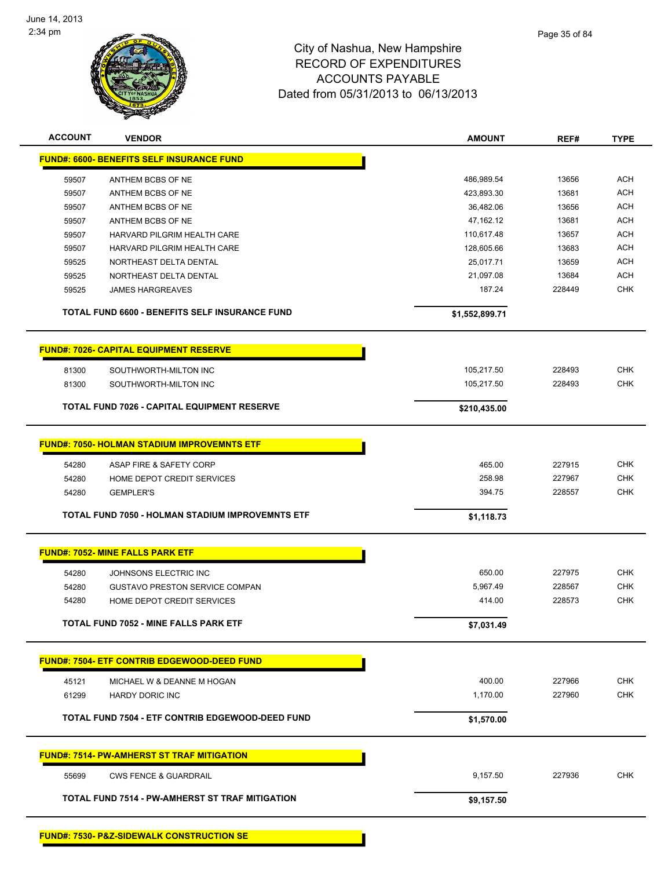

| <b>ACCOUNT</b> | <b>VENDOR</b>                                        | <b>AMOUNT</b>  | REF#   | <b>TYPE</b> |
|----------------|------------------------------------------------------|----------------|--------|-------------|
|                | <b>FUND#: 6600- BENEFITS SELF INSURANCE FUND</b>     |                |        |             |
| 59507          | ANTHEM BCBS OF NE                                    | 486,989.54     | 13656  | <b>ACH</b>  |
| 59507          | ANTHEM BCBS OF NE                                    | 423,893.30     | 13681  | <b>ACH</b>  |
| 59507          | ANTHEM BCBS OF NE                                    | 36,482.06      | 13656  | <b>ACH</b>  |
| 59507          | ANTHEM BCBS OF NE                                    | 47,162.12      | 13681  | <b>ACH</b>  |
| 59507          | HARVARD PILGRIM HEALTH CARE                          | 110,617.48     | 13657  | <b>ACH</b>  |
| 59507          | HARVARD PILGRIM HEALTH CARE                          | 128,605.66     | 13683  | <b>ACH</b>  |
| 59525          | NORTHEAST DELTA DENTAL                               | 25,017.71      | 13659  | <b>ACH</b>  |
| 59525          | NORTHEAST DELTA DENTAL                               | 21,097.08      | 13684  | <b>ACH</b>  |
| 59525          | <b>JAMES HARGREAVES</b>                              | 187.24         | 228449 | <b>CHK</b>  |
|                | TOTAL FUND 6600 - BENEFITS SELF INSURANCE FUND       | \$1,552,899.71 |        |             |
|                | <b>FUND#: 7026- CAPITAL EQUIPMENT RESERVE</b>        |                |        |             |
| 81300          | SOUTHWORTH-MILTON INC                                | 105,217.50     | 228493 | <b>CHK</b>  |
| 81300          | SOUTHWORTH-MILTON INC                                | 105,217.50     | 228493 | <b>CHK</b>  |
|                | <b>TOTAL FUND 7026 - CAPITAL EQUIPMENT RESERVE</b>   | \$210,435.00   |        |             |
|                |                                                      |                |        |             |
|                | <b>FUND#: 7050- HOLMAN STADIUM IMPROVEMNTS ETF</b>   |                |        |             |
| 54280          | ASAP FIRE & SAFETY CORP                              | 465.00         | 227915 | <b>CHK</b>  |
| 54280          | HOME DEPOT CREDIT SERVICES                           | 258.98         | 227967 | <b>CHK</b>  |
| 54280          | <b>GEMPLER'S</b>                                     | 394.75         | 228557 | <b>CHK</b>  |
|                | TOTAL FUND 7050 - HOLMAN STADIUM IMPROVEMNTS ETF     | \$1,118.73     |        |             |
|                | <b>FUND#: 7052- MINE FALLS PARK ETF</b>              |                |        |             |
| 54280          | JOHNSONS ELECTRIC INC                                | 650.00         | 227975 | <b>CHK</b>  |
| 54280          | <b>GUSTAVO PRESTON SERVICE COMPAN</b>                | 5,967.49       | 228567 | <b>CHK</b>  |
| 54280          | HOME DEPOT CREDIT SERVICES                           | 414.00         | 228573 | <b>CHK</b>  |
|                |                                                      |                |        |             |
|                | TOTAL FUND 7052 - MINE FALLS PARK ETF                | \$7,031.49     |        |             |
|                | <b>FUND#: 7504- ETF CONTRIB EDGEWOOD-DEED FUND</b>   |                |        |             |
| 45121          | MICHAEL W & DEANNE M HOGAN                           | 400.00         | 227966 | <b>CHK</b>  |
| 61299          | HARDY DORIC INC                                      | 1,170.00       | 227960 | CHK         |
|                | TOTAL FUND 7504 - ETF CONTRIB EDGEWOOD-DEED FUND     | \$1,570.00     |        |             |
|                | <b>FUND#: 7514- PW-AMHERST ST TRAF MITIGATION</b>    |                |        |             |
| 55699          | <b>CWS FENCE &amp; GUARDRAIL</b>                     | 9,157.50       | 227936 | <b>CHK</b>  |
|                | TOTAL FUND 7514 - PW-AMHERST ST TRAF MITIGATION      | \$9,157.50     |        |             |
|                |                                                      |                |        |             |
|                | <b>FUND#: 7530- P&amp;Z-SIDEWALK CONSTRUCTION SE</b> |                |        |             |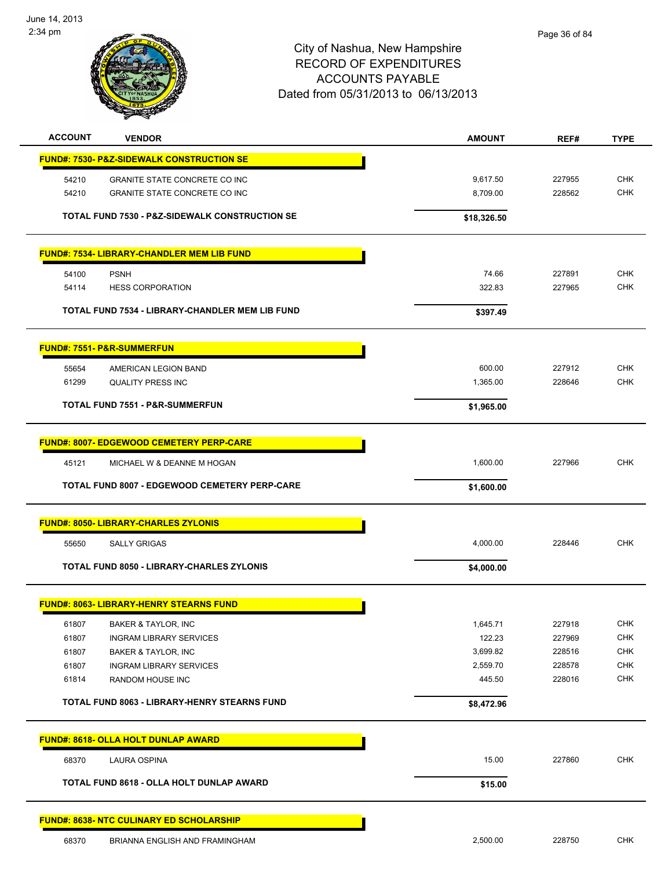

| <b>ACCOUNT</b> | <b>VENDOR</b>                                        | <b>AMOUNT</b> | REF#   | <b>TYPE</b> |
|----------------|------------------------------------------------------|---------------|--------|-------------|
|                | <b>FUND#: 7530- P&amp;Z-SIDEWALK CONSTRUCTION SE</b> |               |        |             |
| 54210          | GRANITE STATE CONCRETE CO INC                        | 9,617.50      | 227955 | <b>CHK</b>  |
| 54210          | GRANITE STATE CONCRETE CO INC                        | 8,709.00      | 228562 | <b>CHK</b>  |
|                | TOTAL FUND 7530 - P&Z-SIDEWALK CONSTRUCTION SE       | \$18,326.50   |        |             |
|                | <b>FUND#: 7534- LIBRARY-CHANDLER MEM LIB FUND</b>    |               |        |             |
| 54100          | <b>PSNH</b>                                          | 74.66         | 227891 | <b>CHK</b>  |
| 54114          | <b>HESS CORPORATION</b>                              | 322.83        | 227965 | <b>CHK</b>  |
|                | TOTAL FUND 7534 - LIBRARY-CHANDLER MEM LIB FUND      | \$397.49      |        |             |
|                | <b>FUND#: 7551- P&amp;R-SUMMERFUN</b>                |               |        |             |
| 55654          | AMERICAN LEGION BAND                                 | 600.00        | 227912 | <b>CHK</b>  |
| 61299          | <b>QUALITY PRESS INC</b>                             | 1,365.00      | 228646 | <b>CHK</b>  |
|                | <b>TOTAL FUND 7551 - P&amp;R-SUMMERFUN</b>           | \$1,965.00    |        |             |
|                |                                                      |               |        |             |
|                | <b>FUND#: 8007- EDGEWOOD CEMETERY PERP-CARE</b>      |               |        |             |
| 45121          | MICHAEL W & DEANNE M HOGAN                           | 1,600.00      | 227966 | <b>CHK</b>  |
|                | TOTAL FUND 8007 - EDGEWOOD CEMETERY PERP-CARE        | \$1,600.00    |        |             |
|                | <b>FUND#: 8050- LIBRARY-CHARLES ZYLONIS</b>          |               |        |             |
| 55650          | <b>SALLY GRIGAS</b>                                  | 4,000.00      | 228446 | <b>CHK</b>  |
|                | TOTAL FUND 8050 - LIBRARY-CHARLES ZYLONIS            | \$4,000.00    |        |             |
|                | <b>FUND#: 8063- LIBRARY-HENRY STEARNS FUND</b>       |               |        |             |
| 61807          | BAKER & TAYLOR, INC                                  | 1,645.71      | 227918 | <b>CHK</b>  |
| 61807          | <b>INGRAM LIBRARY SERVICES</b>                       | 122.23        | 227969 | <b>CHK</b>  |
| 61807          | BAKER & TAYLOR, INC                                  | 3,699.82      | 228516 | <b>CHK</b>  |
| 61807          | <b>INGRAM LIBRARY SERVICES</b>                       | 2,559.70      | 228578 | <b>CHK</b>  |
| 61814          | RANDOM HOUSE INC                                     | 445.50        | 228016 | <b>CHK</b>  |
|                | <b>TOTAL FUND 8063 - LIBRARY-HENRY STEARNS FUND</b>  | \$8,472.96    |        |             |
|                | <b>FUND#: 8618- OLLA HOLT DUNLAP AWARD</b>           |               |        |             |
| 68370          | <b>LAURA OSPINA</b>                                  | 15.00         | 227860 | <b>CHK</b>  |
|                | TOTAL FUND 8618 - OLLA HOLT DUNLAP AWARD             | \$15.00       |        |             |
|                | FUND#: 8638- NTC CULINARY ED SCHOLARSHIP             |               |        |             |
| 68370          | BRIANNA ENGLISH AND FRAMINGHAM                       | 2,500.00      | 228750 | <b>CHK</b>  |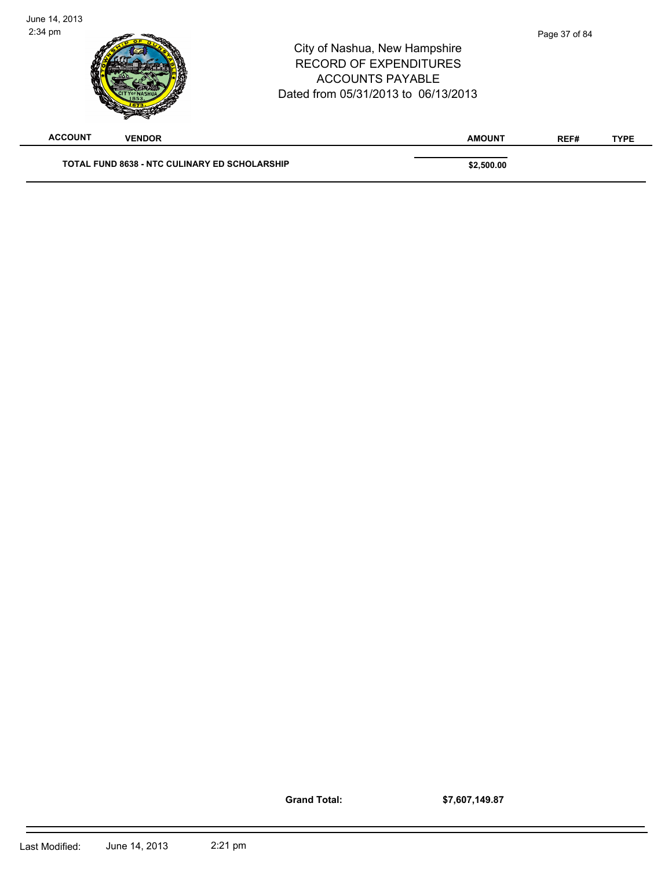| June 14, 2013<br>$2:34$ pm |               | City of Nashua, New Hampshire<br><b>RECORD OF EXPENDITURES</b><br><b>ACCOUNTS PAYABLE</b><br>Dated from 05/31/2013 to 06/13/2013 |               | Page 37 of 84 |             |
|----------------------------|---------------|----------------------------------------------------------------------------------------------------------------------------------|---------------|---------------|-------------|
| <b>ACCOUNT</b>             | <b>VENDOR</b> |                                                                                                                                  | <b>AMOUNT</b> | REF#          | <b>TYPE</b> |
|                            |               | <b>TOTAL FUND 8638 - NTC CULINARY ED SCHOLARSHIP</b>                                                                             | \$2,500.00    |               |             |

**Grand Total:**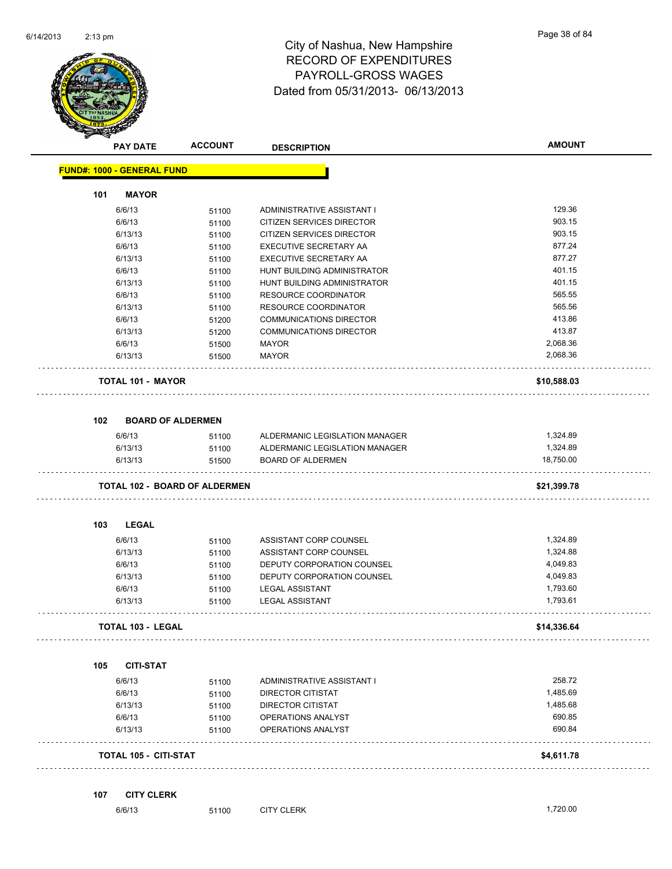

|     | <b>PAY DATE</b>                   | <b>ACCOUNT</b>                       | <b>DESCRIPTION</b>             | <b>AMOUNT</b> |
|-----|-----------------------------------|--------------------------------------|--------------------------------|---------------|
|     | <b>FUND#: 1000 - GENERAL FUND</b> |                                      |                                |               |
| 101 | <b>MAYOR</b>                      |                                      |                                |               |
|     | 6/6/13                            | 51100                                | ADMINISTRATIVE ASSISTANT I     | 129.36        |
|     | 6/6/13                            | 51100                                | CITIZEN SERVICES DIRECTOR      | 903.15        |
|     | 6/13/13                           | 51100                                | CITIZEN SERVICES DIRECTOR      | 903.15        |
|     | 6/6/13                            | 51100                                | EXECUTIVE SECRETARY AA         | 877.24        |
|     | 6/13/13                           | 51100                                | EXECUTIVE SECRETARY AA         | 877.27        |
|     | 6/6/13                            | 51100                                | HUNT BUILDING ADMINISTRATOR    | 401.15        |
|     | 6/13/13                           | 51100                                | HUNT BUILDING ADMINISTRATOR    | 401.15        |
|     | 6/6/13                            | 51100                                | RESOURCE COORDINATOR           | 565.55        |
|     | 6/13/13                           | 51100                                | RESOURCE COORDINATOR           | 565.56        |
|     | 6/6/13                            | 51200                                | <b>COMMUNICATIONS DIRECTOR</b> | 413.86        |
|     | 6/13/13                           | 51200                                | <b>COMMUNICATIONS DIRECTOR</b> | 413.87        |
|     | 6/6/13                            | 51500                                | <b>MAYOR</b>                   | 2,068.36      |
|     | 6/13/13                           | 51500                                | <b>MAYOR</b>                   | 2,068.36      |
|     | <b>TOTAL 101 - MAYOR</b>          |                                      |                                | \$10,588.03   |
| 102 | <b>BOARD OF ALDERMEN</b>          |                                      |                                |               |
|     | 6/6/13                            | 51100                                | ALDERMANIC LEGISLATION MANAGER | 1,324.89      |
|     | 6/13/13                           | 51100                                | ALDERMANIC LEGISLATION MANAGER | 1,324.89      |
|     | 6/13/13                           | 51500                                | <b>BOARD OF ALDERMEN</b>       | 18,750.00     |
|     |                                   | <b>TOTAL 102 - BOARD OF ALDERMEN</b> |                                | \$21,399.78   |
| 103 | <b>LEGAL</b>                      |                                      |                                |               |
|     | 6/6/13                            | 51100                                | ASSISTANT CORP COUNSEL         | 1,324.89      |
|     | 6/13/13                           | 51100                                | ASSISTANT CORP COUNSEL         | 1,324.88      |
|     | 6/6/13                            | 51100                                | DEPUTY CORPORATION COUNSEL     | 4,049.83      |
|     | 6/13/13                           | 51100                                | DEPUTY CORPORATION COUNSEL     | 4,049.83      |
|     | 6/6/13                            | 51100                                | <b>LEGAL ASSISTANT</b>         | 1,793.60      |
|     | 6/13/13                           | 51100                                | <b>LEGAL ASSISTANT</b>         | 1,793.61      |
|     | <b>TOTAL 103 - LEGAL</b>          |                                      |                                | \$14,336.64   |
| 105 | <b>CITI-STAT</b>                  |                                      |                                |               |
|     | 6/6/13                            | 51100                                | ADMINISTRATIVE ASSISTANT I     | 258.72        |
|     | 6/6/13                            | 51100                                | <b>DIRECTOR CITISTAT</b>       | 1,485.69      |
|     | 6/13/13                           | 51100                                | DIRECTOR CITISTAT              | 1,485.68      |
|     | 6/6/13                            | 51100                                | OPERATIONS ANALYST             | 690.85        |
|     | 6/13/13                           | 51100                                | OPERATIONS ANALYST             | 690.84        |
|     | <b>TOTAL 105 - CITI-STAT</b>      |                                      |                                | \$4,611.78    |
|     |                                   |                                      |                                |               |
| 107 | <b>CITY CLERK</b>                 | 51100                                | <b>CITY CLERK</b>              | 1,720.00      |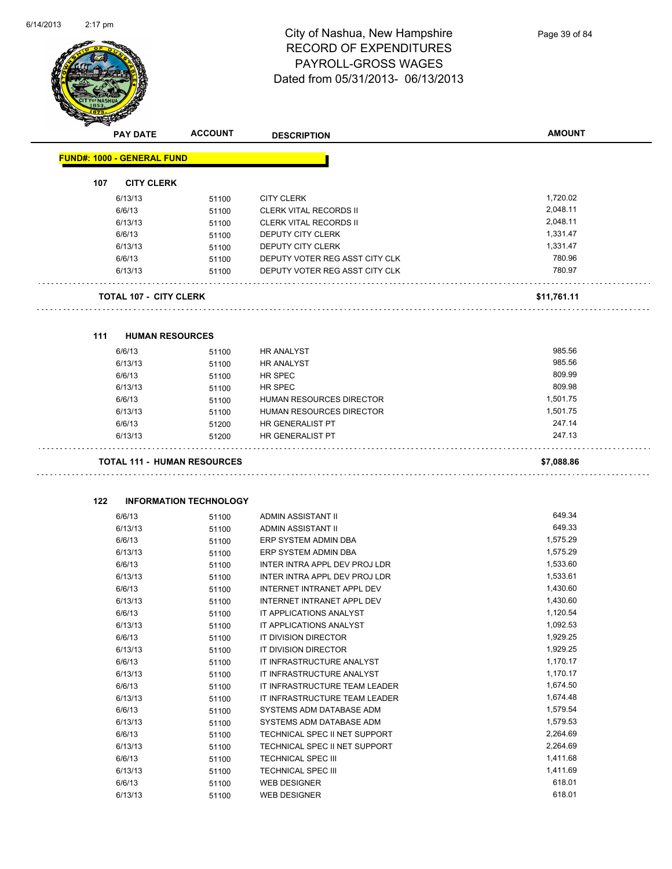

|     | <b>PAY DATE</b>                   | <b>ACCOUNT</b>                     | <b>DESCRIPTION</b>                                              | <b>AMOUNT</b>        |
|-----|-----------------------------------|------------------------------------|-----------------------------------------------------------------|----------------------|
|     | <b>FUND#: 1000 - GENERAL FUND</b> |                                    |                                                                 |                      |
| 107 | <b>CITY CLERK</b>                 |                                    |                                                                 |                      |
|     | 6/13/13                           | 51100                              | <b>CITY CLERK</b>                                               | 1,720.02             |
|     | 6/6/13                            | 51100                              | <b>CLERK VITAL RECORDS II</b>                                   | 2,048.11             |
|     | 6/13/13                           | 51100                              | <b>CLERK VITAL RECORDS II</b>                                   | 2,048.11             |
|     | 6/6/13                            | 51100                              | DEPUTY CITY CLERK                                               | 1,331.47             |
|     | 6/13/13                           | 51100                              | DEPUTY CITY CLERK                                               | 1,331.47             |
|     | 6/6/13                            | 51100                              | DEPUTY VOTER REG ASST CITY CLK                                  | 780.96               |
|     | 6/13/13                           | 51100                              | DEPUTY VOTER REG ASST CITY CLK                                  | 780.97               |
|     | <b>TOTAL 107 - CITY CLERK</b>     |                                    |                                                                 | \$11,761.11          |
| 111 | <b>HUMAN RESOURCES</b>            |                                    |                                                                 |                      |
|     | 6/6/13                            | 51100                              | <b>HR ANALYST</b>                                               | 985.56               |
|     | 6/13/13                           | 51100                              | <b>HR ANALYST</b>                                               | 985.56               |
|     | 6/6/13                            | 51100                              | HR SPEC                                                         | 809.99               |
|     | 6/13/13                           | 51100                              | HR SPEC                                                         | 809.98               |
|     | 6/6/13                            | 51100                              | HUMAN RESOURCES DIRECTOR                                        | 1,501.75             |
|     | 6/13/13                           | 51100                              | HUMAN RESOURCES DIRECTOR                                        | 1,501.75             |
|     | 6/6/13                            | 51200                              | HR GENERALIST PT                                                | 247.14               |
|     | 6/13/13                           | 51200                              | HR GENERALIST PT                                                | 247.13               |
|     |                                   | <b>TOTAL 111 - HUMAN RESOURCES</b> |                                                                 | \$7,088.86           |
|     |                                   |                                    |                                                                 |                      |
| 122 |                                   | <b>INFORMATION TECHNOLOGY</b>      |                                                                 |                      |
|     | 6/6/13                            | 51100                              | ADMIN ASSISTANT II                                              | 649.34               |
|     | 6/13/13                           | 51100                              | ADMIN ASSISTANT II                                              | 649.33               |
|     | 6/6/13                            | 51100                              | ERP SYSTEM ADMIN DBA                                            | 1,575.29             |
|     | 6/13/13                           | 51100                              | ERP SYSTEM ADMIN DBA                                            | 1,575.29             |
|     | 6/6/13                            | 51100                              | INTER INTRA APPL DEV PROJ LDR                                   | 1,533.60             |
|     | 6/13/13                           | 51100                              | INTER INTRA APPL DEV PROJ LDR                                   | 1,533.61             |
|     | 6/6/13                            | 51100                              | INTERNET INTRANET APPL DEV<br><b>INTERNET INTRANET APPL DEV</b> | 1,430.60<br>1,430.60 |
|     | 6/13/13<br>6/6/13                 | 51100                              | IT APPLICATIONS ANALYST                                         | 1,120.54             |
|     | 6/13/13                           | 51100                              | IT APPLICATIONS ANALYST                                         | 1,092.53             |
|     | 6/6/13                            | 51100<br>51100                     | IT DIVISION DIRECTOR                                            | 1,929.25             |
|     | 6/13/13                           | 51100                              | IT DIVISION DIRECTOR                                            | 1,929.25             |
|     | 6/6/13                            | 51100                              | IT INFRASTRUCTURE ANALYST                                       | 1,170.17             |
|     | 6/13/13                           | 51100                              | IT INFRASTRUCTURE ANALYST                                       | 1,170.17             |
|     | 6/6/13                            | 51100                              | IT INFRASTRUCTURE TEAM LEADER                                   | 1,674.50             |
|     | 6/13/13                           | 51100                              | IT INFRASTRUCTURE TEAM LEADER                                   | 1,674.48             |
|     | 6/6/13                            | 51100                              | SYSTEMS ADM DATABASE ADM                                        | 1,579.54             |
|     | 6/13/13                           | 51100                              | SYSTEMS ADM DATABASE ADM                                        | 1,579.53             |
|     | 6/6/13                            | 51100                              | TECHNICAL SPEC II NET SUPPORT                                   | 2,264.69             |
|     | 6/13/13                           | 51100                              | TECHNICAL SPEC II NET SUPPORT                                   | 2,264.69             |
|     | 6/6/13                            | 51100                              | TECHNICAL SPEC III                                              | 1,411.68             |
|     | 6/13/13                           | 51100                              | <b>TECHNICAL SPEC III</b>                                       | 1,411.69             |
|     | 6/6/13                            | 51100                              | <b>WEB DESIGNER</b>                                             | 618.01               |

6/13/13 51100 WEB DESIGNER 618.01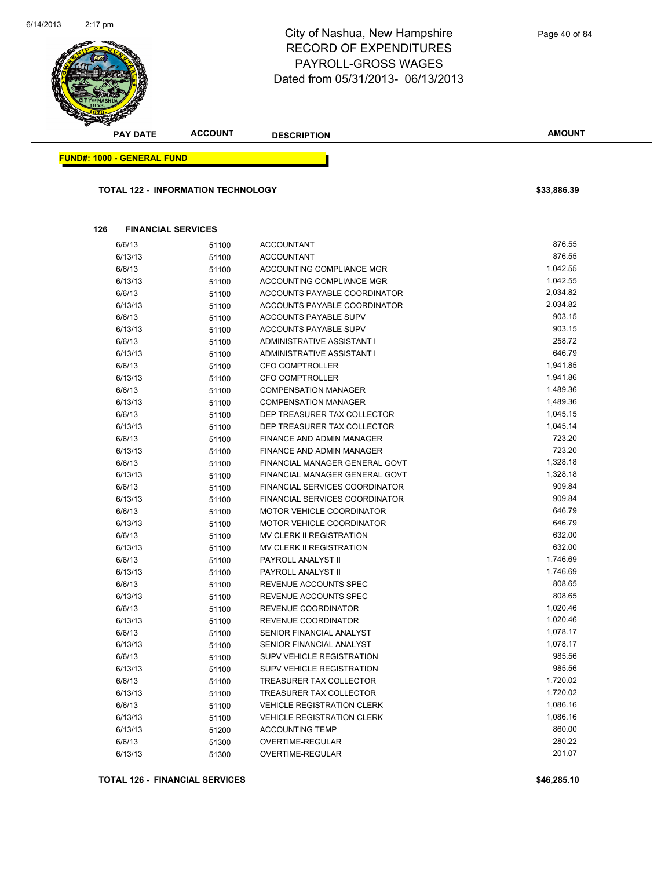

| <b>PAY DATE</b>                   | <b>ACCOUNT</b>                        | <b>DESCRIPTION</b>                | <b>AMOUNT</b> |
|-----------------------------------|---------------------------------------|-----------------------------------|---------------|
| <b>FUND#: 1000 - GENERAL FUND</b> |                                       |                                   |               |
|                                   |                                       |                                   |               |
|                                   | TOTAL 122 - INFORMATION TECHNOLOGY    |                                   | \$33,886.39   |
| 126                               | <b>FINANCIAL SERVICES</b>             |                                   |               |
| 6/6/13                            | 51100                                 | <b>ACCOUNTANT</b>                 | 876.55        |
| 6/13/13                           | 51100                                 | <b>ACCOUNTANT</b>                 | 876.55        |
| 6/6/13                            | 51100                                 | ACCOUNTING COMPLIANCE MGR         | 1,042.55      |
| 6/13/13                           | 51100                                 | ACCOUNTING COMPLIANCE MGR         | 1,042.55      |
| 6/6/13                            | 51100                                 | ACCOUNTS PAYABLE COORDINATOR      | 2,034.82      |
| 6/13/13                           | 51100                                 | ACCOUNTS PAYABLE COORDINATOR      | 2,034.82      |
| 6/6/13                            | 51100                                 | <b>ACCOUNTS PAYABLE SUPV</b>      | 903.15        |
| 6/13/13                           | 51100                                 | ACCOUNTS PAYABLE SUPV             | 903.15        |
| 6/6/13                            | 51100                                 | ADMINISTRATIVE ASSISTANT I        | 258.72        |
| 6/13/13                           | 51100                                 | ADMINISTRATIVE ASSISTANT I        | 646.79        |
| 6/6/13                            | 51100                                 | CFO COMPTROLLER                   | 1,941.85      |
| 6/13/13                           | 51100                                 | CFO COMPTROLLER                   | 1,941.86      |
| 6/6/13                            | 51100                                 | <b>COMPENSATION MANAGER</b>       | 1,489.36      |
| 6/13/13                           | 51100                                 | <b>COMPENSATION MANAGER</b>       | 1,489.36      |
| 6/6/13                            | 51100                                 | DEP TREASURER TAX COLLECTOR       | 1,045.15      |
| 6/13/13                           | 51100                                 | DEP TREASURER TAX COLLECTOR       | 1,045.14      |
| 6/6/13                            | 51100                                 | <b>FINANCE AND ADMIN MANAGER</b>  | 723.20        |
| 6/13/13                           | 51100                                 | FINANCE AND ADMIN MANAGER         | 723.20        |
| 6/6/13                            | 51100                                 | FINANCIAL MANAGER GENERAL GOVT    | 1,328.18      |
| 6/13/13                           | 51100                                 | FINANCIAL MANAGER GENERAL GOVT    | 1,328.18      |
| 6/6/13                            | 51100                                 | FINANCIAL SERVICES COORDINATOR    | 909.84        |
| 6/13/13                           | 51100                                 | FINANCIAL SERVICES COORDINATOR    | 909.84        |
| 6/6/13                            | 51100                                 | <b>MOTOR VEHICLE COORDINATOR</b>  | 646.79        |
| 6/13/13                           | 51100                                 | <b>MOTOR VEHICLE COORDINATOR</b>  | 646.79        |
| 6/6/13                            | 51100                                 | MV CLERK II REGISTRATION          | 632.00        |
| 6/13/13                           | 51100                                 | MV CLERK II REGISTRATION          | 632.00        |
| 6/6/13                            | 51100                                 | PAYROLL ANALYST II                | 1,746.69      |
| 6/13/13                           | 51100                                 | PAYROLL ANALYST II                | 1,746.69      |
| 6/6/13                            | 51100                                 | REVENUE ACCOUNTS SPEC             | 808.65        |
| 6/13/13                           | 51100                                 | REVENUE ACCOUNTS SPEC             | 808.65        |
| 6/6/13                            | 51100                                 | <b>REVENUE COORDINATOR</b>        | 1,020.46      |
| 6/13/13                           | 51100                                 | REVENUE COORDINATOR               | 1,020.46      |
| 6/6/13                            | 51100                                 | SENIOR FINANCIAL ANALYST          | 1,078.17      |
| 6/13/13                           | 51100                                 | SENIOR FINANCIAL ANALYST          | 1,078.17      |
| 6/6/13                            | 51100                                 | <b>SUPV VEHICLE REGISTRATION</b>  | 985.56        |
| 6/13/13                           | 51100                                 | <b>SUPV VEHICLE REGISTRATION</b>  | 985.56        |
| 6/6/13                            | 51100                                 | TREASURER TAX COLLECTOR           | 1,720.02      |
| 6/13/13                           | 51100                                 | TREASURER TAX COLLECTOR           | 1,720.02      |
| 6/6/13                            | 51100                                 | <b>VEHICLE REGISTRATION CLERK</b> | 1,086.16      |
| 6/13/13                           | 51100                                 | <b>VEHICLE REGISTRATION CLERK</b> | 1,086.16      |
| 6/13/13                           | 51200                                 | <b>ACCOUNTING TEMP</b>            | 860.00        |
| 6/6/13                            | 51300                                 | OVERTIME-REGULAR                  | 280.22        |
| 6/13/13                           | 51300                                 | <b>OVERTIME-REGULAR</b>           | 201.07        |
|                                   | <b>TOTAL 126 - FINANCIAL SERVICES</b> |                                   | \$46,285.10   |

. . . . . . . . . . . . .

Page 40 of 84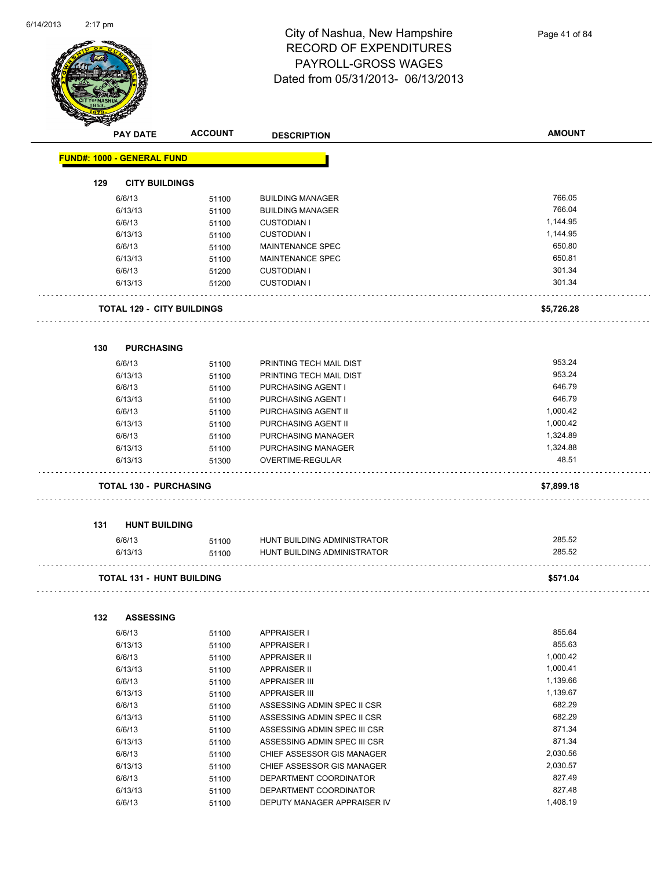

|     | <b>PAY DATE</b>                   | <b>ACCOUNT</b> | <b>DESCRIPTION</b>           | <b>AMOUNT</b> |
|-----|-----------------------------------|----------------|------------------------------|---------------|
|     | FUND#: 1000 - GENERAL FUND        |                |                              |               |
| 129 | <b>CITY BUILDINGS</b>             |                |                              |               |
|     | 6/6/13                            | 51100          | <b>BUILDING MANAGER</b>      | 766.05        |
|     | 6/13/13                           | 51100          | <b>BUILDING MANAGER</b>      | 766.04        |
|     | 6/6/13                            | 51100          | <b>CUSTODIAN I</b>           | 1,144.95      |
|     | 6/13/13                           | 51100          | <b>CUSTODIAN I</b>           | 1,144.95      |
|     | 6/6/13                            | 51100          | <b>MAINTENANCE SPEC</b>      | 650.80        |
|     | 6/13/13                           | 51100          | MAINTENANCE SPEC             | 650.81        |
|     | 6/6/13                            | 51200          | <b>CUSTODIAN I</b>           | 301.34        |
|     | 6/13/13                           | 51200          | <b>CUSTODIAN I</b>           | 301.34        |
|     | <b>TOTAL 129 - CITY BUILDINGS</b> |                |                              | \$5,726.28    |
| 130 | <b>PURCHASING</b>                 |                |                              |               |
|     | 6/6/13                            | 51100          | PRINTING TECH MAIL DIST      | 953.24        |
|     | 6/13/13                           | 51100          | PRINTING TECH MAIL DIST      | 953.24        |
|     | 6/6/13                            | 51100          | PURCHASING AGENT I           | 646.79        |
|     | 6/13/13                           | 51100          | PURCHASING AGENT I           | 646.79        |
|     | 6/6/13                            | 51100          | PURCHASING AGENT II          | 1,000.42      |
|     | 6/13/13                           | 51100          | PURCHASING AGENT II          | 1,000.42      |
|     | 6/6/13                            | 51100          | PURCHASING MANAGER           | 1,324.89      |
|     | 6/13/13                           | 51100          | PURCHASING MANAGER           | 1,324.88      |
|     | 6/13/13                           | 51300          | OVERTIME-REGULAR             | 48.51         |
|     | <b>TOTAL 130 - PURCHASING</b>     |                |                              | \$7,899.18    |
| 131 | <b>HUNT BUILDING</b>              |                |                              |               |
|     | 6/6/13                            | 51100          | HUNT BUILDING ADMINISTRATOR  | 285.52        |
|     | 6/13/13                           | 51100          | HUNT BUILDING ADMINISTRATOR  | 285.52        |
|     |                                   |                |                              |               |
|     | <b>TOTAL 131 - HUNT BUILDING</b>  |                |                              | \$571.04      |
| 132 | <b>ASSESSING</b>                  |                |                              |               |
|     | 6/6/13                            | 51100          | <b>APPRAISER I</b>           | 855.64        |
|     | 6/13/13                           | 51100          | <b>APPRAISER I</b>           | 855.63        |
|     | 6/6/13                            | 51100          | <b>APPRAISER II</b>          | 1,000.42      |
|     | 6/13/13                           | 51100          | <b>APPRAISER II</b>          | 1,000.41      |
|     | 6/6/13                            | 51100          | <b>APPRAISER III</b>         | 1,139.66      |
|     | 6/13/13                           | 51100          | <b>APPRAISER III</b>         | 1,139.67      |
|     | 6/6/13                            | 51100          | ASSESSING ADMIN SPEC II CSR  | 682.29        |
|     | 6/13/13                           | 51100          | ASSESSING ADMIN SPEC II CSR  | 682.29        |
|     | 6/6/13                            | 51100          | ASSESSING ADMIN SPEC III CSR | 871.34        |
|     | 6/13/13                           | 51100          | ASSESSING ADMIN SPEC III CSR | 871.34        |
|     | 6/6/13                            | 51100          | CHIEF ASSESSOR GIS MANAGER   | 2,030.56      |
|     | 6/13/13                           | 51100          | CHIEF ASSESSOR GIS MANAGER   | 2,030.57      |
|     | 6/6/13                            | 51100          | DEPARTMENT COORDINATOR       | 827.49        |

6/13/13 51100 DEPARTMENT COORDINATOR 827.48 6/6/13 51100 DEPUTY MANAGER APPRAISER IV 3/408.19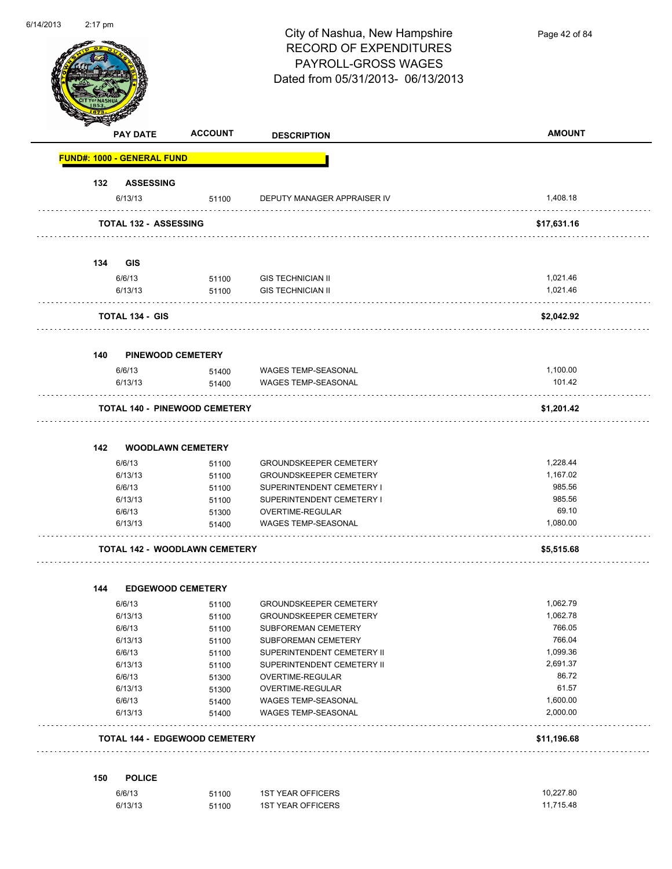| 6/14/2013 | $2:17$ pm |                                   |                                      | City of Nashua, New Hampshire<br><b>RECORD OF EXPENDITURES</b><br>PAYROLL-GROSS WAGES<br>Dated from 05/31/2013-06/13/2013 | Page 42 of 84        |
|-----------|-----------|-----------------------------------|--------------------------------------|---------------------------------------------------------------------------------------------------------------------------|----------------------|
|           |           | <b>PAY DATE</b>                   | <b>ACCOUNT</b>                       | <b>DESCRIPTION</b>                                                                                                        | <b>AMOUNT</b>        |
|           |           | <b>FUND#: 1000 - GENERAL FUND</b> |                                      |                                                                                                                           |                      |
|           | 132       | <b>ASSESSING</b>                  |                                      |                                                                                                                           |                      |
|           |           | 6/13/13                           | 51100                                | DEPUTY MANAGER APPRAISER IV                                                                                               | 1,408.18             |
|           |           | <b>TOTAL 132 - ASSESSING</b>      |                                      |                                                                                                                           | \$17,631.16          |
|           |           |                                   |                                      |                                                                                                                           |                      |
|           | 134       | <b>GIS</b>                        |                                      |                                                                                                                           |                      |
|           |           | 6/6/13                            | 51100                                | <b>GIS TECHNICIAN II</b>                                                                                                  | 1,021.46             |
|           |           | 6/13/13                           | 51100                                | <b>GIS TECHNICIAN II</b>                                                                                                  | 1,021.46             |
|           |           | TOTAL 134 - GIS                   |                                      |                                                                                                                           | \$2,042.92           |
|           |           |                                   |                                      |                                                                                                                           |                      |
|           | 140       | <b>PINEWOOD CEMETERY</b>          |                                      |                                                                                                                           |                      |
|           |           | 6/6/13                            | 51400                                | WAGES TEMP-SEASONAL                                                                                                       | 1,100.00             |
|           |           | 6/13/13                           | 51400                                | WAGES TEMP-SEASONAL                                                                                                       | 101.42               |
|           |           |                                   | <b>TOTAL 140 - PINEWOOD CEMETERY</b> |                                                                                                                           | \$1,201.42           |
|           | 142       | <b>WOODLAWN CEMETERY</b>          |                                      |                                                                                                                           |                      |
|           |           | 6/6/13                            |                                      | <b>GROUNDSKEEPER CEMETERY</b>                                                                                             | 1,228.44             |
|           |           | 6/13/13                           | 51100<br>51100                       | <b>GROUNDSKEEPER CEMETERY</b>                                                                                             | 1,167.02             |
|           |           | 6/6/13                            | 51100                                | SUPERINTENDENT CEMETERY I                                                                                                 | 985.56               |
|           |           | 6/13/13                           | 51100                                | SUPERINTENDENT CEMETERY I                                                                                                 | 985.56               |
|           |           | 6/6/13                            | 51300                                | OVERTIME-REGULAR                                                                                                          | 69.10                |
|           |           | 6/13/13                           | 51400                                | WAGES TEMP-SEASONAL                                                                                                       | 1,080.00             |
|           |           |                                   | <b>TOTAL 142 - WOODLAWN CEMETERY</b> |                                                                                                                           | \$5,515.68           |
|           |           |                                   |                                      |                                                                                                                           |                      |
|           | 144       | <b>EDGEWOOD CEMETERY</b>          |                                      |                                                                                                                           |                      |
|           |           | 6/6/13                            | 51100                                | <b>GROUNDSKEEPER CEMETERY</b>                                                                                             | 1,062.79             |
|           |           | 6/13/13                           | 51100                                | <b>GROUNDSKEEPER CEMETERY</b>                                                                                             | 1,062.78             |
|           |           | 6/6/13                            | 51100                                | SUBFOREMAN CEMETERY                                                                                                       | 766.05               |
|           |           | 6/13/13                           | 51100                                | SUBFOREMAN CEMETERY                                                                                                       | 766.04               |
|           |           | 6/6/13                            | 51100                                | SUPERINTENDENT CEMETERY II                                                                                                | 1,099.36             |
|           |           | 6/13/13                           | 51100                                | SUPERINTENDENT CEMETERY II                                                                                                | 2,691.37             |
|           |           | 6/6/13                            | 51300                                | OVERTIME-REGULAR                                                                                                          | 86.72                |
|           |           | 6/13/13                           | 51300                                | OVERTIME-REGULAR                                                                                                          | 61.57                |
|           |           | 6/6/13<br>6/13/13                 | 51400<br>51400                       | WAGES TEMP-SEASONAL<br>WAGES TEMP-SEASONAL                                                                                | 1,600.00<br>2,000.00 |
|           |           |                                   |                                      |                                                                                                                           |                      |
|           |           |                                   | <b>TOTAL 144 - EDGEWOOD CEMETERY</b> |                                                                                                                           | \$11,196.68          |
|           | 150       | <b>POLICE</b>                     |                                      |                                                                                                                           |                      |
|           |           | 6/6/13                            | 51100                                | <b>1ST YEAR OFFICERS</b>                                                                                                  | 10,227.80            |
|           |           | 6/13/13                           | 51100                                | 1ST YEAR OFFICERS                                                                                                         | 11,715.48            |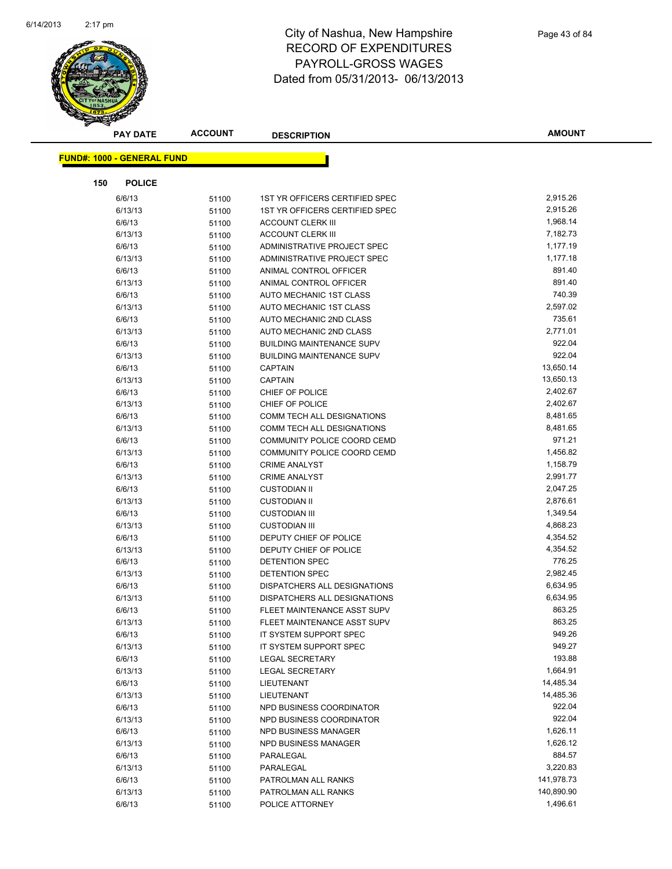

|     | <b>PAY DATE</b>                   | <b>ACCOUNT</b> | <b>DESCRIPTION</b>                | <b>AMOUNT</b> |
|-----|-----------------------------------|----------------|-----------------------------------|---------------|
|     | <b>FUND#: 1000 - GENERAL FUND</b> |                |                                   |               |
|     |                                   |                |                                   |               |
| 150 | <b>POLICE</b>                     |                |                                   |               |
|     | 6/6/13                            | 51100          | 1ST YR OFFICERS CERTIFIED SPEC    | 2,915.26      |
|     | 6/13/13                           | 51100          | 1ST YR OFFICERS CERTIFIED SPEC    | 2,915.26      |
|     | 6/6/13                            | 51100          | <b>ACCOUNT CLERK III</b>          | 1,968.14      |
|     | 6/13/13                           | 51100          | <b>ACCOUNT CLERK III</b>          | 7,182.73      |
|     | 6/6/13                            | 51100          | ADMINISTRATIVE PROJECT SPEC       | 1,177.19      |
|     | 6/13/13                           | 51100          | ADMINISTRATIVE PROJECT SPEC       | 1,177.18      |
|     | 6/6/13                            | 51100          | ANIMAL CONTROL OFFICER            | 891.40        |
|     | 6/13/13                           | 51100          | ANIMAL CONTROL OFFICER            | 891.40        |
|     | 6/6/13                            | 51100          | AUTO MECHANIC 1ST CLASS           | 740.39        |
|     | 6/13/13                           | 51100          | AUTO MECHANIC 1ST CLASS           | 2,597.02      |
|     | 6/6/13                            | 51100          | AUTO MECHANIC 2ND CLASS           | 735.61        |
|     | 6/13/13                           | 51100          | AUTO MECHANIC 2ND CLASS           | 2,771.01      |
|     | 6/6/13                            | 51100          | <b>BUILDING MAINTENANCE SUPV</b>  | 922.04        |
|     | 6/13/13                           | 51100          | <b>BUILDING MAINTENANCE SUPV</b>  | 922.04        |
|     | 6/6/13                            | 51100          | <b>CAPTAIN</b>                    | 13,650.14     |
|     | 6/13/13                           | 51100          | <b>CAPTAIN</b>                    | 13,650.13     |
|     | 6/6/13                            | 51100          | CHIEF OF POLICE                   | 2,402.67      |
|     | 6/13/13                           | 51100          | CHIEF OF POLICE                   | 2,402.67      |
|     | 6/6/13                            | 51100          | COMM TECH ALL DESIGNATIONS        | 8,481.65      |
|     | 6/13/13                           | 51100          | <b>COMM TECH ALL DESIGNATIONS</b> | 8,481.65      |
|     | 6/6/13                            | 51100          | COMMUNITY POLICE COORD CEMD       | 971.21        |
|     | 6/13/13                           | 51100          | COMMUNITY POLICE COORD CEMD       | 1,456.82      |
|     | 6/6/13                            | 51100          | <b>CRIME ANALYST</b>              | 1,158.79      |
|     | 6/13/13                           | 51100          | <b>CRIME ANALYST</b>              | 2,991.77      |
|     | 6/6/13                            | 51100          | <b>CUSTODIAN II</b>               | 2,047.25      |
|     | 6/13/13                           | 51100          | <b>CUSTODIAN II</b>               | 2,876.61      |
|     | 6/6/13                            | 51100          | <b>CUSTODIAN III</b>              | 1,349.54      |
|     | 6/13/13                           | 51100          | <b>CUSTODIAN III</b>              | 4,868.23      |
|     | 6/6/13                            | 51100          | DEPUTY CHIEF OF POLICE            | 4,354.52      |
|     | 6/13/13                           | 51100          | DEPUTY CHIEF OF POLICE            | 4,354.52      |
|     | 6/6/13                            | 51100          | DETENTION SPEC                    | 776.25        |
|     | 6/13/13                           | 51100          | DETENTION SPEC                    | 2,982.45      |
|     | 6/6/13                            | 51100          | DISPATCHERS ALL DESIGNATIONS      | 6,634.95      |
|     | 6/13/13                           | 51100          | DISPATCHERS ALL DESIGNATIONS      | 6,634.95      |
|     | 6/6/13                            | 51100          | FLEET MAINTENANCE ASST SUPV       | 863.25        |
|     | 6/13/13                           | 51100          | FLEET MAINTENANCE ASST SUPV       | 863.25        |
|     | 6/6/13                            | 51100          | IT SYSTEM SUPPORT SPEC            | 949.26        |
|     | 6/13/13                           | 51100          | IT SYSTEM SUPPORT SPEC            | 949.27        |
|     | 6/6/13                            | 51100          | <b>LEGAL SECRETARY</b>            | 193.88        |
|     | 6/13/13                           | 51100          | <b>LEGAL SECRETARY</b>            | 1,664.91      |
|     | 6/6/13                            | 51100          | LIEUTENANT                        | 14,485.34     |
|     | 6/13/13                           | 51100          | LIEUTENANT                        | 14,485.36     |
|     | 6/6/13                            | 51100          | NPD BUSINESS COORDINATOR          | 922.04        |
|     | 6/13/13                           | 51100          | NPD BUSINESS COORDINATOR          | 922.04        |
|     | 6/6/13                            | 51100          | NPD BUSINESS MANAGER              | 1,626.11      |
|     | 6/13/13                           | 51100          | NPD BUSINESS MANAGER              | 1,626.12      |
|     | 6/6/13                            | 51100          | PARALEGAL                         | 884.57        |
|     | 6/13/13                           | 51100          | PARALEGAL                         | 3,220.83      |
|     | 6/6/13                            | 51100          | PATROLMAN ALL RANKS               | 141,978.73    |
|     | 6/13/13                           | 51100          | PATROLMAN ALL RANKS               | 140,890.90    |
|     | 6/6/13                            | 51100          | POLICE ATTORNEY                   | 1,496.61      |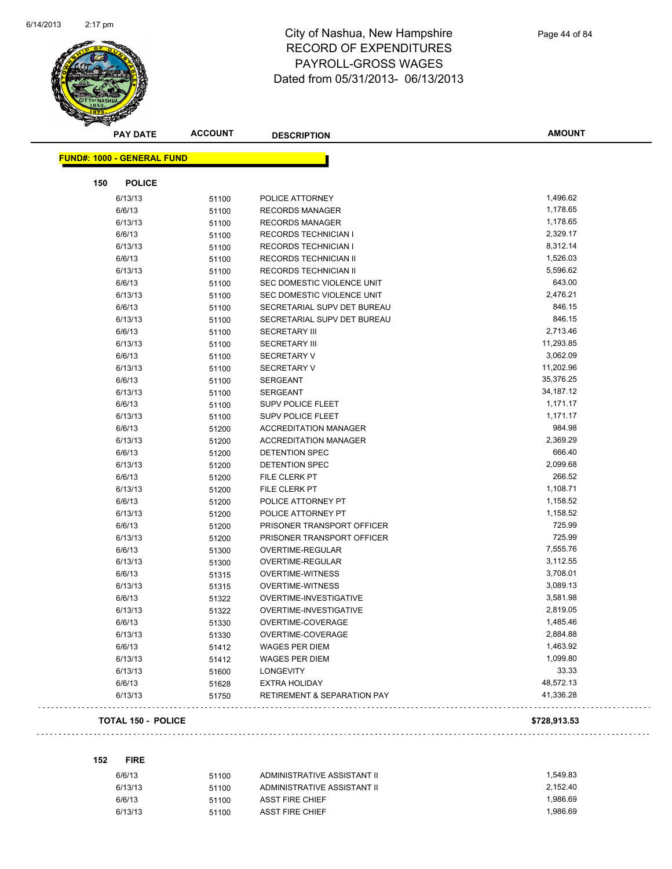

|                                   | <b>PAY DATE</b>           | <b>ACCOUNT</b> | <b>DESCRIPTION</b>                     | <b>AMOUNT</b> |
|-----------------------------------|---------------------------|----------------|----------------------------------------|---------------|
| <b>FUND#: 1000 - GENERAL FUND</b> |                           |                |                                        |               |
|                                   |                           |                |                                        |               |
| 150                               | <b>POLICE</b>             |                |                                        |               |
| 6/13/13                           |                           | 51100          | POLICE ATTORNEY                        | 1,496.62      |
| 6/6/13                            |                           | 51100          | <b>RECORDS MANAGER</b>                 | 1,178.65      |
| 6/13/13                           |                           | 51100          | <b>RECORDS MANAGER</b>                 | 1,178.65      |
| 6/6/13                            |                           | 51100          | <b>RECORDS TECHNICIAN I</b>            | 2,329.17      |
| 6/13/13                           |                           | 51100          | <b>RECORDS TECHNICIAN I</b>            | 8,312.14      |
| 6/6/13                            |                           | 51100          | RECORDS TECHNICIAN II                  | 1,526.03      |
| 6/13/13                           |                           | 51100          | RECORDS TECHNICIAN II                  | 5,596.62      |
| 6/6/13                            |                           | 51100          | SEC DOMESTIC VIOLENCE UNIT             | 643.00        |
| 6/13/13                           |                           | 51100          | SEC DOMESTIC VIOLENCE UNIT             | 2,476.21      |
| 6/6/13                            |                           | 51100          | SECRETARIAL SUPV DET BUREAU            | 846.15        |
| 6/13/13                           |                           | 51100          | SECRETARIAL SUPV DET BUREAU            | 846.15        |
| 6/6/13                            |                           | 51100          | <b>SECRETARY III</b>                   | 2,713.46      |
| 6/13/13                           |                           | 51100          | <b>SECRETARY III</b>                   | 11,293.85     |
| 6/6/13                            |                           | 51100          | <b>SECRETARY V</b>                     | 3,062.09      |
| 6/13/13                           |                           | 51100          | <b>SECRETARY V</b>                     | 11,202.96     |
| 6/6/13                            |                           | 51100          | <b>SERGEANT</b>                        | 35,376.25     |
| 6/13/13                           |                           | 51100          | <b>SERGEANT</b>                        | 34,187.12     |
| 6/6/13                            |                           | 51100          | SUPV POLICE FLEET                      | 1,171.17      |
| 6/13/13                           |                           | 51100          | <b>SUPV POLICE FLEET</b>               | 1,171.17      |
| 6/6/13                            |                           | 51200          | <b>ACCREDITATION MANAGER</b>           | 984.98        |
| 6/13/13                           |                           | 51200          | <b>ACCREDITATION MANAGER</b>           | 2,369.29      |
| 6/6/13                            |                           | 51200          | <b>DETENTION SPEC</b>                  | 666.40        |
| 6/13/13                           |                           | 51200          | <b>DETENTION SPEC</b>                  | 2,099.68      |
| 6/6/13                            |                           | 51200          | FILE CLERK PT                          | 266.52        |
| 6/13/13                           |                           | 51200          | FILE CLERK PT                          | 1,108.71      |
| 6/6/13                            |                           | 51200          | POLICE ATTORNEY PT                     | 1,158.52      |
| 6/13/13                           |                           | 51200          | POLICE ATTORNEY PT                     | 1,158.52      |
| 6/6/13                            |                           | 51200          | PRISONER TRANSPORT OFFICER             | 725.99        |
| 6/13/13                           |                           | 51200          | PRISONER TRANSPORT OFFICER             | 725.99        |
| 6/6/13                            |                           | 51300          | OVERTIME-REGULAR                       | 7,555.76      |
| 6/13/13                           |                           | 51300          | OVERTIME-REGULAR                       | 3,112.55      |
| 6/6/13                            |                           | 51315          | <b>OVERTIME-WITNESS</b>                | 3,708.01      |
| 6/13/13                           |                           | 51315          | <b>OVERTIME-WITNESS</b>                | 3,089.13      |
| 6/6/13                            |                           | 51322          | OVERTIME-INVESTIGATIVE                 | 3,581.98      |
| 6/13/13                           |                           | 51322          | <b>OVERTIME-INVESTIGATIVE</b>          | 2,819.05      |
| 6/6/13                            |                           | 51330          | OVERTIME-COVERAGE                      | 1,485.46      |
| 6/13/13                           |                           | 51330          | OVERTIME-COVERAGE                      | 2,884.88      |
| 6/6/13                            |                           | 51412          | <b>WAGES PER DIEM</b>                  | 1,463.92      |
| 6/13/13                           |                           | 51412          | <b>WAGES PER DIEM</b>                  | 1,099.80      |
| 6/13/13                           |                           | 51600          | LONGEVITY                              | 33.33         |
| 6/6/13                            |                           | 51628          | <b>EXTRA HOLIDAY</b>                   | 48,572.13     |
| 6/13/13                           |                           | 51750          | <b>RETIREMENT &amp; SEPARATION PAY</b> | 41,336.28     |
|                                   | <b>TOTAL 150 - POLICE</b> |                |                                        | \$728,913.53  |

| 152<br>v | IRE<br>г |  |
|----------|----------|--|

 $\sim$ 

| 6/6/13  | 51100 | ADMINISTRATIVE ASSISTANT II | 1.549.83 |
|---------|-------|-----------------------------|----------|
| 6/13/13 | 51100 | ADMINISTRATIVE ASSISTANT II | 2.152.40 |
| 6/6/13  | 51100 | ASST FIRE CHIEF             | 1.986.69 |
| 6/13/13 | 51100 | ASST FIRE CHIEF             | 1.986.69 |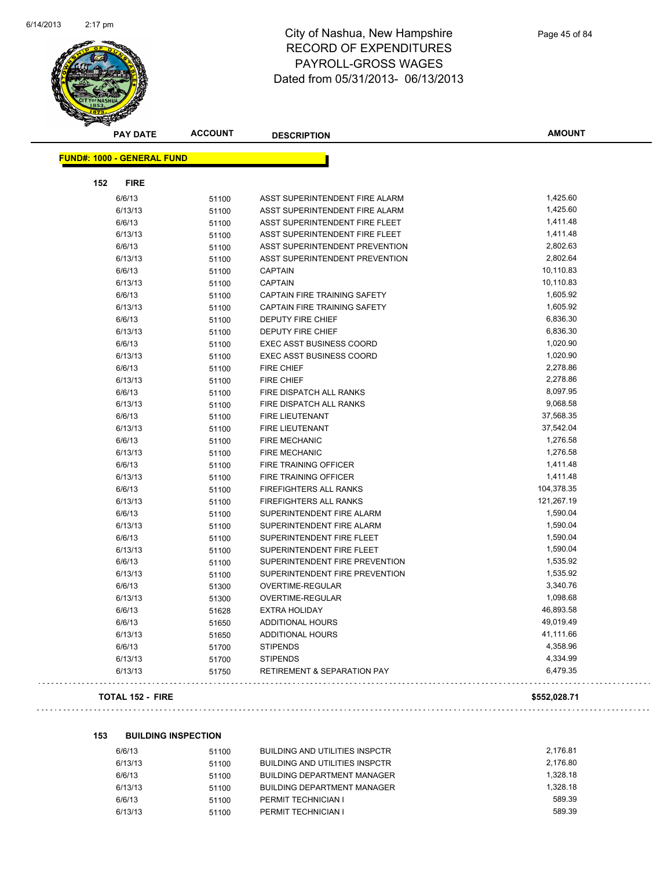

|                                   | <b>PAY DATE</b> | <b>ACCOUNT</b> | <b>DESCRIPTION</b>                     | <b>AMOUNT</b> |
|-----------------------------------|-----------------|----------------|----------------------------------------|---------------|
| <b>FUND#: 1000 - GENERAL FUND</b> |                 |                |                                        |               |
|                                   |                 |                |                                        |               |
| 152                               | <b>FIRE</b>     |                |                                        |               |
|                                   | 6/6/13          | 51100          | ASST SUPERINTENDENT FIRE ALARM         | 1,425.60      |
|                                   | 6/13/13         | 51100          | ASST SUPERINTENDENT FIRE ALARM         | 1,425.60      |
|                                   | 6/6/13          | 51100          | ASST SUPERINTENDENT FIRE FLEET         | 1,411.48      |
|                                   | 6/13/13         | 51100          | ASST SUPERINTENDENT FIRE FLEET         | 1,411.48      |
|                                   | 6/6/13          | 51100          | ASST SUPERINTENDENT PREVENTION         | 2,802.63      |
|                                   | 6/13/13         | 51100          | ASST SUPERINTENDENT PREVENTION         | 2,802.64      |
|                                   | 6/6/13          | 51100          | <b>CAPTAIN</b>                         | 10,110.83     |
|                                   | 6/13/13         | 51100          | <b>CAPTAIN</b>                         | 10,110.83     |
|                                   | 6/6/13          | 51100          | <b>CAPTAIN FIRE TRAINING SAFETY</b>    | 1,605.92      |
|                                   | 6/13/13         | 51100          | CAPTAIN FIRE TRAINING SAFETY           | 1,605.92      |
|                                   | 6/6/13          | 51100          | <b>DEPUTY FIRE CHIEF</b>               | 6,836.30      |
|                                   | 6/13/13         | 51100          | <b>DEPUTY FIRE CHIEF</b>               | 6,836.30      |
|                                   | 6/6/13          | 51100          | <b>EXEC ASST BUSINESS COORD</b>        | 1,020.90      |
|                                   | 6/13/13         | 51100          | <b>EXEC ASST BUSINESS COORD</b>        | 1,020.90      |
|                                   | 6/6/13          | 51100          | FIRE CHIEF                             | 2,278.86      |
|                                   | 6/13/13         | 51100          | <b>FIRE CHIEF</b>                      | 2,278.86      |
|                                   | 6/6/13          | 51100          | FIRE DISPATCH ALL RANKS                | 8,097.95      |
|                                   | 6/13/13         | 51100          | FIRE DISPATCH ALL RANKS                | 9,068.58      |
|                                   | 6/6/13          | 51100          | FIRE LIEUTENANT                        | 37,568.35     |
|                                   | 6/13/13         | 51100          | FIRE LIEUTENANT                        | 37,542.04     |
|                                   | 6/6/13          | 51100          | FIRE MECHANIC                          | 1,276.58      |
|                                   | 6/13/13         | 51100          | <b>FIRE MECHANIC</b>                   | 1,276.58      |
|                                   | 6/6/13          | 51100          | FIRE TRAINING OFFICER                  | 1,411.48      |
|                                   | 6/13/13         | 51100          | FIRE TRAINING OFFICER                  | 1,411.48      |
|                                   | 6/6/13          | 51100          | FIREFIGHTERS ALL RANKS                 | 104,378.35    |
|                                   | 6/13/13         | 51100          | FIREFIGHTERS ALL RANKS                 | 121,267.19    |
|                                   | 6/6/13          | 51100          | SUPERINTENDENT FIRE ALARM              | 1,590.04      |
|                                   | 6/13/13         | 51100          | SUPERINTENDENT FIRE ALARM              | 1,590.04      |
|                                   | 6/6/13          | 51100          | SUPERINTENDENT FIRE FLEET              | 1,590.04      |
|                                   | 6/13/13         | 51100          | SUPERINTENDENT FIRE FLEET              | 1,590.04      |
|                                   | 6/6/13          | 51100          | SUPERINTENDENT FIRE PREVENTION         | 1,535.92      |
|                                   | 6/13/13         | 51100          | SUPERINTENDENT FIRE PREVENTION         | 1,535.92      |
|                                   | 6/6/13          | 51300          | OVERTIME-REGULAR                       | 3,340.76      |
|                                   | 6/13/13         | 51300          | OVERTIME-REGULAR                       | 1,098.68      |
|                                   | 6/6/13          | 51628          | <b>EXTRA HOLIDAY</b>                   | 46,893.58     |
|                                   | 6/6/13          | 51650          | ADDITIONAL HOURS                       | 49,019.49     |
|                                   | 6/13/13         | 51650          | <b>ADDITIONAL HOURS</b>                | 41,111.66     |
|                                   | 6/6/13          | 51700          | <b>STIPENDS</b>                        | 4,358.96      |
|                                   | 6/13/13         | 51700          | <b>STIPENDS</b>                        | 4,334.99      |
|                                   | 6/13/13         | 51750          | <b>RETIREMENT &amp; SEPARATION PAY</b> | 6,479.35      |
|                                   |                 |                |                                        |               |

#### **TOTAL 152 - FIRE \$552,028.71**

 $\ldots$ 

#### **153 BUILDING INSPECTION**

| 51100 | BUILDING AND UTILITIES INSPCTR        | 2.176.81 |
|-------|---------------------------------------|----------|
| 51100 | <b>BUILDING AND UTILITIES INSPCTR</b> | 2.176.80 |
| 51100 | <b>BUILDING DEPARTMENT MANAGER</b>    | 1.328.18 |
| 51100 | <b>BUILDING DEPARTMENT MANAGER</b>    | 1.328.18 |
| 51100 | PERMIT TECHNICIAN I                   | 589.39   |
| 51100 | PERMIT TECHNICIAN I                   | 589.39   |
|       |                                       |          |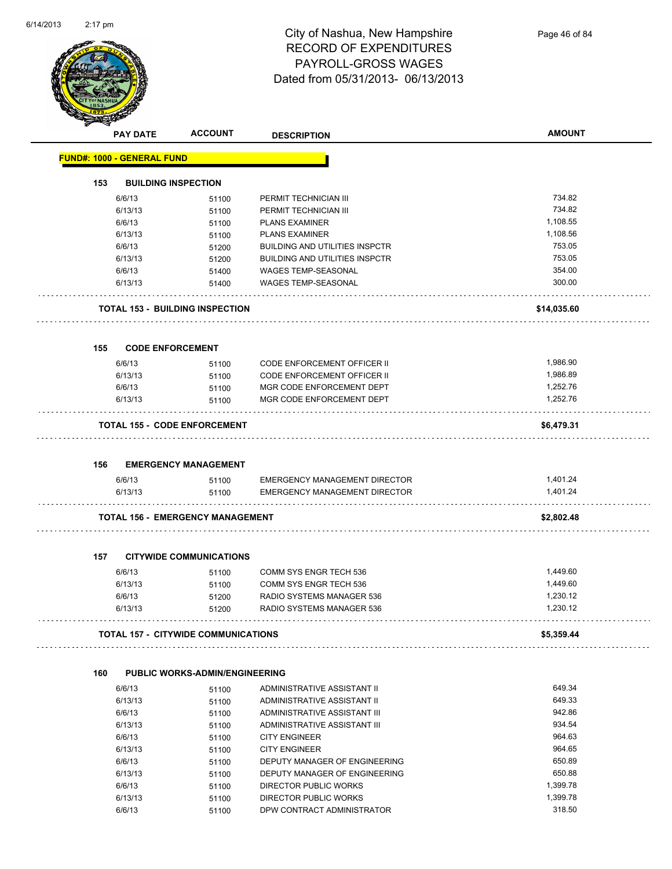

|     | <b>PAY DATE</b>                   | <b>ACCOUNT</b>                             | <b>DESCRIPTION</b>                    | <b>AMOUNT</b> |
|-----|-----------------------------------|--------------------------------------------|---------------------------------------|---------------|
|     | <b>FUND#: 1000 - GENERAL FUND</b> |                                            |                                       |               |
| 153 |                                   | <b>BUILDING INSPECTION</b>                 |                                       |               |
|     | 6/6/13                            | 51100                                      | PERMIT TECHNICIAN III                 | 734.82        |
|     | 6/13/13                           | 51100                                      | PERMIT TECHNICIAN III                 | 734.82        |
|     | 6/6/13                            | 51100                                      | <b>PLANS EXAMINER</b>                 | 1,108.55      |
|     | 6/13/13                           | 51100                                      | <b>PLANS EXAMINER</b>                 | 1,108.56      |
|     | 6/6/13                            | 51200                                      | <b>BUILDING AND UTILITIES INSPCTR</b> | 753.05        |
|     | 6/13/13                           | 51200                                      | <b>BUILDING AND UTILITIES INSPCTR</b> | 753.05        |
|     | 6/6/13                            | 51400                                      | WAGES TEMP-SEASONAL                   | 354.00        |
|     | 6/13/13                           | 51400                                      | <b>WAGES TEMP-SEASONAL</b>            | 300.00        |
|     |                                   | <b>TOTAL 153 - BUILDING INSPECTION</b>     |                                       | \$14,035.60   |
| 155 | <b>CODE ENFORCEMENT</b>           |                                            |                                       |               |
|     | 6/6/13                            | 51100                                      | <b>CODE ENFORCEMENT OFFICER II</b>    | 1,986.90      |
|     | 6/13/13                           | 51100                                      | <b>CODE ENFORCEMENT OFFICER II</b>    | 1,986.89      |
|     | 6/6/13                            | 51100                                      | MGR CODE ENFORCEMENT DEPT             | 1,252.76      |
|     | 6/13/13                           | 51100                                      | MGR CODE ENFORCEMENT DEPT             | 1,252.76      |
|     |                                   | <b>TOTAL 155 - CODE ENFORCEMENT</b>        |                                       | \$6,479.31    |
|     |                                   |                                            |                                       |               |
| 156 |                                   | <b>EMERGENCY MANAGEMENT</b>                |                                       |               |
|     | 6/6/13                            | 51100                                      | EMERGENCY MANAGEMENT DIRECTOR         | 1,401.24      |
|     | 6/13/13                           | 51100                                      | <b>EMERGENCY MANAGEMENT DIRECTOR</b>  | 1,401.24      |
|     |                                   | <b>TOTAL 156 - EMERGENCY MANAGEMENT</b>    |                                       | \$2,802.48    |
| 157 |                                   | <b>CITYWIDE COMMUNICATIONS</b>             |                                       |               |
|     | 6/6/13                            | 51100                                      | COMM SYS ENGR TECH 536                | 1,449.60      |
|     | 6/13/13                           | 51100                                      | COMM SYS ENGR TECH 536                | 1,449.60      |
|     | 6/6/13                            | 51200                                      | RADIO SYSTEMS MANAGER 536             | 1,230.12      |
|     | 6/13/13                           | 51200                                      | RADIO SYSTEMS MANAGER 536             | 1,230.12      |
|     |                                   | <b>TOTAL 157 - CITYWIDE COMMUNICATIONS</b> |                                       | \$5,359.44    |
|     |                                   |                                            |                                       |               |
| 160 |                                   | <b>PUBLIC WORKS-ADMIN/ENGINEERING</b>      |                                       |               |
|     | 6/6/13                            | 51100                                      | ADMINISTRATIVE ASSISTANT II           | 649.34        |
|     | 6/13/13                           | 51100                                      | ADMINISTRATIVE ASSISTANT II           | 649.33        |
|     | 6/6/13                            | 51100                                      | ADMINISTRATIVE ASSISTANT III          | 942.86        |
|     | 6/13/13                           | 51100                                      | ADMINISTRATIVE ASSISTANT III          | 934.54        |
|     | 6/6/13                            | 51100                                      | <b>CITY ENGINEER</b>                  | 964.63        |
|     | 6/13/13                           | 51100                                      | <b>CITY ENGINEER</b>                  | 964.65        |
|     | 6/6/13                            | 51100                                      | DEPUTY MANAGER OF ENGINEERING         | 650.89        |

6/13/13 51100 DEPUTY MANAGER OF ENGINEERING 650.88  $6/6/13$  51100 DIRECTOR PUBLIC WORKS<br> $6/13/13$  51100 DIRECTOR PUBLIC WORKS 1,399.78 6/13/13 51100 DIRECTOR PUBLIC WORKS 1,399.78

6/6/13 51100 DPW CONTRACT ADMINISTRATOR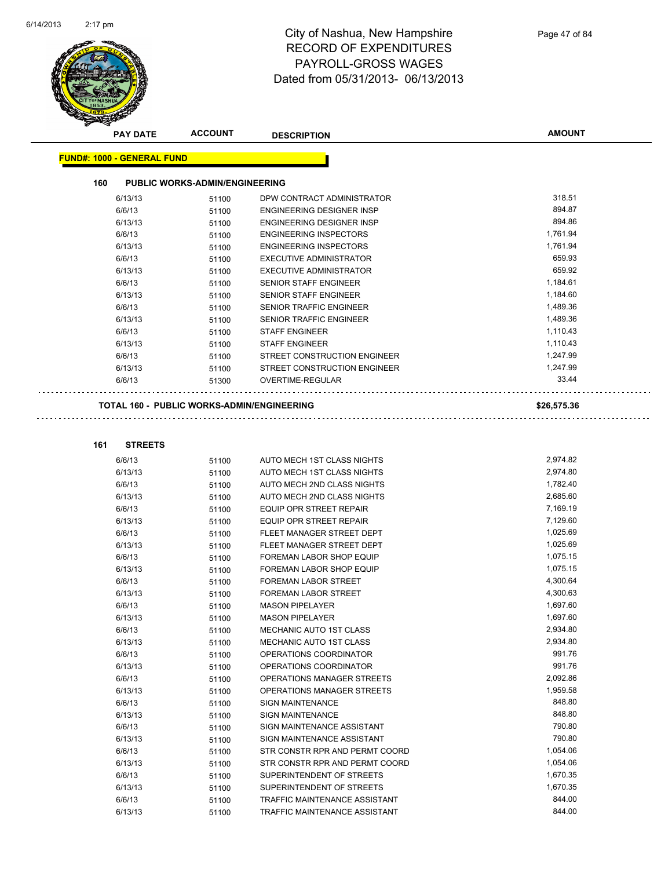

|     | <b>PAY DATE</b>                   | <b>ACCOUNT</b>                                    | <b>DESCRIPTION</b>                                                | <b>AMOUNT</b>        |  |
|-----|-----------------------------------|---------------------------------------------------|-------------------------------------------------------------------|----------------------|--|
|     | <b>FUND#: 1000 - GENERAL FUND</b> |                                                   |                                                                   |                      |  |
|     |                                   |                                                   |                                                                   |                      |  |
| 160 |                                   | <b>PUBLIC WORKS-ADMIN/ENGINEERING</b>             |                                                                   |                      |  |
|     | 6/13/13                           | 51100                                             | DPW CONTRACT ADMINISTRATOR                                        | 318.51               |  |
|     | 6/6/13                            | 51100                                             | <b>ENGINEERING DESIGNER INSP</b>                                  | 894.87<br>894.86     |  |
|     | 6/13/13<br>6/6/13                 | 51100                                             | <b>ENGINEERING DESIGNER INSP</b><br><b>ENGINEERING INSPECTORS</b> | 1,761.94             |  |
|     |                                   | 51100                                             | <b>ENGINEERING INSPECTORS</b>                                     | 1,761.94             |  |
|     | 6/13/13<br>6/6/13                 | 51100                                             | <b>EXECUTIVE ADMINISTRATOR</b>                                    | 659.93               |  |
|     | 6/13/13                           | 51100<br>51100                                    | <b>EXECUTIVE ADMINISTRATOR</b>                                    | 659.92               |  |
|     | 6/6/13                            | 51100                                             | SENIOR STAFF ENGINEER                                             | 1,184.61             |  |
|     | 6/13/13                           | 51100                                             | <b>SENIOR STAFF ENGINEER</b>                                      | 1,184.60             |  |
|     | 6/6/13                            | 51100                                             | SENIOR TRAFFIC ENGINEER                                           | 1,489.36             |  |
|     | 6/13/13                           | 51100                                             | SENIOR TRAFFIC ENGINEER                                           | 1,489.36             |  |
|     | 6/6/13                            | 51100                                             | <b>STAFF ENGINEER</b>                                             | 1,110.43             |  |
|     | 6/13/13                           | 51100                                             | <b>STAFF ENGINEER</b>                                             | 1,110.43             |  |
|     | 6/6/13                            | 51100                                             | STREET CONSTRUCTION ENGINEER                                      | 1,247.99             |  |
|     | 6/13/13                           | 51100                                             | STREET CONSTRUCTION ENGINEER                                      | 1,247.99             |  |
|     | 6/6/13                            | 51300                                             | OVERTIME-REGULAR                                                  | 33.44                |  |
|     |                                   |                                                   |                                                                   |                      |  |
|     |                                   | <b>TOTAL 160 - PUBLIC WORKS-ADMIN/ENGINEERING</b> |                                                                   | \$26,575.36          |  |
|     |                                   |                                                   |                                                                   |                      |  |
| 161 | <b>STREETS</b>                    |                                                   |                                                                   |                      |  |
|     | 6/6/13                            | 51100                                             | AUTO MECH 1ST CLASS NIGHTS                                        | 2,974.82             |  |
|     | 6/13/13                           | 51100                                             | AUTO MECH 1ST CLASS NIGHTS                                        | 2,974.80             |  |
|     | 6/6/13                            | 51100                                             | AUTO MECH 2ND CLASS NIGHTS                                        | 1,782.40             |  |
|     | 6/13/13                           | 51100                                             | AUTO MECH 2ND CLASS NIGHTS                                        | 2,685.60             |  |
|     | 6/6/13                            | 51100                                             | EQUIP OPR STREET REPAIR                                           | 7,169.19             |  |
|     | 6/13/13                           | 51100                                             | EQUIP OPR STREET REPAIR                                           | 7,129.60             |  |
|     | 6/6/13                            | 51100                                             | FLEET MANAGER STREET DEPT                                         | 1,025.69             |  |
|     | 6/13/13                           | 51100                                             | FLEET MANAGER STREET DEPT                                         | 1,025.69             |  |
|     | 6/6/13                            | 51100                                             | FOREMAN LABOR SHOP EQUIP                                          | 1,075.15             |  |
|     | 6/13/13                           | 51100                                             | FOREMAN LABOR SHOP EQUIP                                          | 1,075.15             |  |
|     | 6/6/13                            | 51100                                             | FOREMAN LABOR STREET                                              | 4,300.64             |  |
|     | 6/13/13                           | 51100                                             | <b>FOREMAN LABOR STREET</b>                                       | 4,300.63             |  |
|     | 6/6/13                            | 51100                                             | <b>MASON PIPELAYER</b>                                            | 1,697.60             |  |
|     | 6/13/13                           | 51100                                             | MASON PIPELAYER                                                   | 1,697.60             |  |
|     | 6/6/13                            | 51100                                             | MECHANIC AUTO 1ST CLASS                                           | 2,934.80             |  |
|     | 6/13/13                           | 51100                                             | MECHANIC AUTO 1ST CLASS                                           | 2,934.80             |  |
|     | 6/6/13                            | 51100                                             | OPERATIONS COORDINATOR                                            | 991.76               |  |
|     | 6/13/13                           | 51100                                             | OPERATIONS COORDINATOR                                            | 991.76               |  |
|     | 6/6/13                            | 51100                                             | OPERATIONS MANAGER STREETS                                        | 2,092.86             |  |
|     | 6/13/13                           | 51100                                             | OPERATIONS MANAGER STREETS                                        | 1,959.58             |  |
|     | 6/6/13                            | 51100                                             | SIGN MAINTENANCE                                                  | 848.80               |  |
|     | 6/13/13                           | 51100                                             | SIGN MAINTENANCE                                                  | 848.80               |  |
|     | 6/6/13                            | 51100                                             | SIGN MAINTENANCE ASSISTANT                                        | 790.80               |  |
|     | 6/13/13                           | 51100                                             | SIGN MAINTENANCE ASSISTANT                                        | 790.80               |  |
|     | 6/6/13                            | 51100                                             | STR CONSTR RPR AND PERMT COORD                                    | 1,054.06             |  |
|     | 6/13/13                           | 51100                                             | STR CONSTR RPR AND PERMT COORD                                    | 1,054.06             |  |
|     | 6/6/13                            | 51100                                             | SUPERINTENDENT OF STREETS                                         | 1,670.35<br>1,670.35 |  |
|     | 6/13/13<br>6/6/13                 | 51100                                             | SUPERINTENDENT OF STREETS<br>TRAFFIC MAINTENANCE ASSISTANT        | 844.00               |  |
|     | 6/13/13                           | 51100<br>51100                                    | TRAFFIC MAINTENANCE ASSISTANT                                     | 844.00               |  |
|     |                                   |                                                   |                                                                   |                      |  |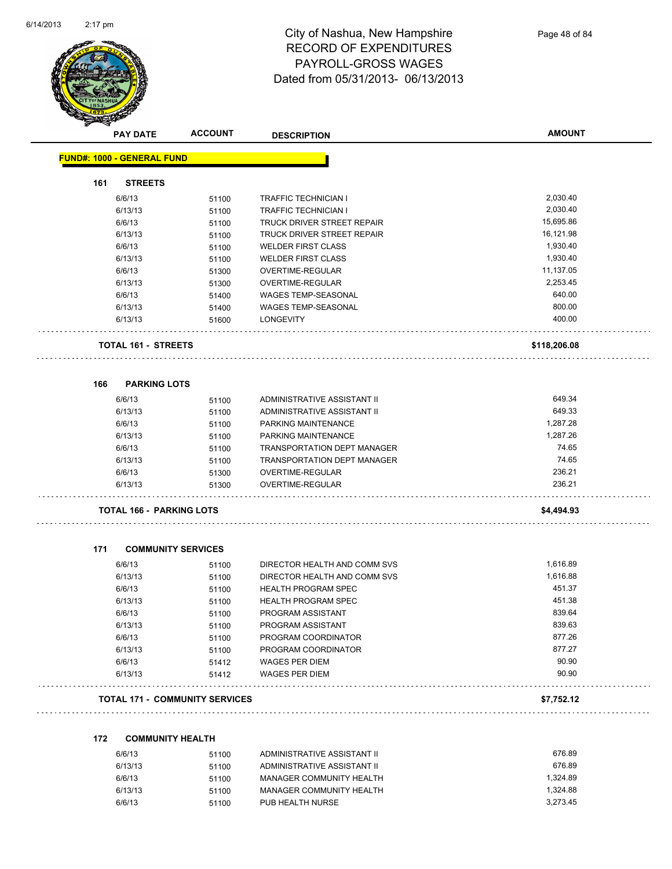Ĭ,



| <b>PAY DATE</b>                   | <b>ACCOUNT</b> | <b>DESCRIPTION</b>           | <b>AMOUNT</b> |
|-----------------------------------|----------------|------------------------------|---------------|
| <b>FUND#: 1000 - GENERAL FUND</b> |                |                              |               |
| <b>STREETS</b><br>161             |                |                              |               |
| 6/6/13                            | 51100          | <b>TRAFFIC TECHNICIAN I</b>  | 2,030.40      |
| 6/13/13                           | 51100          | <b>TRAFFIC TECHNICIAN I</b>  | 2,030.40      |
| 6/6/13                            | 51100          | TRUCK DRIVER STREET REPAIR   | 15,695.86     |
| 6/13/13                           | 51100          | TRUCK DRIVER STREET REPAIR   | 16,121.98     |
| 6/6/13                            | 51100          | <b>WELDER FIRST CLASS</b>    | 1,930.40      |
| 6/13/13                           | 51100          | <b>WELDER FIRST CLASS</b>    | 1,930.40      |
| 6/6/13                            | 51300          | OVERTIME-REGULAR             | 11,137.05     |
| 6/13/13                           | 51300          | <b>OVERTIME-REGULAR</b>      | 2,253.45      |
| 6/6/13                            | 51400          | WAGES TEMP-SEASONAL          | 640.00        |
| 6/13/13                           | 51400          | WAGES TEMP-SEASONAL          | 800.00        |
| 6/13/13                           | 51600          | <b>LONGEVITY</b>             | 400.00        |
| <b>TOTAL 161 - STREETS</b>        |                |                              | \$118,206.08  |
| <b>PARKING LOTS</b><br>166        |                |                              |               |
| 6/6/13                            | 51100          | ADMINISTRATIVE ASSISTANT II  | 649.34        |
| 6/13/13                           | 51100          | ADMINISTRATIVE ASSISTANT II  | 649.33        |
| 6/6/13                            | 51100          | PARKING MAINTENANCE          | 1,287.28      |
| 6/13/13                           | 51100          | PARKING MAINTENANCE          | 1,287.26      |
| 6/6/13                            | 51100          | TRANSPORTATION DEPT MANAGER  | 74.65         |
| 6/13/13                           | 51100          | TRANSPORTATION DEPT MANAGER  | 74.65         |
| 6/6/13                            | 51300          | OVERTIME-REGULAR             | 236.21        |
| 6/13/13                           | 51300          | OVERTIME-REGULAR             | 236.21        |
| TOTAL 166 - PARKING LOTS          |                |                              | \$4,494.93    |
| 171<br><b>COMMUNITY SERVICES</b>  |                |                              |               |
| 6/6/13                            | 51100          | DIRECTOR HEALTH AND COMM SVS | 1,616.89      |
| 6/13/13                           | 51100          | DIRECTOR HEALTH AND COMM SVS | 1.616.88      |
| 6/6/13                            | 51100          | <b>HEALTH PROGRAM SPEC</b>   | 451.37        |
| 6/13/13                           | 51100          | <b>HEALTH PROGRAM SPEC</b>   | 451.38        |
| 6/6/13                            | 51100          | PROGRAM ASSISTANT            | 839.64        |
| 6/13/13                           | 51100          | PROGRAM ASSISTANT            | 839.63        |
| 6/6/13                            | 51100          | PROGRAM COORDINATOR          | 877.26        |
| 6/13/13                           | 51100          | PROGRAM COORDINATOR          | 877.27        |
| 6/6/13                            | 51412          | <b>WAGES PER DIEM</b>        | 90.90         |
| 6/13/13                           | 51412          | <b>WAGES PER DIEM</b>        | 90.90         |
|                                   |                |                              |               |

| 6/6/13  | 51100 | ADMINISTRATIVE ASSISTANT II | 676.89   |
|---------|-------|-----------------------------|----------|
| 6/13/13 | 51100 | ADMINISTRATIVE ASSISTANT II | 676.89   |
| 6/6/13  | 51100 | MANAGER COMMUNITY HEALTH    | 1.324.89 |
| 6/13/13 | 51100 | MANAGER COMMUNITY HEALTH    | 1.324.88 |
| 6/6/13  | 51100 | PUB HEALTH NURSE            | 3.273.45 |
|         |       |                             |          |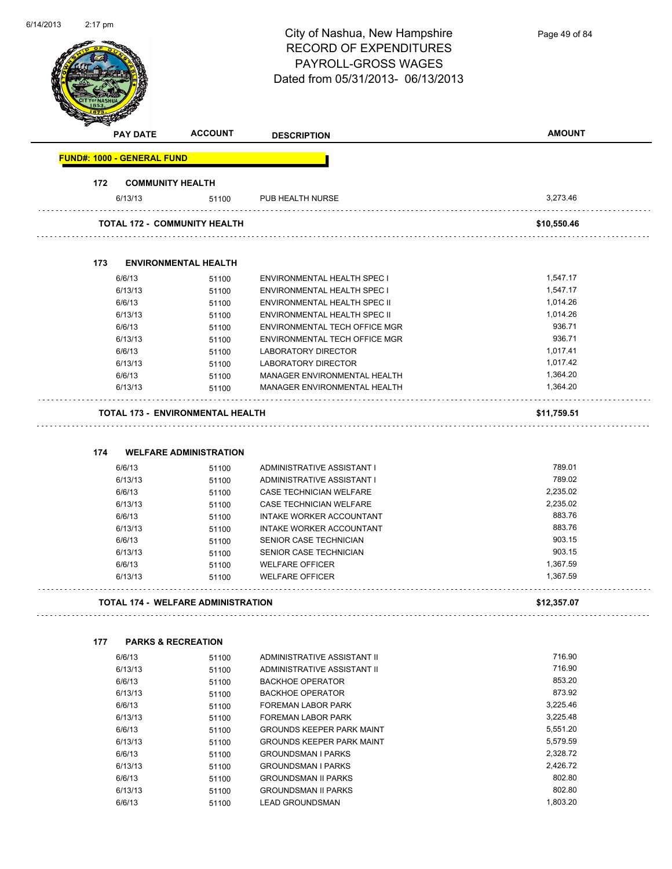| 6/14/2013 | $2:17 \text{ pm}$                 |                                                                          | City of Nashua, New Hampshire<br><b>RECORD OF EXPENDITURES</b><br>PAYROLL-GROSS WAGES<br>Dated from 05/31/2013-06/13/2013 | Page 49 of 84    |
|-----------|-----------------------------------|--------------------------------------------------------------------------|---------------------------------------------------------------------------------------------------------------------------|------------------|
|           | <b>PAY DATE</b>                   | <b>ACCOUNT</b>                                                           | <b>DESCRIPTION</b>                                                                                                        | <b>AMOUNT</b>    |
|           | <b>FUND#: 1000 - GENERAL FUND</b> |                                                                          |                                                                                                                           |                  |
|           | 172                               | <b>COMMUNITY HEALTH</b>                                                  |                                                                                                                           |                  |
|           | 6/13/13                           | 51100                                                                    | PUB HEALTH NURSE                                                                                                          | 3,273.46         |
|           |                                   | TOTAL 172 - COMMUNITY HEALTH                                             |                                                                                                                           | \$10,550.46      |
|           | 173                               | <b>ENVIRONMENTAL HEALTH</b>                                              |                                                                                                                           |                  |
|           | 6/6/13                            | 51100                                                                    | ENVIRONMENTAL HEALTH SPEC I                                                                                               | 1,547.17         |
|           | 6/13/13                           | 51100                                                                    | ENVIRONMENTAL HEALTH SPEC I                                                                                               | 1,547.17         |
|           | 6/6/13                            | 51100                                                                    | ENVIRONMENTAL HEALTH SPEC II                                                                                              | 1,014.26         |
|           | 6/13/13                           | 51100                                                                    | ENVIRONMENTAL HEALTH SPEC II                                                                                              | 1,014.26         |
|           | 6/6/13                            |                                                                          | <b>ENVIRONMENTAL TECH OFFICE MGR</b>                                                                                      | 936.71           |
|           |                                   | 51100                                                                    |                                                                                                                           | 936.71           |
|           | 6/13/13                           | 51100                                                                    | ENVIRONMENTAL TECH OFFICE MGR                                                                                             |                  |
|           | 6/6/13                            | 51100                                                                    | <b>LABORATORY DIRECTOR</b>                                                                                                | 1,017.41         |
|           | 6/13/13                           | 51100                                                                    | <b>LABORATORY DIRECTOR</b>                                                                                                | 1,017.42         |
|           | 6/6/13                            | 51100                                                                    | MANAGER ENVIRONMENTAL HEALTH                                                                                              | 1,364.20         |
|           | 6/13/13                           | 51100                                                                    | MANAGER ENVIRONMENTAL HEALTH                                                                                              | 1,364.20         |
|           | 174                               | <b>TOTAL 173 - ENVIRONMENTAL HEALTH</b><br><b>WELFARE ADMINISTRATION</b> |                                                                                                                           | \$11,759.51      |
|           | 6/6/13                            | 51100                                                                    | ADMINISTRATIVE ASSISTANT I                                                                                                | 789.01           |
|           | 6/13/13                           | 51100                                                                    | ADMINISTRATIVE ASSISTANT I                                                                                                | 789.02           |
|           | 6/6/13                            | 51100                                                                    | CASE TECHNICIAN WELFARE                                                                                                   | 2,235.02         |
|           | 6/13/13                           | 51100                                                                    | CASE TECHNICIAN WELFARE                                                                                                   | 2,235.02         |
|           | 6/6/13                            | 51100                                                                    | INTAKE WORKER ACCOUNTANT                                                                                                  | 883.76           |
|           | 6/13/13                           | 51100                                                                    | INTAKE WORKER ACCOUNTANT                                                                                                  | 883.76           |
|           | 6/6/13                            | 51100                                                                    | SENIOR CASE TECHNICIAN                                                                                                    | 903.15           |
|           | 6/13/13                           | 51100                                                                    | SENIOR CASE TECHNICIAN                                                                                                    | 903.15           |
|           | 6/6/13                            | 51100                                                                    | <b>WELFARE OFFICER</b>                                                                                                    | 1,367.59         |
|           | 6/13/13                           | 51100                                                                    | <b>WELFARE OFFICER</b>                                                                                                    | 1,367.59         |
|           |                                   | <b>TOTAL 174 - WELFARE ADMINISTRATION</b>                                |                                                                                                                           | .<br>\$12,357.07 |
|           | 177                               | <b>PARKS &amp; RECREATION</b>                                            |                                                                                                                           |                  |
|           | 6/6/13                            | 51100                                                                    | ADMINISTRATIVE ASSISTANT II                                                                                               | 716.90           |
|           | 6/13/13                           | 51100                                                                    | ADMINISTRATIVE ASSISTANT II                                                                                               | 716.90           |
|           | 6/6/13                            | 51100                                                                    | <b>BACKHOE OPERATOR</b>                                                                                                   | 853.20           |
|           | 6/13/13                           | 51100                                                                    | <b>BACKHOE OPERATOR</b>                                                                                                   | 873.92           |
|           | 6/6/13                            |                                                                          | <b>FOREMAN LABOR PARK</b>                                                                                                 | 3,225.46         |
|           |                                   | 51100                                                                    |                                                                                                                           |                  |
|           | 6/13/13                           | 51100                                                                    | FOREMAN LABOR PARK                                                                                                        | 3,225.48         |
|           | 6/6/13                            | 51100                                                                    | <b>GROUNDS KEEPER PARK MAINT</b>                                                                                          | 5,551.20         |
|           | 6/13/13                           | 51100                                                                    | <b>GROUNDS KEEPER PARK MAINT</b>                                                                                          | 5,579.59         |
|           | 6/6/13                            | 51100                                                                    | <b>GROUNDSMAN I PARKS</b>                                                                                                 | 2,328.72         |
|           | 6/13/13                           | 51100                                                                    | <b>GROUNDSMAN I PARKS</b>                                                                                                 | 2,426.72         |
|           | 6/6/13                            | 51100                                                                    | <b>GROUNDSMAN II PARKS</b>                                                                                                | 802.80           |
|           | 6/13/13                           | 51100                                                                    | <b>GROUNDSMAN II PARKS</b>                                                                                                | 802.80           |
|           | 6/6/13                            | 51100                                                                    | <b>LEAD GROUNDSMAN</b>                                                                                                    | 1,803.20         |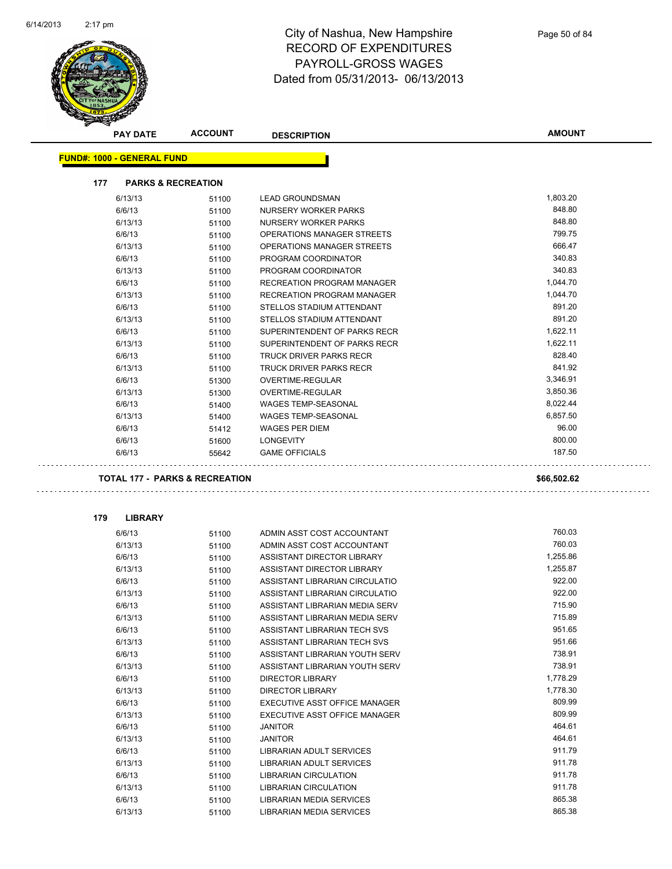

|                                   | <b>PAY DATE</b>  | <b>ACCOUNT</b>                            | <b>DESCRIPTION</b>                        | <b>AMOUNT</b>    |
|-----------------------------------|------------------|-------------------------------------------|-------------------------------------------|------------------|
| <b>FUND#: 1000 - GENERAL FUND</b> |                  |                                           |                                           |                  |
|                                   |                  |                                           |                                           |                  |
| 177                               |                  | <b>PARKS &amp; RECREATION</b>             |                                           |                  |
|                                   | 6/13/13          | 51100                                     | <b>LEAD GROUNDSMAN</b>                    | 1,803.20         |
|                                   | 6/6/13           | 51100                                     | NURSERY WORKER PARKS                      | 848.80           |
|                                   | 6/13/13          | 51100                                     | NURSERY WORKER PARKS                      | 848.80           |
|                                   | 6/6/13           | 51100                                     | OPERATIONS MANAGER STREETS                | 799.75           |
|                                   | 6/13/13          | 51100                                     | OPERATIONS MANAGER STREETS                | 666.47           |
|                                   | 6/6/13           | 51100                                     | PROGRAM COORDINATOR                       | 340.83           |
|                                   | 6/13/13          | 51100                                     | PROGRAM COORDINATOR                       | 340.83           |
|                                   | 6/6/13           | 51100                                     | RECREATION PROGRAM MANAGER                | 1,044.70         |
|                                   | 6/13/13          | 51100                                     | RECREATION PROGRAM MANAGER                | 1,044.70         |
|                                   | 6/6/13           | 51100                                     | STELLOS STADIUM ATTENDANT                 | 891.20           |
|                                   | 6/13/13          | 51100                                     | STELLOS STADIUM ATTENDANT                 | 891.20           |
|                                   | 6/6/13           | 51100                                     | SUPERINTENDENT OF PARKS RECR              | 1,622.11         |
|                                   | 6/13/13          | 51100                                     | SUPERINTENDENT OF PARKS RECR              | 1,622.11         |
|                                   | 6/6/13           | 51100                                     | TRUCK DRIVER PARKS RECR                   | 828.40           |
|                                   | 6/13/13          | 51100                                     | <b>TRUCK DRIVER PARKS RECR</b>            | 841.92           |
|                                   | 6/6/13           | 51300                                     | <b>OVERTIME-REGULAR</b>                   | 3,346.91         |
|                                   | 6/13/13          | 51300                                     | <b>OVERTIME-REGULAR</b>                   | 3,850.36         |
|                                   | 6/6/13           | 51400                                     | <b>WAGES TEMP-SEASONAL</b>                | 8,022.44         |
|                                   | 6/13/13          | 51400                                     | <b>WAGES TEMP-SEASONAL</b>                | 6,857.50         |
|                                   | 6/6/13           | 51412                                     | <b>WAGES PER DIEM</b>                     | 96.00            |
|                                   | 6/6/13<br>6/6/13 | 51600<br>55642                            | <b>LONGEVITY</b><br><b>GAME OFFICIALS</b> | 800.00<br>187.50 |
|                                   |                  | <b>TOTAL 177 - PARKS &amp; RECREATION</b> |                                           | \$66,502.62      |
| 179                               | <b>LIBRARY</b>   |                                           |                                           |                  |
|                                   | 6/6/13           | 51100                                     | ADMIN ASST COST ACCOUNTANT                | 760.03           |
|                                   | 6/13/13          | 51100                                     | ADMIN ASST COST ACCOUNTANT                | 760.03           |
|                                   | 6/6/13           | 51100                                     | ASSISTANT DIRECTOR LIBRARY                | 1,255.86         |
|                                   | 6/13/13          | 51100                                     | ASSISTANT DIRECTOR LIBRARY                | 1,255.87         |
|                                   | 6/6/13           | 51100                                     | ASSISTANT LIBRARIAN CIRCULATIO            | 922.00           |
|                                   | 6/13/13          | 51100                                     | ASSISTANT LIBRARIAN CIRCULATIO            | 922.00           |
|                                   | 6/6/13           | 51100                                     | ASSISTANT LIBRARIAN MEDIA SERV            | 715.90           |
|                                   | 6/13/13          | 51100                                     | ASSISTANT LIBRARIAN MEDIA SERV            | 715.89           |
|                                   | 6/6/13           | 51100                                     | ASSISTANT LIBRARIAN TECH SVS              | 951.65           |
|                                   | 6/13/13          | 51100                                     | ASSISTANT LIBRARIAN TECH SVS              | 951.66           |
|                                   | 6/6/13           | 51100                                     | ASSISTANT LIBRARIAN YOUTH SERV            | 738.91           |
|                                   | 6/13/13          | 51100                                     | ASSISTANT LIBRARIAN YOUTH SERV            | 738.91           |
|                                   | 6/6/13           | 51100                                     | <b>DIRECTOR LIBRARY</b>                   | 1,778.29         |
|                                   | 6/13/13          | 51100                                     | <b>DIRECTOR LIBRARY</b>                   | 1,778.30         |
|                                   | 6/6/13           | 51100                                     | EXECUTIVE ASST OFFICE MANAGER             | 809.99           |
|                                   | 6/13/13          | 51100                                     | EXECUTIVE ASST OFFICE MANAGER             | 809.99           |
|                                   | 6/6/13           | 51100                                     | <b>JANITOR</b>                            | 464.61           |
|                                   | 6/13/13          | 51100                                     | <b>JANITOR</b>                            | 464.61           |
|                                   | 6/6/13           | 51100                                     | LIBRARIAN ADULT SERVICES                  | 911.79           |
|                                   | 6/13/13          | 51100                                     | LIBRARIAN ADULT SERVICES                  | 911.78           |
|                                   | 6/6/13           | 51100                                     | LIBRARIAN CIRCULATION                     | 911.78           |
|                                   | 6/13/13          | 51100                                     | LIBRARIAN CIRCULATION                     | 911.78           |
|                                   | 6/6/13           | 51100                                     | LIBRARIAN MEDIA SERVICES                  | 865.38           |
|                                   | 6/13/13          | 51100                                     | LIBRARIAN MEDIA SERVICES                  | 865.38           |

 $6/13/13$   $51100$  LIBRARIAN MEDIA SERVICES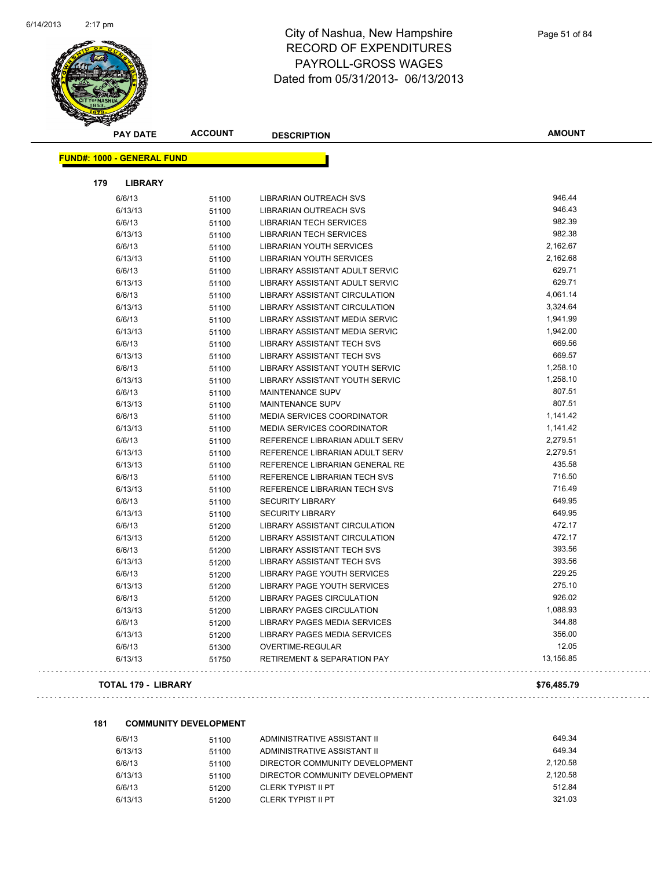

|     | <b>PAY DATE</b>                   | <b>ACCOUNT</b> | <b>DESCRIPTION</b>                     | <b>AMOUNT</b> |
|-----|-----------------------------------|----------------|----------------------------------------|---------------|
|     | <b>FUND#: 1000 - GENERAL FUND</b> |                |                                        |               |
|     |                                   |                |                                        |               |
| 179 | <b>LIBRARY</b>                    |                |                                        |               |
|     | 6/6/13                            | 51100          | <b>LIBRARIAN OUTREACH SVS</b>          | 946.44        |
|     | 6/13/13                           | 51100          | <b>LIBRARIAN OUTREACH SVS</b>          | 946.43        |
|     | 6/6/13                            | 51100          | <b>LIBRARIAN TECH SERVICES</b>         | 982.39        |
|     | 6/13/13                           | 51100          | <b>LIBRARIAN TECH SERVICES</b>         | 982.38        |
|     | 6/6/13                            | 51100          | <b>LIBRARIAN YOUTH SERVICES</b>        | 2,162.67      |
|     | 6/13/13                           | 51100          | <b>LIBRARIAN YOUTH SERVICES</b>        | 2,162.68      |
|     | 6/6/13                            | 51100          | LIBRARY ASSISTANT ADULT SERVIC         | 629.71        |
|     | 6/13/13                           | 51100          | LIBRARY ASSISTANT ADULT SERVIC         | 629.71        |
|     | 6/6/13                            | 51100          | LIBRARY ASSISTANT CIRCULATION          | 4,061.14      |
|     | 6/13/13                           | 51100          | <b>LIBRARY ASSISTANT CIRCULATION</b>   | 3,324.64      |
|     | 6/6/13                            | 51100          | LIBRARY ASSISTANT MEDIA SERVIC         | 1,941.99      |
|     | 6/13/13                           | 51100          | LIBRARY ASSISTANT MEDIA SERVIC         | 1,942.00      |
|     | 6/6/13                            | 51100          | <b>LIBRARY ASSISTANT TECH SVS</b>      | 669.56        |
|     | 6/13/13                           | 51100          | <b>LIBRARY ASSISTANT TECH SVS</b>      | 669.57        |
|     | 6/6/13                            | 51100          | LIBRARY ASSISTANT YOUTH SERVIC         | 1,258.10      |
|     | 6/13/13                           | 51100          | LIBRARY ASSISTANT YOUTH SERVIC         | 1,258.10      |
|     | 6/6/13                            | 51100          | MAINTENANCE SUPV                       | 807.51        |
|     | 6/13/13                           | 51100          | MAINTENANCE SUPV                       | 807.51        |
|     | 6/6/13                            | 51100          | MEDIA SERVICES COORDINATOR             | 1,141.42      |
|     | 6/13/13                           | 51100          | <b>MEDIA SERVICES COORDINATOR</b>      | 1,141.42      |
|     | 6/6/13                            | 51100          | REFERENCE LIBRARIAN ADULT SERV         | 2,279.51      |
|     | 6/13/13                           | 51100          | REFERENCE LIBRARIAN ADULT SERV         | 2,279.51      |
|     | 6/13/13                           | 51100          | REFERENCE LIBRARIAN GENERAL RE         | 435.58        |
|     | 6/6/13                            | 51100          | <b>REFERENCE LIBRARIAN TECH SVS</b>    | 716.50        |
|     | 6/13/13                           | 51100          | REFERENCE LIBRARIAN TECH SVS           | 716.49        |
|     | 6/6/13                            | 51100          | <b>SECURITY LIBRARY</b>                | 649.95        |
|     | 6/13/13                           | 51100          | <b>SECURITY LIBRARY</b>                | 649.95        |
|     | 6/6/13                            | 51200          | LIBRARY ASSISTANT CIRCULATION          | 472.17        |
|     | 6/13/13                           | 51200          | <b>LIBRARY ASSISTANT CIRCULATION</b>   | 472.17        |
|     | 6/6/13                            | 51200          | <b>LIBRARY ASSISTANT TECH SVS</b>      | 393.56        |
|     | 6/13/13                           | 51200          | <b>LIBRARY ASSISTANT TECH SVS</b>      | 393.56        |
|     | 6/6/13                            | 51200          | LIBRARY PAGE YOUTH SERVICES            | 229.25        |
|     | 6/13/13                           | 51200          | LIBRARY PAGE YOUTH SERVICES            | 275.10        |
|     | 6/6/13                            | 51200          | <b>LIBRARY PAGES CIRCULATION</b>       | 926.02        |
|     | 6/13/13                           | 51200          | <b>LIBRARY PAGES CIRCULATION</b>       | 1,088.93      |
|     | 6/6/13                            | 51200          | LIBRARY PAGES MEDIA SERVICES           | 344.88        |
|     | 6/13/13                           | 51200          | LIBRARY PAGES MEDIA SERVICES           | 356.00        |
|     | 6/6/13                            | 51300          | OVERTIME-REGULAR                       | 12.05         |
|     | 6/13/13                           | 51750          | <b>RETIREMENT &amp; SEPARATION PAY</b> | 13,156.85     |
|     |                                   |                |                                        |               |

#### **TOTAL 179 - LIBRARY \$76,485.79**

 $\sim$   $\sim$ 

#### **181 COMMUNITY DEVELOPMENT**

| 6/6/13  | 51100 | ADMINISTRATIVE ASSISTANT II    | 649.34   |
|---------|-------|--------------------------------|----------|
| 6/13/13 | 51100 | ADMINISTRATIVE ASSISTANT II    | 649.34   |
| 6/6/13  | 51100 | DIRECTOR COMMUNITY DEVELOPMENT | 2.120.58 |
| 6/13/13 | 51100 | DIRECTOR COMMUNITY DEVELOPMENT | 2.120.58 |
| 6/6/13  | 51200 | CLERK TYPIST II PT             | 512.84   |
| 6/13/13 | 51200 | CLERK TYPIST II PT             | 321.03   |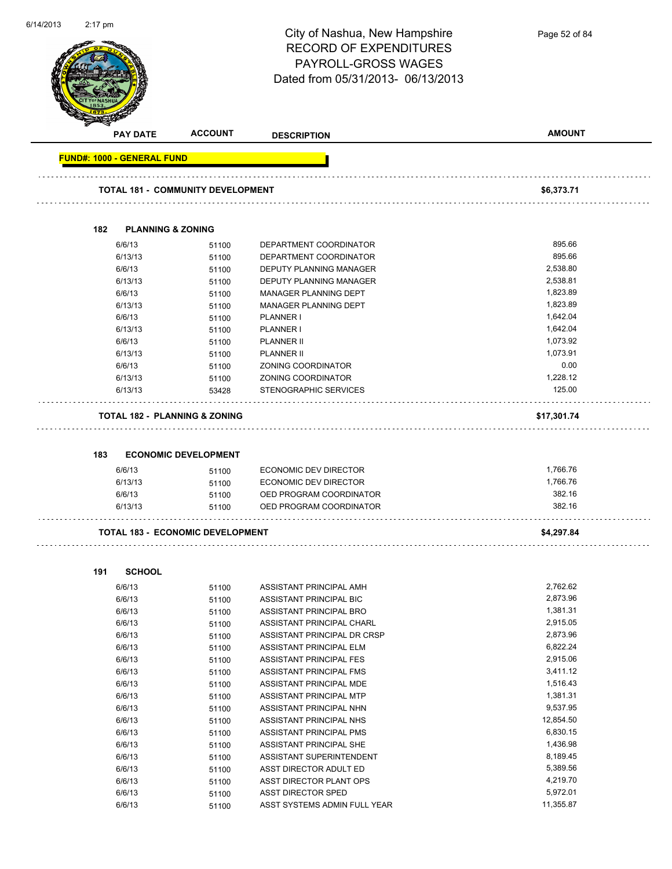| 6/14/2013 | 2:17 pm                           |                                          | City of Nashua, New Hampshire<br><b>RECORD OF EXPENDITURES</b><br>PAYROLL-GROSS WAGES<br>Dated from 05/31/2013- 06/13/2013 | Page 52 of 84 |
|-----------|-----------------------------------|------------------------------------------|----------------------------------------------------------------------------------------------------------------------------|---------------|
|           | <b>PAY DATE</b>                   | <b>ACCOUNT</b>                           | <b>DESCRIPTION</b>                                                                                                         | <b>AMOUNT</b> |
|           | <b>FUND#: 1000 - GENERAL FUND</b> |                                          |                                                                                                                            |               |
|           |                                   |                                          |                                                                                                                            |               |
|           |                                   | <b>TOTAL 181 - COMMUNITY DEVELOPMENT</b> |                                                                                                                            | \$6,373.71    |
|           | 182                               | <b>PLANNING &amp; ZONING</b>             |                                                                                                                            |               |
|           | 6/6/13                            | 51100                                    | DEPARTMENT COORDINATOR                                                                                                     | 895.66        |
|           | 6/13/13                           | 51100                                    | DEPARTMENT COORDINATOR                                                                                                     | 895.66        |
|           | 6/6/13                            | 51100                                    | <b>DEPUTY PLANNING MANAGER</b>                                                                                             | 2,538.80      |
|           | 6/13/13                           | 51100                                    | DEPUTY PLANNING MANAGER                                                                                                    | 2,538.81      |
|           | 6/6/13                            | 51100                                    | MANAGER PLANNING DEPT                                                                                                      | 1,823.89      |
|           | 6/13/13                           | 51100                                    | MANAGER PLANNING DEPT                                                                                                      | 1,823.89      |
|           | 6/6/13                            | 51100                                    | PLANNER I                                                                                                                  | 1,642.04      |
|           | 6/13/13                           | 51100                                    | PLANNER I                                                                                                                  | 1,642.04      |
|           | 6/6/13                            | 51100                                    | <b>PLANNER II</b>                                                                                                          | 1,073.92      |
|           | 6/13/13                           | 51100                                    | <b>PLANNER II</b>                                                                                                          | 1,073.91      |
|           | 6/6/13                            | 51100                                    | ZONING COORDINATOR                                                                                                         | 0.00          |
|           | 6/13/13                           | 51100                                    | ZONING COORDINATOR                                                                                                         | 1,228.12      |
|           | 6/13/13                           | 53428                                    | STENOGRAPHIC SERVICES                                                                                                      | 125.00        |
|           |                                   |                                          |                                                                                                                            |               |
|           |                                   | <b>TOTAL 182 - PLANNING &amp; ZONING</b> |                                                                                                                            | \$17,301.74   |
|           | 183                               | <b>ECONOMIC DEVELOPMENT</b>              |                                                                                                                            |               |
|           | 6/6/13                            | 51100                                    | ECONOMIC DEV DIRECTOR                                                                                                      | 1,766.76      |
|           | 6/13/13                           | 51100                                    | <b>ECONOMIC DEV DIRECTOR</b>                                                                                               | 1,766.76      |
|           | 6/6/13                            | 51100                                    | OED PROGRAM COORDINATOR                                                                                                    | 382.16        |
|           | 6/13/13                           | 51100                                    | OED PROGRAM COORDINATOR                                                                                                    | 382.16        |
|           |                                   | <b>TOTAL 183 - ECONOMIC DEVELOPMENT</b>  |                                                                                                                            | \$4,297.84    |
|           |                                   |                                          |                                                                                                                            |               |
|           | 191<br><b>SCHOOL</b>              |                                          |                                                                                                                            |               |
|           | 6/6/13                            | 51100                                    | ASSISTANT PRINCIPAL AMH                                                                                                    | 2,762.62      |
|           | 6/6/13                            | 51100                                    | ASSISTANT PRINCIPAL BIC                                                                                                    | 2,873.96      |
|           | 6/6/13                            | 51100                                    | ASSISTANT PRINCIPAL BRO                                                                                                    | 1,381.31      |
|           | 6/6/13                            | 51100                                    | ASSISTANT PRINCIPAL CHARL                                                                                                  | 2,915.05      |
|           | 6/6/13                            | 51100                                    | ASSISTANT PRINCIPAL DR CRSP                                                                                                | 2,873.96      |
|           | 6/6/13                            | 51100                                    | ASSISTANT PRINCIPAL ELM                                                                                                    | 6,822.24      |
|           | 6/6/13                            | 51100                                    | ASSISTANT PRINCIPAL FES                                                                                                    | 2,915.06      |
|           | 6/6/13                            | 51100                                    | ASSISTANT PRINCIPAL FMS                                                                                                    | 3,411.12      |
|           | 6/6/13                            | 51100                                    | ASSISTANT PRINCIPAL MDE                                                                                                    | 1,516.43      |
|           | 6/6/13                            | 51100                                    | ASSISTANT PRINCIPAL MTP                                                                                                    | 1,381.31      |
|           | 6/6/13                            | 51100                                    | ASSISTANT PRINCIPAL NHN                                                                                                    | 9,537.95      |
|           | 6/6/13                            | 51100                                    | ASSISTANT PRINCIPAL NHS                                                                                                    | 12,854.50     |
|           | 6/6/13                            | 51100                                    | ASSISTANT PRINCIPAL PMS                                                                                                    | 6,830.15      |
|           | 6/6/13                            | 51100                                    | ASSISTANT PRINCIPAL SHE                                                                                                    | 1,436.98      |
|           | 6/6/13                            | 51100                                    | ASSISTANT SUPERINTENDENT                                                                                                   | 8,189.45      |
|           | 6/6/13                            | 51100                                    | ASST DIRECTOR ADULT ED                                                                                                     | 5,389.56      |

6/6/13 51100 ASST DIRECTOR PLANT OPS 4,219.70 6/6/13 51100 ASST DIRECTOR SPED 5,972.01 6/6/13 51100 ASST SYSTEMS ADMIN FULL YEAR 11,355.87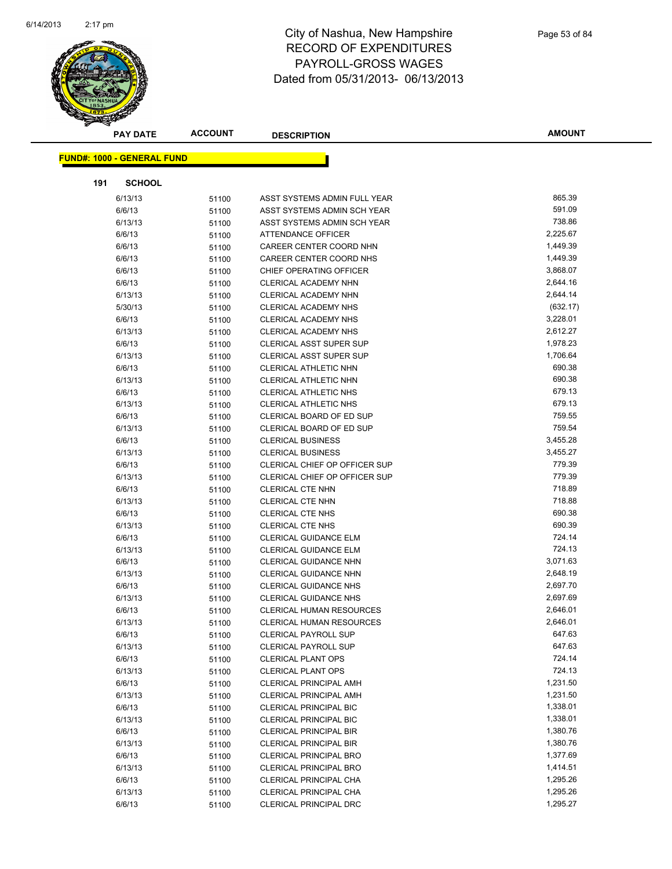

| <b>PAY DATE</b>                   | <b>ACCOUNT</b> | <b>DESCRIPTION</b>                                           | <b>AMOUNT</b>        |
|-----------------------------------|----------------|--------------------------------------------------------------|----------------------|
| <b>FUND#: 1000 - GENERAL FUND</b> |                |                                                              |                      |
|                                   |                |                                                              |                      |
| <b>SCHOOL</b><br>191              |                |                                                              |                      |
| 6/13/13                           | 51100          | ASST SYSTEMS ADMIN FULL YEAR                                 | 865.39               |
| 6/6/13                            | 51100          | ASST SYSTEMS ADMIN SCH YEAR                                  | 591.09               |
| 6/13/13                           | 51100          | ASST SYSTEMS ADMIN SCH YEAR                                  | 738.86               |
| 6/6/13                            | 51100          | ATTENDANCE OFFICER                                           | 2,225.67             |
| 6/6/13                            | 51100          | CAREER CENTER COORD NHN                                      | 1,449.39             |
| 6/6/13                            | 51100          | CAREER CENTER COORD NHS                                      | 1,449.39             |
| 6/6/13                            | 51100          | CHIEF OPERATING OFFICER                                      | 3,868.07             |
| 6/6/13                            | 51100          | CLERICAL ACADEMY NHN                                         | 2,644.16             |
| 6/13/13                           | 51100          | CLERICAL ACADEMY NHN                                         | 2,644.14             |
| 5/30/13                           | 51100          | CLERICAL ACADEMY NHS                                         | (632.17)             |
| 6/6/13                            | 51100          | CLERICAL ACADEMY NHS                                         | 3,228.01             |
| 6/13/13                           | 51100          | CLERICAL ACADEMY NHS                                         | 2,612.27             |
| 6/6/13                            | 51100          | CLERICAL ASST SUPER SUP                                      | 1,978.23             |
| 6/13/13                           | 51100          | <b>CLERICAL ASST SUPER SUP</b>                               | 1,706.64             |
| 6/6/13                            | 51100          | <b>CLERICAL ATHLETIC NHN</b>                                 | 690.38               |
| 6/13/13                           | 51100          | CLERICAL ATHLETIC NHN                                        | 690.38               |
| 6/6/13                            | 51100          | CLERICAL ATHLETIC NHS                                        | 679.13               |
| 6/13/13                           | 51100          | <b>CLERICAL ATHLETIC NHS</b>                                 | 679.13               |
| 6/6/13                            | 51100          | CLERICAL BOARD OF ED SUP                                     | 759.55               |
| 6/13/13                           | 51100          | CLERICAL BOARD OF ED SUP                                     | 759.54               |
| 6/6/13                            | 51100          | <b>CLERICAL BUSINESS</b>                                     | 3,455.28             |
| 6/13/13                           | 51100          | <b>CLERICAL BUSINESS</b>                                     | 3,455.27             |
| 6/6/13                            | 51100          | CLERICAL CHIEF OP OFFICER SUP                                | 779.39               |
| 6/13/13                           | 51100          | CLERICAL CHIEF OP OFFICER SUP                                | 779.39               |
| 6/6/13                            | 51100          | <b>CLERICAL CTE NHN</b>                                      | 718.89               |
| 6/13/13                           | 51100          | CLERICAL CTE NHN                                             | 718.88               |
| 6/6/13                            | 51100          | CLERICAL CTE NHS                                             | 690.38               |
| 6/13/13                           | 51100          | <b>CLERICAL CTE NHS</b>                                      | 690.39               |
| 6/6/13                            | 51100          | CLERICAL GUIDANCE ELM                                        | 724.14               |
| 6/13/13                           | 51100          | <b>CLERICAL GUIDANCE ELM</b>                                 | 724.13               |
| 6/6/13                            | 51100          | CLERICAL GUIDANCE NHN                                        | 3,071.63             |
| 6/13/13                           | 51100          | CLERICAL GUIDANCE NHN                                        | 2,648.19<br>2,697.70 |
| 6/6/13                            | 51100          | <b>CLERICAL GUIDANCE NHS</b><br><b>CLERICAL GUIDANCE NHS</b> | 2,697.69             |
| 6/13/13<br>6/6/13                 | 51100          | <b>CLERICAL HUMAN RESOURCES</b>                              | 2,646.01             |
| 6/13/13                           | 51100          | <b>CLERICAL HUMAN RESOURCES</b>                              | 2,646.01             |
| 6/6/13                            | 51100<br>51100 | <b>CLERICAL PAYROLL SUP</b>                                  | 647.63               |
| 6/13/13                           | 51100          | <b>CLERICAL PAYROLL SUP</b>                                  | 647.63               |
| 6/6/13                            | 51100          | <b>CLERICAL PLANT OPS</b>                                    | 724.14               |
| 6/13/13                           | 51100          | <b>CLERICAL PLANT OPS</b>                                    | 724.13               |
| 6/6/13                            | 51100          | <b>CLERICAL PRINCIPAL AMH</b>                                | 1,231.50             |
| 6/13/13                           | 51100          | <b>CLERICAL PRINCIPAL AMH</b>                                | 1,231.50             |
| 6/6/13                            | 51100          | CLERICAL PRINCIPAL BIC                                       | 1,338.01             |
| 6/13/13                           | 51100          | <b>CLERICAL PRINCIPAL BIC</b>                                | 1,338.01             |
| 6/6/13                            | 51100          | <b>CLERICAL PRINCIPAL BIR</b>                                | 1,380.76             |
| 6/13/13                           | 51100          | <b>CLERICAL PRINCIPAL BIR</b>                                | 1,380.76             |
| 6/6/13                            | 51100          | <b>CLERICAL PRINCIPAL BRO</b>                                | 1,377.69             |
| 6/13/13                           | 51100          | CLERICAL PRINCIPAL BRO                                       | 1,414.51             |
| 6/6/13                            | 51100          | CLERICAL PRINCIPAL CHA                                       | 1,295.26             |
| 6/13/13                           | 51100          | CLERICAL PRINCIPAL CHA                                       | 1,295.26             |
| 6/6/13                            | 51100          | CLERICAL PRINCIPAL DRC                                       | 1,295.27             |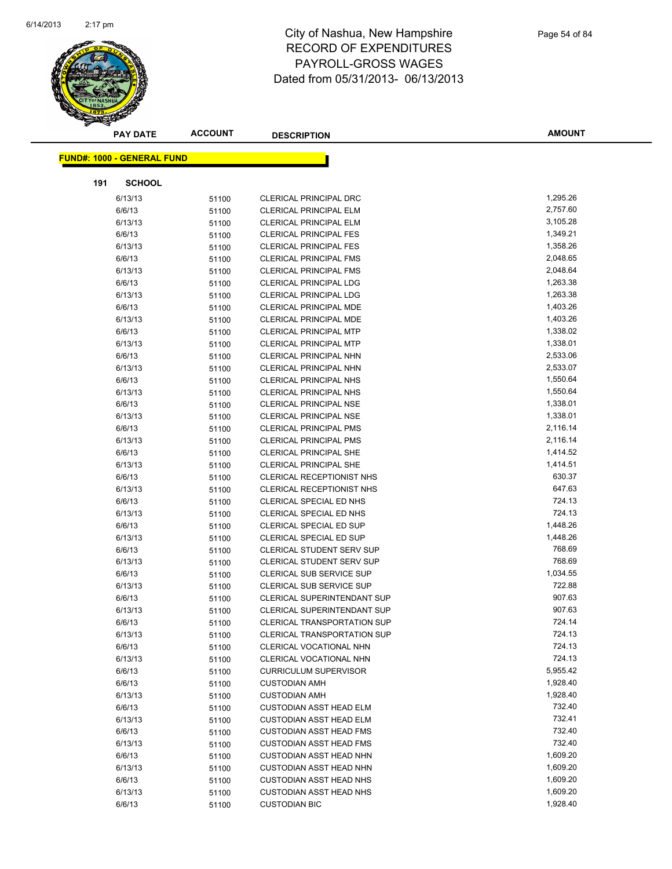

| <b>PAY DATE</b>                   | <b>ACCOUNT</b> | <b>DESCRIPTION</b>                 | <b>AMOUNT</b> |
|-----------------------------------|----------------|------------------------------------|---------------|
| <b>FUND#: 1000 - GENERAL FUND</b> |                |                                    |               |
|                                   |                |                                    |               |
| <b>SCHOOL</b><br>191              |                |                                    |               |
| 6/13/13                           | 51100          | CLERICAL PRINCIPAL DRC             | 1,295.26      |
| 6/6/13                            | 51100          | <b>CLERICAL PRINCIPAL ELM</b>      | 2,757.60      |
| 6/13/13                           | 51100          | <b>CLERICAL PRINCIPAL ELM</b>      | 3,105.28      |
| 6/6/13                            | 51100          | <b>CLERICAL PRINCIPAL FES</b>      | 1,349.21      |
| 6/13/13                           | 51100          | <b>CLERICAL PRINCIPAL FES</b>      | 1,358.26      |
| 6/6/13                            | 51100          | <b>CLERICAL PRINCIPAL FMS</b>      | 2,048.65      |
| 6/13/13                           | 51100          | <b>CLERICAL PRINCIPAL FMS</b>      | 2,048.64      |
| 6/6/13                            | 51100          | <b>CLERICAL PRINCIPAL LDG</b>      | 1,263.38      |
| 6/13/13                           | 51100          | <b>CLERICAL PRINCIPAL LDG</b>      | 1,263.38      |
| 6/6/13                            | 51100          | <b>CLERICAL PRINCIPAL MDE</b>      | 1,403.26      |
| 6/13/13                           | 51100          | <b>CLERICAL PRINCIPAL MDE</b>      | 1,403.26      |
| 6/6/13                            | 51100          | <b>CLERICAL PRINCIPAL MTP</b>      | 1,338.02      |
| 6/13/13                           | 51100          | <b>CLERICAL PRINCIPAL MTP</b>      | 1,338.01      |
| 6/6/13                            | 51100          | <b>CLERICAL PRINCIPAL NHN</b>      | 2,533.06      |
| 6/13/13                           | 51100          | CLERICAL PRINCIPAL NHN             | 2,533.07      |
| 6/6/13                            | 51100          | <b>CLERICAL PRINCIPAL NHS</b>      | 1,550.64      |
| 6/13/13                           | 51100          | <b>CLERICAL PRINCIPAL NHS</b>      | 1,550.64      |
| 6/6/13                            | 51100          | <b>CLERICAL PRINCIPAL NSE</b>      | 1,338.01      |
| 6/13/13                           | 51100          | <b>CLERICAL PRINCIPAL NSE</b>      | 1,338.01      |
| 6/6/13                            | 51100          | <b>CLERICAL PRINCIPAL PMS</b>      | 2,116.14      |
| 6/13/13                           | 51100          | <b>CLERICAL PRINCIPAL PMS</b>      | 2,116.14      |
| 6/6/13                            | 51100          | <b>CLERICAL PRINCIPAL SHE</b>      | 1,414.52      |
| 6/13/13                           | 51100          | <b>CLERICAL PRINCIPAL SHE</b>      | 1,414.51      |
| 6/6/13                            | 51100          | <b>CLERICAL RECEPTIONIST NHS</b>   | 630.37        |
| 6/13/13                           | 51100          | <b>CLERICAL RECEPTIONIST NHS</b>   | 647.63        |
| 6/6/13                            | 51100          | CLERICAL SPECIAL ED NHS            | 724.13        |
| 6/13/13                           | 51100          | CLERICAL SPECIAL ED NHS            | 724.13        |
| 6/6/13                            | 51100          | CLERICAL SPECIAL ED SUP            | 1,448.26      |
| 6/13/13                           | 51100          | CLERICAL SPECIAL ED SUP            | 1,448.26      |
| 6/6/13                            | 51100          | <b>CLERICAL STUDENT SERV SUP</b>   | 768.69        |
| 6/13/13                           | 51100          | CLERICAL STUDENT SERV SUP          | 768.69        |
| 6/6/13                            | 51100          | CLERICAL SUB SERVICE SUP           | 1,034.55      |
| 6/13/13                           | 51100          | CLERICAL SUB SERVICE SUP           | 722.88        |
| 6/6/13                            | 51100          | <b>CLERICAL SUPERINTENDANT SUP</b> | 907.63        |
| 6/13/13                           | 51100          | CLERICAL SUPERINTENDANT SUP        | 907.63        |
| 6/6/13                            | 51100          | <b>CLERICAL TRANSPORTATION SUP</b> | 724.14        |
| 6/13/13                           | 51100          | <b>CLERICAL TRANSPORTATION SUP</b> | 724.13        |
| 6/6/13                            | 51100          | CLERICAL VOCATIONAL NHN            | 724.13        |
| 6/13/13                           | 51100          | CLERICAL VOCATIONAL NHN            | 724.13        |
| 6/6/13                            | 51100          | <b>CURRICULUM SUPERVISOR</b>       | 5,955.42      |
| 6/6/13                            | 51100          | <b>CUSTODIAN AMH</b>               | 1,928.40      |
| 6/13/13                           | 51100          | <b>CUSTODIAN AMH</b>               | 1,928.40      |
| 6/6/13                            | 51100          | <b>CUSTODIAN ASST HEAD ELM</b>     | 732.40        |
| 6/13/13                           | 51100          | <b>CUSTODIAN ASST HEAD ELM</b>     | 732.41        |
| 6/6/13                            | 51100          | <b>CUSTODIAN ASST HEAD FMS</b>     | 732.40        |
| 6/13/13                           | 51100          | <b>CUSTODIAN ASST HEAD FMS</b>     | 732.40        |
| 6/6/13                            | 51100          | <b>CUSTODIAN ASST HEAD NHN</b>     | 1,609.20      |
| 6/13/13                           | 51100          | <b>CUSTODIAN ASST HEAD NHN</b>     | 1,609.20      |
| 6/6/13                            | 51100          | <b>CUSTODIAN ASST HEAD NHS</b>     | 1,609.20      |
| 6/13/13                           | 51100          | <b>CUSTODIAN ASST HEAD NHS</b>     | 1,609.20      |
| 6/6/13                            | 51100          | <b>CUSTODIAN BIC</b>               | 1,928.40      |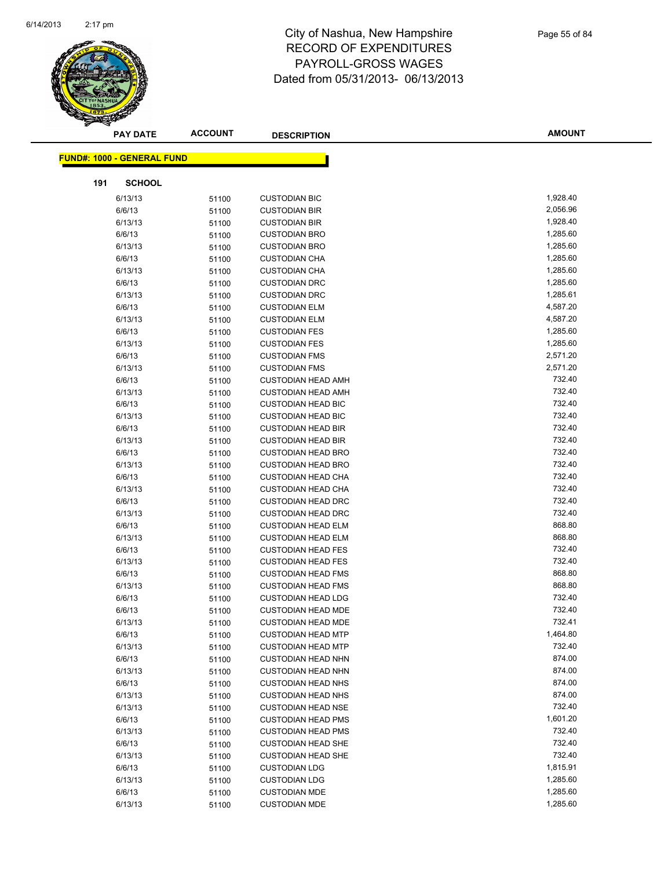

|     | <b>PAY DATE</b>                   | <b>ACCOUNT</b> | <b>DESCRIPTION</b>                                     | <b>AMOUNT</b>    |
|-----|-----------------------------------|----------------|--------------------------------------------------------|------------------|
|     | <b>FUND#: 1000 - GENERAL FUND</b> |                |                                                        |                  |
|     |                                   |                |                                                        |                  |
| 191 | <b>SCHOOL</b>                     |                |                                                        |                  |
|     | 6/13/13                           | 51100          | <b>CUSTODIAN BIC</b>                                   | 1,928.40         |
|     | 6/6/13                            | 51100          | <b>CUSTODIAN BIR</b>                                   | 2,056.96         |
|     | 6/13/13                           | 51100          | <b>CUSTODIAN BIR</b>                                   | 1,928.40         |
|     | 6/6/13                            | 51100          | <b>CUSTODIAN BRO</b>                                   | 1,285.60         |
|     | 6/13/13                           | 51100          | <b>CUSTODIAN BRO</b>                                   | 1,285.60         |
|     | 6/6/13                            | 51100          | <b>CUSTODIAN CHA</b>                                   | 1,285.60         |
|     | 6/13/13                           | 51100          | <b>CUSTODIAN CHA</b>                                   | 1,285.60         |
|     | 6/6/13                            | 51100          | <b>CUSTODIAN DRC</b>                                   | 1,285.60         |
|     | 6/13/13                           | 51100          | <b>CUSTODIAN DRC</b>                                   | 1,285.61         |
|     | 6/6/13                            | 51100          | <b>CUSTODIAN ELM</b>                                   | 4,587.20         |
|     | 6/13/13                           | 51100          | <b>CUSTODIAN ELM</b>                                   | 4,587.20         |
|     | 6/6/13                            | 51100          | <b>CUSTODIAN FES</b>                                   | 1,285.60         |
|     | 6/13/13                           | 51100          | <b>CUSTODIAN FES</b>                                   | 1,285.60         |
|     | 6/6/13                            | 51100          | <b>CUSTODIAN FMS</b>                                   | 2,571.20         |
|     | 6/13/13                           | 51100          | <b>CUSTODIAN FMS</b>                                   | 2,571.20         |
|     | 6/6/13                            | 51100          | <b>CUSTODIAN HEAD AMH</b>                              | 732.40           |
|     | 6/13/13                           | 51100          | <b>CUSTODIAN HEAD AMH</b>                              | 732.40           |
|     | 6/6/13                            | 51100          | <b>CUSTODIAN HEAD BIC</b>                              | 732.40           |
|     | 6/13/13                           | 51100          | <b>CUSTODIAN HEAD BIC</b>                              | 732.40           |
|     | 6/6/13                            | 51100          | <b>CUSTODIAN HEAD BIR</b>                              | 732.40           |
|     | 6/13/13                           | 51100          | <b>CUSTODIAN HEAD BIR</b>                              | 732.40           |
|     | 6/6/13                            | 51100          | <b>CUSTODIAN HEAD BRO</b>                              | 732.40           |
|     | 6/13/13                           | 51100          | <b>CUSTODIAN HEAD BRO</b>                              | 732.40           |
|     | 6/6/13                            | 51100          | <b>CUSTODIAN HEAD CHA</b>                              | 732.40           |
|     | 6/13/13                           | 51100          | <b>CUSTODIAN HEAD CHA</b>                              | 732.40           |
|     | 6/6/13                            | 51100          | <b>CUSTODIAN HEAD DRC</b>                              | 732.40           |
|     | 6/13/13                           | 51100          | <b>CUSTODIAN HEAD DRC</b>                              | 732.40           |
|     | 6/6/13                            | 51100          | <b>CUSTODIAN HEAD ELM</b>                              | 868.80           |
|     | 6/13/13                           | 51100          | <b>CUSTODIAN HEAD ELM</b>                              | 868.80           |
|     | 6/6/13                            | 51100          | <b>CUSTODIAN HEAD FES</b>                              | 732.40           |
|     | 6/13/13                           | 51100          | <b>CUSTODIAN HEAD FES</b>                              | 732.40<br>868.80 |
|     | 6/6/13                            | 51100          | <b>CUSTODIAN HEAD FMS</b>                              | 868.80           |
|     | 6/13/13<br>6/6/13                 | 51100          | <b>CUSTODIAN HEAD FMS</b><br><b>CUSTODIAN HEAD LDG</b> | 732.40           |
|     | 6/6/13                            | 51100<br>51100 | <b>CUSTODIAN HEAD MDE</b>                              | 732.40           |
|     | 6/13/13                           |                | <b>CUSTODIAN HEAD MDE</b>                              | 732.41           |
|     | 6/6/13                            | 51100<br>51100 | <b>CUSTODIAN HEAD MTP</b>                              | 1,464.80         |
|     | 6/13/13                           | 51100          | <b>CUSTODIAN HEAD MTP</b>                              | 732.40           |
|     | 6/6/13                            | 51100          | <b>CUSTODIAN HEAD NHN</b>                              | 874.00           |
|     | 6/13/13                           | 51100          | <b>CUSTODIAN HEAD NHN</b>                              | 874.00           |
|     | 6/6/13                            | 51100          | <b>CUSTODIAN HEAD NHS</b>                              | 874.00           |
|     | 6/13/13                           | 51100          | <b>CUSTODIAN HEAD NHS</b>                              | 874.00           |
|     | 6/13/13                           | 51100          | <b>CUSTODIAN HEAD NSE</b>                              | 732.40           |
|     | 6/6/13                            | 51100          | <b>CUSTODIAN HEAD PMS</b>                              | 1,601.20         |
|     | 6/13/13                           | 51100          | <b>CUSTODIAN HEAD PMS</b>                              | 732.40           |
|     | 6/6/13                            | 51100          | <b>CUSTODIAN HEAD SHE</b>                              | 732.40           |
|     | 6/13/13                           | 51100          | <b>CUSTODIAN HEAD SHE</b>                              | 732.40           |
|     | 6/6/13                            | 51100          | <b>CUSTODIAN LDG</b>                                   | 1,815.91         |
|     | 6/13/13                           | 51100          | <b>CUSTODIAN LDG</b>                                   | 1,285.60         |
|     | 6/6/13                            | 51100          | <b>CUSTODIAN MDE</b>                                   | 1,285.60         |
|     | 6/13/13                           | 51100          | <b>CUSTODIAN MDE</b>                                   | 1,285.60         |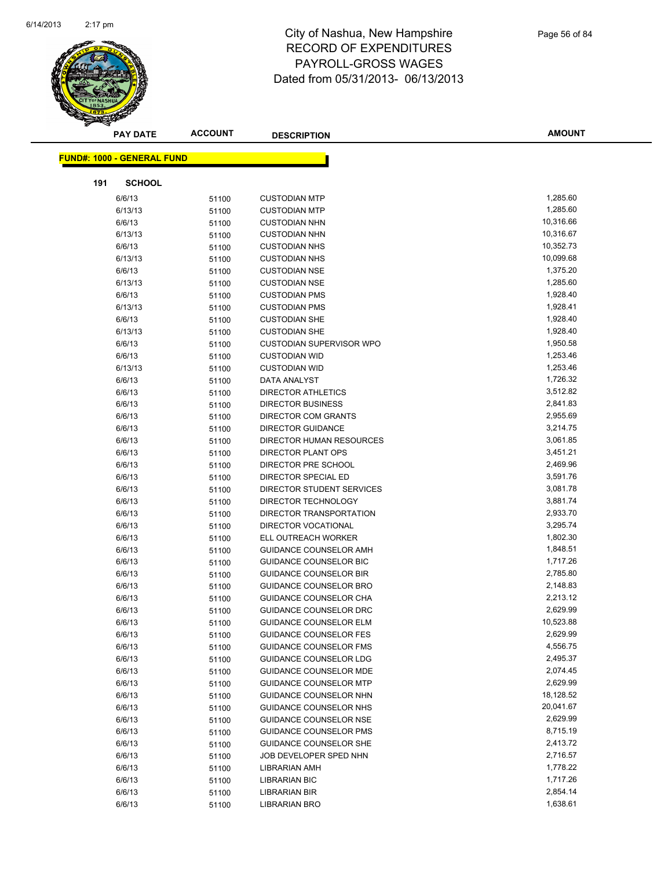

|     | <b>PAY DATE</b>                   | <b>ACCOUNT</b> | <b>DESCRIPTION</b>              | <b>AMOUNT</b> |
|-----|-----------------------------------|----------------|---------------------------------|---------------|
|     | <b>FUND#: 1000 - GENERAL FUND</b> |                |                                 |               |
|     |                                   |                |                                 |               |
| 191 | <b>SCHOOL</b>                     |                |                                 |               |
|     | 6/6/13                            | 51100          | <b>CUSTODIAN MTP</b>            | 1,285.60      |
|     | 6/13/13                           | 51100          | <b>CUSTODIAN MTP</b>            | 1,285.60      |
|     | 6/6/13                            | 51100          | <b>CUSTODIAN NHN</b>            | 10,316.66     |
|     | 6/13/13                           | 51100          | <b>CUSTODIAN NHN</b>            | 10,316.67     |
|     | 6/6/13                            | 51100          | <b>CUSTODIAN NHS</b>            | 10,352.73     |
|     | 6/13/13                           | 51100          | <b>CUSTODIAN NHS</b>            | 10,099.68     |
|     | 6/6/13                            | 51100          | <b>CUSTODIAN NSE</b>            | 1,375.20      |
|     | 6/13/13                           | 51100          | <b>CUSTODIAN NSE</b>            | 1,285.60      |
|     | 6/6/13                            | 51100          | <b>CUSTODIAN PMS</b>            | 1,928.40      |
|     | 6/13/13                           | 51100          | <b>CUSTODIAN PMS</b>            | 1,928.41      |
|     | 6/6/13                            | 51100          | <b>CUSTODIAN SHE</b>            | 1,928.40      |
|     | 6/13/13                           | 51100          | <b>CUSTODIAN SHE</b>            | 1,928.40      |
|     | 6/6/13                            | 51100          | <b>CUSTODIAN SUPERVISOR WPO</b> | 1,950.58      |
|     | 6/6/13                            | 51100          | <b>CUSTODIAN WID</b>            | 1,253.46      |
|     | 6/13/13                           | 51100          | <b>CUSTODIAN WID</b>            | 1,253.46      |
|     | 6/6/13                            | 51100          | DATA ANALYST                    | 1,726.32      |
|     | 6/6/13                            | 51100          | <b>DIRECTOR ATHLETICS</b>       | 3,512.82      |
|     | 6/6/13                            | 51100          | <b>DIRECTOR BUSINESS</b>        | 2,841.83      |
|     | 6/6/13                            | 51100          | <b>DIRECTOR COM GRANTS</b>      | 2,955.69      |
|     | 6/6/13                            | 51100          | <b>DIRECTOR GUIDANCE</b>        | 3,214.75      |
|     | 6/6/13                            | 51100          | DIRECTOR HUMAN RESOURCES        | 3,061.85      |
|     | 6/6/13                            | 51100          | <b>DIRECTOR PLANT OPS</b>       | 3,451.21      |
|     | 6/6/13                            | 51100          | DIRECTOR PRE SCHOOL             | 2,469.96      |
|     | 6/6/13                            | 51100          | DIRECTOR SPECIAL ED             | 3,591.76      |
|     | 6/6/13                            | 51100          | DIRECTOR STUDENT SERVICES       | 3,081.78      |
|     | 6/6/13                            | 51100          | DIRECTOR TECHNOLOGY             | 3,881.74      |
|     | 6/6/13                            | 51100          | DIRECTOR TRANSPORTATION         | 2,933.70      |
|     | 6/6/13                            | 51100          | DIRECTOR VOCATIONAL             | 3,295.74      |
|     | 6/6/13                            | 51100          | ELL OUTREACH WORKER             | 1,802.30      |
|     | 6/6/13                            | 51100          | GUIDANCE COUNSELOR AMH          | 1,848.51      |
|     | 6/6/13                            | 51100          | <b>GUIDANCE COUNSELOR BIC</b>   | 1,717.26      |
|     | 6/6/13                            | 51100          | <b>GUIDANCE COUNSELOR BIR</b>   | 2,785.80      |
|     | 6/6/13                            | 51100          | <b>GUIDANCE COUNSELOR BRO</b>   | 2,148.83      |
|     | 6/6/13                            | 51100          | GUIDANCE COUNSELOR CHA          | 2,213.12      |
|     | 6/6/13                            | 51100          | <b>GUIDANCE COUNSELOR DRC</b>   | 2,629.99      |
|     | 6/6/13                            | 51100          | GUIDANCE COUNSELOR ELM          | 10,523.88     |
|     | 6/6/13                            | 51100          | <b>GUIDANCE COUNSELOR FES</b>   | 2,629.99      |
|     | 6/6/13                            | 51100          | <b>GUIDANCE COUNSELOR FMS</b>   | 4,556.75      |
|     | 6/6/13                            | 51100          | GUIDANCE COUNSELOR LDG          | 2,495.37      |
|     | 6/6/13                            | 51100          | <b>GUIDANCE COUNSELOR MDE</b>   | 2,074.45      |
|     | 6/6/13                            | 51100          | <b>GUIDANCE COUNSELOR MTP</b>   | 2,629.99      |
|     | 6/6/13                            | 51100          | GUIDANCE COUNSELOR NHN          | 18,128.52     |
|     | 6/6/13                            | 51100          | GUIDANCE COUNSELOR NHS          | 20,041.67     |
|     | 6/6/13                            | 51100          | <b>GUIDANCE COUNSELOR NSE</b>   | 2,629.99      |
|     | 6/6/13                            | 51100          | <b>GUIDANCE COUNSELOR PMS</b>   | 8,715.19      |
|     | 6/6/13                            | 51100          | <b>GUIDANCE COUNSELOR SHE</b>   | 2,413.72      |
|     | 6/6/13                            | 51100          | JOB DEVELOPER SPED NHN          | 2,716.57      |
|     | 6/6/13                            | 51100          | <b>LIBRARIAN AMH</b>            | 1,778.22      |
|     | 6/6/13                            | 51100          | <b>LIBRARIAN BIC</b>            | 1,717.26      |
|     | 6/6/13                            | 51100          | <b>LIBRARIAN BIR</b>            | 2,854.14      |
|     | 6/6/13                            | 51100          | LIBRARIAN BRO                   | 1,638.61      |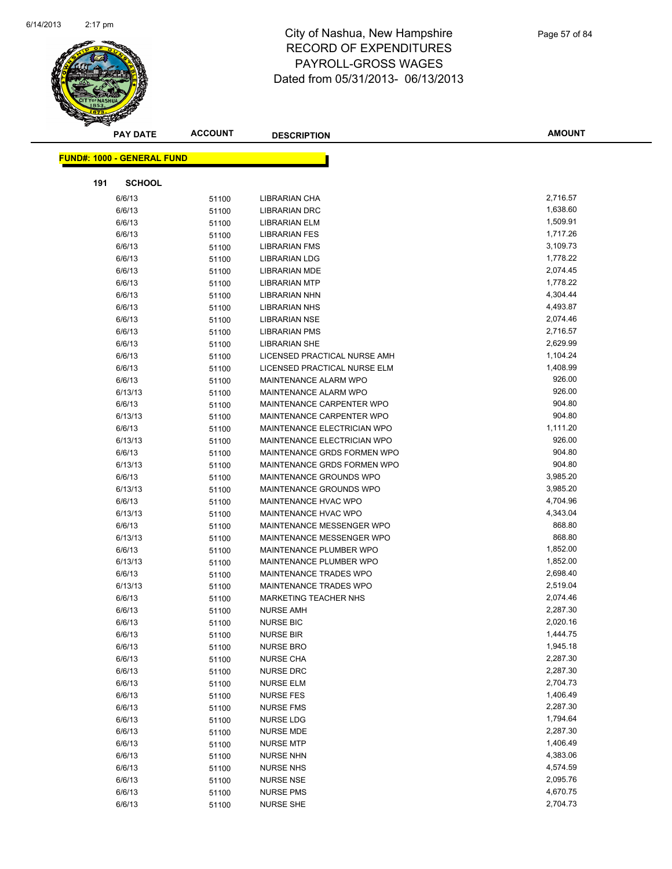

|     | <b>PAY DATE</b>                   | <b>ACCOUNT</b> | <b>DESCRIPTION</b>           | <b>AMOUNT</b> |
|-----|-----------------------------------|----------------|------------------------------|---------------|
|     | <b>FUND#: 1000 - GENERAL FUND</b> |                |                              |               |
|     |                                   |                |                              |               |
| 191 | <b>SCHOOL</b>                     |                |                              |               |
|     | 6/6/13                            | 51100          | LIBRARIAN CHA                | 2,716.57      |
|     | 6/6/13                            | 51100          | <b>LIBRARIAN DRC</b>         | 1,638.60      |
|     | 6/6/13                            | 51100          | <b>LIBRARIAN ELM</b>         | 1,509.91      |
|     | 6/6/13                            | 51100          | <b>LIBRARIAN FES</b>         | 1,717.26      |
|     | 6/6/13                            | 51100          | <b>LIBRARIAN FMS</b>         | 3,109.73      |
|     | 6/6/13                            | 51100          | <b>LIBRARIAN LDG</b>         | 1,778.22      |
|     | 6/6/13                            | 51100          | <b>LIBRARIAN MDE</b>         | 2,074.45      |
|     | 6/6/13                            | 51100          | <b>LIBRARIAN MTP</b>         | 1,778.22      |
|     | 6/6/13                            | 51100          | <b>LIBRARIAN NHN</b>         | 4,304.44      |
|     | 6/6/13                            | 51100          | <b>LIBRARIAN NHS</b>         | 4,493.87      |
|     | 6/6/13                            | 51100          | <b>LIBRARIAN NSE</b>         | 2,074.46      |
|     | 6/6/13                            | 51100          | <b>LIBRARIAN PMS</b>         | 2,716.57      |
|     | 6/6/13                            | 51100          | <b>LIBRARIAN SHE</b>         | 2,629.99      |
|     | 6/6/13                            | 51100          | LICENSED PRACTICAL NURSE AMH | 1,104.24      |
|     | 6/6/13                            | 51100          | LICENSED PRACTICAL NURSE ELM | 1,408.99      |
|     | 6/6/13                            | 51100          | MAINTENANCE ALARM WPO        | 926.00        |
|     | 6/13/13                           | 51100          | MAINTENANCE ALARM WPO        | 926.00        |
|     | 6/6/13                            | 51100          | MAINTENANCE CARPENTER WPO    | 904.80        |
|     | 6/13/13                           | 51100          | MAINTENANCE CARPENTER WPO    | 904.80        |
|     | 6/6/13                            | 51100          | MAINTENANCE ELECTRICIAN WPO  | 1,111.20      |
|     | 6/13/13                           | 51100          | MAINTENANCE ELECTRICIAN WPO  | 926.00        |
|     | 6/6/13                            | 51100          | MAINTENANCE GRDS FORMEN WPO  | 904.80        |
|     | 6/13/13                           | 51100          | MAINTENANCE GRDS FORMEN WPO  | 904.80        |
|     | 6/6/13                            | 51100          | MAINTENANCE GROUNDS WPO      | 3,985.20      |
|     | 6/13/13                           | 51100          | MAINTENANCE GROUNDS WPO      | 3,985.20      |
|     | 6/6/13                            | 51100          | MAINTENANCE HVAC WPO         | 4,704.96      |
|     | 6/13/13                           | 51100          | MAINTENANCE HVAC WPO         | 4,343.04      |
|     | 6/6/13                            | 51100          | MAINTENANCE MESSENGER WPO    | 868.80        |
|     | 6/13/13                           | 51100          | MAINTENANCE MESSENGER WPO    | 868.80        |
|     | 6/6/13                            | 51100          | MAINTENANCE PLUMBER WPO      | 1,852.00      |
|     | 6/13/13                           | 51100          | MAINTENANCE PLUMBER WPO      | 1,852.00      |
|     | 6/6/13                            | 51100          | MAINTENANCE TRADES WPO       | 2,698.40      |
|     | 6/13/13                           | 51100          | MAINTENANCE TRADES WPO       | 2,519.04      |
|     | 6/6/13                            | 51100          | <b>MARKETING TEACHER NHS</b> | 2,074.46      |
|     | 6/6/13                            | 51100          | <b>NURSE AMH</b>             | 2,287.30      |
|     | 6/6/13                            | 51100          | <b>NURSE BIC</b>             | 2,020.16      |
|     | 6/6/13                            | 51100          | <b>NURSE BIR</b>             | 1,444.75      |
|     | 6/6/13                            | 51100          | <b>NURSE BRO</b>             | 1,945.18      |
|     | 6/6/13                            | 51100          | <b>NURSE CHA</b>             | 2,287.30      |
|     | 6/6/13                            | 51100          | <b>NURSE DRC</b>             | 2,287.30      |
|     | 6/6/13                            | 51100          | <b>NURSE ELM</b>             | 2,704.73      |
|     | 6/6/13                            | 51100          | <b>NURSE FES</b>             | 1,406.49      |
|     | 6/6/13                            | 51100          | <b>NURSE FMS</b>             | 2,287.30      |
|     | 6/6/13                            | 51100          | <b>NURSE LDG</b>             | 1,794.64      |
|     | 6/6/13                            | 51100          | <b>NURSE MDE</b>             | 2,287.30      |
|     | 6/6/13                            | 51100          | <b>NURSE MTP</b>             | 1,406.49      |
|     | 6/6/13                            | 51100          | <b>NURSE NHN</b>             | 4,383.06      |
|     | 6/6/13                            | 51100          | <b>NURSE NHS</b>             | 4,574.59      |
|     | 6/6/13                            | 51100          | <b>NURSE NSE</b>             | 2,095.76      |
|     | 6/6/13                            | 51100          | <b>NURSE PMS</b>             | 4,670.75      |
|     | 6/6/13                            | 51100          | <b>NURSE SHE</b>             | 2,704.73      |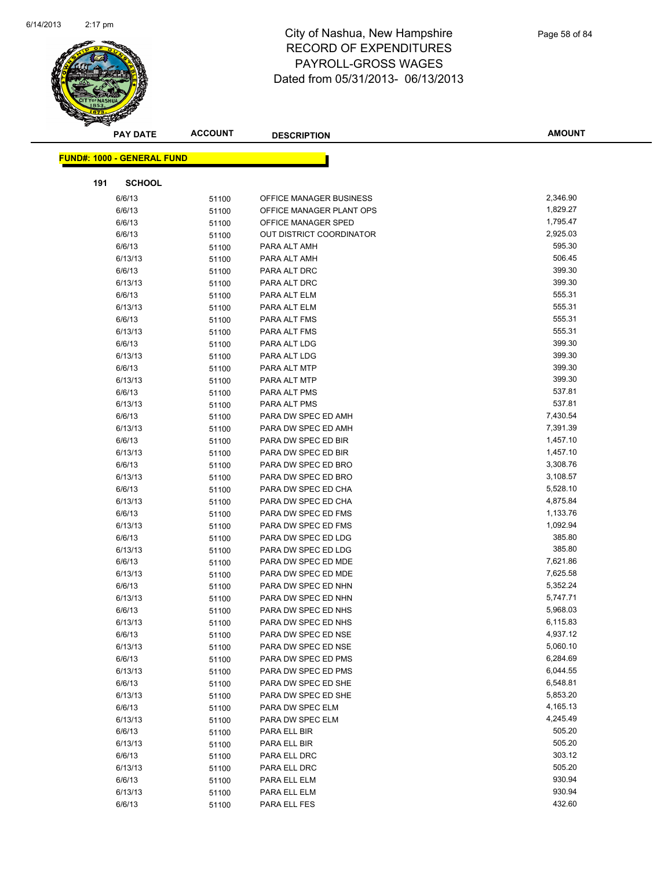

|     | <b>PAY DATE</b>                   | <b>ACCOUNT</b> | <b>DESCRIPTION</b>                         | <b>AMOUNT</b>        |
|-----|-----------------------------------|----------------|--------------------------------------------|----------------------|
|     | <b>FUND#: 1000 - GENERAL FUND</b> |                |                                            |                      |
| 191 | <b>SCHOOL</b>                     |                |                                            |                      |
|     | 6/6/13                            | 51100          | OFFICE MANAGER BUSINESS                    | 2,346.90             |
|     | 6/6/13                            | 51100          | OFFICE MANAGER PLANT OPS                   | 1,829.27             |
|     | 6/6/13                            | 51100          | OFFICE MANAGER SPED                        | 1,795.47             |
|     | 6/6/13                            | 51100          | OUT DISTRICT COORDINATOR                   | 2,925.03             |
|     | 6/6/13                            | 51100          | PARA ALT AMH                               | 595.30               |
|     | 6/13/13                           | 51100          | PARA ALT AMH                               | 506.45               |
|     | 6/6/13                            | 51100          | PARA ALT DRC                               | 399.30               |
|     | 6/13/13                           | 51100          | PARA ALT DRC                               | 399.30               |
|     | 6/6/13                            | 51100          | PARA ALT ELM                               | 555.31               |
|     | 6/13/13                           | 51100          | PARA ALT ELM                               | 555.31               |
|     | 6/6/13                            | 51100          | PARA ALT FMS                               | 555.31               |
|     | 6/13/13                           | 51100          | PARA ALT FMS                               | 555.31               |
|     | 6/6/13                            | 51100          | PARA ALT LDG                               | 399.30               |
|     | 6/13/13                           | 51100          | PARA ALT LDG                               | 399.30               |
|     | 6/6/13                            | 51100          | PARA ALT MTP                               | 399.30               |
|     | 6/13/13                           | 51100          | PARA ALT MTP                               | 399.30               |
|     | 6/6/13                            | 51100          | PARA ALT PMS                               | 537.81               |
|     | 6/13/13                           | 51100          | PARA ALT PMS                               | 537.81               |
|     | 6/6/13                            | 51100          | PARA DW SPEC ED AMH                        | 7,430.54             |
|     | 6/13/13                           | 51100          | PARA DW SPEC ED AMH                        | 7,391.39             |
|     | 6/6/13                            | 51100          | PARA DW SPEC ED BIR                        | 1,457.10             |
|     | 6/13/13                           | 51100          | PARA DW SPEC ED BIR                        | 1,457.10             |
|     | 6/6/13                            | 51100          | PARA DW SPEC ED BRO                        | 3,308.76             |
|     | 6/13/13                           | 51100          | PARA DW SPEC ED BRO                        | 3,108.57             |
|     | 6/6/13                            | 51100          | PARA DW SPEC ED CHA                        | 5,528.10             |
|     | 6/13/13                           | 51100          | PARA DW SPEC ED CHA                        | 4,875.84             |
|     | 6/6/13                            | 51100          | PARA DW SPEC ED FMS                        | 1,133.76             |
|     | 6/13/13                           | 51100          | PARA DW SPEC ED FMS                        | 1,092.94             |
|     | 6/6/13                            | 51100          | PARA DW SPEC ED LDG                        | 385.80               |
|     | 6/13/13                           | 51100          | PARA DW SPEC ED LDG                        | 385.80               |
|     | 6/6/13                            | 51100          | PARA DW SPEC ED MDE                        | 7,621.86             |
|     | 6/13/13                           | 51100          | PARA DW SPEC ED MDE                        | 7,625.58             |
|     | 6/6/13                            | 51100          | PARA DW SPEC ED NHN                        | 5,352.24             |
|     | 6/13/13                           | 51100          | PARA DW SPEC ED NHN                        | 5,747.71             |
|     | 6/6/13                            | 51100          | PARA DW SPEC ED NHS                        | 5,968.03             |
|     | 6/13/13                           | 51100          | PARA DW SPEC ED NHS                        | 6,115.83             |
|     | 6/6/13                            | 51100          | PARA DW SPEC ED NSE                        | 4,937.12             |
|     | 6/13/13                           | 51100          | PARA DW SPEC ED NSE                        | 5,060.10<br>6,284.69 |
|     | 6/6/13<br>6/13/13                 | 51100          | PARA DW SPEC ED PMS<br>PARA DW SPEC ED PMS | 6,044.55             |
|     | 6/6/13                            | 51100          | PARA DW SPEC ED SHE                        | 6,548.81             |
|     | 6/13/13                           | 51100          | PARA DW SPEC ED SHE                        | 5,853.20             |
|     | 6/6/13                            | 51100<br>51100 | PARA DW SPEC ELM                           | 4,165.13             |
|     | 6/13/13                           | 51100          | PARA DW SPEC ELM                           | 4,245.49             |
|     | 6/6/13                            | 51100          | PARA ELL BIR                               | 505.20               |
|     | 6/13/13                           | 51100          | PARA ELL BIR                               | 505.20               |
|     | 6/6/13                            | 51100          | PARA ELL DRC                               | 303.12               |
|     | 6/13/13                           | 51100          | PARA ELL DRC                               | 505.20               |
|     | 6/6/13                            | 51100          | PARA ELL ELM                               | 930.94               |
|     | 6/13/13                           | 51100          | PARA ELL ELM                               | 930.94               |
|     | 6/6/13                            | 51100          | PARA ELL FES                               | 432.60               |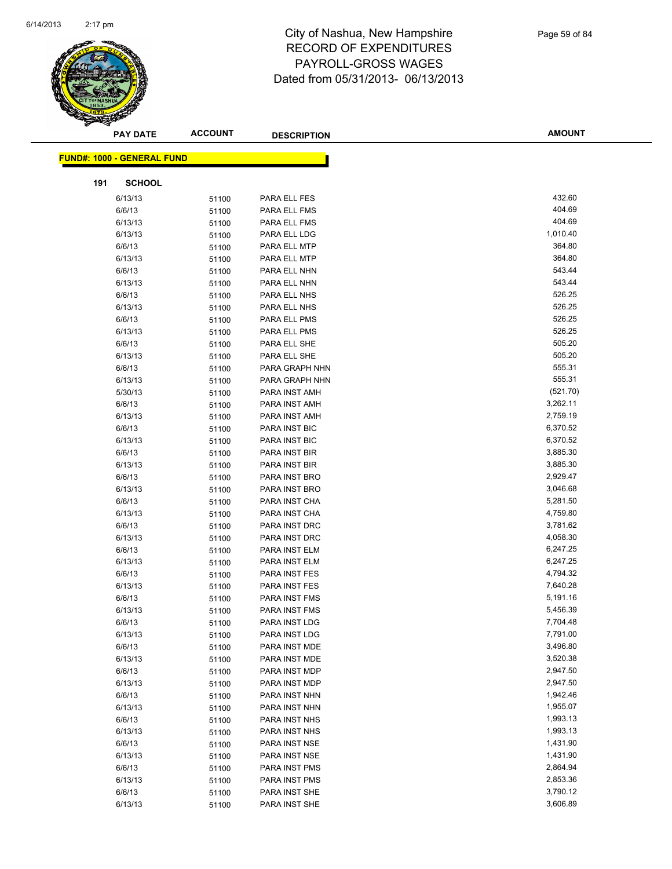

|     | <b>PAY DATE</b>                   | <b>ACCOUNT</b> | <b>DESCRIPTION</b>                    | <b>AMOUNT</b>        |
|-----|-----------------------------------|----------------|---------------------------------------|----------------------|
|     | <b>FUND#: 1000 - GENERAL FUND</b> |                |                                       |                      |
|     |                                   |                |                                       |                      |
| 191 | <b>SCHOOL</b>                     |                |                                       |                      |
|     | 6/13/13                           | 51100          | PARA ELL FES                          | 432.60               |
|     | 6/6/13                            | 51100          | PARA ELL FMS                          | 404.69               |
|     | 6/13/13                           | 51100          | PARA ELL FMS                          | 404.69               |
|     | 6/13/13                           | 51100          | PARA ELL LDG                          | 1,010.40             |
|     | 6/6/13                            | 51100          | PARA ELL MTP                          | 364.80               |
|     | 6/13/13                           | 51100          | PARA ELL MTP                          | 364.80               |
|     | 6/6/13                            | 51100          | PARA ELL NHN                          | 543.44               |
|     | 6/13/13                           | 51100          | PARA ELL NHN                          | 543.44               |
|     | 6/6/13                            | 51100          | PARA ELL NHS                          | 526.25               |
|     | 6/13/13                           | 51100          | PARA ELL NHS                          | 526.25               |
|     | 6/6/13                            | 51100          | PARA ELL PMS                          | 526.25               |
|     | 6/13/13                           | 51100          | PARA ELL PMS                          | 526.25               |
|     | 6/6/13                            | 51100          | PARA ELL SHE                          | 505.20               |
|     | 6/13/13                           | 51100          | PARA ELL SHE                          | 505.20               |
|     | 6/6/13                            | 51100          | PARA GRAPH NHN                        | 555.31               |
|     | 6/13/13                           | 51100          | PARA GRAPH NHN                        | 555.31               |
|     | 5/30/13                           | 51100          | PARA INST AMH                         | (521.70)             |
|     | 6/6/13                            | 51100          | PARA INST AMH                         | 3,262.11             |
|     | 6/13/13                           | 51100          | PARA INST AMH                         | 2,759.19             |
|     | 6/6/13                            | 51100          | PARA INST BIC                         | 6,370.52             |
|     | 6/13/13                           | 51100          | PARA INST BIC                         | 6,370.52             |
|     | 6/6/13                            | 51100          | PARA INST BIR                         | 3,885.30             |
|     | 6/13/13                           | 51100          | PARA INST BIR                         | 3,885.30             |
|     | 6/6/13                            | 51100          | PARA INST BRO                         | 2,929.47             |
|     | 6/13/13                           | 51100          | PARA INST BRO                         | 3,046.68             |
|     | 6/6/13                            | 51100          | PARA INST CHA                         | 5,281.50             |
|     | 6/13/13                           | 51100          | PARA INST CHA                         | 4,759.80             |
|     | 6/6/13                            | 51100          | PARA INST DRC                         | 3,781.62             |
|     | 6/13/13                           | 51100          | PARA INST DRC                         | 4,058.30             |
|     | 6/6/13                            | 51100          | PARA INST ELM                         | 6,247.25             |
|     | 6/13/13                           | 51100          | PARA INST ELM                         | 6,247.25             |
|     | 6/6/13                            | 51100          | PARA INST FES                         | 4,794.32             |
|     | 6/13/13                           | 51100          | PARA INST FES                         | 7,640.28             |
|     | 6/6/13                            | 51100          | PARA INST FMS<br><b>PARA INST FMS</b> | 5,191.16             |
|     | 6/13/13                           | 51100          |                                       | 5,456.39<br>7,704.48 |
|     | 6/6/13                            | 51100          | PARA INST LDG                         | 7,791.00             |
|     | 6/13/13<br>6/6/13                 | 51100          | PARA INST LDG<br>PARA INST MDE        | 3,496.80             |
|     | 6/13/13                           | 51100          | PARA INST MDE                         | 3,520.38             |
|     | 6/6/13                            | 51100          | PARA INST MDP                         | 2,947.50             |
|     | 6/13/13                           | 51100<br>51100 | PARA INST MDP                         | 2,947.50             |
|     | 6/6/13                            | 51100          | PARA INST NHN                         | 1,942.46             |
|     | 6/13/13                           | 51100          | PARA INST NHN                         | 1,955.07             |
|     | 6/6/13                            | 51100          | PARA INST NHS                         | 1,993.13             |
|     | 6/13/13                           | 51100          | PARA INST NHS                         | 1,993.13             |
|     | 6/6/13                            | 51100          | PARA INST NSE                         | 1,431.90             |
|     | 6/13/13                           | 51100          | PARA INST NSE                         | 1,431.90             |
|     | 6/6/13                            | 51100          | PARA INST PMS                         | 2,864.94             |
|     | 6/13/13                           | 51100          | PARA INST PMS                         | 2,853.36             |
|     | 6/6/13                            | 51100          | PARA INST SHE                         | 3,790.12             |
|     | 6/13/13                           | 51100          | PARA INST SHE                         | 3,606.89             |
|     |                                   |                |                                       |                      |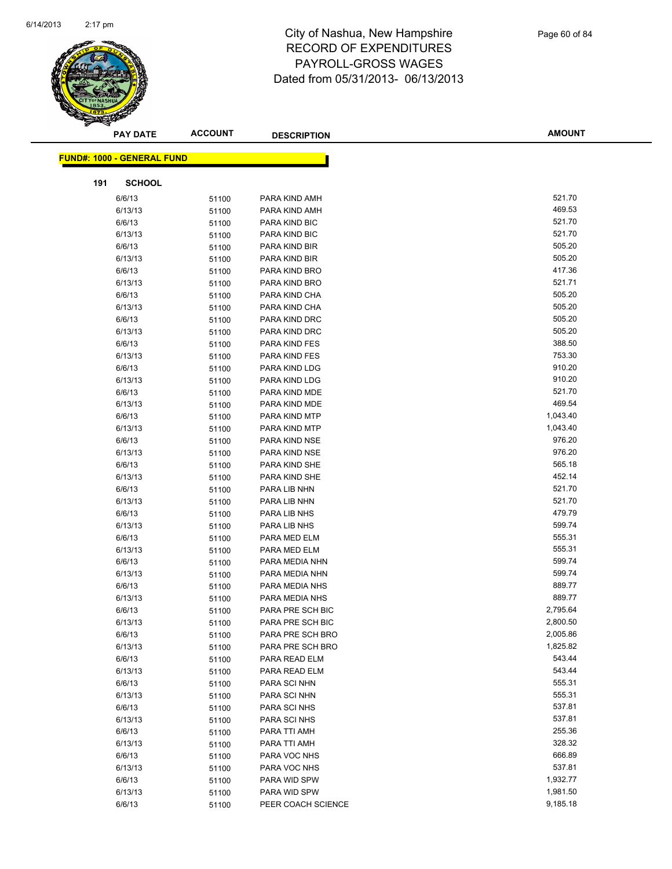

|     | <b>PAY DATE</b>                   | <b>ACCOUNT</b> | <b>DESCRIPTION</b>           | <b>AMOUNT</b>    |  |
|-----|-----------------------------------|----------------|------------------------------|------------------|--|
|     |                                   |                |                              |                  |  |
|     | <b>FUND#: 1000 - GENERAL FUND</b> |                |                              |                  |  |
| 191 | <b>SCHOOL</b>                     |                |                              |                  |  |
|     | 6/6/13                            | 51100          | PARA KIND AMH                | 521.70           |  |
|     | 6/13/13                           | 51100          | PARA KIND AMH                | 469.53           |  |
|     | 6/6/13                            | 51100          | PARA KIND BIC                | 521.70           |  |
|     | 6/13/13                           | 51100          | PARA KIND BIC                | 521.70           |  |
|     | 6/6/13                            | 51100          | PARA KIND BIR                | 505.20           |  |
|     | 6/13/13                           | 51100          | PARA KIND BIR                | 505.20           |  |
|     | 6/6/13                            | 51100          | PARA KIND BRO                | 417.36           |  |
|     | 6/13/13                           | 51100          | PARA KIND BRO                | 521.71           |  |
|     | 6/6/13                            | 51100          | PARA KIND CHA                | 505.20           |  |
|     | 6/13/13                           | 51100          | PARA KIND CHA                | 505.20           |  |
|     | 6/6/13                            | 51100          | PARA KIND DRC                | 505.20           |  |
|     | 6/13/13                           | 51100          | PARA KIND DRC                | 505.20           |  |
|     | 6/6/13                            | 51100          | PARA KIND FES                | 388.50           |  |
|     | 6/13/13                           | 51100          | PARA KIND FES                | 753.30           |  |
|     | 6/6/13                            | 51100          | PARA KIND LDG                | 910.20           |  |
|     | 6/13/13                           | 51100          | PARA KIND LDG                | 910.20           |  |
|     | 6/6/13                            | 51100          | PARA KIND MDE                | 521.70           |  |
|     | 6/13/13                           | 51100          | PARA KIND MDE                | 469.54           |  |
|     | 6/6/13                            | 51100          | PARA KIND MTP                | 1,043.40         |  |
|     | 6/13/13                           | 51100          | PARA KIND MTP                | 1,043.40         |  |
|     | 6/6/13                            | 51100          | PARA KIND NSE                | 976.20           |  |
|     | 6/13/13                           | 51100          | PARA KIND NSE                | 976.20           |  |
|     | 6/6/13                            | 51100          | PARA KIND SHE                | 565.18           |  |
|     | 6/13/13                           | 51100          | PARA KIND SHE                | 452.14           |  |
|     | 6/6/13                            | 51100          | PARA LIB NHN                 | 521.70           |  |
|     | 6/13/13                           | 51100          | PARA LIB NHN                 | 521.70           |  |
|     | 6/6/13                            | 51100          | PARA LIB NHS                 | 479.79           |  |
|     | 6/13/13                           | 51100          | PARA LIB NHS                 | 599.74           |  |
|     | 6/6/13                            | 51100          | PARA MED ELM                 | 555.31           |  |
|     | 6/13/13                           | 51100          | PARA MED ELM                 | 555.31           |  |
|     | 6/6/13                            | 51100          | PARA MEDIA NHN               | 599.74           |  |
|     | 6/13/13                           | 51100          | PARA MEDIA NHN               | 599.74           |  |
|     | 6/6/13                            | 51100          | PARA MEDIA NHS               | 889.77           |  |
|     | 6/13/13                           | 51100          | PARA MEDIA NHS               | 889.77           |  |
|     | 6/6/13                            | 51100          | PARA PRE SCH BIC             | 2,795.64         |  |
|     | 6/13/13                           | 51100          | PARA PRE SCH BIC             | 2,800.50         |  |
|     | 6/6/13                            | 51100          | PARA PRE SCH BRO             | 2,005.86         |  |
|     | 6/13/13                           | 51100          | PARA PRE SCH BRO             | 1,825.82         |  |
|     | 6/6/13                            | 51100          | PARA READ ELM                | 543.44           |  |
|     | 6/13/13                           | 51100          | PARA READ ELM                | 543.44           |  |
|     | 6/6/13                            | 51100          | PARA SCI NHN                 | 555.31<br>555.31 |  |
|     | 6/13/13<br>6/6/13                 | 51100          | PARA SCI NHN                 | 537.81           |  |
|     |                                   | 51100          | PARA SCI NHS<br>PARA SCI NHS | 537.81           |  |
|     | 6/13/13                           | 51100          | PARA TTI AMH                 | 255.36           |  |
|     | 6/6/13                            | 51100          |                              | 328.32           |  |
|     | 6/13/13<br>6/6/13                 | 51100          | PARA TTI AMH<br>PARA VOC NHS | 666.89           |  |
|     | 6/13/13                           | 51100          | PARA VOC NHS                 | 537.81           |  |
|     | 6/6/13                            | 51100          | PARA WID SPW                 | 1,932.77         |  |
|     | 6/13/13                           | 51100          | PARA WID SPW                 | 1,981.50         |  |
|     | 6/6/13                            | 51100<br>51100 | PEER COACH SCIENCE           | 9,185.18         |  |
|     |                                   |                |                              |                  |  |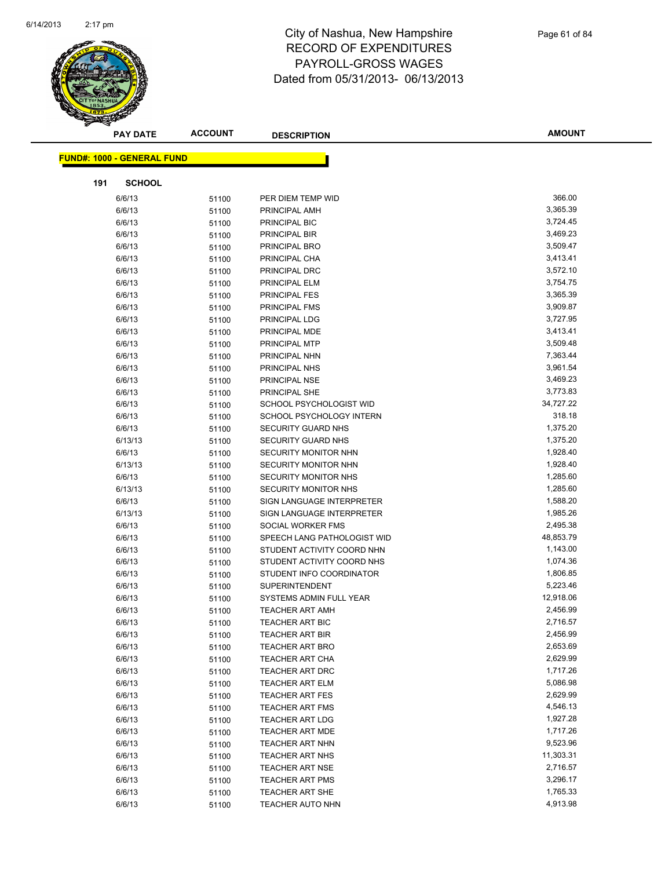

| <b>ACCOUNT</b><br><b>PAY DATE</b><br><b>DESCRIPTION</b>             | <b>AMOUNT</b>         |
|---------------------------------------------------------------------|-----------------------|
| <b>FUND#: 1000 - GENERAL FUND</b>                                   |                       |
|                                                                     |                       |
| 191<br><b>SCHOOL</b>                                                |                       |
| 6/6/13<br>51100<br>PER DIEM TEMP WID                                | 366.00                |
| 6/6/13<br>PRINCIPAL AMH<br>51100                                    | 3,365.39              |
| 6/6/13<br>51100<br>PRINCIPAL BIC                                    | 3,724.45              |
| 6/6/13<br>PRINCIPAL BIR<br>51100                                    | 3,469.23              |
| 6/6/13<br>PRINCIPAL BRO<br>51100                                    | 3,509.47              |
| 6/6/13<br>PRINCIPAL CHA<br>51100                                    | 3,413.41              |
| 6/6/13<br>51100<br>PRINCIPAL DRC                                    | 3,572.10              |
| 6/6/13<br>PRINCIPAL ELM<br>51100                                    | 3,754.75              |
| 6/6/13<br>51100<br><b>PRINCIPAL FES</b>                             | 3,365.39              |
| 6/6/13<br>PRINCIPAL FMS<br>51100                                    | 3,909.87              |
| 6/6/13<br>PRINCIPAL LDG<br>51100                                    | 3,727.95              |
| 6/6/13<br>PRINCIPAL MDE<br>51100                                    | 3,413.41              |
| 6/6/13<br>PRINCIPAL MTP<br>51100                                    | 3,509.48              |
| 6/6/13<br>51100<br>PRINCIPAL NHN                                    | 7,363.44              |
| 6/6/13<br>PRINCIPAL NHS<br>51100                                    | 3,961.54              |
| 6/6/13<br>PRINCIPAL NSE<br>51100                                    | 3,469.23              |
| 6/6/13<br>PRINCIPAL SHE<br>51100                                    | 3,773.83              |
| 6/6/13<br>SCHOOL PSYCHOLOGIST WID<br>51100                          | 34,727.22             |
| 6/6/13<br>SCHOOL PSYCHOLOGY INTERN<br>51100                         | 318.18                |
| 6/6/13<br><b>SECURITY GUARD NHS</b><br>51100                        | 1,375.20              |
| 6/13/13<br>SECURITY GUARD NHS<br>51100                              | 1,375.20              |
| 6/6/13<br>51100<br>SECURITY MONITOR NHN                             | 1,928.40              |
| 6/13/13<br>SECURITY MONITOR NHN<br>51100                            | 1,928.40              |
| 6/6/13<br><b>SECURITY MONITOR NHS</b><br>51100                      | 1,285.60              |
| 6/13/13<br><b>SECURITY MONITOR NHS</b><br>51100                     | 1,285.60              |
| 6/6/13<br>SIGN LANGUAGE INTERPRETER<br>51100                        | 1,588.20              |
| 6/13/13<br>SIGN LANGUAGE INTERPRETER<br>51100                       | 1,985.26              |
| 6/6/13<br>SOCIAL WORKER FMS<br>51100                                | 2,495.38              |
| 6/6/13<br>SPEECH LANG PATHOLOGIST WID<br>51100                      | 48,853.79             |
| 6/6/13<br>STUDENT ACTIVITY COORD NHN<br>51100                       | 1,143.00              |
| STUDENT ACTIVITY COORD NHS<br>6/6/13<br>51100                       | 1,074.36              |
| 6/6/13<br>STUDENT INFO COORDINATOR<br>51100                         | 1,806.85              |
| 6/6/13<br>51100<br><b>SUPERINTENDENT</b>                            | 5,223.46              |
| 6/6/13<br>SYSTEMS ADMIN FULL YEAR<br>51100                          | 12,918.06<br>2,456.99 |
| 6/6/13<br><b>TEACHER ART AMH</b><br>51100<br><b>TEACHER ART BIC</b> | 2,716.57              |
| 6/6/13<br>51100<br>6/6/13                                           | 2,456.99              |
| 51100<br><b>TEACHER ART BIR</b><br>6/6/13<br><b>TEACHER ART BRO</b> | 2,653.69              |
| 51100<br>6/6/13<br>51100<br><b>TEACHER ART CHA</b>                  | 2,629.99              |
| 6/6/13<br><b>TEACHER ART DRC</b><br>51100                           | 1,717.26              |
| 6/6/13<br><b>TEACHER ART ELM</b><br>51100                           | 5,086.98              |
| 6/6/13<br><b>TEACHER ART FES</b><br>51100                           | 2,629.99              |
| 6/6/13<br><b>TEACHER ART FMS</b><br>51100                           | 4,546.13              |
| 6/6/13<br>51100<br><b>TEACHER ART LDG</b>                           | 1,927.28              |
| 6/6/13<br><b>TEACHER ART MDE</b><br>51100                           | 1,717.26              |
| 6/6/13<br>51100<br><b>TEACHER ART NHN</b>                           | 9,523.96              |
| 6/6/13<br><b>TEACHER ART NHS</b><br>51100                           | 11,303.31             |
| 6/6/13<br><b>TEACHER ART NSE</b><br>51100                           | 2,716.57              |
| 6/6/13<br><b>TEACHER ART PMS</b><br>51100                           | 3,296.17              |
| 6/6/13<br>TEACHER ART SHE<br>51100                                  | 1,765.33              |
| 6/6/13<br>TEACHER AUTO NHN<br>51100                                 | 4,913.98              |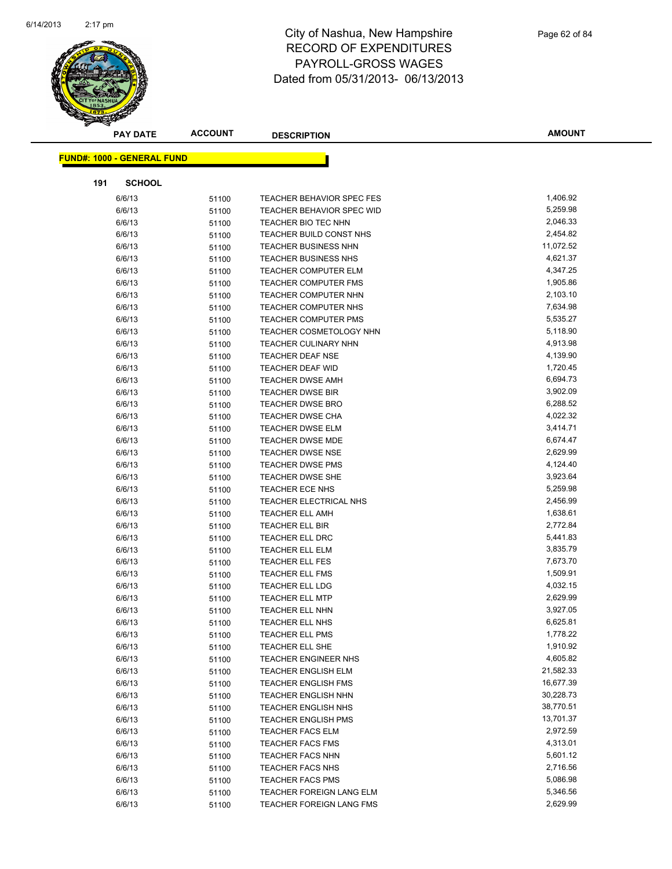

| <b>PAY DATE</b>                   | <b>ACCOUNT</b> | <b>DESCRIPTION</b>             | <b>AMOUNT</b> |
|-----------------------------------|----------------|--------------------------------|---------------|
| <b>FUND#: 1000 - GENERAL FUND</b> |                |                                |               |
|                                   |                |                                |               |
| 191<br><b>SCHOOL</b>              |                |                                |               |
| 6/6/13                            | 51100          | TEACHER BEHAVIOR SPEC FES      | 1,406.92      |
| 6/6/13                            | 51100          | TEACHER BEHAVIOR SPEC WID      | 5,259.98      |
| 6/6/13                            | 51100          | TEACHER BIO TEC NHN            | 2,046.33      |
| 6/6/13                            | 51100          | TEACHER BUILD CONST NHS        | 2,454.82      |
| 6/6/13                            | 51100          | TEACHER BUSINESS NHN           | 11,072.52     |
| 6/6/13                            | 51100          | TEACHER BUSINESS NHS           | 4,621.37      |
| 6/6/13                            | 51100          | TEACHER COMPUTER ELM           | 4,347.25      |
| 6/6/13                            | 51100          | <b>TEACHER COMPUTER FMS</b>    | 1,905.86      |
| 6/6/13                            | 51100          | <b>TEACHER COMPUTER NHN</b>    | 2,103.10      |
| 6/6/13                            | 51100          | TEACHER COMPUTER NHS           | 7,634.98      |
| 6/6/13                            | 51100          | <b>TEACHER COMPUTER PMS</b>    | 5,535.27      |
| 6/6/13                            | 51100          | <b>TEACHER COSMETOLOGY NHN</b> | 5,118.90      |
| 6/6/13                            | 51100          | <b>TEACHER CULINARY NHN</b>    | 4,913.98      |
| 6/6/13                            | 51100          | TEACHER DEAF NSE               | 4,139.90      |
| 6/6/13                            | 51100          | <b>TEACHER DEAF WID</b>        | 1,720.45      |
| 6/6/13                            | 51100          | <b>TEACHER DWSE AMH</b>        | 6,694.73      |
| 6/6/13                            | 51100          | <b>TEACHER DWSE BIR</b>        | 3,902.09      |
| 6/6/13                            | 51100          | <b>TEACHER DWSE BRO</b>        | 6,288.52      |
| 6/6/13                            | 51100          | <b>TEACHER DWSE CHA</b>        | 4,022.32      |
| 6/6/13                            | 51100          | <b>TEACHER DWSE ELM</b>        | 3,414.71      |
| 6/6/13                            | 51100          | TEACHER DWSE MDE               | 6,674.47      |
| 6/6/13                            | 51100          | <b>TEACHER DWSE NSE</b>        | 2,629.99      |
| 6/6/13                            | 51100          | <b>TEACHER DWSE PMS</b>        | 4,124.40      |
| 6/6/13                            | 51100          | TEACHER DWSE SHE               | 3,923.64      |
| 6/6/13                            | 51100          | TEACHER ECE NHS                | 5,259.98      |
| 6/6/13                            | 51100          | TEACHER ELECTRICAL NHS         | 2,456.99      |
| 6/6/13                            | 51100          | <b>TEACHER ELL AMH</b>         | 1,638.61      |
| 6/6/13                            | 51100          | TEACHER ELL BIR                | 2,772.84      |
| 6/6/13                            | 51100          | TEACHER ELL DRC                | 5,441.83      |
| 6/6/13                            | 51100          | TEACHER ELL ELM                | 3,835.79      |
| 6/6/13                            | 51100          | <b>TEACHER ELL FES</b>         | 7,673.70      |
| 6/6/13                            | 51100          | TEACHER ELL FMS                | 1,509.91      |
| 6/6/13                            | 51100          | <b>TEACHER ELL LDG</b>         | 4,032.15      |
| 6/6/13                            | 51100          | <b>TEACHER ELL MTP</b>         | 2,629.99      |
| 6/6/13                            | 51100          | <b>TEACHER ELL NHN</b>         | 3,927.05      |
| 6/6/13                            | 51100          | TEACHER ELL NHS                | 6,625.81      |
| 6/6/13                            | 51100          | <b>TEACHER ELL PMS</b>         | 1,778.22      |
| 6/6/13                            | 51100          | TEACHER ELL SHE                | 1,910.92      |
| 6/6/13                            | 51100          | <b>TEACHER ENGINEER NHS</b>    | 4,605.82      |
| 6/6/13                            | 51100          | <b>TEACHER ENGLISH ELM</b>     | 21,582.33     |
| 6/6/13                            | 51100          | <b>TEACHER ENGLISH FMS</b>     | 16,677.39     |
| 6/6/13                            | 51100          | <b>TEACHER ENGLISH NHN</b>     | 30,228.73     |
| 6/6/13                            | 51100          | <b>TEACHER ENGLISH NHS</b>     | 38,770.51     |
| 6/6/13                            | 51100          | <b>TEACHER ENGLISH PMS</b>     | 13,701.37     |
| 6/6/13                            | 51100          | <b>TEACHER FACS ELM</b>        | 2,972.59      |
| 6/6/13                            | 51100          | <b>TEACHER FACS FMS</b>        | 4,313.01      |
| 6/6/13                            | 51100          | <b>TEACHER FACS NHN</b>        | 5,601.12      |
| 6/6/13                            | 51100          | <b>TEACHER FACS NHS</b>        | 2,716.56      |
| 6/6/13                            | 51100          | <b>TEACHER FACS PMS</b>        | 5,086.98      |
| 6/6/13                            | 51100          | TEACHER FOREIGN LANG ELM       | 5,346.56      |
| 6/6/13                            | 51100          | TEACHER FOREIGN LANG FMS       | 2,629.99      |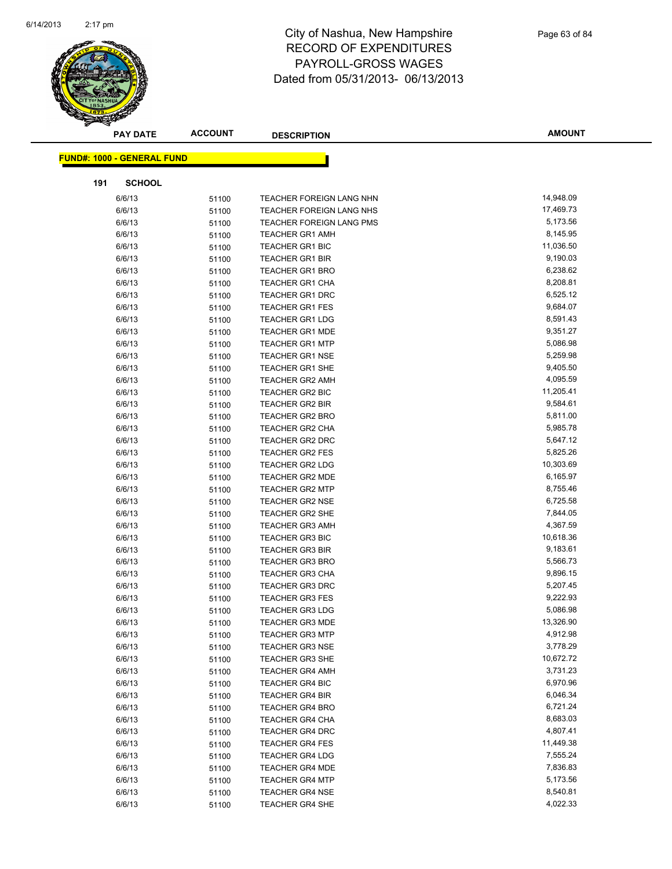

|                                   | <b>ACCOUNT</b><br><b>PAY DATE</b> | <b>DESCRIPTION</b>                               | <b>AMOUNT</b>        |
|-----------------------------------|-----------------------------------|--------------------------------------------------|----------------------|
| <b>FUND#: 1000 - GENERAL FUND</b> |                                   |                                                  |                      |
|                                   |                                   |                                                  |                      |
| 191                               | <b>SCHOOL</b>                     |                                                  |                      |
| 6/6/13                            | 51100                             | <b>TEACHER FOREIGN LANG NHN</b>                  | 14,948.09            |
| 6/6/13                            | 51100                             | TEACHER FOREIGN LANG NHS                         | 17,469.73            |
| 6/6/13                            | 51100                             | <b>TEACHER FOREIGN LANG PMS</b>                  | 5,173.56             |
| 6/6/13                            | 51100                             | <b>TEACHER GR1 AMH</b>                           | 8,145.95             |
| 6/6/13                            | 51100                             | TEACHER GR1 BIC                                  | 11,036.50            |
| 6/6/13                            | 51100                             | <b>TEACHER GR1 BIR</b>                           | 9,190.03             |
| 6/6/13                            | 51100                             | <b>TEACHER GR1 BRO</b>                           | 6,238.62             |
| 6/6/13                            | 51100                             | <b>TEACHER GR1 CHA</b>                           | 8,208.81             |
| 6/6/13                            | 51100                             | <b>TEACHER GR1 DRC</b>                           | 6,525.12             |
| 6/6/13                            | 51100                             | <b>TEACHER GR1 FES</b>                           | 9,684.07             |
| 6/6/13                            | 51100                             | <b>TEACHER GR1 LDG</b>                           | 8,591.43             |
| 6/6/13                            | 51100                             | <b>TEACHER GR1 MDE</b>                           | 9,351.27             |
| 6/6/13                            | 51100                             | <b>TEACHER GR1 MTP</b>                           | 5,086.98             |
| 6/6/13                            | 51100                             | <b>TEACHER GR1 NSE</b>                           | 5,259.98             |
| 6/6/13                            | 51100                             | <b>TEACHER GR1 SHE</b>                           | 9,405.50             |
| 6/6/13                            | 51100                             | <b>TEACHER GR2 AMH</b>                           | 4,095.59             |
| 6/6/13                            | 51100                             | TEACHER GR2 BIC                                  | 11,205.41            |
| 6/6/13                            | 51100                             | <b>TEACHER GR2 BIR</b>                           | 9,584.61             |
| 6/6/13                            | 51100                             | <b>TEACHER GR2 BRO</b>                           | 5,811.00             |
| 6/6/13                            | 51100                             | <b>TEACHER GR2 CHA</b>                           | 5,985.78             |
| 6/6/13                            | 51100                             | <b>TEACHER GR2 DRC</b>                           | 5,647.12             |
| 6/6/13                            | 51100                             | <b>TEACHER GR2 FES</b>                           | 5,825.26             |
| 6/6/13                            | 51100                             | <b>TEACHER GR2 LDG</b>                           | 10,303.69            |
| 6/6/13                            | 51100                             | TEACHER GR2 MDE                                  | 6,165.97             |
| 6/6/13                            | 51100                             | <b>TEACHER GR2 MTP</b>                           | 8,755.46             |
| 6/6/13                            | 51100                             | <b>TEACHER GR2 NSE</b>                           | 6,725.58<br>7,844.05 |
| 6/6/13<br>6/6/13                  | 51100                             | <b>TEACHER GR2 SHE</b><br><b>TEACHER GR3 AMH</b> | 4,367.59             |
| 6/6/13                            | 51100<br>51100                    | <b>TEACHER GR3 BIC</b>                           | 10,618.36            |
| 6/6/13                            | 51100                             | <b>TEACHER GR3 BIR</b>                           | 9,183.61             |
| 6/6/13                            | 51100                             | <b>TEACHER GR3 BRO</b>                           | 5,566.73             |
| 6/6/13                            | 51100                             | <b>TEACHER GR3 CHA</b>                           | 9,896.15             |
| 6/6/13                            | 51100                             | <b>TEACHER GR3 DRC</b>                           | 5,207.45             |
| 6/6/13                            | 51100                             | <b>TEACHER GR3 FES</b>                           | 9,222.93             |
| 6/6/13                            | 51100                             | <b>TEACHER GR3 LDG</b>                           | 5,086.98             |
| 6/6/13                            | 51100                             | <b>TEACHER GR3 MDE</b>                           | 13,326.90            |
| 6/6/13                            | 51100                             | <b>TEACHER GR3 MTP</b>                           | 4,912.98             |
| 6/6/13                            | 51100                             | <b>TEACHER GR3 NSE</b>                           | 3,778.29             |
| 6/6/13                            | 51100                             | <b>TEACHER GR3 SHE</b>                           | 10,672.72            |
| 6/6/13                            | 51100                             | <b>TEACHER GR4 AMH</b>                           | 3,731.23             |
| 6/6/13                            | 51100                             | <b>TEACHER GR4 BIC</b>                           | 6,970.96             |
| 6/6/13                            | 51100                             | <b>TEACHER GR4 BIR</b>                           | 6,046.34             |
| 6/6/13                            | 51100                             | <b>TEACHER GR4 BRO</b>                           | 6,721.24             |
| 6/6/13                            | 51100                             | <b>TEACHER GR4 CHA</b>                           | 8,683.03             |
| 6/6/13                            | 51100                             | <b>TEACHER GR4 DRC</b>                           | 4,807.41             |
| 6/6/13                            | 51100                             | <b>TEACHER GR4 FES</b>                           | 11,449.38            |
| 6/6/13                            | 51100                             | <b>TEACHER GR4 LDG</b>                           | 7,555.24             |
| 6/6/13                            | 51100                             | <b>TEACHER GR4 MDE</b>                           | 7,836.83             |
| 6/6/13                            | 51100                             | <b>TEACHER GR4 MTP</b>                           | 5,173.56             |
| 6/6/13                            | 51100                             | <b>TEACHER GR4 NSE</b>                           | 8,540.81             |
| 6/6/13                            | 51100                             | TEACHER GR4 SHE                                  | 4,022.33             |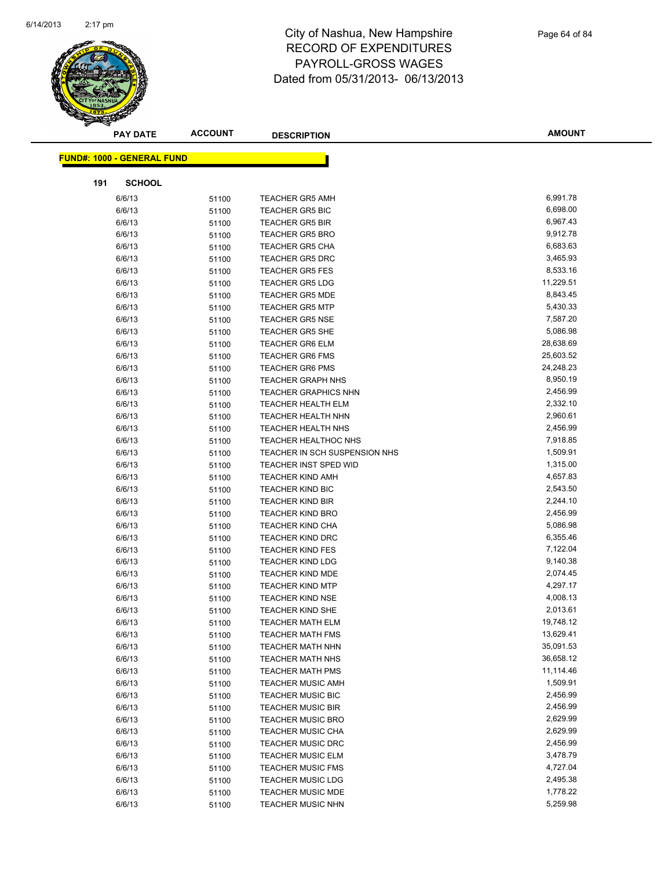

|     | <b>PAY DATE</b>                   | <b>ACCOUNT</b> | <b>DESCRIPTION</b>                                 | <b>AMOUNT</b>          |
|-----|-----------------------------------|----------------|----------------------------------------------------|------------------------|
|     | <b>FUND#: 1000 - GENERAL FUND</b> |                |                                                    |                        |
|     |                                   |                |                                                    |                        |
| 191 | <b>SCHOOL</b>                     |                |                                                    |                        |
|     | 6/6/13                            | 51100          | <b>TEACHER GR5 AMH</b>                             | 6,991.78               |
|     | 6/6/13                            | 51100          | <b>TEACHER GR5 BIC</b>                             | 6,698.00               |
|     | 6/6/13                            | 51100          | <b>TEACHER GR5 BIR</b>                             | 6,967.43               |
|     | 6/6/13                            | 51100          | <b>TEACHER GR5 BRO</b>                             | 9,912.78               |
|     | 6/6/13                            | 51100          | <b>TEACHER GR5 CHA</b>                             | 6,683.63               |
|     | 6/6/13                            | 51100          | <b>TEACHER GR5 DRC</b>                             | 3,465.93               |
|     | 6/6/13                            | 51100          | <b>TEACHER GR5 FES</b>                             | 8,533.16               |
|     | 6/6/13                            | 51100          | <b>TEACHER GR5 LDG</b>                             | 11,229.51              |
|     | 6/6/13                            | 51100          | <b>TEACHER GR5 MDE</b>                             | 8,843.45               |
|     | 6/6/13                            | 51100          | <b>TEACHER GR5 MTP</b>                             | 5,430.33               |
|     | 6/6/13                            | 51100          | <b>TEACHER GR5 NSE</b>                             | 7,587.20               |
|     | 6/6/13                            | 51100          | <b>TEACHER GR5 SHE</b>                             | 5,086.98               |
|     | 6/6/13                            | 51100          | <b>TEACHER GR6 ELM</b>                             | 28,638.69              |
|     | 6/6/13                            | 51100          | <b>TEACHER GR6 FMS</b>                             | 25,603.52              |
|     | 6/6/13                            | 51100          | <b>TEACHER GR6 PMS</b>                             | 24,248.23              |
|     | 6/6/13                            | 51100          | <b>TEACHER GRAPH NHS</b>                           | 8,950.19               |
|     | 6/6/13                            | 51100          | <b>TEACHER GRAPHICS NHN</b>                        | 2,456.99               |
|     | 6/6/13                            | 51100          | <b>TEACHER HEALTH ELM</b>                          | 2,332.10               |
|     | 6/6/13                            | 51100          | <b>TEACHER HEALTH NHN</b>                          | 2,960.61               |
|     | 6/6/13                            | 51100          | <b>TEACHER HEALTH NHS</b>                          | 2,456.99               |
|     | 6/6/13                            | 51100          | <b>TEACHER HEALTHOC NHS</b>                        | 7,918.85               |
|     | 6/6/13                            | 51100          | TEACHER IN SCH SUSPENSION NHS                      | 1,509.91               |
|     | 6/6/13                            | 51100          | TEACHER INST SPED WID                              | 1,315.00               |
|     | 6/6/13                            | 51100          | <b>TEACHER KIND AMH</b>                            | 4,657.83               |
|     | 6/6/13                            | 51100          | TEACHER KIND BIC                                   | 2,543.50               |
|     | 6/6/13                            | 51100          | <b>TEACHER KIND BIR</b>                            | 2,244.10               |
|     | 6/6/13                            | 51100          | <b>TEACHER KIND BRO</b>                            | 2,456.99               |
|     | 6/6/13                            | 51100          | <b>TEACHER KIND CHA</b>                            | 5,086.98               |
|     | 6/6/13                            | 51100          | <b>TEACHER KIND DRC</b>                            | 6,355.46               |
|     | 6/6/13                            | 51100          | <b>TEACHER KIND FES</b>                            | 7,122.04               |
|     | 6/6/13                            | 51100          | <b>TEACHER KIND LDG</b>                            | 9,140.38               |
|     | 6/6/13                            | 51100          | <b>TEACHER KIND MDE</b>                            | 2,074.45               |
|     | 6/6/13                            | 51100          | <b>TEACHER KIND MTP</b>                            | 4,297.17               |
|     | 6/6/13                            | 51100          | <b>TEACHER KIND NSE</b>                            | 4,008.13               |
|     | 6/6/13                            | 51100          | <b>TEACHER KIND SHE</b><br><b>TEACHER MATH ELM</b> | 2,013.61               |
|     | 6/6/13                            | 51100          |                                                    | 19,748.12<br>13,629.41 |
|     | 6/6/13<br>6/6/13                  | 51100          | <b>TEACHER MATH FMS</b>                            | 35,091.53              |
|     | 6/6/13                            | 51100          | <b>TEACHER MATH NHN</b>                            | 36,658.12              |
|     | 6/6/13                            | 51100          | <b>TEACHER MATH NHS</b><br><b>TEACHER MATH PMS</b> | 11,114.46              |
|     | 6/6/13                            | 51100          | <b>TEACHER MUSIC AMH</b>                           | 1,509.91               |
|     | 6/6/13                            | 51100<br>51100 | <b>TEACHER MUSIC BIC</b>                           | 2,456.99               |
|     | 6/6/13                            | 51100          | <b>TEACHER MUSIC BIR</b>                           | 2,456.99               |
|     | 6/6/13                            | 51100          | <b>TEACHER MUSIC BRO</b>                           | 2,629.99               |
|     | 6/6/13                            | 51100          | <b>TEACHER MUSIC CHA</b>                           | 2,629.99               |
|     | 6/6/13                            | 51100          | <b>TEACHER MUSIC DRC</b>                           | 2,456.99               |
|     | 6/6/13                            | 51100          | <b>TEACHER MUSIC ELM</b>                           | 3,478.79               |
|     | 6/6/13                            | 51100          | <b>TEACHER MUSIC FMS</b>                           | 4,727.04               |
|     | 6/6/13                            | 51100          | <b>TEACHER MUSIC LDG</b>                           | 2,495.38               |
|     | 6/6/13                            | 51100          | <b>TEACHER MUSIC MDE</b>                           | 1,778.22               |
|     | 6/6/13                            | 51100          | <b>TEACHER MUSIC NHN</b>                           | 5,259.98               |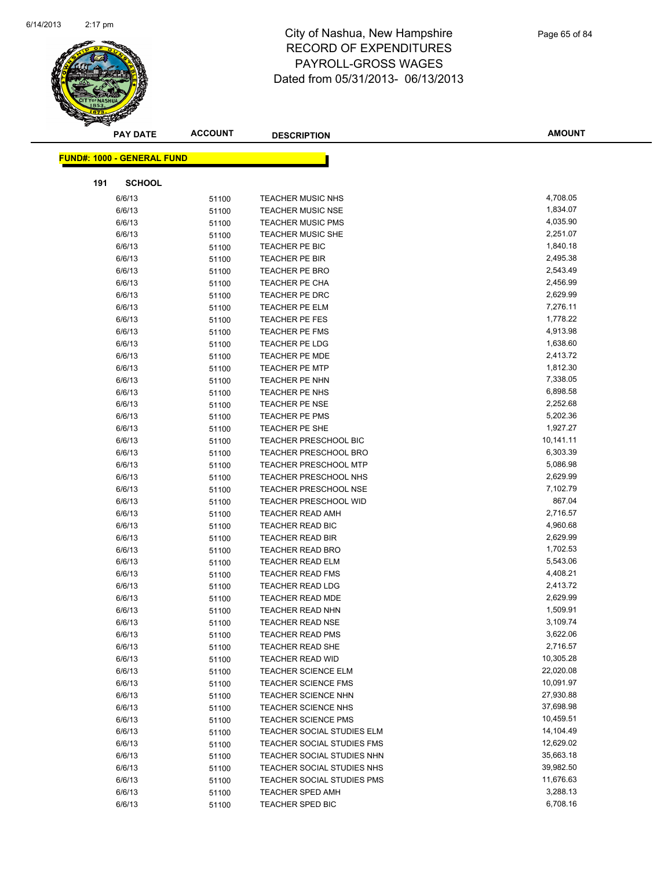

|     | <b>PAY DATE</b>                   | <b>ACCOUNT</b> | <b>DESCRIPTION</b>                | <b>AMOUNT</b> |
|-----|-----------------------------------|----------------|-----------------------------------|---------------|
|     | <b>FUND#: 1000 - GENERAL FUND</b> |                |                                   |               |
|     |                                   |                |                                   |               |
| 191 | <b>SCHOOL</b>                     |                |                                   |               |
|     | 6/6/13                            | 51100          | <b>TEACHER MUSIC NHS</b>          | 4,708.05      |
|     | 6/6/13                            | 51100          | <b>TEACHER MUSIC NSE</b>          | 1,834.07      |
|     | 6/6/13                            | 51100          | <b>TEACHER MUSIC PMS</b>          | 4,035.90      |
|     | 6/6/13                            | 51100          | <b>TEACHER MUSIC SHE</b>          | 2,251.07      |
|     | 6/6/13                            | 51100          | TEACHER PE BIC                    | 1,840.18      |
|     | 6/6/13                            | 51100          | <b>TEACHER PE BIR</b>             | 2,495.38      |
|     | 6/6/13                            | 51100          | TEACHER PE BRO                    | 2,543.49      |
|     | 6/6/13                            | 51100          | TEACHER PE CHA                    | 2,456.99      |
|     | 6/6/13                            | 51100          | TEACHER PE DRC                    | 2,629.99      |
|     | 6/6/13                            | 51100          | TEACHER PE ELM                    | 7,276.11      |
|     | 6/6/13                            | 51100          | TEACHER PE FES                    | 1,778.22      |
|     | 6/6/13                            | 51100          | TEACHER PE FMS                    | 4,913.98      |
|     | 6/6/13                            | 51100          | TEACHER PE LDG                    | 1,638.60      |
|     | 6/6/13                            | 51100          | <b>TEACHER PE MDE</b>             | 2,413.72      |
|     | 6/6/13                            | 51100          | <b>TEACHER PE MTP</b>             | 1,812.30      |
|     | 6/6/13                            | 51100          | TEACHER PE NHN                    | 7,338.05      |
|     | 6/6/13                            | 51100          | TEACHER PE NHS                    | 6,898.58      |
|     | 6/6/13                            | 51100          | TEACHER PE NSE                    | 2,252.68      |
|     | 6/6/13                            | 51100          | TEACHER PE PMS                    | 5,202.36      |
|     | 6/6/13                            | 51100          | TEACHER PE SHE                    | 1,927.27      |
|     | 6/6/13                            | 51100          | TEACHER PRESCHOOL BIC             | 10,141.11     |
|     | 6/6/13                            | 51100          | <b>TEACHER PRESCHOOL BRO</b>      | 6,303.39      |
|     | 6/6/13                            | 51100          | <b>TEACHER PRESCHOOL MTP</b>      | 5,086.98      |
|     | 6/6/13                            | 51100          | TEACHER PRESCHOOL NHS             | 2,629.99      |
|     | 6/6/13                            | 51100          | <b>TEACHER PRESCHOOL NSE</b>      | 7,102.79      |
|     | 6/6/13                            | 51100          | <b>TEACHER PRESCHOOL WID</b>      | 867.04        |
|     | 6/6/13                            | 51100          | TEACHER READ AMH                  | 2,716.57      |
|     | 6/6/13                            | 51100          | TEACHER READ BIC                  | 4,960.68      |
|     | 6/6/13                            | 51100          | <b>TEACHER READ BIR</b>           | 2,629.99      |
|     | 6/6/13                            | 51100          | <b>TEACHER READ BRO</b>           | 1,702.53      |
|     | 6/6/13                            | 51100          | <b>TEACHER READ ELM</b>           | 5,543.06      |
|     | 6/6/13                            | 51100          | <b>TEACHER READ FMS</b>           | 4,408.21      |
|     | 6/6/13                            | 51100          | <b>TEACHER READ LDG</b>           | 2,413.72      |
|     | 6/6/13                            | 51100          | TEACHER READ MDE                  | 2,629.99      |
|     | 6/6/13                            | 51100          | <b>TEACHER READ NHN</b>           | 1,509.91      |
|     | 6/6/13                            | 51100          | <b>TEACHER READ NSE</b>           | 3,109.74      |
|     | 6/6/13                            | 51100          | <b>TEACHER READ PMS</b>           | 3,622.06      |
|     | 6/6/13                            | 51100          | <b>TEACHER READ SHE</b>           | 2,716.57      |
|     | 6/6/13                            | 51100          | <b>TEACHER READ WID</b>           | 10,305.28     |
|     | 6/6/13                            | 51100          | <b>TEACHER SCIENCE ELM</b>        | 22,020.08     |
|     | 6/6/13                            | 51100          | <b>TEACHER SCIENCE FMS</b>        | 10,091.97     |
|     | 6/6/13                            | 51100          | TEACHER SCIENCE NHN               | 27,930.88     |
|     | 6/6/13                            | 51100          | TEACHER SCIENCE NHS               | 37,698.98     |
|     | 6/6/13                            | 51100          | <b>TEACHER SCIENCE PMS</b>        | 10,459.51     |
|     | 6/6/13                            | 51100          | TEACHER SOCIAL STUDIES ELM        | 14,104.49     |
|     | 6/6/13                            | 51100          | <b>TEACHER SOCIAL STUDIES FMS</b> | 12,629.02     |
|     | 6/6/13                            | 51100          | TEACHER SOCIAL STUDIES NHN        | 35,663.18     |
|     | 6/6/13                            | 51100          | TEACHER SOCIAL STUDIES NHS        | 39,982.50     |
|     | 6/6/13                            | 51100          | TEACHER SOCIAL STUDIES PMS        | 11,676.63     |
|     | 6/6/13                            | 51100          | TEACHER SPED AMH                  | 3,288.13      |
|     | 6/6/13                            | 51100          | <b>TEACHER SPED BIC</b>           | 6,708.16      |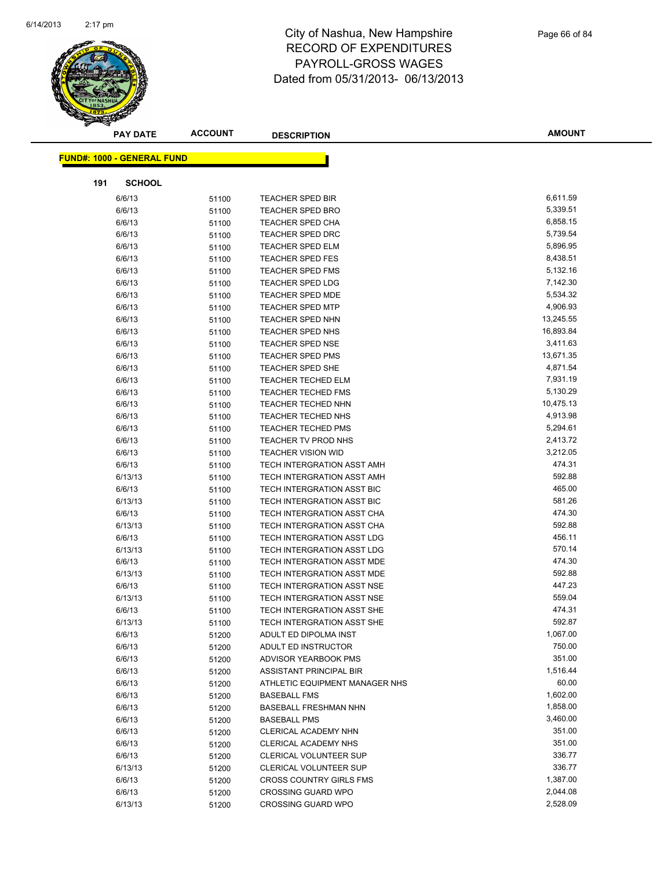

|     | <b>PAY DATE</b>                   | <b>ACCOUNT</b> | <b>DESCRIPTION</b>                | <b>AMOUNT</b> |
|-----|-----------------------------------|----------------|-----------------------------------|---------------|
|     | <b>FUND#: 1000 - GENERAL FUND</b> |                |                                   |               |
|     |                                   |                |                                   |               |
| 191 | <b>SCHOOL</b>                     |                |                                   |               |
|     | 6/6/13                            | 51100          | <b>TEACHER SPED BIR</b>           | 6,611.59      |
|     | 6/6/13                            | 51100          | <b>TEACHER SPED BRO</b>           | 5,339.51      |
|     | 6/6/13                            | 51100          | <b>TEACHER SPED CHA</b>           | 6,858.15      |
|     | 6/6/13                            | 51100          | <b>TEACHER SPED DRC</b>           | 5,739.54      |
|     | 6/6/13                            | 51100          | <b>TEACHER SPED ELM</b>           | 5,896.95      |
|     | 6/6/13                            | 51100          | <b>TEACHER SPED FES</b>           | 8,438.51      |
|     | 6/6/13                            | 51100          | <b>TEACHER SPED FMS</b>           | 5,132.16      |
|     | 6/6/13                            | 51100          | <b>TEACHER SPED LDG</b>           | 7,142.30      |
|     | 6/6/13                            | 51100          | <b>TEACHER SPED MDE</b>           | 5,534.32      |
|     | 6/6/13                            | 51100          | <b>TEACHER SPED MTP</b>           | 4,906.93      |
|     | 6/6/13                            | 51100          | <b>TEACHER SPED NHN</b>           | 13,245.55     |
|     | 6/6/13                            | 51100          | <b>TEACHER SPED NHS</b>           | 16,893.84     |
|     | 6/6/13                            | 51100          | <b>TEACHER SPED NSE</b>           | 3,411.63      |
|     | 6/6/13                            | 51100          | <b>TEACHER SPED PMS</b>           | 13,671.35     |
|     | 6/6/13                            | 51100          | <b>TEACHER SPED SHE</b>           | 4,871.54      |
|     | 6/6/13                            | 51100          | <b>TEACHER TECHED ELM</b>         | 7,931.19      |
|     | 6/6/13                            | 51100          | <b>TEACHER TECHED FMS</b>         | 5,130.29      |
|     | 6/6/13                            | 51100          | TEACHER TECHED NHN                | 10,475.13     |
|     | 6/6/13                            | 51100          | TEACHER TECHED NHS                | 4,913.98      |
|     | 6/6/13                            | 51100          | <b>TEACHER TECHED PMS</b>         | 5,294.61      |
|     | 6/6/13                            | 51100          | TEACHER TV PROD NHS               | 2,413.72      |
|     | 6/6/13                            | 51100          | <b>TEACHER VISION WID</b>         | 3,212.05      |
|     | 6/6/13                            | 51100          | TECH INTERGRATION ASST AMH        | 474.31        |
|     | 6/13/13                           | 51100          | TECH INTERGRATION ASST AMH        | 592.88        |
|     | 6/6/13                            | 51100          | TECH INTERGRATION ASST BIC        | 465.00        |
|     | 6/13/13                           | 51100          | TECH INTERGRATION ASST BIC        | 581.26        |
|     | 6/6/13                            | 51100          | TECH INTERGRATION ASST CHA        | 474.30        |
|     | 6/13/13                           | 51100          | TECH INTERGRATION ASST CHA        | 592.88        |
|     | 6/6/13                            | 51100          | TECH INTERGRATION ASST LDG        | 456.11        |
|     | 6/13/13                           | 51100          | TECH INTERGRATION ASST LDG        | 570.14        |
|     | 6/6/13                            | 51100          | TECH INTERGRATION ASST MDE        | 474.30        |
|     | 6/13/13                           | 51100          | TECH INTERGRATION ASST MDE        | 592.88        |
|     | 6/6/13                            | 51100          | TECH INTERGRATION ASST NSE        | 447.23        |
|     | 6/13/13                           | 51100          | TECH INTERGRATION ASST NSE        | 559.04        |
|     | 6/6/13                            | 51100          | <b>TECH INTERGRATION ASST SHE</b> | 474.31        |
|     | 6/13/13                           | 51100          | TECH INTERGRATION ASST SHE        | 592.87        |
|     | 6/6/13                            | 51200          | ADULT ED DIPOLMA INST             | 1,067.00      |
|     | 6/6/13                            | 51200          | ADULT ED INSTRUCTOR               | 750.00        |
|     | 6/6/13                            | 51200          | ADVISOR YEARBOOK PMS              | 351.00        |
|     | 6/6/13                            | 51200          | ASSISTANT PRINCIPAL BIR           | 1,516.44      |
|     | 6/6/13                            | 51200          | ATHLETIC EQUIPMENT MANAGER NHS    | 60.00         |
|     | 6/6/13                            | 51200          | <b>BASEBALL FMS</b>               | 1,602.00      |
|     | 6/6/13                            | 51200          | <b>BASEBALL FRESHMAN NHN</b>      | 1,858.00      |
|     | 6/6/13                            | 51200          | <b>BASEBALL PMS</b>               | 3,460.00      |
|     | 6/6/13                            | 51200          | CLERICAL ACADEMY NHN              | 351.00        |
|     | 6/6/13                            | 51200          | CLERICAL ACADEMY NHS              | 351.00        |
|     | 6/6/13                            | 51200          | CLERICAL VOLUNTEER SUP            | 336.77        |
|     | 6/13/13                           | 51200          | <b>CLERICAL VOLUNTEER SUP</b>     | 336.77        |
|     | 6/6/13                            | 51200          | <b>CROSS COUNTRY GIRLS FMS</b>    | 1,387.00      |
|     | 6/6/13                            | 51200          | <b>CROSSING GUARD WPO</b>         | 2,044.08      |
|     | 6/13/13                           | 51200          | <b>CROSSING GUARD WPO</b>         | 2,528.09      |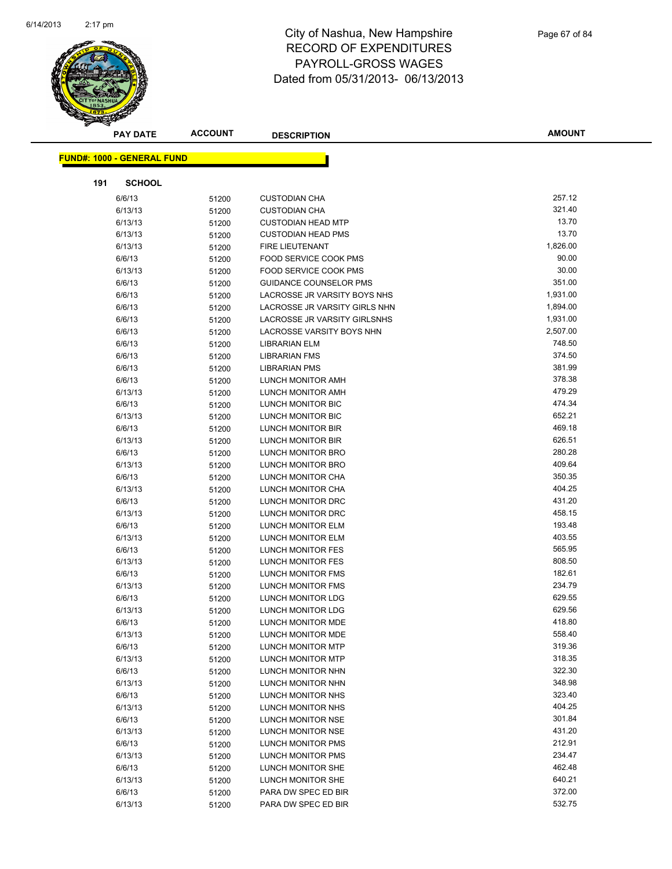

| <b>PAY DATE</b>                   | <b>ACCOUNT</b> | <b>DESCRIPTION</b>            | <b>AMOUNT</b> |
|-----------------------------------|----------------|-------------------------------|---------------|
| <b>FUND#: 1000 - GENERAL FUND</b> |                |                               |               |
|                                   |                |                               |               |
| 191<br><b>SCHOOL</b>              |                |                               |               |
| 6/6/13                            | 51200          | <b>CUSTODIAN CHA</b>          | 257.12        |
| 6/13/13                           | 51200          | <b>CUSTODIAN CHA</b>          | 321.40        |
| 6/13/13                           | 51200          | <b>CUSTODIAN HEAD MTP</b>     | 13.70         |
| 6/13/13                           | 51200          | <b>CUSTODIAN HEAD PMS</b>     | 13.70         |
| 6/13/13                           | 51200          | FIRE LIEUTENANT               | 1,826.00      |
| 6/6/13                            | 51200          | FOOD SERVICE COOK PMS         | 90.00         |
| 6/13/13                           | 51200          | <b>FOOD SERVICE COOK PMS</b>  | 30.00         |
| 6/6/13                            | 51200          | <b>GUIDANCE COUNSELOR PMS</b> | 351.00        |
| 6/6/13                            | 51200          | LACROSSE JR VARSITY BOYS NHS  | 1,931.00      |
| 6/6/13                            | 51200          | LACROSSE JR VARSITY GIRLS NHN | 1,894.00      |
| 6/6/13                            | 51200          | LACROSSE JR VARSITY GIRLSNHS  | 1,931.00      |
| 6/6/13                            | 51200          | LACROSSE VARSITY BOYS NHN     | 2,507.00      |
| 6/6/13                            | 51200          | <b>LIBRARIAN ELM</b>          | 748.50        |
| 6/6/13                            | 51200          | <b>LIBRARIAN FMS</b>          | 374.50        |
| 6/6/13                            | 51200          | <b>LIBRARIAN PMS</b>          | 381.99        |
| 6/6/13                            | 51200          | LUNCH MONITOR AMH             | 378.38        |
| 6/13/13                           | 51200          | LUNCH MONITOR AMH             | 479.29        |
| 6/6/13                            | 51200          | LUNCH MONITOR BIC             | 474.34        |
| 6/13/13                           | 51200          | LUNCH MONITOR BIC             | 652.21        |
| 6/6/13                            | 51200          | LUNCH MONITOR BIR             | 469.18        |
| 6/13/13                           | 51200          | LUNCH MONITOR BIR             | 626.51        |
| 6/6/13                            | 51200          | LUNCH MONITOR BRO             | 280.28        |
| 6/13/13                           | 51200          | LUNCH MONITOR BRO             | 409.64        |
| 6/6/13                            | 51200          | LUNCH MONITOR CHA             | 350.35        |
| 6/13/13                           | 51200          | LUNCH MONITOR CHA             | 404.25        |
| 6/6/13                            | 51200          | LUNCH MONITOR DRC             | 431.20        |
| 6/13/13                           | 51200          | LUNCH MONITOR DRC             | 458.15        |
| 6/6/13                            | 51200          | LUNCH MONITOR ELM             | 193.48        |
| 6/13/13                           | 51200          | LUNCH MONITOR ELM             | 403.55        |
| 6/6/13                            | 51200          | LUNCH MONITOR FES             | 565.95        |
| 6/13/13                           | 51200          | <b>LUNCH MONITOR FES</b>      | 808.50        |
| 6/6/13                            | 51200          | LUNCH MONITOR FMS             | 182.61        |
| 6/13/13                           | 51200          | LUNCH MONITOR FMS             | 234.79        |
| 6/6/13                            | 51200          | LUNCH MONITOR LDG             | 629.55        |
| 6/13/13                           | 51200          | <b>LUNCH MONITOR LDG</b>      | 629.56        |
| 6/6/13                            | 51200          | LUNCH MONITOR MDE             | 418.80        |
| 6/13/13                           | 51200          | LUNCH MONITOR MDE             | 558.40        |
| 6/6/13                            | 51200          | LUNCH MONITOR MTP             | 319.36        |
| 6/13/13                           | 51200          | LUNCH MONITOR MTP             | 318.35        |
| 6/6/13                            | 51200          | LUNCH MONITOR NHN             | 322.30        |
| 6/13/13                           | 51200          | LUNCH MONITOR NHN             | 348.98        |
| 6/6/13                            | 51200          | LUNCH MONITOR NHS             | 323.40        |
| 6/13/13                           | 51200          | LUNCH MONITOR NHS             | 404.25        |
| 6/6/13                            | 51200          | LUNCH MONITOR NSE             | 301.84        |
| 6/13/13                           | 51200          | LUNCH MONITOR NSE             | 431.20        |
| 6/6/13                            | 51200          | <b>LUNCH MONITOR PMS</b>      | 212.91        |
| 6/13/13                           | 51200          | LUNCH MONITOR PMS             | 234.47        |
| 6/6/13                            | 51200          | LUNCH MONITOR SHE             | 462.48        |
| 6/13/13                           | 51200          | LUNCH MONITOR SHE             | 640.21        |
| 6/6/13                            | 51200          | PARA DW SPEC ED BIR           | 372.00        |
| 6/13/13                           | 51200          | PARA DW SPEC ED BIR           | 532.75        |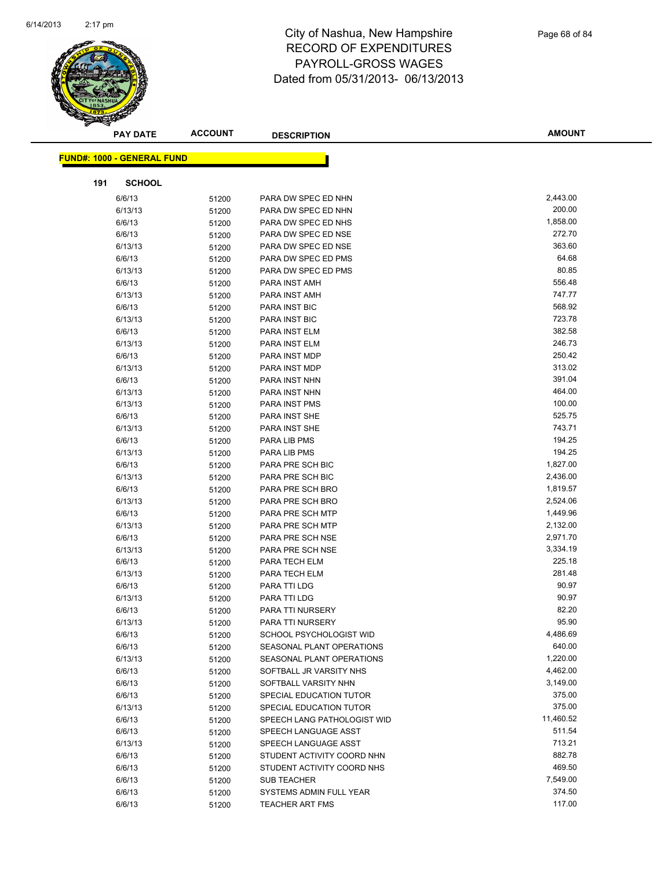

|     | <b>PAY DATE</b>                   | <b>ACCOUNT</b> | <b>DESCRIPTION</b>          | <b>AMOUNT</b> |
|-----|-----------------------------------|----------------|-----------------------------|---------------|
|     | <b>FUND#: 1000 - GENERAL FUND</b> |                |                             |               |
|     |                                   |                |                             |               |
| 191 | <b>SCHOOL</b>                     |                |                             |               |
|     | 6/6/13                            | 51200          | PARA DW SPEC ED NHN         | 2,443.00      |
|     | 6/13/13                           | 51200          | PARA DW SPEC ED NHN         | 200.00        |
|     | 6/6/13                            | 51200          | PARA DW SPEC ED NHS         | 1,858.00      |
|     | 6/6/13                            | 51200          | PARA DW SPEC ED NSE         | 272.70        |
|     | 6/13/13                           | 51200          | PARA DW SPEC ED NSE         | 363.60        |
|     | 6/6/13                            | 51200          | PARA DW SPEC ED PMS         | 64.68         |
|     | 6/13/13                           | 51200          | PARA DW SPEC ED PMS         | 80.85         |
|     | 6/6/13                            | 51200          | PARA INST AMH               | 556.48        |
|     | 6/13/13                           | 51200          | PARA INST AMH               | 747.77        |
|     | 6/6/13                            | 51200          | PARA INST BIC               | 568.92        |
|     | 6/13/13                           | 51200          | PARA INST BIC               | 723.78        |
|     | 6/6/13                            | 51200          | PARA INST ELM               | 382.58        |
|     | 6/13/13                           | 51200          | PARA INST ELM               | 246.73        |
|     | 6/6/13                            | 51200          | PARA INST MDP               | 250.42        |
|     | 6/13/13                           | 51200          | PARA INST MDP               | 313.02        |
|     | 6/6/13                            | 51200          | PARA INST NHN               | 391.04        |
|     | 6/13/13                           | 51200          | PARA INST NHN               | 464.00        |
|     | 6/13/13                           | 51200          | PARA INST PMS               | 100.00        |
|     | 6/6/13                            | 51200          | PARA INST SHE               | 525.75        |
|     | 6/13/13                           | 51200          | <b>PARA INST SHE</b>        | 743.71        |
|     | 6/6/13                            | 51200          | PARA LIB PMS                | 194.25        |
|     | 6/13/13                           | 51200          | PARA LIB PMS                | 194.25        |
|     | 6/6/13                            | 51200          | PARA PRE SCH BIC            | 1,827.00      |
|     | 6/13/13                           | 51200          | PARA PRE SCH BIC            | 2,436.00      |
|     | 6/6/13                            | 51200          | PARA PRE SCH BRO            | 1,819.57      |
|     | 6/13/13                           | 51200          | PARA PRE SCH BRO            | 2,524.06      |
|     | 6/6/13                            | 51200          | PARA PRE SCH MTP            | 1,449.96      |
|     | 6/13/13                           | 51200          | PARA PRE SCH MTP            | 2,132.00      |
|     | 6/6/13                            | 51200          | PARA PRE SCH NSE            | 2,971.70      |
|     | 6/13/13                           | 51200          | PARA PRE SCH NSE            | 3,334.19      |
|     | 6/6/13                            | 51200          | PARA TECH ELM               | 225.18        |
|     | 6/13/13                           | 51200          | PARA TECH ELM               | 281.48        |
|     | 6/6/13                            | 51200          | PARA TTI LDG                | 90.97         |
|     | 6/13/13                           | 51200          | PARA TTI LDG                | 90.97         |
|     | 6/6/13                            | 51200          | PARA TTI NURSERY            | 82.20         |
|     | 6/13/13                           | 51200          | PARA TTI NURSERY            | 95.90         |
|     | 6/6/13                            | 51200          | SCHOOL PSYCHOLOGIST WID     | 4,486.69      |
|     | 6/6/13                            | 51200          | SEASONAL PLANT OPERATIONS   | 640.00        |
|     | 6/13/13                           | 51200          | SEASONAL PLANT OPERATIONS   | 1,220.00      |
|     | 6/6/13                            | 51200          | SOFTBALL JR VARSITY NHS     | 4,462.00      |
|     | 6/6/13                            | 51200          | SOFTBALL VARSITY NHN        | 3,149.00      |
|     | 6/6/13                            | 51200          | SPECIAL EDUCATION TUTOR     | 375.00        |
|     | 6/13/13                           | 51200          | SPECIAL EDUCATION TUTOR     | 375.00        |
|     | 6/6/13                            | 51200          | SPEECH LANG PATHOLOGIST WID | 11,460.52     |
|     | 6/6/13                            | 51200          | SPEECH LANGUAGE ASST        | 511.54        |
|     | 6/13/13                           | 51200          | SPEECH LANGUAGE ASST        | 713.21        |
|     | 6/6/13                            | 51200          | STUDENT ACTIVITY COORD NHN  | 882.78        |
|     | 6/6/13                            | 51200          | STUDENT ACTIVITY COORD NHS  | 469.50        |
|     | 6/6/13                            | 51200          | <b>SUB TEACHER</b>          | 7,549.00      |
|     | 6/6/13                            | 51200          | SYSTEMS ADMIN FULL YEAR     | 374.50        |
|     | 6/6/13                            | 51200          | <b>TEACHER ART FMS</b>      | 117.00        |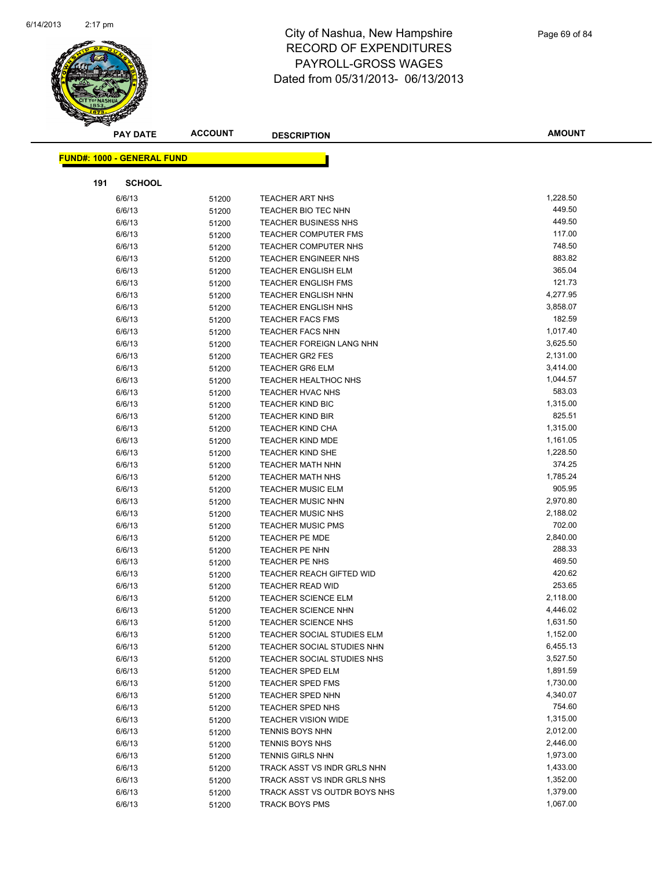

|     | <b>PAY DATE</b>                   | <b>ACCOUNT</b> | <b>DESCRIPTION</b>                                          | <b>AMOUNT</b>        |
|-----|-----------------------------------|----------------|-------------------------------------------------------------|----------------------|
|     |                                   |                |                                                             |                      |
|     | <b>FUND#: 1000 - GENERAL FUND</b> |                |                                                             |                      |
| 191 | <b>SCHOOL</b>                     |                |                                                             |                      |
|     | 6/6/13                            | 51200          | <b>TEACHER ART NHS</b>                                      | 1,228.50             |
|     | 6/6/13                            | 51200          | TEACHER BIO TEC NHN                                         | 449.50               |
|     | 6/6/13                            | 51200          | <b>TEACHER BUSINESS NHS</b>                                 | 449.50               |
|     | 6/6/13                            | 51200          | <b>TEACHER COMPUTER FMS</b>                                 | 117.00               |
|     | 6/6/13                            | 51200          | <b>TEACHER COMPUTER NHS</b>                                 | 748.50               |
|     | 6/6/13                            | 51200          | TEACHER ENGINEER NHS                                        | 883.82               |
|     | 6/6/13                            | 51200          | <b>TEACHER ENGLISH ELM</b>                                  | 365.04               |
|     | 6/6/13                            | 51200          | <b>TEACHER ENGLISH FMS</b>                                  | 121.73               |
|     | 6/6/13                            | 51200          | <b>TEACHER ENGLISH NHN</b>                                  | 4,277.95             |
|     | 6/6/13                            | 51200          | <b>TEACHER ENGLISH NHS</b>                                  | 3,858.07             |
|     | 6/6/13                            | 51200          | <b>TEACHER FACS FMS</b>                                     | 182.59               |
|     | 6/6/13                            | 51200          | <b>TEACHER FACS NHN</b>                                     | 1,017.40             |
|     | 6/6/13                            | 51200          | TEACHER FOREIGN LANG NHN                                    | 3,625.50             |
|     | 6/6/13                            | 51200          | <b>TEACHER GR2 FES</b>                                      | 2,131.00             |
|     | 6/6/13                            | 51200          | <b>TEACHER GR6 ELM</b>                                      | 3,414.00             |
|     | 6/6/13                            | 51200          | <b>TEACHER HEALTHOC NHS</b>                                 | 1,044.57             |
|     | 6/6/13                            | 51200          | TEACHER HVAC NHS                                            | 583.03               |
|     | 6/6/13                            | 51200          | <b>TEACHER KIND BIC</b>                                     | 1,315.00             |
|     | 6/6/13                            | 51200          | <b>TEACHER KIND BIR</b>                                     | 825.51               |
|     | 6/6/13                            | 51200          | TEACHER KIND CHA                                            | 1,315.00             |
|     | 6/6/13                            | 51200          | <b>TEACHER KIND MDE</b>                                     | 1,161.05             |
|     | 6/6/13                            | 51200          | <b>TEACHER KIND SHE</b>                                     | 1,228.50             |
|     | 6/6/13                            | 51200          | <b>TEACHER MATH NHN</b>                                     | 374.25               |
|     | 6/6/13                            | 51200          | <b>TEACHER MATH NHS</b>                                     | 1,785.24             |
|     | 6/6/13                            | 51200          | <b>TEACHER MUSIC ELM</b>                                    | 905.95               |
|     | 6/6/13                            | 51200          | <b>TEACHER MUSIC NHN</b>                                    | 2,970.80             |
|     | 6/6/13                            | 51200          | <b>TEACHER MUSIC NHS</b>                                    | 2,188.02             |
|     | 6/6/13                            | 51200          | <b>TEACHER MUSIC PMS</b>                                    | 702.00               |
|     | 6/6/13                            | 51200          | <b>TEACHER PE MDE</b>                                       | 2,840.00             |
|     | 6/6/13                            | 51200          | <b>TEACHER PE NHN</b>                                       | 288.33               |
|     | 6/6/13                            | 51200          | <b>TEACHER PE NHS</b>                                       | 469.50               |
|     | 6/6/13                            | 51200          | TEACHER REACH GIFTED WID                                    | 420.62               |
|     | 6/6/13                            | 51200          | <b>TEACHER READ WID</b>                                     | 253.65               |
|     | 6/6/13                            | 51200          | <b>TEACHER SCIENCE ELM</b>                                  | 2,118.00             |
|     | 6/6/13                            | 51200          | <b>TEACHER SCIENCE NHN</b>                                  | 4,446.02             |
|     | 6/6/13                            | 51200          | <b>TEACHER SCIENCE NHS</b>                                  | 1,631.50             |
|     | 6/6/13                            | 51200          | TEACHER SOCIAL STUDIES ELM                                  | 1,152.00             |
|     | 6/6/13                            | 51200          | TEACHER SOCIAL STUDIES NHN                                  | 6,455.13             |
|     | 6/6/13                            | 51200          | TEACHER SOCIAL STUDIES NHS                                  | 3,527.50             |
|     | 6/6/13                            | 51200          | <b>TEACHER SPED ELM</b>                                     | 1,891.59             |
|     | 6/6/13                            | 51200          | <b>TEACHER SPED FMS</b>                                     | 1,730.00             |
|     | 6/6/13                            | 51200          | TEACHER SPED NHN                                            | 4,340.07             |
|     | 6/6/13                            | 51200          | <b>TEACHER SPED NHS</b>                                     | 754.60               |
|     | 6/6/13                            | 51200          | <b>TEACHER VISION WIDE</b>                                  | 1,315.00             |
|     | 6/6/13                            | 51200          | <b>TENNIS BOYS NHN</b>                                      | 2,012.00             |
|     | 6/6/13                            | 51200          | TENNIS BOYS NHS                                             | 2,446.00             |
|     | 6/6/13                            | 51200          | <b>TENNIS GIRLS NHN</b>                                     | 1,973.00             |
|     | 6/6/13                            | 51200          | TRACK ASST VS INDR GRLS NHN                                 | 1,433.00<br>1,352.00 |
|     | 6/6/13                            | 51200          | TRACK ASST VS INDR GRLS NHS<br>TRACK ASST VS OUTDR BOYS NHS | 1,379.00             |
|     | 6/6/13<br>6/6/13                  | 51200          | TRACK BOYS PMS                                              | 1,067.00             |
|     |                                   | 51200          |                                                             |                      |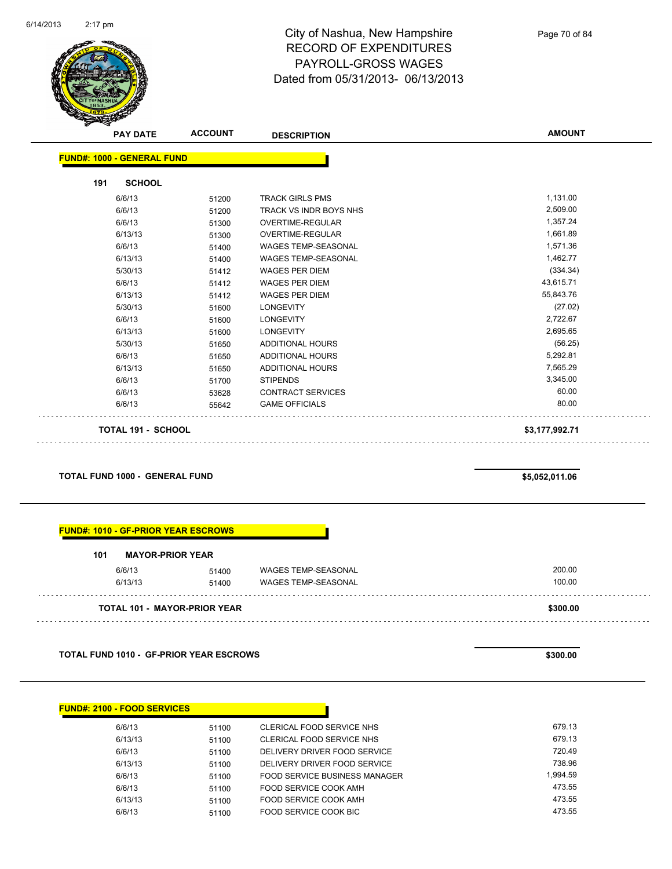

Page 70 of 84

| <b>PAY DATE</b>                   | <b>ACCOUNT</b> | <b>DESCRIPTION</b>         | <b>AMOUNT</b>  |
|-----------------------------------|----------------|----------------------------|----------------|
| <b>FUND#: 1000 - GENERAL FUND</b> |                |                            |                |
| <b>SCHOOL</b><br>191              |                |                            |                |
| 6/6/13                            | 51200          | <b>TRACK GIRLS PMS</b>     | 1,131.00       |
| 6/6/13                            | 51200          | TRACK VS INDR BOYS NHS     | 2,509.00       |
| 6/6/13                            | 51300          | <b>OVERTIME-REGULAR</b>    | 1,357.24       |
| 6/13/13                           | 51300          | <b>OVERTIME-REGULAR</b>    | 1,661.89       |
| 6/6/13                            | 51400          | <b>WAGES TEMP-SEASONAL</b> | 1,571.36       |
| 6/13/13                           | 51400          | <b>WAGES TEMP-SEASONAL</b> | 1,462.77       |
| 5/30/13                           | 51412          | <b>WAGES PER DIEM</b>      | (334.34)       |
| 6/6/13                            | 51412          | <b>WAGES PER DIEM</b>      | 43,615.71      |
| 6/13/13                           | 51412          | <b>WAGES PER DIEM</b>      | 55,843.76      |
| 5/30/13                           | 51600          | <b>LONGEVITY</b>           | (27.02)        |
| 6/6/13                            | 51600          | <b>LONGEVITY</b>           | 2,722.67       |
| 6/13/13                           | 51600          | <b>LONGEVITY</b>           | 2,695.65       |
| 5/30/13                           | 51650          | <b>ADDITIONAL HOURS</b>    | (56.25)        |
| 6/6/13                            | 51650          | <b>ADDITIONAL HOURS</b>    | 5,292.81       |
| 6/13/13                           | 51650          | <b>ADDITIONAL HOURS</b>    | 7,565.29       |
| 6/6/13                            | 51700          | <b>STIPENDS</b>            | 3,345.00       |
| 6/6/13                            | 53628          | <b>CONTRACT SERVICES</b>   | 60.00          |
| 6/6/13                            | 55642          | <b>GAME OFFICIALS</b>      | 80.00          |
| TOTAL 191 - SCHOOL                |                |                            | \$3,177,992.71 |

**TOTAL FUND 1000 - GENERAL FUND \$5,052,011.06** 

#### **FUND#: 1010 - GF-PRIOR YEAR ESCROWS**

| 101 | <b>MAYOR-PRIOR YEAR</b> |                                     |                            |          |
|-----|-------------------------|-------------------------------------|----------------------------|----------|
|     | 6/6/13                  | 51400                               | WAGES TEMP-SEASONAL        | 200.00   |
|     | 6/13/13                 | 51400                               | <b>WAGES TEMP-SEASONAL</b> | 100.00   |
|     |                         | <b>TOTAL 101 - MAYOR-PRIOR YEAR</b> |                            | \$300.00 |

**TOTAL FUND 1010 - GF-PRIOR YEAR ESCROWS \$300.00** 

| <b>FUND#: 2100 - FOOD SERVICES</b> |       |                               |  |
|------------------------------------|-------|-------------------------------|--|
|                                    |       |                               |  |
| 6/6/13                             | 51100 | CLERICAL FOOD SERVICE NHS     |  |
| 6/13/13                            | 51100 | CLERICAL FOOD SERVICE NHS     |  |
| 6/6/13                             | 51100 | DELIVERY DRIVER FOOD SERVICE  |  |
| 6/13/13                            | 51100 | DELIVERY DRIVER FOOD SERVICE  |  |
| 6/6/13                             | 51100 | FOOD SERVICE BUSINESS MANAGER |  |
| 6/6/13                             | 51100 | FOOD SERVICE COOK AMH         |  |
| 6/13/13                            | 51100 | FOOD SERVICE COOK AMH         |  |
| 6/6/13                             | 51100 | FOOD SERVICE COOK BIC         |  |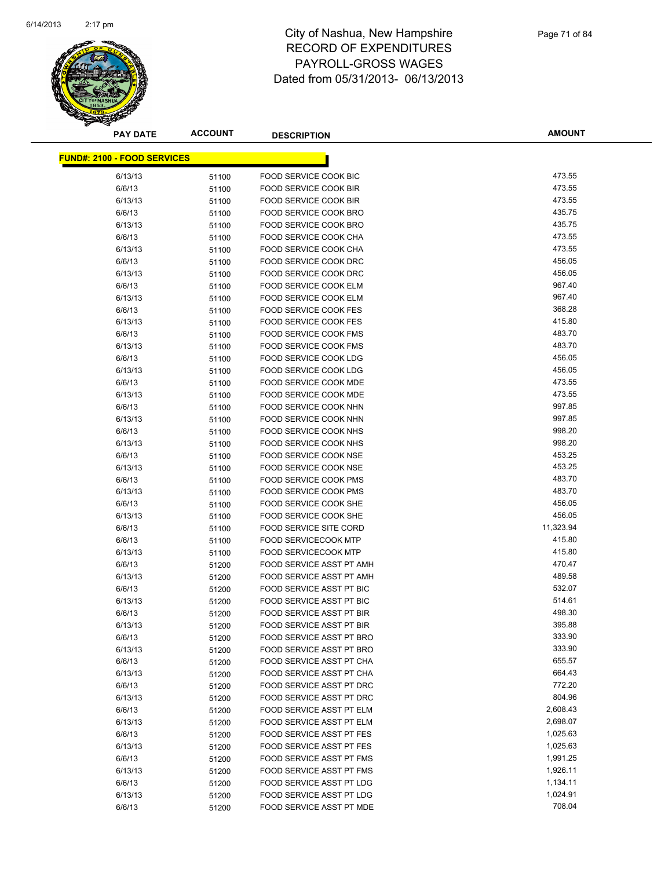

| <b>PAY DATE</b>                    | <b>ACCOUNT</b> | <b>DESCRIPTION</b>              | <b>AMOUNT</b> |
|------------------------------------|----------------|---------------------------------|---------------|
| <b>FUND#: 2100 - FOOD SERVICES</b> |                |                                 |               |
|                                    |                |                                 |               |
| 6/13/13                            | 51100          | FOOD SERVICE COOK BIC           | 473.55        |
| 6/6/13                             | 51100          | <b>FOOD SERVICE COOK BIR</b>    | 473.55        |
| 6/13/13                            | 51100          | <b>FOOD SERVICE COOK BIR</b>    | 473.55        |
| 6/6/13                             | 51100          | FOOD SERVICE COOK BRO           | 435.75        |
| 6/13/13                            | 51100          | FOOD SERVICE COOK BRO           | 435.75        |
| 6/6/13                             | 51100          | <b>FOOD SERVICE COOK CHA</b>    | 473.55        |
| 6/13/13                            | 51100          | FOOD SERVICE COOK CHA           | 473.55        |
| 6/6/13                             | 51100          | FOOD SERVICE COOK DRC           | 456.05        |
| 6/13/13                            | 51100          | FOOD SERVICE COOK DRC           | 456.05        |
| 6/6/13                             | 51100          | FOOD SERVICE COOK ELM           | 967.40        |
| 6/13/13                            | 51100          | FOOD SERVICE COOK ELM           | 967.40        |
| 6/6/13                             | 51100          | <b>FOOD SERVICE COOK FES</b>    | 368.28        |
| 6/13/13                            | 51100          | <b>FOOD SERVICE COOK FES</b>    | 415.80        |
| 6/6/13                             | 51100          | <b>FOOD SERVICE COOK FMS</b>    | 483.70        |
| 6/13/13                            | 51100          | <b>FOOD SERVICE COOK FMS</b>    | 483.70        |
| 6/6/13                             | 51100          | FOOD SERVICE COOK LDG           | 456.05        |
| 6/13/13                            | 51100          | <b>FOOD SERVICE COOK LDG</b>    | 456.05        |
| 6/6/13                             | 51100          | FOOD SERVICE COOK MDE           | 473.55        |
| 6/13/13                            | 51100          | <b>FOOD SERVICE COOK MDE</b>    | 473.55        |
| 6/6/13                             | 51100          | FOOD SERVICE COOK NHN           | 997.85        |
| 6/13/13                            | 51100          | FOOD SERVICE COOK NHN           | 997.85        |
| 6/6/13                             | 51100          | FOOD SERVICE COOK NHS           | 998.20        |
| 6/13/13                            | 51100          | FOOD SERVICE COOK NHS           | 998.20        |
| 6/6/13                             | 51100          | FOOD SERVICE COOK NSE           | 453.25        |
| 6/13/13                            | 51100          | FOOD SERVICE COOK NSE           | 453.25        |
| 6/6/13                             | 51100          | FOOD SERVICE COOK PMS           | 483.70        |
| 6/13/13                            | 51100          | FOOD SERVICE COOK PMS           | 483.70        |
| 6/6/13                             | 51100          | FOOD SERVICE COOK SHE           | 456.05        |
| 6/13/13                            | 51100          | FOOD SERVICE COOK SHE           | 456.05        |
| 6/6/13                             | 51100          | <b>FOOD SERVICE SITE CORD</b>   | 11,323.94     |
| 6/6/13                             | 51100          | <b>FOOD SERVICECOOK MTP</b>     | 415.80        |
| 6/13/13                            | 51100          | <b>FOOD SERVICECOOK MTP</b>     | 415.80        |
| 6/6/13                             | 51200          | FOOD SERVICE ASST PT AMH        | 470.47        |
| 6/13/13                            | 51200          | FOOD SERVICE ASST PT AMH        | 489.58        |
| 6/6/13                             | 51200          | FOOD SERVICE ASST PT BIC        | 532.07        |
| 6/13/13                            | 51200          | FOOD SERVICE ASST PT BIC        | 514.61        |
| 6/6/13                             | 51200          | FOOD SERVICE ASST PT BIR        | 498.30        |
| 6/13/13                            | 51200          | FOOD SERVICE ASST PT BIR        | 395.88        |
| 6/6/13                             | 51200          | FOOD SERVICE ASST PT BRO        | 333.90        |
| 6/13/13                            | 51200          | FOOD SERVICE ASST PT BRO        | 333.90        |
| 6/6/13                             | 51200          | FOOD SERVICE ASST PT CHA        | 655.57        |
| 6/13/13                            | 51200          | FOOD SERVICE ASST PT CHA        | 664.43        |
| 6/6/13                             | 51200          | <b>FOOD SERVICE ASST PT DRC</b> | 772.20        |
| 6/13/13                            | 51200          | FOOD SERVICE ASST PT DRC        | 804.96        |
| 6/6/13                             | 51200          | FOOD SERVICE ASST PT ELM        | 2,608.43      |
| 6/13/13                            | 51200          | FOOD SERVICE ASST PT ELM        | 2,698.07      |
| 6/6/13                             | 51200          | <b>FOOD SERVICE ASST PT FES</b> | 1,025.63      |
| 6/13/13                            | 51200          | <b>FOOD SERVICE ASST PT FES</b> | 1,025.63      |
| 6/6/13                             | 51200          | FOOD SERVICE ASST PT FMS        | 1,991.25      |
| 6/13/13                            | 51200          | FOOD SERVICE ASST PT FMS        | 1,926.11      |
| 6/6/13                             | 51200          | FOOD SERVICE ASST PT LDG        | 1,134.11      |
| 6/13/13                            | 51200          | FOOD SERVICE ASST PT LDG        | 1,024.91      |
| 6/6/13                             | 51200          | FOOD SERVICE ASST PT MDE        | 708.04        |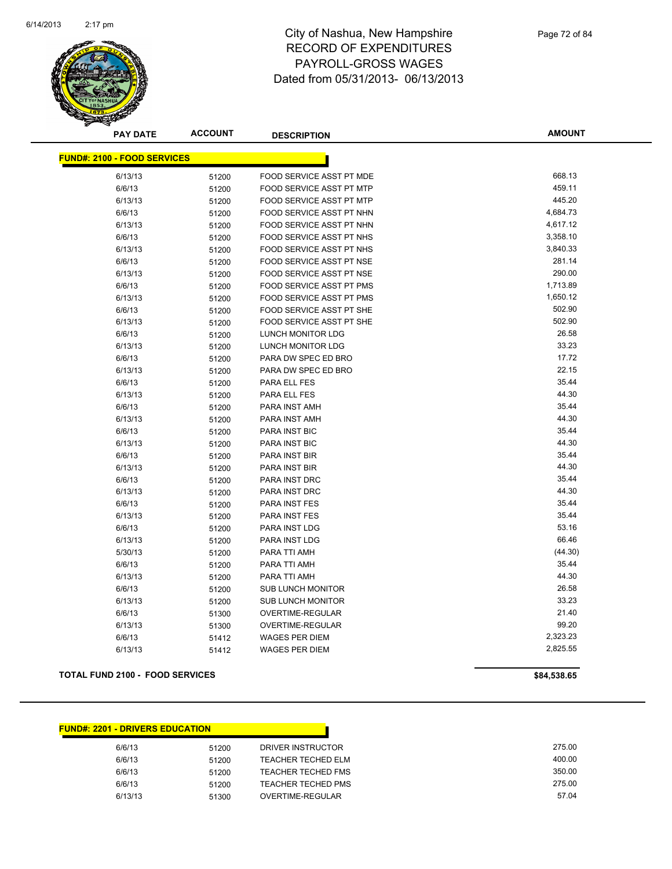

**AMOUNT**

| <b>FUND#: 2100 - FOOD SERVICES</b> |       |                                 |          |
|------------------------------------|-------|---------------------------------|----------|
| 6/13/13                            | 51200 | FOOD SERVICE ASST PT MDE        | 668.13   |
| 6/6/13                             | 51200 | FOOD SERVICE ASST PT MTP        | 459.11   |
| 6/13/13                            | 51200 | FOOD SERVICE ASST PT MTP        | 445.20   |
| 6/6/13                             | 51200 | FOOD SERVICE ASST PT NHN        | 4,684.73 |
| 6/13/13                            | 51200 | FOOD SERVICE ASST PT NHN        | 4,617.12 |
| 6/6/13                             | 51200 | FOOD SERVICE ASST PT NHS        | 3,358.10 |
| 6/13/13                            | 51200 | FOOD SERVICE ASST PT NHS        | 3,840.33 |
| 6/6/13                             | 51200 | FOOD SERVICE ASST PT NSE        | 281.14   |
| 6/13/13                            | 51200 | FOOD SERVICE ASST PT NSE        | 290.00   |
| 6/6/13                             | 51200 | FOOD SERVICE ASST PT PMS        | 1,713.89 |
| 6/13/13                            | 51200 | <b>FOOD SERVICE ASST PT PMS</b> | 1,650.12 |
| 6/6/13                             | 51200 | FOOD SERVICE ASST PT SHE        | 502.90   |
| 6/13/13                            | 51200 | FOOD SERVICE ASST PT SHE        | 502.90   |
| 6/6/13                             | 51200 | LUNCH MONITOR LDG               | 26.58    |
| 6/13/13                            | 51200 | LUNCH MONITOR LDG               | 33.23    |
| 6/6/13                             | 51200 | PARA DW SPEC ED BRO             | 17.72    |
| 6/13/13                            | 51200 | PARA DW SPEC ED BRO             | 22.15    |
| 6/6/13                             | 51200 | PARA ELL FES                    | 35.44    |
| 6/13/13                            | 51200 | PARA ELL FES                    | 44.30    |
| 6/6/13                             | 51200 | PARA INST AMH                   | 35.44    |
| 6/13/13                            | 51200 | PARA INST AMH                   | 44.30    |
| 6/6/13                             | 51200 | PARA INST BIC                   | 35.44    |
| 6/13/13                            | 51200 | PARA INST BIC                   | 44.30    |
| 6/6/13                             | 51200 | PARA INST BIR                   | 35.44    |
| 6/13/13                            | 51200 | PARA INST BIR                   | 44.30    |
| 6/6/13                             | 51200 | PARA INST DRC                   | 35.44    |
| 6/13/13                            | 51200 | PARA INST DRC                   | 44.30    |
| 6/6/13                             | 51200 | PARA INST FES                   | 35.44    |
| 6/13/13                            | 51200 | PARA INST FES                   | 35.44    |
| 6/6/13                             | 51200 | PARA INST LDG                   | 53.16    |
| 6/13/13                            | 51200 | PARA INST LDG                   | 66.46    |
| 5/30/13                            | 51200 | PARA TTI AMH                    | (44.30)  |
| 6/6/13                             | 51200 | PARA TTI AMH                    | 35.44    |
| 6/13/13                            | 51200 | PARA TTI AMH                    | 44.30    |
| 6/6/13                             | 51200 | <b>SUB LUNCH MONITOR</b>        | 26.58    |
| 6/13/13                            | 51200 | <b>SUB LUNCH MONITOR</b>        | 33.23    |
| 6/6/13                             | 51300 | OVERTIME-REGULAR                | 21.40    |
| 6/13/13                            | 51300 | OVERTIME-REGULAR                | 99.20    |
| 6/6/13                             | 51412 | <b>WAGES PER DIEM</b>           | 2,323.23 |
| 6/13/13                            | 51412 | <b>WAGES PER DIEM</b>           | 2.825.55 |

#### **TOTAL FUND 2100 - FOOD SERVICES \$84,538.65**

| <b>FUND#: 2201 - DRIVERS EDUCATION</b> |       |                           |
|----------------------------------------|-------|---------------------------|
| 6/6/13                                 | 51200 | DRIVER INSTRUCTOR         |
| 6/6/13                                 | 51200 | <b>TEACHER TECHED ELM</b> |
| 6/6/13                                 | 51200 | <b>TEACHER TECHED FMS</b> |
| 6/6/13                                 | 51200 | TEACHER TECHED PMS        |
| 6/13/13                                | 51300 | OVERTIME-REGULAR          |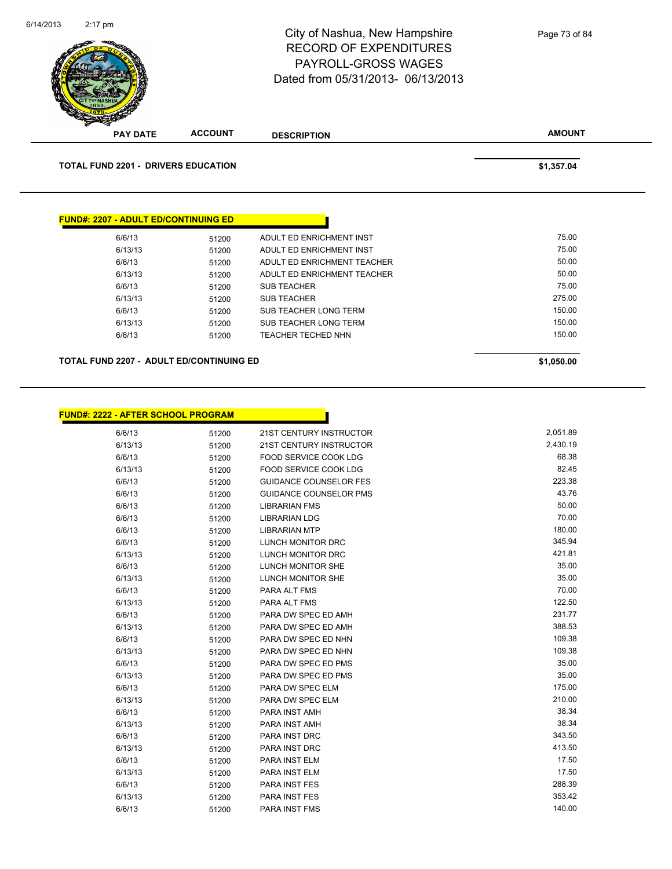|                                                       |                | City of Nashua, New Hampshire<br><b>RECORD OF EXPENDITURES</b><br>PAYROLL-GROSS WAGES<br>Dated from 05/31/2013- 06/13/2013 | Page 73 of 84 |
|-------------------------------------------------------|----------------|----------------------------------------------------------------------------------------------------------------------------|---------------|
| <b>PAY DATE</b>                                       | <b>ACCOUNT</b> | <b>DESCRIPTION</b>                                                                                                         | <b>AMOUNT</b> |
| <b>TOTAL FUND 2201 - DRIVERS EDUCATION</b>            |                |                                                                                                                            | \$1,357.04    |
|                                                       |                |                                                                                                                            |               |
| <b>FUND#: 2207 - ADULT ED/CONTINUING ED</b><br>6/6/13 | 51200          | ADULT ED ENRICHMENT INST                                                                                                   | 75.00         |
| 6/13/13                                               |                | ADULT ED ENRICHMENT INST                                                                                                   | 75.00         |
| 6/6/13                                                | 51200<br>51200 | ADULT ED ENRICHMENT TEACHER                                                                                                | 50.00         |
| 6/13/13                                               | 51200          | ADULT ED ENRICHMENT TEACHER                                                                                                | 50.00         |
| 6/6/13                                                | 51200          | <b>SUB TEACHER</b>                                                                                                         | 75.00         |
| 6/13/13                                               | 51200          | <b>SUB TEACHER</b>                                                                                                         | 275.00        |
| 6/6/13                                                | 51200          | <b>SUB TEACHER LONG TERM</b>                                                                                               | 150.00        |
| 6/13/13                                               | 51200          | <b>SUB TEACHER LONG TERM</b>                                                                                               | 150.00        |
| 6/6/13                                                | 51200          | TEACHER TECHED NHN                                                                                                         | 150.00        |

| <b>FUND#: 2222 - AFTER SCHOOL PROGRAM</b> |       |                               |          |
|-------------------------------------------|-------|-------------------------------|----------|
| 6/6/13                                    | 51200 | 21ST CENTURY INSTRUCTOR       | 2,051.89 |
| 6/13/13                                   | 51200 | 21ST CENTURY INSTRUCTOR       | 2,430.19 |
| 6/6/13                                    | 51200 | <b>FOOD SERVICE COOK LDG</b>  | 68.38    |
| 6/13/13                                   | 51200 | FOOD SERVICE COOK LDG         | 82.45    |
| 6/6/13                                    | 51200 | <b>GUIDANCE COUNSELOR FES</b> | 223.38   |
| 6/6/13                                    | 51200 | <b>GUIDANCE COUNSELOR PMS</b> | 43.76    |
| 6/6/13                                    | 51200 | <b>LIBRARIAN FMS</b>          | 50.00    |
| 6/6/13                                    | 51200 | <b>LIBRARIAN LDG</b>          | 70.00    |
| 6/6/13                                    | 51200 | <b>LIBRARIAN MTP</b>          | 180.00   |
| 6/6/13                                    | 51200 | <b>LUNCH MONITOR DRC</b>      | 345.94   |
| 6/13/13                                   | 51200 | LUNCH MONITOR DRC             | 421.81   |
| 6/6/13                                    | 51200 | <b>LUNCH MONITOR SHE</b>      | 35.00    |
| 6/13/13                                   | 51200 | <b>LUNCH MONITOR SHE</b>      | 35.00    |
| 6/6/13                                    | 51200 | PARA ALT FMS                  | 70.00    |
| 6/13/13                                   | 51200 | PARA ALT FMS                  | 122.50   |
| 6/6/13                                    | 51200 | PARA DW SPEC ED AMH           | 231.77   |
| 6/13/13                                   | 51200 | PARA DW SPEC ED AMH           | 388.53   |
| 6/6/13                                    | 51200 | PARA DW SPEC ED NHN           | 109.38   |
| 6/13/13                                   | 51200 | PARA DW SPEC ED NHN           | 109.38   |
| 6/6/13                                    | 51200 | PARA DW SPEC ED PMS           | 35.00    |
| 6/13/13                                   | 51200 | PARA DW SPEC ED PMS           | 35.00    |
| 6/6/13                                    | 51200 | PARA DW SPEC ELM              | 175.00   |
| 6/13/13                                   | 51200 | PARA DW SPEC ELM              | 210.00   |
| 6/6/13                                    | 51200 | PARA INST AMH                 | 38.34    |
| 6/13/13                                   | 51200 | PARA INST AMH                 | 38.34    |
| 6/6/13                                    | 51200 | <b>PARA INST DRC</b>          | 343.50   |
| 6/13/13                                   | 51200 | PARA INST DRC                 | 413.50   |
| 6/6/13                                    | 51200 | PARA INST ELM                 | 17.50    |
| 6/13/13                                   | 51200 | PARA INST ELM                 | 17.50    |
| 6/6/13                                    | 51200 | PARA INST FES                 | 288.39   |
| 6/13/13                                   | 51200 | PARA INST FES                 | 353.42   |
| 6/6/13                                    | 51200 | PARA INST FMS                 | 140.00   |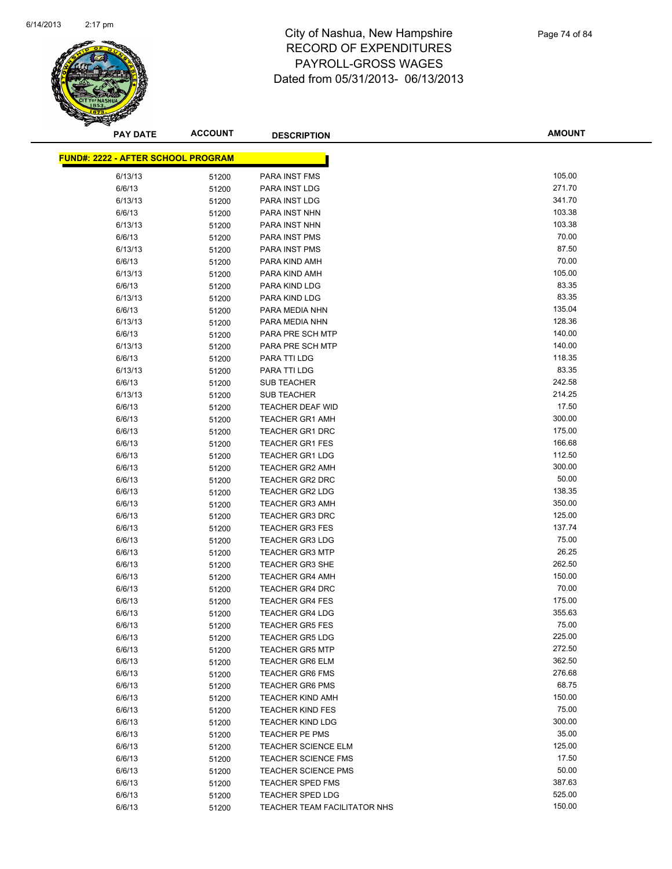

| <b>PAY DATE</b>                           | <b>ACCOUNT</b> | <b>DESCRIPTION</b>           | <b>AMOUNT</b> |
|-------------------------------------------|----------------|------------------------------|---------------|
| <b>FUND#: 2222 - AFTER SCHOOL PROGRAM</b> |                |                              |               |
|                                           |                |                              |               |
| 6/13/13                                   | 51200          | PARA INST FMS                | 105.00        |
| 6/6/13                                    | 51200          | PARA INST LDG                | 271.70        |
| 6/13/13                                   | 51200          | PARA INST LDG                | 341.70        |
| 6/6/13                                    | 51200          | PARA INST NHN                | 103.38        |
| 6/13/13                                   | 51200          | PARA INST NHN                | 103.38        |
| 6/6/13                                    | 51200          | PARA INST PMS                | 70.00         |
| 6/13/13                                   | 51200          | PARA INST PMS                | 87.50         |
| 6/6/13                                    | 51200          | PARA KIND AMH                | 70.00         |
| 6/13/13                                   | 51200          | PARA KIND AMH                | 105.00        |
| 6/6/13                                    | 51200          | PARA KIND LDG                | 83.35         |
| 6/13/13                                   | 51200          | PARA KIND LDG                | 83.35         |
| 6/6/13                                    | 51200          | PARA MEDIA NHN               | 135.04        |
| 6/13/13                                   | 51200          | PARA MEDIA NHN               | 128.36        |
| 6/6/13                                    | 51200          | PARA PRE SCH MTP             | 140.00        |
| 6/13/13                                   | 51200          | PARA PRE SCH MTP             | 140.00        |
| 6/6/13                                    | 51200          | PARA TTI LDG                 | 118.35        |
| 6/13/13                                   | 51200          | PARA TTI LDG                 | 83.35         |
| 6/6/13                                    | 51200          | <b>SUB TEACHER</b>           | 242.58        |
| 6/13/13                                   | 51200          | <b>SUB TEACHER</b>           | 214.25        |
| 6/6/13                                    | 51200          | <b>TEACHER DEAF WID</b>      | 17.50         |
| 6/6/13                                    | 51200          | <b>TEACHER GR1 AMH</b>       | 300.00        |
| 6/6/13                                    | 51200          | <b>TEACHER GR1 DRC</b>       | 175.00        |
| 6/6/13                                    | 51200          | <b>TEACHER GR1 FES</b>       | 166.68        |
| 6/6/13                                    | 51200          | <b>TEACHER GR1 LDG</b>       | 112.50        |
| 6/6/13                                    | 51200          | <b>TEACHER GR2 AMH</b>       | 300.00        |
| 6/6/13                                    | 51200          | TEACHER GR2 DRC              | 50.00         |
| 6/6/13                                    | 51200          | <b>TEACHER GR2 LDG</b>       | 138.35        |
| 6/6/13                                    | 51200          | <b>TEACHER GR3 AMH</b>       | 350.00        |
| 6/6/13                                    | 51200          | TEACHER GR3 DRC              | 125.00        |
| 6/6/13                                    | 51200          | <b>TEACHER GR3 FES</b>       | 137.74        |
| 6/6/13                                    | 51200          | <b>TEACHER GR3 LDG</b>       | 75.00         |
| 6/6/13                                    | 51200          | <b>TEACHER GR3 MTP</b>       | 26.25         |
| 6/6/13                                    | 51200          | TEACHER GR3 SHE              | 262.50        |
| 6/6/13                                    | 51200          | <b>TEACHER GR4 AMH</b>       | 150.00        |
| 6/6/13                                    | 51200          | TEACHER GR4 DRC              | 70.00         |
| 6/6/13                                    | 51200          | <b>TEACHER GR4 FES</b>       | 175.00        |
| 6/6/13                                    | 51200          | <b>TEACHER GR4 LDG</b>       | 355.63        |
| 6/6/13                                    | 51200          | <b>TEACHER GR5 FES</b>       | 75.00         |
| 6/6/13                                    | 51200          | <b>TEACHER GR5 LDG</b>       | 225.00        |
| 6/6/13                                    | 51200          | <b>TEACHER GR5 MTP</b>       | 272.50        |
| 6/6/13                                    | 51200          | <b>TEACHER GR6 ELM</b>       | 362.50        |
| 6/6/13                                    | 51200          | <b>TEACHER GR6 FMS</b>       | 276.68        |
| 6/6/13                                    | 51200          | <b>TEACHER GR6 PMS</b>       | 68.75         |
| 6/6/13                                    | 51200          | <b>TEACHER KIND AMH</b>      | 150.00        |
| 6/6/13                                    | 51200          | <b>TEACHER KIND FES</b>      | 75.00         |
| 6/6/13                                    | 51200          | <b>TEACHER KIND LDG</b>      | 300.00        |
| 6/6/13                                    | 51200          | TEACHER PE PMS               | 35.00         |
| 6/6/13                                    | 51200          | <b>TEACHER SCIENCE ELM</b>   | 125.00        |
| 6/6/13                                    | 51200          | <b>TEACHER SCIENCE FMS</b>   | 17.50         |
| 6/6/13                                    | 51200          | <b>TEACHER SCIENCE PMS</b>   | 50.00         |
| 6/6/13                                    | 51200          | <b>TEACHER SPED FMS</b>      | 387.63        |
| 6/6/13                                    | 51200          | TEACHER SPED LDG             | 525.00        |
| 6/6/13                                    | 51200          | TEACHER TEAM FACILITATOR NHS | 150.00        |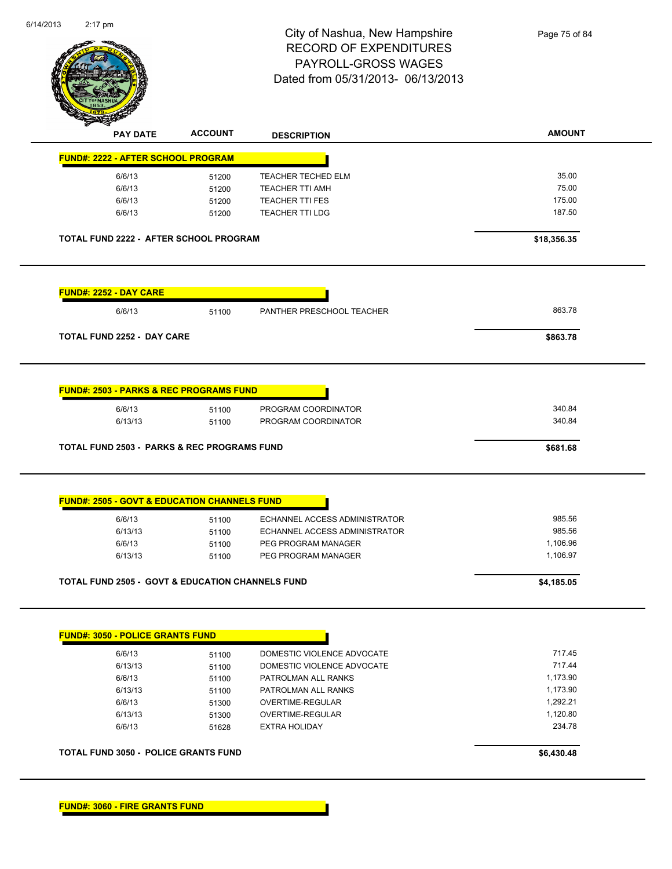

|                                                             | <b>DESCRIPTION</b>                                 | <b>AMOUNT</b>                                                                                                                                                                                                                                                                                                                            |
|-------------------------------------------------------------|----------------------------------------------------|------------------------------------------------------------------------------------------------------------------------------------------------------------------------------------------------------------------------------------------------------------------------------------------------------------------------------------------|
| <b>FUND#: 2222 - AFTER SCHOOL PROGRAM</b>                   |                                                    |                                                                                                                                                                                                                                                                                                                                          |
| 51200                                                       | TEACHER TECHED ELM                                 | 35.00                                                                                                                                                                                                                                                                                                                                    |
| 51200                                                       | <b>TEACHER TTI AMH</b>                             | 75.00                                                                                                                                                                                                                                                                                                                                    |
|                                                             | <b>TEACHER TTI FES</b>                             | 175.00                                                                                                                                                                                                                                                                                                                                   |
| 51200                                                       | <b>TEACHER TTI LDG</b>                             | 187.50                                                                                                                                                                                                                                                                                                                                   |
|                                                             |                                                    | \$18,356.35                                                                                                                                                                                                                                                                                                                              |
|                                                             |                                                    |                                                                                                                                                                                                                                                                                                                                          |
| 51100                                                       | PANTHER PRESCHOOL TEACHER                          | 863.78                                                                                                                                                                                                                                                                                                                                   |
| <b>TOTAL FUND 2252 - DAY CARE</b>                           |                                                    | \$863.78                                                                                                                                                                                                                                                                                                                                 |
|                                                             |                                                    |                                                                                                                                                                                                                                                                                                                                          |
|                                                             |                                                    | 340.84                                                                                                                                                                                                                                                                                                                                   |
|                                                             | PROGRAM COORDINATOR                                | 340.84                                                                                                                                                                                                                                                                                                                                   |
|                                                             |                                                    |                                                                                                                                                                                                                                                                                                                                          |
|                                                             |                                                    | \$681.68                                                                                                                                                                                                                                                                                                                                 |
|                                                             |                                                    | 985.56                                                                                                                                                                                                                                                                                                                                   |
|                                                             |                                                    | 985.56                                                                                                                                                                                                                                                                                                                                   |
|                                                             |                                                    | 1,106.96                                                                                                                                                                                                                                                                                                                                 |
| 51100                                                       | PEG PROGRAM MANAGER                                | 1,106.97                                                                                                                                                                                                                                                                                                                                 |
|                                                             |                                                    |                                                                                                                                                                                                                                                                                                                                          |
| <b>TOTAL FUND 2505 - GOVT &amp; EDUCATION CHANNELS FUND</b> |                                                    | \$4,185.05                                                                                                                                                                                                                                                                                                                               |
| <b>FUND#: 3050 - POLICE GRANTS FUND</b>                     |                                                    |                                                                                                                                                                                                                                                                                                                                          |
|                                                             | DOMESTIC VIOLENCE ADVOCATE                         | 717.45                                                                                                                                                                                                                                                                                                                                   |
| 51100                                                       | DOMESTIC VIOLENCE ADVOCATE                         | 717.44                                                                                                                                                                                                                                                                                                                                   |
| 51100                                                       |                                                    | 1,173.90                                                                                                                                                                                                                                                                                                                                 |
| 51100                                                       | PATROLMAN ALL RANKS                                | 1,173.90                                                                                                                                                                                                                                                                                                                                 |
| 51100                                                       | PATROLMAN ALL RANKS                                |                                                                                                                                                                                                                                                                                                                                          |
| 51300                                                       | <b>OVERTIME-REGULAR</b>                            | 1,292.21                                                                                                                                                                                                                                                                                                                                 |
| 51300<br>51628                                              | OVERTIME-REGULAR<br><b>EXTRA HOLIDAY</b>           | 1,120.80<br>234.78                                                                                                                                                                                                                                                                                                                       |
|                                                             | 51200<br>51100<br>51100<br>51100<br>51100<br>51100 | <b>TOTAL FUND 2222 - AFTER SCHOOL PROGRAM</b><br><b>FUND#: 2503 - PARKS &amp; REC PROGRAMS FUND</b><br>PROGRAM COORDINATOR<br><b>TOTAL FUND 2503 - PARKS &amp; REC PROGRAMS FUND</b><br><b>FUND#: 2505 - GOVT &amp; EDUCATION CHANNELS FUND</b><br>ECHANNEL ACCESS ADMINISTRATOR<br>ECHANNEL ACCESS ADMINISTRATOR<br>PEG PROGRAM MANAGER |

**FUND#: 3060 - FIRE GRANTS FUND**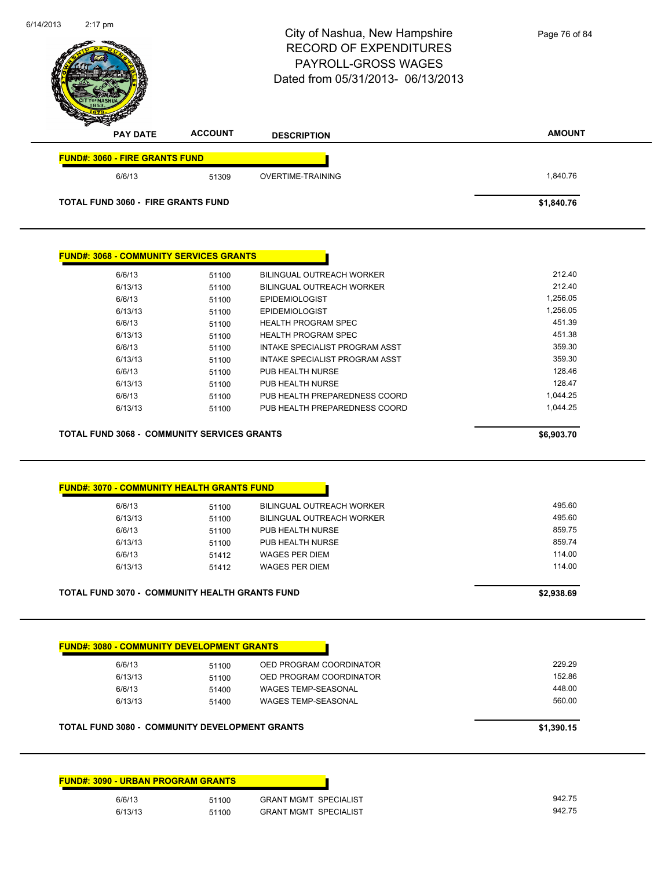|                                                               |                | City of Nashua, New Hampshire<br><b>RECORD OF EXPENDITURES</b><br>PAYROLL-GROSS WAGES<br>Dated from 05/31/2013-06/13/2013 | Page 76 of 84          |
|---------------------------------------------------------------|----------------|---------------------------------------------------------------------------------------------------------------------------|------------------------|
| <b>PAY DATE</b>                                               | <b>ACCOUNT</b> | <b>DESCRIPTION</b>                                                                                                        | <b>AMOUNT</b>          |
| <b>FUND#: 3060 - FIRE GRANTS FUND</b>                         |                |                                                                                                                           |                        |
| 6/6/13                                                        | 51309          | <b>OVERTIME-TRAINING</b>                                                                                                  | 1,840.76               |
| <b>TOTAL FUND 3060 - FIRE GRANTS FUND</b>                     |                |                                                                                                                           | \$1,840.76             |
| <b>FUND#: 3068 - COMMUNITY SERVICES GRANTS</b>                |                |                                                                                                                           |                        |
| 6/6/13                                                        | 51100          | BILINGUAL OUTREACH WORKER                                                                                                 | 212.40                 |
| 6/13/13                                                       | 51100          | BILINGUAL OUTREACH WORKER                                                                                                 | 212.40                 |
| 6/6/13                                                        | 51100          | <b>EPIDEMIOLOGIST</b>                                                                                                     | 1,256.05               |
| 6/13/13                                                       | 51100          | <b>EPIDEMIOLOGIST</b>                                                                                                     | 1,256.05               |
| 6/6/13                                                        | 51100          | <b>HEALTH PROGRAM SPEC</b>                                                                                                | 451.39                 |
| 6/13/13                                                       | 51100          | <b>HEALTH PROGRAM SPEC</b>                                                                                                | 451.38                 |
| 6/6/13                                                        | 51100          | INTAKE SPECIALIST PROGRAM ASST                                                                                            | 359.30                 |
| 6/13/13<br>6/6/13                                             | 51100          | INTAKE SPECIALIST PROGRAM ASST<br>PUB HEALTH NURSE                                                                        | 359.30<br>128.46       |
| 6/13/13                                                       | 51100<br>51100 | PUB HEALTH NURSE                                                                                                          | 128.47                 |
| 6/6/13                                                        |                | PUB HEALTH PREPAREDNESS COORD                                                                                             | 1,044.25               |
|                                                               |                |                                                                                                                           |                        |
| 6/13/13<br><b>TOTAL FUND 3068 - COMMUNITY SERVICES GRANTS</b> | 51100<br>51100 | PUB HEALTH PREPAREDNESS COORD                                                                                             | 1,044.25<br>\$6,903.70 |
|                                                               |                |                                                                                                                           |                        |
| <b>FUND#: 3070 - COMMUNITY HEALTH GRANTS FUND</b>             |                |                                                                                                                           |                        |
| 6/6/13                                                        | 51100          | <b>BILINGUAL OUTREACH WORKER</b>                                                                                          | 495.60                 |
| 6/13/13                                                       | 51100          | BILINGUAL OUTREACH WORKER                                                                                                 | 495.60                 |
| 6/6/13<br>6/13/13                                             | 51100<br>51100 | PUB HEALTH NURSE<br>PUB HEALTH NURSE                                                                                      | 859.75<br>859.74       |
| 6/6/13                                                        | 51412          | <b>WAGES PER DIEM</b>                                                                                                     | 114.00                 |
| 6/13/13                                                       | 51412          | <b>WAGES PER DIEM</b>                                                                                                     | 114.00                 |
| <b>TOTAL FUND 3070 - COMMUNITY HEALTH GRANTS FUND</b>         |                |                                                                                                                           | \$2,938.69             |
|                                                               |                |                                                                                                                           |                        |
| <b>FUND#: 3080 - COMMUNITY DEVELOPMENT GRANTS</b>             |                |                                                                                                                           |                        |
| 6/6/13                                                        | 51100          | OED PROGRAM COORDINATOR                                                                                                   | 229.29                 |
| 6/13/13                                                       | 51100          | OED PROGRAM COORDINATOR                                                                                                   | 152.86                 |
| 6/6/13<br>6/13/13                                             | 51400<br>51400 | WAGES TEMP-SEASONAL<br>WAGES TEMP-SEASONAL                                                                                | 448.00<br>560.00       |
| <b>TOTAL FUND 3080 - COMMUNITY DEVELOPMENT GRANTS</b>         |                |                                                                                                                           | \$1,390.15             |
|                                                               |                |                                                                                                                           |                        |
| <b>FUND#: 3090 - URBAN PROGRAM GRANTS</b>                     |                |                                                                                                                           |                        |
| 6/6/13                                                        | 51100          | <b>GRANT MGMT SPECIALIST</b>                                                                                              | 942.75                 |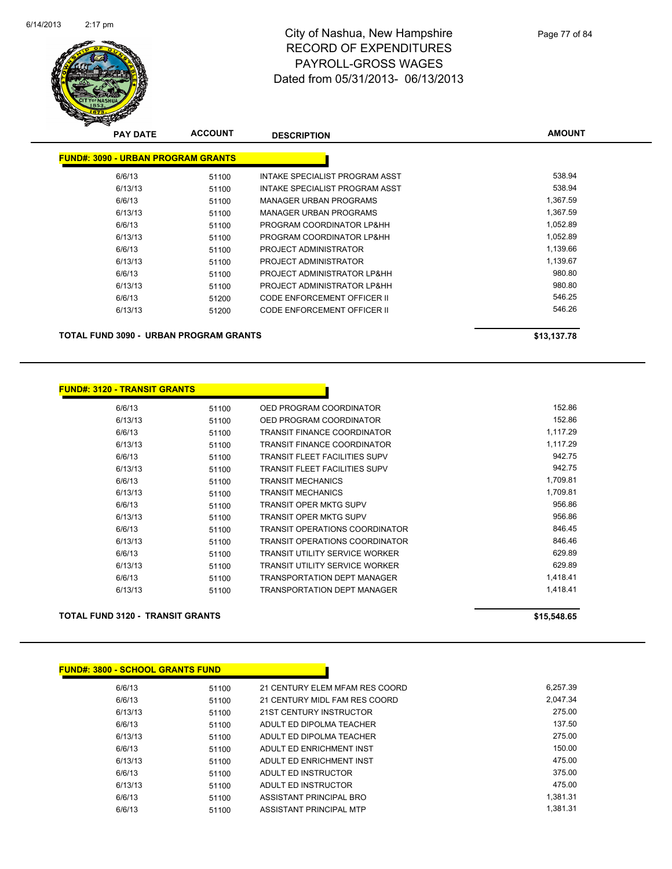

| <b>PAY DATE</b>                           | <b>ACCOUNT</b> | <b>DESCRIPTION</b>                 | <b>AMOUNT</b> |
|-------------------------------------------|----------------|------------------------------------|---------------|
| <b>FUND#: 3090 - URBAN PROGRAM GRANTS</b> |                |                                    |               |
| 6/6/13                                    | 51100          | INTAKE SPECIALIST PROGRAM ASST     | 538.94        |
| 6/13/13                                   | 51100          | INTAKE SPECIALIST PROGRAM ASST     | 538.94        |
| 6/6/13                                    | 51100          | MANAGER URBAN PROGRAMS             | 1.367.59      |
| 6/13/13                                   | 51100          | MANAGER URBAN PROGRAMS             | 1,367.59      |
| 6/6/13                                    | 51100          | PROGRAM COORDINATOR LP&HH          | 1,052.89      |
| 6/13/13                                   | 51100          | PROGRAM COORDINATOR LP&HH          | 1.052.89      |
| 6/6/13                                    | 51100          | PROJECT ADMINISTRATOR              | 1,139.66      |
| 6/13/13                                   | 51100          | PROJECT ADMINISTRATOR              | 1,139.67      |
| 6/6/13                                    | 51100          | PROJECT ADMINISTRATOR LP&HH        | 980.80        |
| 6/13/13                                   | 51100          | PROJECT ADMINISTRATOR LP&HH        | 980.80        |
| 6/6/13                                    | 51200          | <b>CODE ENFORCEMENT OFFICER II</b> | 546.25        |
| 6/13/13                                   | 51200          | CODE ENFORCEMENT OFFICER II        | 546.26        |
|                                           |                |                                    |               |

**TOTAL FUND 3090 - URBAN PROGRAM GRANTS \$13,137.78** 

| FUND#: 3120 - TRANSIT GRANTS |  |
|------------------------------|--|
|------------------------------|--|

| 6/6/13  | 51100 | OED PROGRAM COORDINATOR               | 152.86   |
|---------|-------|---------------------------------------|----------|
| 6/13/13 | 51100 | OED PROGRAM COORDINATOR               | 152.86   |
| 6/6/13  | 51100 | TRANSIT FINANCE COORDINATOR           | 1.117.29 |
| 6/13/13 | 51100 | TRANSIT FINANCE COORDINATOR           | 1.117.29 |
| 6/6/13  | 51100 | TRANSIT FLEET FACILITIES SUPV         | 942.75   |
| 6/13/13 | 51100 | TRANSIT FLEET FACILITIES SUPV         | 942.75   |
| 6/6/13  | 51100 | TRANSIT MECHANICS                     | 1,709.81 |
| 6/13/13 | 51100 | <b>TRANSIT MECHANICS</b>              | 1,709.81 |
| 6/6/13  | 51100 | TRANSIT OPER MKTG SUPV                | 956.86   |
| 6/13/13 | 51100 | TRANSIT OPER MKTG SUPV                | 956.86   |
| 6/6/13  | 51100 | <b>TRANSIT OPERATIONS COORDINATOR</b> | 846.45   |
| 6/13/13 | 51100 | TRANSIT OPERATIONS COORDINATOR        | 846.46   |
| 6/6/13  | 51100 | TRANSIT UTILITY SERVICE WORKER        | 629.89   |
| 6/13/13 | 51100 | TRANSIT UTILITY SERVICE WORKER        | 629.89   |
| 6/6/13  | 51100 | TRANSPORTATION DEPT MANAGER           | 1,418.41 |
| 6/13/13 | 51100 | <b>TRANSPORTATION DEPT MANAGER</b>    | 1,418.41 |
|         |       |                                       |          |

n

#### **TOTAL FUND 3120 - TRANSIT GRANTS \$15,548.65**

| <b>FUND#: 3800 - SCHOOL GRANTS FUND</b> |       |                                |          |
|-----------------------------------------|-------|--------------------------------|----------|
| 6/6/13                                  | 51100 | 21 CENTURY ELEM MFAM RES COORD | 6,257.39 |
| 6/6/13                                  | 51100 | 21 CENTURY MIDL FAM RES COORD  | 2.047.34 |
| 6/13/13                                 | 51100 | 21ST CENTURY INSTRUCTOR        | 275.00   |
| 6/6/13                                  | 51100 | ADULT ED DIPOLMA TEACHER       | 137.50   |
| 6/13/13                                 | 51100 | ADULT ED DIPOLMA TEACHER       | 275.00   |
| 6/6/13                                  | 51100 | ADULT ED ENRICHMENT INST       | 150.00   |
| 6/13/13                                 | 51100 | ADULT ED ENRICHMENT INST       | 475.00   |
| 6/6/13                                  | 51100 | ADULT ED INSTRUCTOR            | 375.00   |
| 6/13/13                                 | 51100 | ADULT ED INSTRUCTOR            | 475.00   |
| 6/6/13                                  | 51100 | ASSISTANT PRINCIPAL BRO        | 1,381.31 |
| 6/6/13                                  | 51100 | ASSISTANT PRINCIPAL MTP        | 1.381.31 |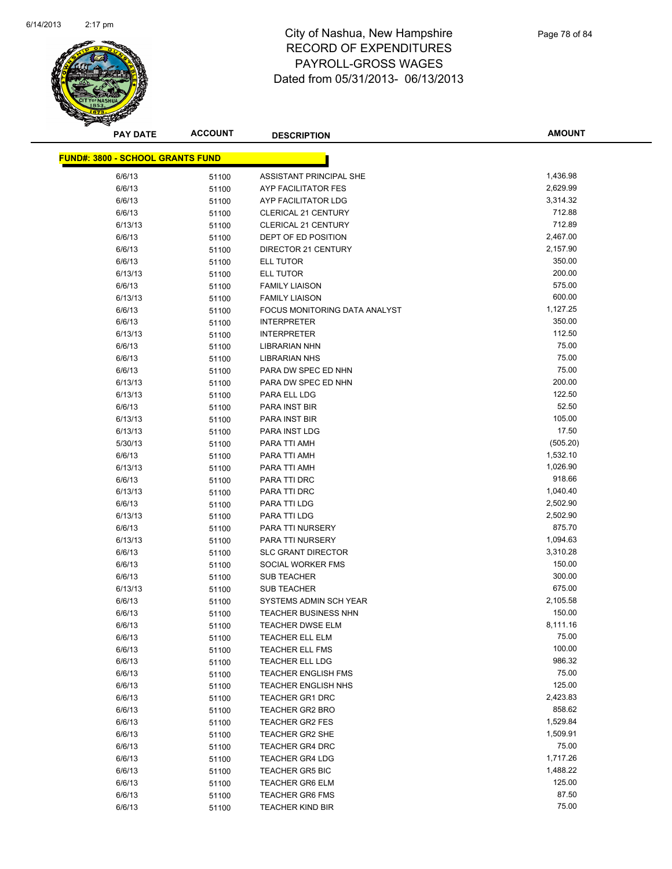

| <b>PAY DATE</b>                         | <b>ACCOUNT</b> | <b>DESCRIPTION</b>            | <b>AMOUNT</b>        |
|-----------------------------------------|----------------|-------------------------------|----------------------|
| <b>FUND#: 3800 - SCHOOL GRANTS FUND</b> |                |                               |                      |
|                                         |                |                               |                      |
| 6/6/13                                  | 51100          | ASSISTANT PRINCIPAL SHE       | 1,436.98<br>2,629.99 |
| 6/6/13                                  | 51100          | AYP FACILITATOR FES           |                      |
| 6/6/13                                  | 51100          | AYP FACILITATOR LDG           | 3,314.32             |
| 6/6/13                                  | 51100          | <b>CLERICAL 21 CENTURY</b>    | 712.88               |
| 6/13/13                                 | 51100          | <b>CLERICAL 21 CENTURY</b>    | 712.89               |
| 6/6/13                                  | 51100          | DEPT OF ED POSITION           | 2,467.00             |
| 6/6/13                                  | 51100          | DIRECTOR 21 CENTURY           | 2,157.90             |
| 6/6/13                                  | 51100          | <b>ELL TUTOR</b>              | 350.00               |
| 6/13/13                                 | 51100          | <b>ELL TUTOR</b>              | 200.00               |
| 6/6/13                                  | 51100          | <b>FAMILY LIAISON</b>         | 575.00<br>600.00     |
| 6/13/13                                 | 51100          | <b>FAMILY LIAISON</b>         |                      |
| 6/6/13                                  | 51100          | FOCUS MONITORING DATA ANALYST | 1,127.25             |
| 6/6/13                                  | 51100          | <b>INTERPRETER</b>            | 350.00               |
| 6/13/13                                 | 51100          | <b>INTERPRETER</b>            | 112.50               |
| 6/6/13                                  | 51100          | <b>LIBRARIAN NHN</b>          | 75.00                |
| 6/6/13                                  | 51100          | <b>LIBRARIAN NHS</b>          | 75.00                |
| 6/6/13                                  | 51100          | PARA DW SPEC ED NHN           | 75.00                |
| 6/13/13                                 | 51100          | PARA DW SPEC ED NHN           | 200.00               |
| 6/13/13                                 | 51100          | PARA ELL LDG                  | 122.50               |
| 6/6/13                                  | 51100          | <b>PARA INST BIR</b>          | 52.50                |
| 6/13/13                                 | 51100          | PARA INST BIR                 | 105.00               |
| 6/13/13                                 | 51100          | PARA INST LDG                 | 17.50                |
| 5/30/13                                 | 51100          | PARA TTI AMH                  | (505.20)             |
| 6/6/13                                  | 51100          | PARA TTI AMH                  | 1,532.10             |
| 6/13/13                                 | 51100          | PARA TTI AMH                  | 1,026.90             |
| 6/6/13                                  | 51100          | PARA TTI DRC                  | 918.66               |
| 6/13/13                                 | 51100          | PARA TTI DRC                  | 1,040.40             |
| 6/6/13                                  | 51100          | PARA TTI LDG                  | 2,502.90             |
| 6/13/13                                 | 51100          | PARA TTI LDG                  | 2,502.90             |
| 6/6/13                                  | 51100          | PARA TTI NURSERY              | 875.70               |
| 6/13/13                                 | 51100          | PARA TTI NURSERY              | 1,094.63             |
| 6/6/13                                  | 51100          | <b>SLC GRANT DIRECTOR</b>     | 3,310.28             |
| 6/6/13                                  | 51100          | SOCIAL WORKER FMS             | 150.00               |
| 6/6/13                                  | 51100          | <b>SUB TEACHER</b>            | 300.00               |
| 6/13/13                                 | 51100          | <b>SUB TEACHER</b>            | 675.00               |
| 6/6/13                                  | 51100          | SYSTEMS ADMIN SCH YEAR        | 2,105.58             |
| 6/6/13                                  | 51100          | <b>TEACHER BUSINESS NHN</b>   | 150.00               |
| 6/6/13                                  | 51100          | <b>TEACHER DWSE ELM</b>       | 8,111.16             |
| 6/6/13                                  | 51100          | <b>TEACHER ELL ELM</b>        | 75.00                |
| 6/6/13                                  | 51100          | <b>TEACHER ELL FMS</b>        | 100.00               |
| 6/6/13                                  | 51100          | TEACHER ELL LDG               | 986.32               |
| 6/6/13                                  | 51100          | <b>TEACHER ENGLISH FMS</b>    | 75.00                |
| 6/6/13                                  | 51100          | <b>TEACHER ENGLISH NHS</b>    | 125.00               |
| 6/6/13                                  | 51100          | <b>TEACHER GR1 DRC</b>        | 2,423.83             |
| 6/6/13                                  | 51100          | <b>TEACHER GR2 BRO</b>        | 858.62               |
| 6/6/13                                  | 51100          | <b>TEACHER GR2 FES</b>        | 1,529.84             |
| 6/6/13                                  | 51100          | <b>TEACHER GR2 SHE</b>        | 1,509.91             |
| 6/6/13                                  | 51100          | <b>TEACHER GR4 DRC</b>        | 75.00                |
| 6/6/13                                  | 51100          | <b>TEACHER GR4 LDG</b>        | 1,717.26             |
| 6/6/13                                  | 51100          | <b>TEACHER GR5 BIC</b>        | 1,488.22             |
| 6/6/13                                  | 51100          | <b>TEACHER GR6 ELM</b>        | 125.00               |
| 6/6/13                                  | 51100          | <b>TEACHER GR6 FMS</b>        | 87.50                |
| 6/6/13                                  | 51100          | TEACHER KIND BIR              | 75.00                |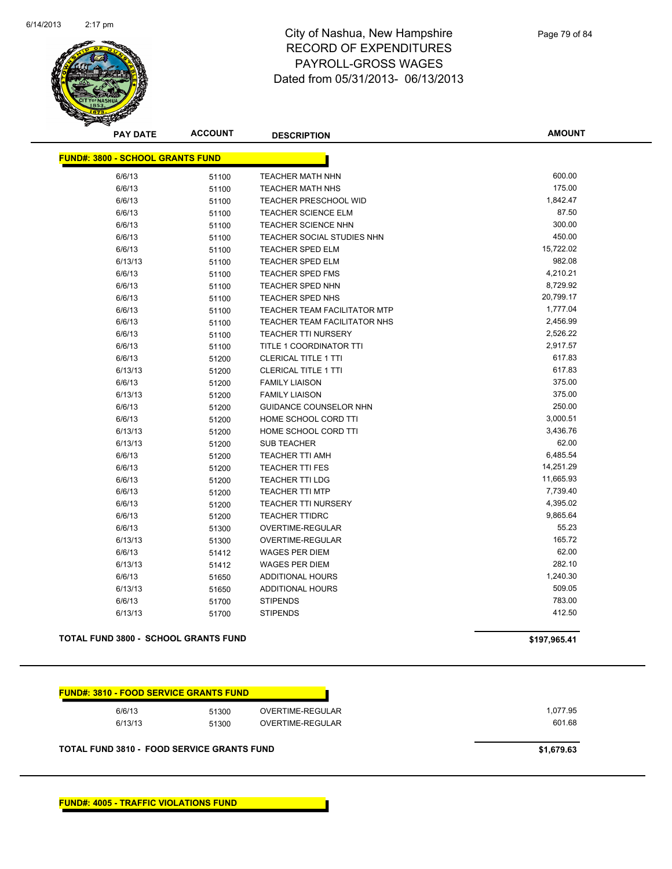

Page 79 of 84

| <b>PAY DATE</b>                         | <b>ACCOUNT</b> | <b>DESCRIPTION</b>                  | <b>AMOUNT</b> |
|-----------------------------------------|----------------|-------------------------------------|---------------|
| <b>FUND#: 3800 - SCHOOL GRANTS FUND</b> |                |                                     |               |
| 6/6/13                                  | 51100          | <b>TEACHER MATH NHN</b>             | 600.00        |
| 6/6/13                                  | 51100          | <b>TEACHER MATH NHS</b>             | 175.00        |
| 6/6/13                                  | 51100          | <b>TEACHER PRESCHOOL WID</b>        | 1,842.47      |
| 6/6/13                                  | 51100          | <b>TEACHER SCIENCE ELM</b>          | 87.50         |
| 6/6/13                                  | 51100          | <b>TEACHER SCIENCE NHN</b>          | 300.00        |
| 6/6/13                                  | 51100          | TEACHER SOCIAL STUDIES NHN          | 450.00        |
| 6/6/13                                  | 51100          | TEACHER SPED ELM                    | 15,722.02     |
| 6/13/13                                 | 51100          | <b>TEACHER SPED ELM</b>             | 982.08        |
| 6/6/13                                  | 51100          | TEACHER SPED FMS                    | 4,210.21      |
| 6/6/13                                  | 51100          | TEACHER SPED NHN                    | 8,729.92      |
| 6/6/13                                  | 51100          | TEACHER SPED NHS                    | 20,799.17     |
| 6/6/13                                  | 51100          | <b>TEACHER TEAM FACILITATOR MTP</b> | 1,777.04      |
| 6/6/13                                  | 51100          | TEACHER TEAM FACILITATOR NHS        | 2,456.99      |
| 6/6/13                                  | 51100          | <b>TEACHER TTI NURSERY</b>          | 2,526.22      |
| 6/6/13                                  | 51100          | TITLE 1 COORDINATOR TTI             | 2,917.57      |
| 6/6/13                                  | 51200          | <b>CLERICAL TITLE 1 TTI</b>         | 617.83        |
| 6/13/13                                 | 51200          | <b>CLERICAL TITLE 1 TTI</b>         | 617.83        |
| 6/6/13                                  | 51200          | <b>FAMILY LIAISON</b>               | 375.00        |
| 6/13/13                                 | 51200          | <b>FAMILY LIAISON</b>               | 375.00        |
| 6/6/13                                  | 51200          | <b>GUIDANCE COUNSELOR NHN</b>       | 250.00        |
| 6/6/13                                  | 51200          | HOME SCHOOL CORD TTI                | 3,000.51      |
| 6/13/13                                 | 51200          | HOME SCHOOL CORD TTI                | 3,436.76      |
| 6/13/13                                 | 51200          | <b>SUB TEACHER</b>                  | 62.00         |
| 6/6/13                                  | 51200          | <b>TEACHER TTI AMH</b>              | 6,485.54      |
| 6/6/13                                  | 51200          | <b>TEACHER TTI FES</b>              | 14,251.29     |
| 6/6/13                                  | 51200          | <b>TEACHER TTI LDG</b>              | 11,665.93     |
| 6/6/13                                  | 51200          | <b>TEACHER TTI MTP</b>              | 7,739.40      |
| 6/6/13                                  | 51200          | <b>TEACHER TTI NURSERY</b>          | 4,395.02      |
| 6/6/13                                  | 51200          | <b>TEACHER TTIDRC</b>               | 9,865.64      |
| 6/6/13                                  | 51300          | <b>OVERTIME-REGULAR</b>             | 55.23         |
| 6/13/13                                 | 51300          | OVERTIME-REGULAR                    | 165.72        |
| 6/6/13                                  | 51412          | <b>WAGES PER DIEM</b>               | 62.00         |
| 6/13/13                                 | 51412          | <b>WAGES PER DIEM</b>               | 282.10        |
| 6/6/13                                  | 51650          | ADDITIONAL HOURS                    | 1,240.30      |
| 6/13/13                                 | 51650          | ADDITIONAL HOURS                    | 509.05        |
| 6/6/13                                  | 51700          | <b>STIPENDS</b>                     | 783.00        |
| 6/13/13                                 | 51700          | <b>STIPENDS</b>                     | 412.50        |
|                                         |                |                                     |               |

**TOTAL FUND 3800 - SCHOOL GRANTS FUND 6197,965.41** 

| 6/6/13  | 51300 | OVERTIME-REGULAR | 1,077.95 |
|---------|-------|------------------|----------|
| 6/13/13 | 51300 | OVERTIME-REGULAR | 601.68   |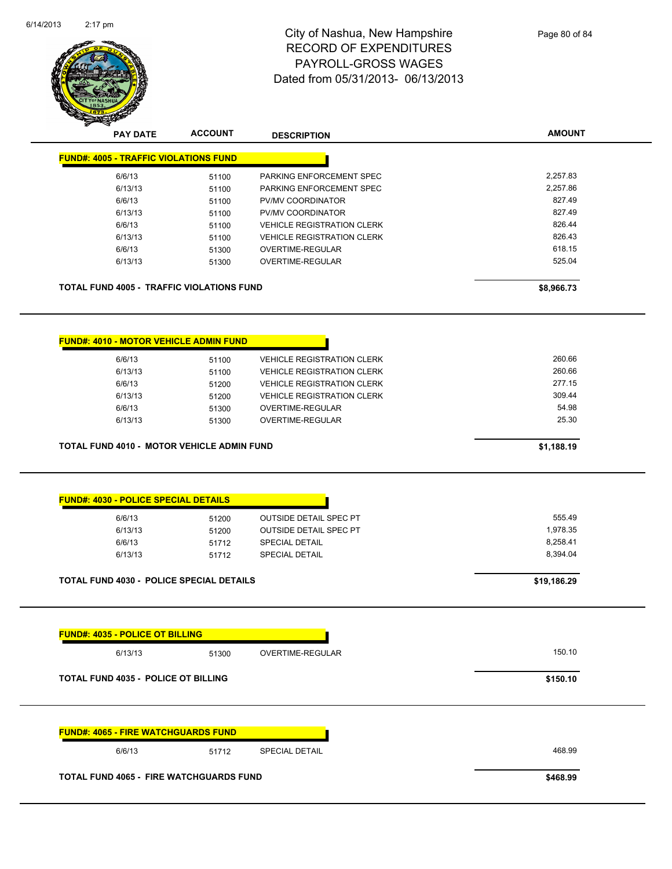

| <b>PAY DATE</b>                                   | <b>ACCOUNT</b> | <b>DESCRIPTION</b>                | <b>AMOUNT</b> |
|---------------------------------------------------|----------------|-----------------------------------|---------------|
| <b>FUND#: 4005 - TRAFFIC VIOLATIONS FUND</b>      |                |                                   |               |
| 6/6/13                                            | 51100          | PARKING ENFORCEMENT SPEC          | 2,257.83      |
| 6/13/13                                           | 51100          | PARKING ENFORCEMENT SPEC          | 2,257.86      |
| 6/6/13                                            | 51100          | PV/MV COORDINATOR                 | 827.49        |
| 6/13/13                                           | 51100          | PV/MV COORDINATOR                 | 827.49        |
| 6/6/13                                            | 51100          | <b>VEHICLE REGISTRATION CLERK</b> | 826.44        |
| 6/13/13                                           | 51100          | <b>VEHICLE REGISTRATION CLERK</b> | 826.43        |
| 6/6/13                                            | 51300          | <b>OVERTIME-REGULAR</b>           | 618.15        |
| 6/13/13                                           | 51300          | OVERTIME-REGULAR                  | 525.04        |
|                                                   |                |                                   |               |
| <b>TOTAL FUND 4005 - TRAFFIC VIOLATIONS FUND</b>  |                |                                   | \$8,966.73    |
| <b>FUND#: 4010 - MOTOR VEHICLE ADMIN FUND</b>     |                |                                   |               |
|                                                   |                |                                   |               |
| 6/6/13                                            | 51100          | <b>VEHICLE REGISTRATION CLERK</b> | 260.66        |
| 6/13/13                                           | 51100          | <b>VEHICLE REGISTRATION CLERK</b> | 260.66        |
| 6/6/13                                            | 51200          | <b>VEHICLE REGISTRATION CLERK</b> | 277.15        |
| 6/13/13                                           | 51200          | <b>VEHICLE REGISTRATION CLERK</b> | 309.44        |
| 6/6/13                                            | 51300          | OVERTIME-REGULAR                  | 54.98         |
| 6/13/13                                           | 51300          | OVERTIME-REGULAR                  | 25.30         |
| <b>TOTAL FUND 4010 - MOTOR VEHICLE ADMIN FUND</b> |                |                                   | \$1,188.19    |
| <b>FUND#: 4030 - POLICE SPECIAL DETAILS</b>       |                |                                   | 555.49        |
| 6/6/13                                            | 51200          | <b>OUTSIDE DETAIL SPEC PT</b>     | 1,978.35      |
| 6/13/13                                           | 51200          | <b>OUTSIDE DETAIL SPEC PT</b>     |               |
| 6/6/13                                            | 51712          | <b>SPECIAL DETAIL</b>             | 8,258.41      |
| 6/13/13                                           | 51712          | <b>SPECIAL DETAIL</b>             | 8,394.04      |
| <b>TOTAL FUND 4030 - POLICE SPECIAL DETAILS</b>   |                |                                   | \$19,186.29   |
|                                                   |                |                                   |               |
| <b>FUND#: 4035 - POLICE OT BILLING</b>            |                |                                   |               |
| 6/13/13                                           | 51300          | OVERTIME-REGULAR                  | 150.10        |
| <b>TOTAL FUND 4035 - POLICE OT BILLING</b>        |                |                                   | \$150.10      |
| <b>FUND#: 4065 - FIRE WATCHGUARDS FUND</b>        |                |                                   |               |
|                                                   |                |                                   | 468.99        |
| 6/6/13                                            | 51712          | SPECIAL DETAIL                    |               |

**TOTAL FUND 4065 - FIRE WATCHGUARDS FUND \$468.99**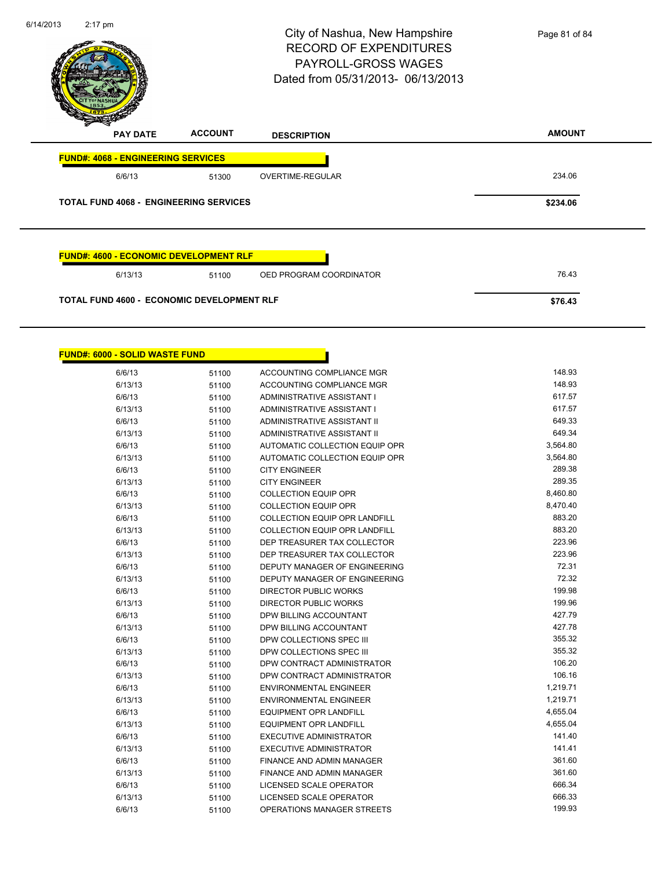| 6/14/2013 | $2:17$ pm                                     |                | City of Nashua, New Hampshire<br><b>RECORD OF EXPENDITURES</b><br>PAYROLL-GROSS WAGES<br>Dated from 05/31/2013- 06/13/2013 | Page 81 of 84 |
|-----------|-----------------------------------------------|----------------|----------------------------------------------------------------------------------------------------------------------------|---------------|
|           | <b>PAY DATE</b>                               | <b>ACCOUNT</b> | <b>DESCRIPTION</b>                                                                                                         | <b>AMOUNT</b> |
|           | <b>FUND#: 4068 - ENGINEERING SERVICES</b>     |                |                                                                                                                            |               |
|           | 6/6/13                                        | 51300          | OVERTIME-REGULAR                                                                                                           | 234.06        |
|           | <b>TOTAL FUND 4068 - ENGINEERING SERVICES</b> |                |                                                                                                                            | \$234.06      |
|           | <b>FUND#: 4600 - ECONOMIC DEVELOPMENT RLF</b> |                |                                                                                                                            |               |
|           | 6/13/13                                       | 51100          | OED PROGRAM COORDINATOR                                                                                                    | 76.43         |
|           | TOTAL FUND 4600 - ECONOMIC DEVELOPMENT RLF    |                |                                                                                                                            | \$76.43       |

| <b>FUND#: 6000 - SOLID WASTE FUND</b> |       |                                      |          |
|---------------------------------------|-------|--------------------------------------|----------|
| 6/6/13                                | 51100 | ACCOUNTING COMPLIANCE MGR            | 148.93   |
| 6/13/13                               | 51100 | ACCOUNTING COMPLIANCE MGR            | 148.93   |
| 6/6/13                                | 51100 | ADMINISTRATIVE ASSISTANT I           | 617.57   |
| 6/13/13                               | 51100 | ADMINISTRATIVE ASSISTANT I           | 617.57   |
| 6/6/13                                | 51100 | ADMINISTRATIVE ASSISTANT II          | 649.33   |
| 6/13/13                               | 51100 | ADMINISTRATIVE ASSISTANT II          | 649.34   |
| 6/6/13                                | 51100 | AUTOMATIC COLLECTION EQUIP OPR       | 3,564.80 |
| 6/13/13                               | 51100 | AUTOMATIC COLLECTION EQUIP OPR       | 3,564.80 |
| 6/6/13                                | 51100 | <b>CITY ENGINEER</b>                 | 289.38   |
| 6/13/13                               | 51100 | <b>CITY ENGINEER</b>                 | 289.35   |
| 6/6/13                                | 51100 | <b>COLLECTION EQUIP OPR</b>          | 8,460.80 |
| 6/13/13                               | 51100 | <b>COLLECTION EQUIP OPR</b>          | 8,470.40 |
| 6/6/13                                | 51100 | <b>COLLECTION EQUIP OPR LANDFILL</b> | 883.20   |
| 6/13/13                               | 51100 | <b>COLLECTION EQUIP OPR LANDFILL</b> | 883.20   |
| 6/6/13                                | 51100 | DEP TREASURER TAX COLLECTOR          | 223.96   |
| 6/13/13                               | 51100 | DEP TREASURER TAX COLLECTOR          | 223.96   |
| 6/6/13                                | 51100 | DEPUTY MANAGER OF ENGINEERING        | 72.31    |
| 6/13/13                               | 51100 | DEPUTY MANAGER OF ENGINEERING        | 72.32    |
| 6/6/13                                | 51100 | DIRECTOR PUBLIC WORKS                | 199.98   |
| 6/13/13                               | 51100 | DIRECTOR PUBLIC WORKS                | 199.96   |
| 6/6/13                                | 51100 | DPW BILLING ACCOUNTANT               | 427.79   |
| 6/13/13                               | 51100 | DPW BILLING ACCOUNTANT               | 427.78   |
| 6/6/13                                | 51100 | DPW COLLECTIONS SPEC III             | 355.32   |
| 6/13/13                               | 51100 | DPW COLLECTIONS SPEC III             | 355.32   |
| 6/6/13                                | 51100 | DPW CONTRACT ADMINISTRATOR           | 106.20   |
| 6/13/13                               | 51100 | DPW CONTRACT ADMINISTRATOR           | 106.16   |
| 6/6/13                                | 51100 | <b>ENVIRONMENTAL ENGINEER</b>        | 1,219.71 |
| 6/13/13                               | 51100 | <b>ENVIRONMENTAL ENGINEER</b>        | 1,219.71 |
| 6/6/13                                | 51100 | <b>EQUIPMENT OPR LANDFILL</b>        | 4,655.04 |
| 6/13/13                               | 51100 | <b>EQUIPMENT OPR LANDFILL</b>        | 4,655.04 |
| 6/6/13                                | 51100 | <b>EXECUTIVE ADMINISTRATOR</b>       | 141.40   |
| 6/13/13                               | 51100 | <b>EXECUTIVE ADMINISTRATOR</b>       | 141.41   |
| 6/6/13                                | 51100 | FINANCE AND ADMIN MANAGER            | 361.60   |
| 6/13/13                               | 51100 | FINANCE AND ADMIN MANAGER            | 361.60   |
| 6/6/13                                | 51100 | LICENSED SCALE OPERATOR              | 666.34   |
| 6/13/13                               | 51100 | <b>LICENSED SCALE OPERATOR</b>       | 666.33   |
| 6/6/13                                | 51100 | OPERATIONS MANAGER STREETS           | 199.93   |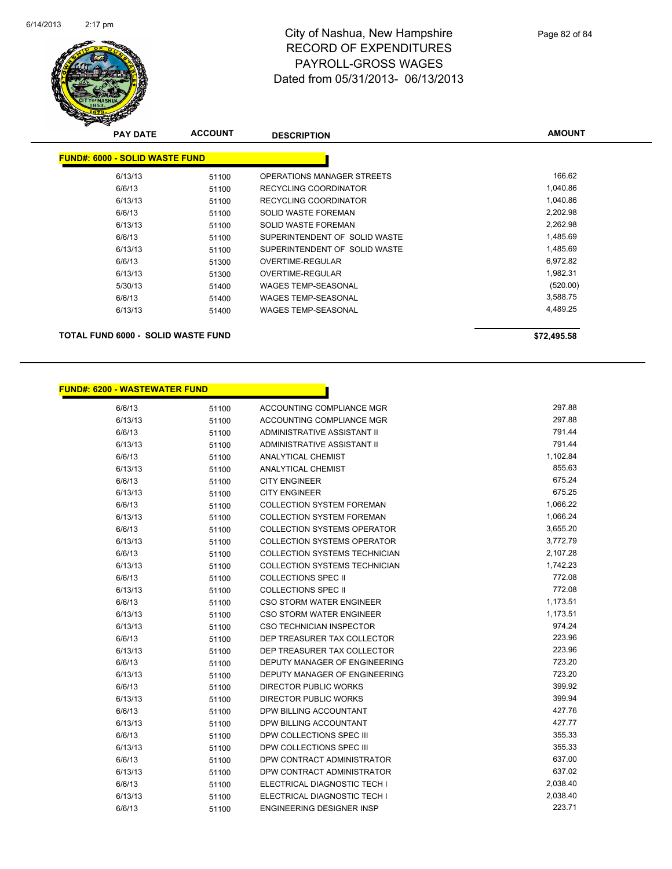

| <b>PAY DATE</b>                       | <b>ACCOUNT</b> | <b>DESCRIPTION</b>            | <b>AMOUNT</b> |
|---------------------------------------|----------------|-------------------------------|---------------|
| <b>FUND#: 6000 - SOLID WASTE FUND</b> |                |                               |               |
| 6/13/13                               | 51100          | OPERATIONS MANAGER STREETS    | 166.62        |
| 6/6/13                                | 51100          | <b>RECYCLING COORDINATOR</b>  | 1,040.86      |
| 6/13/13                               | 51100          | RECYCLING COORDINATOR         | 1,040.86      |
| 6/6/13                                | 51100          | <b>SOLID WASTE FOREMAN</b>    | 2,202.98      |
| 6/13/13                               | 51100          | SOLID WASTE FOREMAN           | 2,262.98      |
| 6/6/13                                | 51100          | SUPERINTENDENT OF SOLID WASTE | 1,485.69      |
| 6/13/13                               | 51100          | SUPERINTENDENT OF SOLID WASTE | 1,485.69      |
| 6/6/13                                | 51300          | OVERTIME-REGULAR              | 6,972.82      |
| 6/13/13                               | 51300          | OVERTIME-REGULAR              | 1,982.31      |
| 5/30/13                               | 51400          | <b>WAGES TEMP-SEASONAL</b>    | (520.00)      |
| 6/6/13                                | 51400          | <b>WAGES TEMP-SEASONAL</b>    | 3,588.75      |
| 6/13/13                               | 51400          | <b>WAGES TEMP-SEASONAL</b>    | 4,489.25      |
| TOTAL FUND 6000 - SOLID WASTE FUND    |                |                               | \$72,495.58   |

#### **FUND#: 6200 - WASTEWATER FUND**

| 6/6/13  | 51100 | ACCOUNTING COMPLIANCE MGR            | 297.88   |
|---------|-------|--------------------------------------|----------|
| 6/13/13 | 51100 | ACCOUNTING COMPLIANCE MGR            | 297.88   |
| 6/6/13  | 51100 | ADMINISTRATIVE ASSISTANT II          | 791.44   |
| 6/13/13 | 51100 | <b>ADMINISTRATIVE ASSISTANT II</b>   | 791.44   |
| 6/6/13  | 51100 | <b>ANALYTICAL CHEMIST</b>            | 1,102.84 |
| 6/13/13 | 51100 | <b>ANALYTICAL CHEMIST</b>            | 855.63   |
| 6/6/13  | 51100 | <b>CITY ENGINEER</b>                 | 675.24   |
| 6/13/13 | 51100 | <b>CITY ENGINEER</b>                 | 675.25   |
| 6/6/13  | 51100 | <b>COLLECTION SYSTEM FOREMAN</b>     | 1,066.22 |
| 6/13/13 | 51100 | <b>COLLECTION SYSTEM FOREMAN</b>     | 1,066.24 |
| 6/6/13  | 51100 | <b>COLLECTION SYSTEMS OPERATOR</b>   | 3,655.20 |
| 6/13/13 | 51100 | <b>COLLECTION SYSTEMS OPERATOR</b>   | 3,772.79 |
| 6/6/13  | 51100 | COLLECTION SYSTEMS TECHNICIAN        | 2,107.28 |
| 6/13/13 | 51100 | <b>COLLECTION SYSTEMS TECHNICIAN</b> | 1,742.23 |
| 6/6/13  | 51100 | <b>COLLECTIONS SPEC II</b>           | 772.08   |
| 6/13/13 | 51100 | <b>COLLECTIONS SPEC II</b>           | 772.08   |
| 6/6/13  | 51100 | CSO STORM WATER ENGINEER             | 1,173.51 |
| 6/13/13 | 51100 | <b>CSO STORM WATER ENGINEER</b>      | 1,173.51 |
| 6/13/13 | 51100 | CSO TECHNICIAN INSPECTOR             | 974.24   |
| 6/6/13  | 51100 | DEP TREASURER TAX COLLECTOR          | 223.96   |
| 6/13/13 | 51100 | DEP TREASURER TAX COLLECTOR          | 223.96   |
| 6/6/13  | 51100 | DEPUTY MANAGER OF ENGINEERING        | 723.20   |
| 6/13/13 | 51100 | DEPUTY MANAGER OF ENGINEERING        | 723.20   |
| 6/6/13  | 51100 | <b>DIRECTOR PUBLIC WORKS</b>         | 399.92   |
| 6/13/13 | 51100 | <b>DIRECTOR PUBLIC WORKS</b>         | 399.94   |
| 6/6/13  | 51100 | DPW BILLING ACCOUNTANT               | 427.76   |
| 6/13/13 | 51100 | DPW BILLING ACCOUNTANT               | 427.77   |
| 6/6/13  | 51100 | DPW COLLECTIONS SPEC III             | 355.33   |
| 6/13/13 | 51100 | DPW COLLECTIONS SPEC III             | 355.33   |
| 6/6/13  | 51100 | DPW CONTRACT ADMINISTRATOR           | 637.00   |
| 6/13/13 | 51100 | DPW CONTRACT ADMINISTRATOR           | 637.02   |
| 6/6/13  | 51100 | ELECTRICAL DIAGNOSTIC TECH I         | 2,038.40 |
| 6/13/13 | 51100 | ELECTRICAL DIAGNOSTIC TECH I         | 2,038.40 |
| 6/6/13  | 51100 | <b>ENGINEERING DESIGNER INSP</b>     | 223.71   |

Π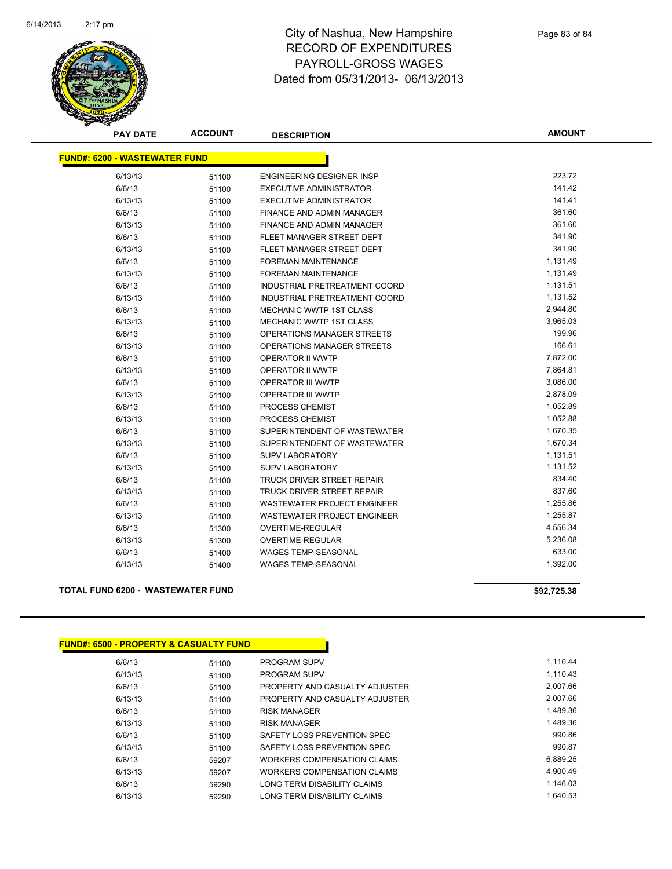

| <b>PAY DATE</b>                      | <b>ACCOUNT</b> | <b>DESCRIPTION</b>                | <b>AMOUNT</b> |
|--------------------------------------|----------------|-----------------------------------|---------------|
| <b>FUND#: 6200 - WASTEWATER FUND</b> |                |                                   |               |
|                                      |                |                                   |               |
| 6/13/13                              | 51100          | ENGINEERING DESIGNER INSP         | 223.72        |
| 6/6/13                               | 51100          | <b>EXECUTIVE ADMINISTRATOR</b>    | 141.42        |
| 6/13/13                              | 51100          | <b>EXECUTIVE ADMINISTRATOR</b>    | 141.41        |
| 6/6/13                               | 51100          | <b>FINANCE AND ADMIN MANAGER</b>  | 361.60        |
| 6/13/13                              | 51100          | <b>FINANCE AND ADMIN MANAGER</b>  | 361.60        |
| 6/6/13                               | 51100          | FLEET MANAGER STREET DEPT         | 341.90        |
| 6/13/13                              | 51100          | FLEET MANAGER STREET DEPT         | 341.90        |
| 6/6/13                               | 51100          | <b>FOREMAN MAINTENANCE</b>        | 1,131.49      |
| 6/13/13                              | 51100          | <b>FOREMAN MAINTENANCE</b>        | 1,131.49      |
| 6/6/13                               | 51100          | INDUSTRIAL PRETREATMENT COORD     | 1,131.51      |
| 6/13/13                              | 51100          | INDUSTRIAL PRETREATMENT COORD     | 1,131.52      |
| 6/6/13                               | 51100          | <b>MECHANIC WWTP 1ST CLASS</b>    | 2,944.80      |
| 6/13/13                              | 51100          | MECHANIC WWTP 1ST CLASS           | 3,965.03      |
| 6/6/13                               | 51100          | OPERATIONS MANAGER STREETS        | 199.96        |
| 6/13/13                              | 51100          | OPERATIONS MANAGER STREETS        | 166.61        |
| 6/6/13                               | 51100          | OPERATOR II WWTP                  | 7,872.00      |
| 6/13/13                              | 51100          | OPERATOR II WWTP                  | 7,864.81      |
| 6/6/13                               | 51100          | OPERATOR III WWTP                 | 3,086.00      |
| 6/13/13                              | 51100          | OPERATOR III WWTP                 | 2,878.09      |
| 6/6/13                               | 51100          | PROCESS CHEMIST                   | 1,052.89      |
| 6/13/13                              | 51100          | PROCESS CHEMIST                   | 1,052.88      |
| 6/6/13                               | 51100          | SUPERINTENDENT OF WASTEWATER      | 1,670.35      |
| 6/13/13                              | 51100          | SUPERINTENDENT OF WASTEWATER      | 1,670.34      |
| 6/6/13                               | 51100          | <b>SUPV LABORATORY</b>            | 1,131.51      |
| 6/13/13                              | 51100          | <b>SUPV LABORATORY</b>            | 1,131.52      |
| 6/6/13                               | 51100          | <b>TRUCK DRIVER STREET REPAIR</b> | 834.40        |
| 6/13/13                              | 51100          | <b>TRUCK DRIVER STREET REPAIR</b> | 837.60        |
| 6/6/13                               | 51100          | WASTEWATER PROJECT ENGINEER       | 1,255.86      |
| 6/13/13                              | 51100          | WASTEWATER PROJECT ENGINEER       | 1,255.87      |
| 6/6/13                               | 51300          | OVERTIME-REGULAR                  | 4,556.34      |
| 6/13/13                              | 51300          | OVERTIME-REGULAR                  | 5,236.08      |
| 6/6/13                               | 51400          | <b>WAGES TEMP-SEASONAL</b>        | 633.00        |
| 6/13/13                              | 51400          | <b>WAGES TEMP-SEASONAL</b>        | 1,392.00      |

**TOTAL FUND 6200 - WASTEWATER FUND \$92,725.38** 

| <b>FUND#: 6500 - PROPERTY &amp; CASUALTY FUND</b> |       |                                |
|---------------------------------------------------|-------|--------------------------------|
| 6/6/13                                            | 51100 | <b>PROGRAM SUPV</b>            |
| 6/13/13                                           | 51100 | <b>PROGRAM SUPV</b>            |
| 6/6/13                                            | 51100 | PROPERTY AND CASUALTY ADJUSTER |
| 6/13/13                                           | 51100 | PROPERTY AND CASUALTY ADJUSTER |
| 6/6/13                                            | 51100 | <b>RISK MANAGER</b>            |
| 6/13/13                                           | 51100 | <b>RISK MANAGER</b>            |
| 6/6/13                                            | 51100 | SAFETY LOSS PREVENTION SPEC    |
| 6/13/13                                           | 51100 | SAFETY LOSS PREVENTION SPEC    |
| 6/6/13                                            | 59207 | WORKERS COMPENSATION CLAIMS    |
| 6/13/13                                           | 59207 | WORKERS COMPENSATION CLAIMS    |
| 6/6/13                                            | 59290 | LONG TERM DISABILITY CLAIMS    |
| 6/13/13                                           | 59290 | LONG TERM DISABILITY CLAIMS    |